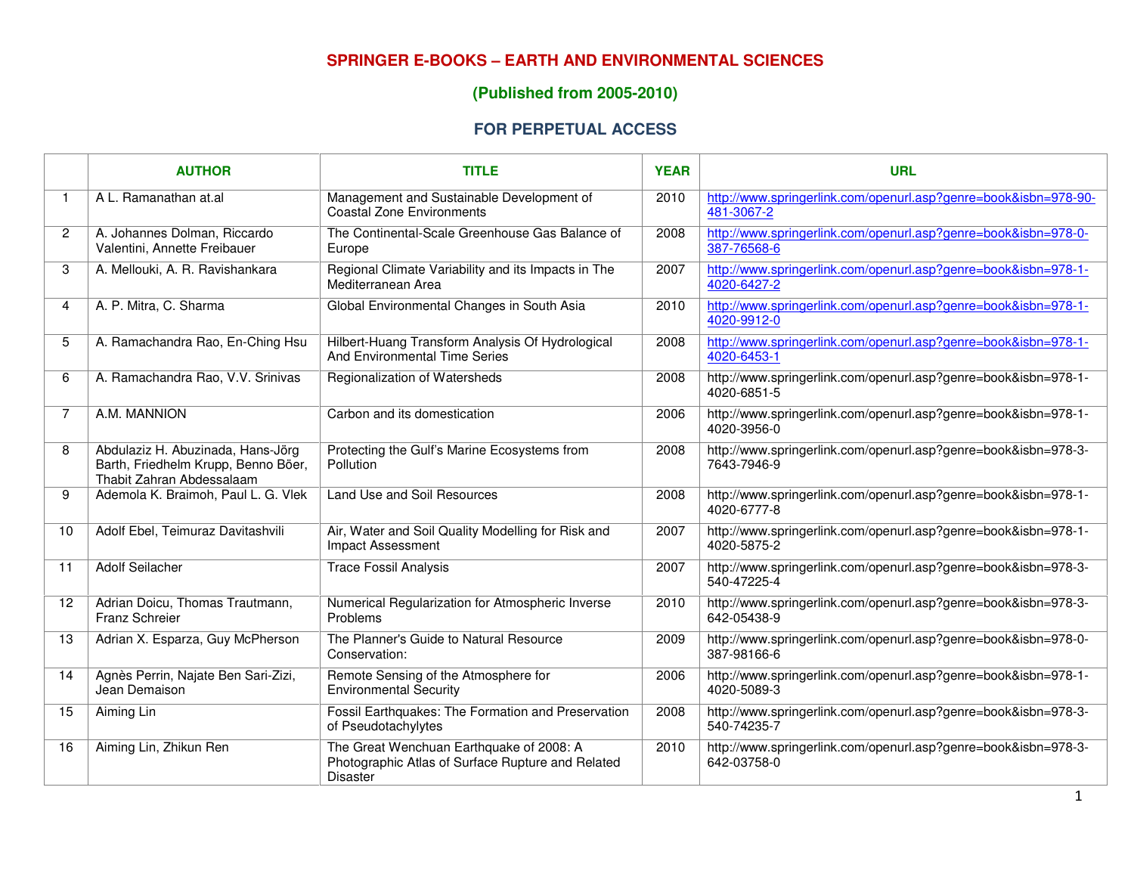## **SPRINGER E-BOOKS – EARTH AND ENVIRONMENTAL SCIENCES**

## **(Published from 2005-2010)**

## **FOR PERPETUAL ACCESS**

|                | <b>AUTHOR</b>                                                                                         | <b>TITLE</b>                                                                                                     | <b>YEAR</b> | <b>URL</b>                                                                    |
|----------------|-------------------------------------------------------------------------------------------------------|------------------------------------------------------------------------------------------------------------------|-------------|-------------------------------------------------------------------------------|
| 1              | A L. Ramanathan at.al                                                                                 | Management and Sustainable Development of<br><b>Coastal Zone Environments</b>                                    | 2010        | http://www.springerlink.com/openurl.asp?genre=book&isbn=978-90-<br>481-3067-2 |
| $\overline{c}$ | A. Johannes Dolman, Riccardo<br>Valentini, Annette Freibauer                                          | The Continental-Scale Greenhouse Gas Balance of<br>Europe                                                        | 2008        | http://www.springerlink.com/openurl.asp?genre=book&isbn=978-0-<br>387-76568-6 |
| 3              | A. Mellouki, A. R. Ravishankara                                                                       | Regional Climate Variability and its Impacts in The<br>Mediterranean Area                                        | 2007        | http://www.springerlink.com/openurl.asp?genre=book&isbn=978-1-<br>4020-6427-2 |
| 4              | A. P. Mitra, C. Sharma                                                                                | Global Environmental Changes in South Asia                                                                       | 2010        | http://www.springerlink.com/openurl.asp?genre=book&isbn=978-1-<br>4020-9912-0 |
| 5              | A. Ramachandra Rao, En-Ching Hsu                                                                      | Hilbert-Huang Transform Analysis Of Hydrological<br>And Environmental Time Series                                | 2008        | http://www.springerlink.com/openurl.asp?genre=book&isbn=978-1-<br>4020-6453-1 |
| 6              | A. Ramachandra Rao, V.V. Srinivas                                                                     | Regionalization of Watersheds                                                                                    | 2008        | http://www.springerlink.com/openurl.asp?genre=book&isbn=978-1-<br>4020-6851-5 |
| $\overline{7}$ | A.M. MANNION                                                                                          | Carbon and its domestication                                                                                     | 2006        | http://www.springerlink.com/openurl.asp?genre=book&isbn=978-1-<br>4020-3956-0 |
| 8              | Abdulaziz H. Abuzinada, Hans-Jörg<br>Barth, Friedhelm Krupp, Benno Böer,<br>Thabit Zahran Abdessalaam | Protecting the Gulf's Marine Ecosystems from<br>Pollution                                                        | 2008        | http://www.springerlink.com/openurl.asp?genre=book&isbn=978-3-<br>7643-7946-9 |
| 9              | Ademola K. Braimoh, Paul L. G. Vlek                                                                   | Land Use and Soil Resources                                                                                      | 2008        | http://www.springerlink.com/openurl.asp?genre=book&isbn=978-1-<br>4020-6777-8 |
| 10             | Adolf Ebel, Teimuraz Davitashvili                                                                     | Air, Water and Soil Quality Modelling for Risk and<br><b>Impact Assessment</b>                                   | 2007        | http://www.springerlink.com/openurl.asp?genre=book&isbn=978-1-<br>4020-5875-2 |
| 11             | <b>Adolf Seilacher</b>                                                                                | <b>Trace Fossil Analysis</b>                                                                                     | 2007        | http://www.springerlink.com/openurl.asp?genre=book&isbn=978-3-<br>540-47225-4 |
| 12             | Adrian Doicu, Thomas Trautmann,<br>Franz Schreier                                                     | Numerical Regularization for Atmospheric Inverse<br>Problems                                                     | 2010        | http://www.springerlink.com/openurl.asp?genre=book&isbn=978-3-<br>642-05438-9 |
| 13             | Adrian X. Esparza, Guy McPherson                                                                      | The Planner's Guide to Natural Resource<br>Conservation:                                                         | 2009        | http://www.springerlink.com/openurl.asp?genre=book&isbn=978-0-<br>387-98166-6 |
| 14             | Agnès Perrin, Najate Ben Sari-Zizi,<br>Jean Demaison                                                  | Remote Sensing of the Atmosphere for<br><b>Environmental Security</b>                                            | 2006        | http://www.springerlink.com/openurl.asp?genre=book&isbn=978-1-<br>4020-5089-3 |
| 15             | Aiming Lin                                                                                            | Fossil Earthquakes: The Formation and Preservation<br>of Pseudotachylytes                                        | 2008        | http://www.springerlink.com/openurl.asp?genre=book&isbn=978-3-<br>540-74235-7 |
| 16             | Aiming Lin, Zhikun Ren                                                                                | The Great Wenchuan Earthquake of 2008: A<br>Photographic Atlas of Surface Rupture and Related<br><b>Disaster</b> | 2010        | http://www.springerlink.com/openurl.asp?genre=book&isbn=978-3-<br>642-03758-0 |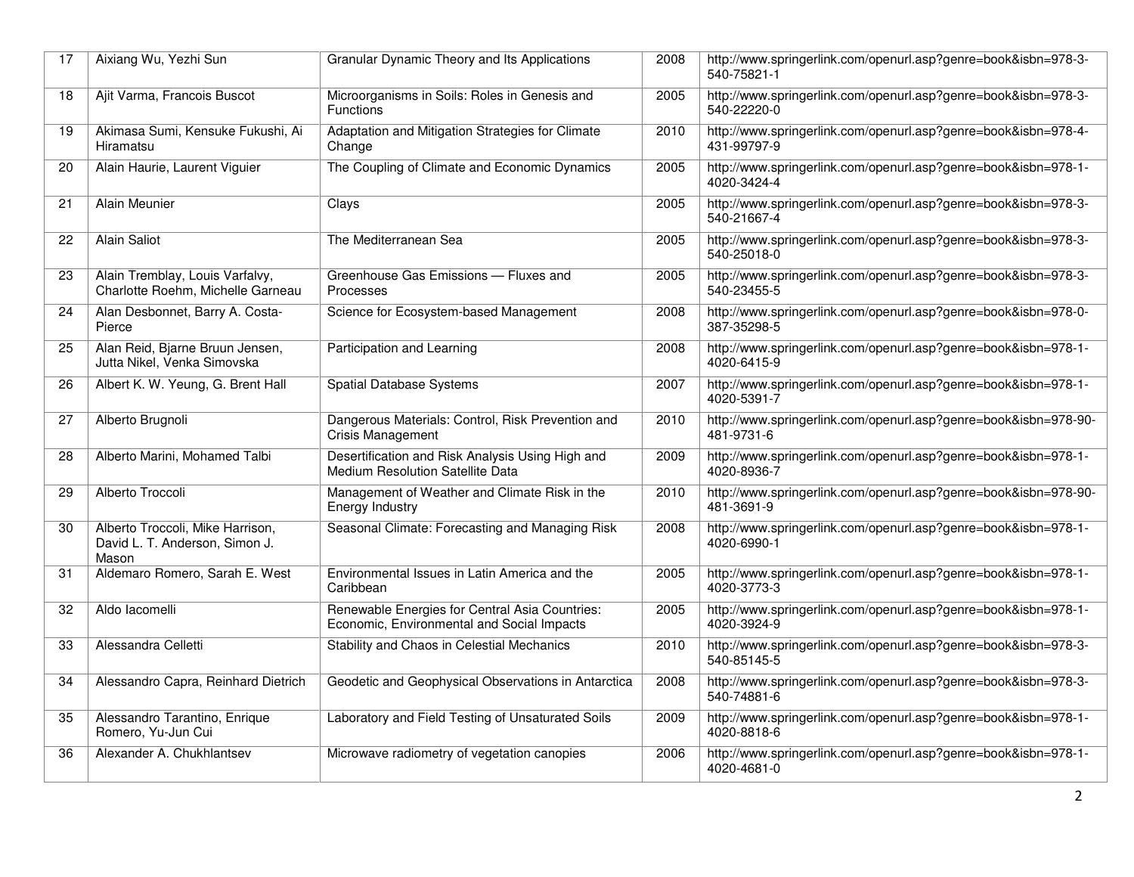| 17 | Aixiang Wu, Yezhi Sun                                                       | Granular Dynamic Theory and Its Applications                                                 | 2008 | http://www.springerlink.com/openurl.asp?genre=book&isbn=978-3-<br>540-75821-1 |
|----|-----------------------------------------------------------------------------|----------------------------------------------------------------------------------------------|------|-------------------------------------------------------------------------------|
| 18 | Ajit Varma, Francois Buscot                                                 | Microorganisms in Soils: Roles in Genesis and<br><b>Functions</b>                            | 2005 | http://www.springerlink.com/openurl.asp?genre=book&isbn=978-3-<br>540-22220-0 |
| 19 | Akimasa Sumi, Kensuke Fukushi, Ai<br>Hiramatsu                              | Adaptation and Mitigation Strategies for Climate<br>Change                                   | 2010 | http://www.springerlink.com/openurl.asp?genre=book&isbn=978-4-<br>431-99797-9 |
| 20 | Alain Haurie, Laurent Viguier                                               | The Coupling of Climate and Economic Dynamics                                                | 2005 | http://www.springerlink.com/openurl.asp?genre=book&isbn=978-1-<br>4020-3424-4 |
| 21 | Alain Meunier                                                               | Clays                                                                                        | 2005 | http://www.springerlink.com/openurl.asp?genre=book&isbn=978-3-<br>540-21667-4 |
| 22 | Alain Saliot                                                                | The Mediterranean Sea                                                                        | 2005 | http://www.springerlink.com/openurl.asp?genre=book&isbn=978-3-<br>540-25018-0 |
| 23 | Alain Tremblay, Louis Varfalvy,<br>Charlotte Roehm, Michelle Garneau        | Greenhouse Gas Emissions - Fluxes and<br>Processes                                           | 2005 | http://www.springerlink.com/openurl.asp?genre=book&isbn=978-3-<br>540-23455-5 |
| 24 | Alan Desbonnet, Barry A. Costa-<br>Pierce                                   | Science for Ecosystem-based Management                                                       | 2008 | http://www.springerlink.com/openurl.asp?genre=book&isbn=978-0-<br>387-35298-5 |
| 25 | Alan Reid, Bjarne Bruun Jensen,<br>Jutta Nikel, Venka Simovska              | Participation and Learning                                                                   | 2008 | http://www.springerlink.com/openurl.asp?genre=book&isbn=978-1-<br>4020-6415-9 |
| 26 | Albert K. W. Yeung, G. Brent Hall                                           | <b>Spatial Database Systems</b>                                                              | 2007 | http://www.springerlink.com/openurl.asp?genre=book&isbn=978-1-<br>4020-5391-7 |
| 27 | Alberto Brugnoli                                                            | Dangerous Materials: Control, Risk Prevention and<br>Crisis Management                       | 2010 | http://www.springerlink.com/openurl.asp?genre=book&isbn=978-90-<br>481-9731-6 |
| 28 | Alberto Marini, Mohamed Talbi                                               | Desertification and Risk Analysis Using High and<br><b>Medium Resolution Satellite Data</b>  | 2009 | http://www.springerlink.com/openurl.asp?genre=book&isbn=978-1-<br>4020-8936-7 |
| 29 | Alberto Troccoli                                                            | Management of Weather and Climate Risk in the<br><b>Energy Industry</b>                      | 2010 | http://www.springerlink.com/openurl.asp?genre=book&isbn=978-90-<br>481-3691-9 |
| 30 | Alberto Troccoli, Mike Harrison,<br>David L. T. Anderson, Simon J.<br>Mason | Seasonal Climate: Forecasting and Managing Risk                                              | 2008 | http://www.springerlink.com/openurl.asp?genre=book&isbn=978-1-<br>4020-6990-1 |
| 31 | Aldemaro Romero, Sarah E. West                                              | Environmental Issues in Latin America and the<br>Caribbean                                   | 2005 | http://www.springerlink.com/openurl.asp?genre=book&isbn=978-1-<br>4020-3773-3 |
| 32 | Aldo lacomelli                                                              | Renewable Energies for Central Asia Countries:<br>Economic, Environmental and Social Impacts | 2005 | http://www.springerlink.com/openurl.asp?genre=book&isbn=978-1-<br>4020-3924-9 |
| 33 | Alessandra Celletti                                                         | Stability and Chaos in Celestial Mechanics                                                   | 2010 | http://www.springerlink.com/openurl.asp?genre=book&isbn=978-3-<br>540-85145-5 |
| 34 | Alessandro Capra, Reinhard Dietrich                                         | Geodetic and Geophysical Observations in Antarctica                                          | 2008 | http://www.springerlink.com/openurl.asp?genre=book&isbn=978-3-<br>540-74881-6 |
| 35 | Alessandro Tarantino, Enrique<br>Romero, Yu-Jun Cui                         | Laboratory and Field Testing of Unsaturated Soils                                            | 2009 | http://www.springerlink.com/openurl.asp?genre=book&isbn=978-1-<br>4020-8818-6 |
| 36 | Alexander A. Chukhlantsev                                                   | Microwave radiometry of vegetation canopies                                                  | 2006 | http://www.springerlink.com/openurl.asp?genre=book&isbn=978-1-<br>4020-4681-0 |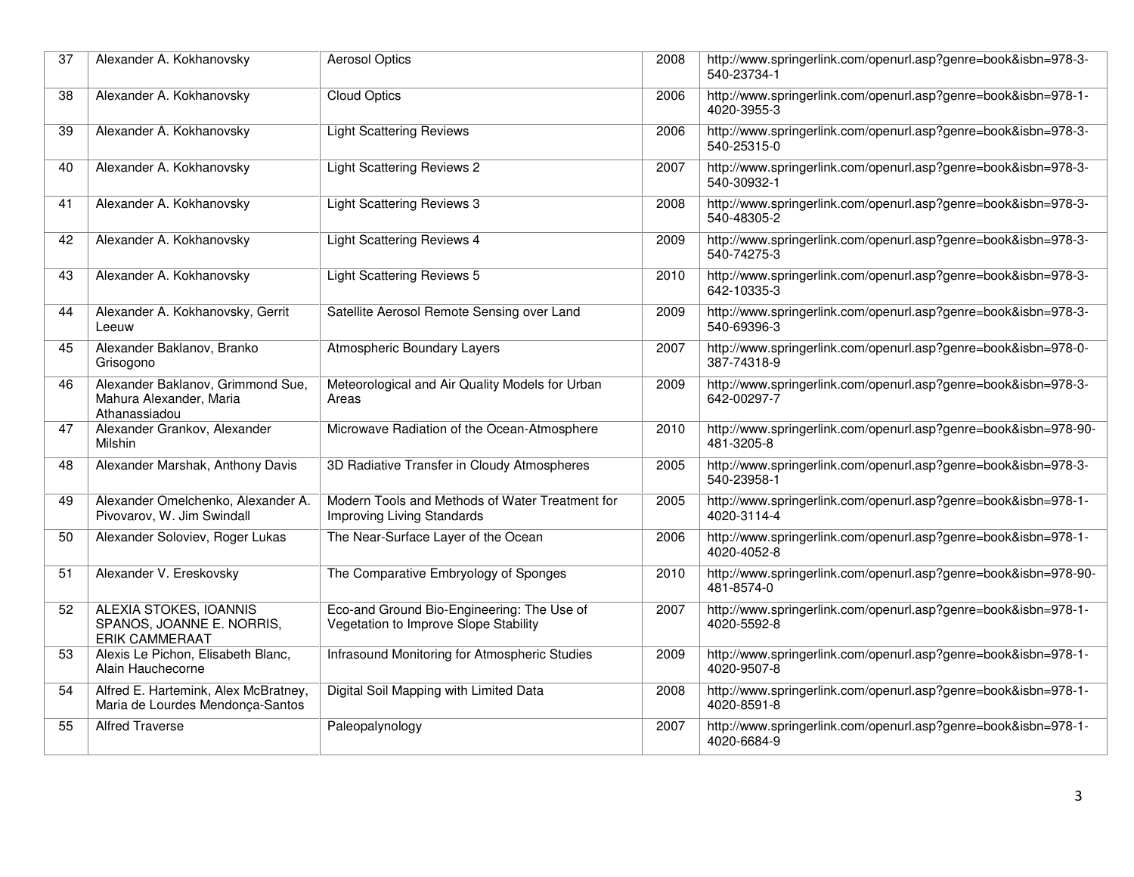| 37 | Alexander A. Kokhanovsky                                                      | <b>Aerosol Optics</b>                                                               | 2008 | http://www.springerlink.com/openurl.asp?genre=book&isbn=978-3-<br>540-23734-1 |
|----|-------------------------------------------------------------------------------|-------------------------------------------------------------------------------------|------|-------------------------------------------------------------------------------|
| 38 | Alexander A. Kokhanovsky                                                      | <b>Cloud Optics</b>                                                                 | 2006 | http://www.springerlink.com/openurl.asp?genre=book&isbn=978-1-<br>4020-3955-3 |
| 39 | Alexander A. Kokhanovsky                                                      | <b>Light Scattering Reviews</b>                                                     | 2006 | http://www.springerlink.com/openurl.asp?genre=book&isbn=978-3-<br>540-25315-0 |
| 40 | Alexander A. Kokhanovsky                                                      | <b>Light Scattering Reviews 2</b>                                                   | 2007 | http://www.springerlink.com/openurl.asp?genre=book&isbn=978-3-<br>540-30932-1 |
| 41 | Alexander A. Kokhanovsky                                                      | <b>Light Scattering Reviews 3</b>                                                   | 2008 | http://www.springerlink.com/openurl.asp?genre=book&isbn=978-3-<br>540-48305-2 |
| 42 | Alexander A. Kokhanovsky                                                      | <b>Light Scattering Reviews 4</b>                                                   | 2009 | http://www.springerlink.com/openurl.asp?genre=book&isbn=978-3-<br>540-74275-3 |
| 43 | Alexander A. Kokhanovsky                                                      | <b>Light Scattering Reviews 5</b>                                                   | 2010 | http://www.springerlink.com/openurl.asp?genre=book&isbn=978-3-<br>642-10335-3 |
| 44 | Alexander A. Kokhanovsky, Gerrit<br>Leeuw                                     | Satellite Aerosol Remote Sensing over Land                                          | 2009 | http://www.springerlink.com/openurl.asp?genre=book&isbn=978-3-<br>540-69396-3 |
| 45 | Alexander Baklanov, Branko<br>Grisogono                                       | <b>Atmospheric Boundary Layers</b>                                                  | 2007 | http://www.springerlink.com/openurl.asp?genre=book&isbn=978-0-<br>387-74318-9 |
| 46 | Alexander Baklanov, Grimmond Sue,<br>Mahura Alexander, Maria<br>Athanassiadou | Meteorological and Air Quality Models for Urban<br>Areas                            | 2009 | http://www.springerlink.com/openurl.asp?genre=book&isbn=978-3-<br>642-00297-7 |
| 47 | Alexander Grankov, Alexander<br>Milshin                                       | Microwave Radiation of the Ocean-Atmosphere                                         | 2010 | http://www.springerlink.com/openurl.asp?genre=book&isbn=978-90-<br>481-3205-8 |
| 48 | Alexander Marshak, Anthony Davis                                              | 3D Radiative Transfer in Cloudy Atmospheres                                         | 2005 | http://www.springerlink.com/openurl.asp?genre=book&isbn=978-3-<br>540-23958-1 |
| 49 | Alexander Omelchenko, Alexander A.<br>Pivovarov, W. Jim Swindall              | Modern Tools and Methods of Water Treatment for<br>Improving Living Standards       | 2005 | http://www.springerlink.com/openurl.asp?genre=book&isbn=978-1-<br>4020-3114-4 |
| 50 | Alexander Soloviev, Roger Lukas                                               | The Near-Surface Layer of the Ocean                                                 | 2006 | http://www.springerlink.com/openurl.asp?genre=book&isbn=978-1-<br>4020-4052-8 |
| 51 | Alexander V. Ereskovsky                                                       | The Comparative Embryology of Sponges                                               | 2010 | http://www.springerlink.com/openurl.asp?genre=book&isbn=978-90-<br>481-8574-0 |
| 52 | ALEXIA STOKES, IOANNIS<br>SPANOS, JOANNE E. NORRIS,<br><b>ERIK CAMMERAAT</b>  | Eco-and Ground Bio-Engineering: The Use of<br>Vegetation to Improve Slope Stability | 2007 | http://www.springerlink.com/openurl.asp?genre=book&isbn=978-1-<br>4020-5592-8 |
| 53 | Alexis Le Pichon, Elisabeth Blanc,<br>Alain Hauchecorne                       | Infrasound Monitoring for Atmospheric Studies                                       | 2009 | http://www.springerlink.com/openurl.asp?genre=book&isbn=978-1-<br>4020-9507-8 |
| 54 | Alfred E. Hartemink, Alex McBratney,<br>Maria de Lourdes Mendonça-Santos      | Digital Soil Mapping with Limited Data                                              | 2008 | http://www.springerlink.com/openurl.asp?genre=book&isbn=978-1-<br>4020-8591-8 |
| 55 | <b>Alfred Traverse</b>                                                        | Paleopalynology                                                                     | 2007 | http://www.springerlink.com/openurl.asp?genre=book&isbn=978-1-<br>4020-6684-9 |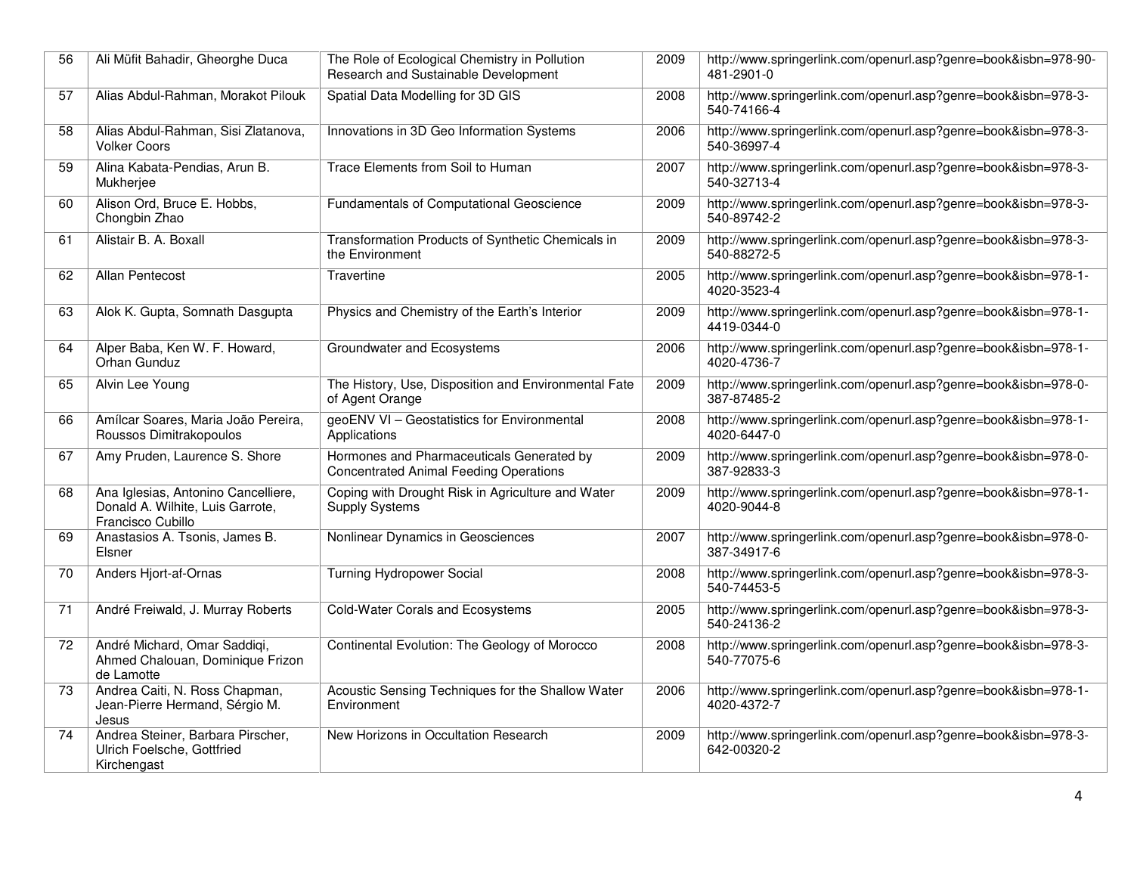| 56              | Ali Müfit Bahadir, Gheorghe Duca                                                             | The Role of Ecological Chemistry in Pollution<br>Research and Sustainable Development      | 2009 | http://www.springerlink.com/openurl.asp?genre=book&isbn=978-90-<br>481-2901-0 |
|-----------------|----------------------------------------------------------------------------------------------|--------------------------------------------------------------------------------------------|------|-------------------------------------------------------------------------------|
| 57              | Alias Abdul-Rahman, Morakot Pilouk                                                           | Spatial Data Modelling for 3D GIS                                                          | 2008 | http://www.springerlink.com/openurl.asp?genre=book&isbn=978-3-<br>540-74166-4 |
| 58              | Alias Abdul-Rahman, Sisi Zlatanova,<br><b>Volker Coors</b>                                   | Innovations in 3D Geo Information Systems                                                  | 2006 | http://www.springerlink.com/openurl.asp?genre=book&isbn=978-3-<br>540-36997-4 |
| 59              | Alina Kabata-Pendias, Arun B.<br>Mukherjee                                                   | Trace Elements from Soil to Human                                                          | 2007 | http://www.springerlink.com/openurl.asp?genre=book&isbn=978-3-<br>540-32713-4 |
| 60              | Alison Ord, Bruce E. Hobbs,<br>Chongbin Zhao                                                 | Fundamentals of Computational Geoscience                                                   | 2009 | http://www.springerlink.com/openurl.asp?genre=book&isbn=978-3-<br>540-89742-2 |
| 61              | Alistair B. A. Boxall                                                                        | Transformation Products of Synthetic Chemicals in<br>the Environment                       | 2009 | http://www.springerlink.com/openurl.asp?genre=book&isbn=978-3-<br>540-88272-5 |
| 62              | Allan Pentecost                                                                              | Travertine                                                                                 | 2005 | http://www.springerlink.com/openurl.asp?genre=book&isbn=978-1-<br>4020-3523-4 |
| 63              | Alok K. Gupta, Somnath Dasgupta                                                              | Physics and Chemistry of the Earth's Interior                                              | 2009 | http://www.springerlink.com/openurl.asp?genre=book&isbn=978-1-<br>4419-0344-0 |
| 64              | Alper Baba, Ken W. F. Howard,<br>Orhan Gunduz                                                | Groundwater and Ecosystems                                                                 | 2006 | http://www.springerlink.com/openurl.asp?genre=book&isbn=978-1-<br>4020-4736-7 |
| 65              | Alvin Lee Young                                                                              | The History, Use, Disposition and Environmental Fate<br>of Agent Orange                    | 2009 | http://www.springerlink.com/openurl.asp?genre=book&isbn=978-0-<br>387-87485-2 |
| 66              | Amílcar Soares, Maria João Pereira,<br>Roussos Dimitrakopoulos                               | geoENV VI - Geostatistics for Environmental<br>Applications                                | 2008 | http://www.springerlink.com/openurl.asp?genre=book&isbn=978-1-<br>4020-6447-0 |
| 67              | Amy Pruden, Laurence S. Shore                                                                | Hormones and Pharmaceuticals Generated by<br><b>Concentrated Animal Feeding Operations</b> | 2009 | http://www.springerlink.com/openurl.asp?genre=book&isbn=978-0-<br>387-92833-3 |
| 68              | Ana Iglesias, Antonino Cancelliere,<br>Donald A. Wilhite, Luis Garrote,<br>Francisco Cubillo | Coping with Drought Risk in Agriculture and Water<br><b>Supply Systems</b>                 | 2009 | http://www.springerlink.com/openurl.asp?genre=book&isbn=978-1-<br>4020-9044-8 |
| 69              | Anastasios A. Tsonis, James B.<br>Elsner                                                     | Nonlinear Dynamics in Geosciences                                                          | 2007 | http://www.springerlink.com/openurl.asp?genre=book&isbn=978-0-<br>387-34917-6 |
| $\overline{70}$ | Anders Hjort-af-Ornas                                                                        | <b>Turning Hydropower Social</b>                                                           | 2008 | http://www.springerlink.com/openurl.asp?genre=book&isbn=978-3-<br>540-74453-5 |
| 71              | André Freiwald, J. Murray Roberts                                                            | Cold-Water Corals and Ecosystems                                                           | 2005 | http://www.springerlink.com/openurl.asp?genre=book&isbn=978-3-<br>540-24136-2 |
| 72              | André Michard, Omar Saddiqi,<br>Ahmed Chalouan, Dominique Frizon<br>de Lamotte               | Continental Evolution: The Geology of Morocco                                              | 2008 | http://www.springerlink.com/openurl.asp?genre=book&isbn=978-3-<br>540-77075-6 |
| 73              | Andrea Caiti, N. Ross Chapman,<br>Jean-Pierre Hermand, Sérgio M.<br>Jesus                    | Acoustic Sensing Techniques for the Shallow Water<br>Environment                           | 2006 | http://www.springerlink.com/openurl.asp?genre=book&isbn=978-1-<br>4020-4372-7 |
| 74              | Andrea Steiner, Barbara Pirscher,<br>Ulrich Foelsche, Gottfried<br>Kirchengast               | New Horizons in Occultation Research                                                       | 2009 | http://www.springerlink.com/openurl.asp?genre=book&isbn=978-3-<br>642-00320-2 |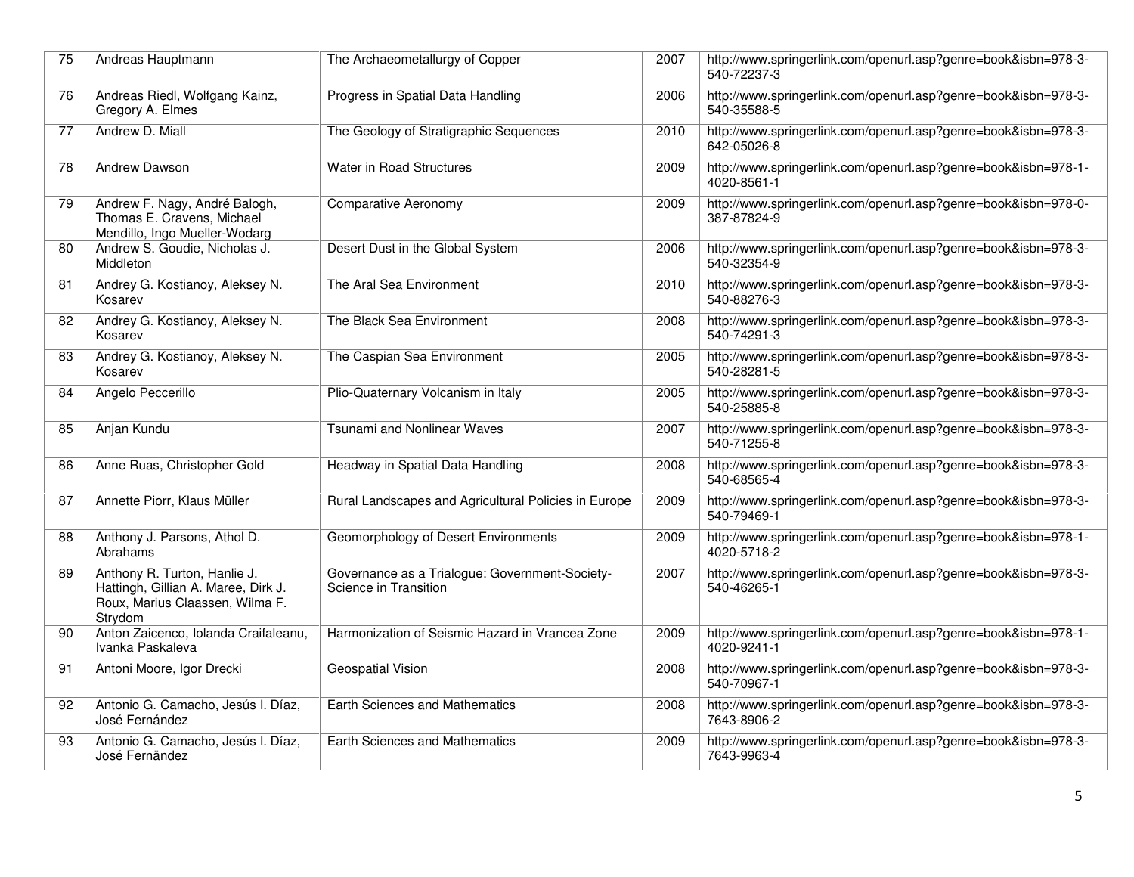| 75 | Andreas Hauptmann                                                                                                 | The Archaeometallurgy of Copper                                         | 2007 | http://www.springerlink.com/openurl.asp?genre=book&isbn=978-3-<br>540-72237-3 |
|----|-------------------------------------------------------------------------------------------------------------------|-------------------------------------------------------------------------|------|-------------------------------------------------------------------------------|
| 76 | Andreas Riedl, Wolfgang Kainz,<br>Gregory A. Elmes                                                                | Progress in Spatial Data Handling                                       | 2006 | http://www.springerlink.com/openurl.asp?genre=book&isbn=978-3-<br>540-35588-5 |
| 77 | Andrew D. Miall                                                                                                   | The Geology of Stratigraphic Sequences                                  | 2010 | http://www.springerlink.com/openurl.asp?genre=book&isbn=978-3-<br>642-05026-8 |
| 78 | Andrew Dawson                                                                                                     | Water in Road Structures                                                | 2009 | http://www.springerlink.com/openurl.asp?genre=book&isbn=978-1-<br>4020-8561-1 |
| 79 | Andrew F. Nagy, André Balogh,<br>Thomas E. Cravens, Michael<br>Mendillo, Ingo Mueller-Wodarg                      | <b>Comparative Aeronomy</b>                                             | 2009 | http://www.springerlink.com/openurl.asp?genre=book&isbn=978-0-<br>387-87824-9 |
| 80 | Andrew S. Goudie, Nicholas J.<br>Middleton                                                                        | Desert Dust in the Global System                                        | 2006 | http://www.springerlink.com/openurl.asp?genre=book&isbn=978-3-<br>540-32354-9 |
| 81 | Andrey G. Kostianoy, Aleksey N.<br>Kosarev                                                                        | The Aral Sea Environment                                                | 2010 | http://www.springerlink.com/openurl.asp?genre=book&isbn=978-3-<br>540-88276-3 |
| 82 | Andrey G. Kostianoy, Aleksey N.<br>Kosarev                                                                        | The Black Sea Environment                                               | 2008 | http://www.springerlink.com/openurl.asp?genre=book&isbn=978-3-<br>540-74291-3 |
| 83 | Andrey G. Kostianoy, Aleksey N.<br>Kosarev                                                                        | The Caspian Sea Environment                                             | 2005 | http://www.springerlink.com/openurl.asp?genre=book&isbn=978-3-<br>540-28281-5 |
| 84 | Angelo Peccerillo                                                                                                 | Plio-Quaternary Volcanism in Italy                                      | 2005 | http://www.springerlink.com/openurl.asp?genre=book&isbn=978-3-<br>540-25885-8 |
| 85 | Anjan Kundu                                                                                                       | <b>Tsunami and Nonlinear Waves</b>                                      | 2007 | http://www.springerlink.com/openurl.asp?genre=book&isbn=978-3-<br>540-71255-8 |
| 86 | Anne Ruas, Christopher Gold                                                                                       | Headway in Spatial Data Handling                                        | 2008 | http://www.springerlink.com/openurl.asp?genre=book&isbn=978-3-<br>540-68565-4 |
| 87 | Annette Piorr, Klaus Müller                                                                                       | Rural Landscapes and Agricultural Policies in Europe                    | 2009 | http://www.springerlink.com/openurl.asp?genre=book&isbn=978-3-<br>540-79469-1 |
| 88 | Anthony J. Parsons, Athol D.<br>Abrahams                                                                          | Geomorphology of Desert Environments                                    | 2009 | http://www.springerlink.com/openurl.asp?genre=book&isbn=978-1-<br>4020-5718-2 |
| 89 | Anthony R. Turton, Hanlie J.<br>Hattingh, Gillian A. Maree, Dirk J.<br>Roux, Marius Claassen, Wilma F.<br>Strydom | Governance as a Trialogue: Government-Society-<br>Science in Transition | 2007 | http://www.springerlink.com/openurl.asp?genre=book&isbn=978-3-<br>540-46265-1 |
| 90 | Anton Zaicenco, Iolanda Craifaleanu,<br>Ivanka Paskaleva                                                          | Harmonization of Seismic Hazard in Vrancea Zone                         | 2009 | http://www.springerlink.com/openurl.asp?genre=book&isbn=978-1-<br>4020-9241-1 |
| 91 | Antoni Moore, Igor Drecki                                                                                         | <b>Geospatial Vision</b>                                                | 2008 | http://www.springerlink.com/openurl.asp?genre=book&isbn=978-3-<br>540-70967-1 |
| 92 | Antonio G. Camacho, Jesús I. Díaz,<br>José Fernández                                                              | Earth Sciences and Mathematics                                          | 2008 | http://www.springerlink.com/openurl.asp?genre=book&isbn=978-3-<br>7643-8906-2 |
| 93 | Antonio G. Camacho, Jesús I. Díaz,<br>José Fernändez                                                              | Earth Sciences and Mathematics                                          | 2009 | http://www.springerlink.com/openurl.asp?genre=book&isbn=978-3-<br>7643-9963-4 |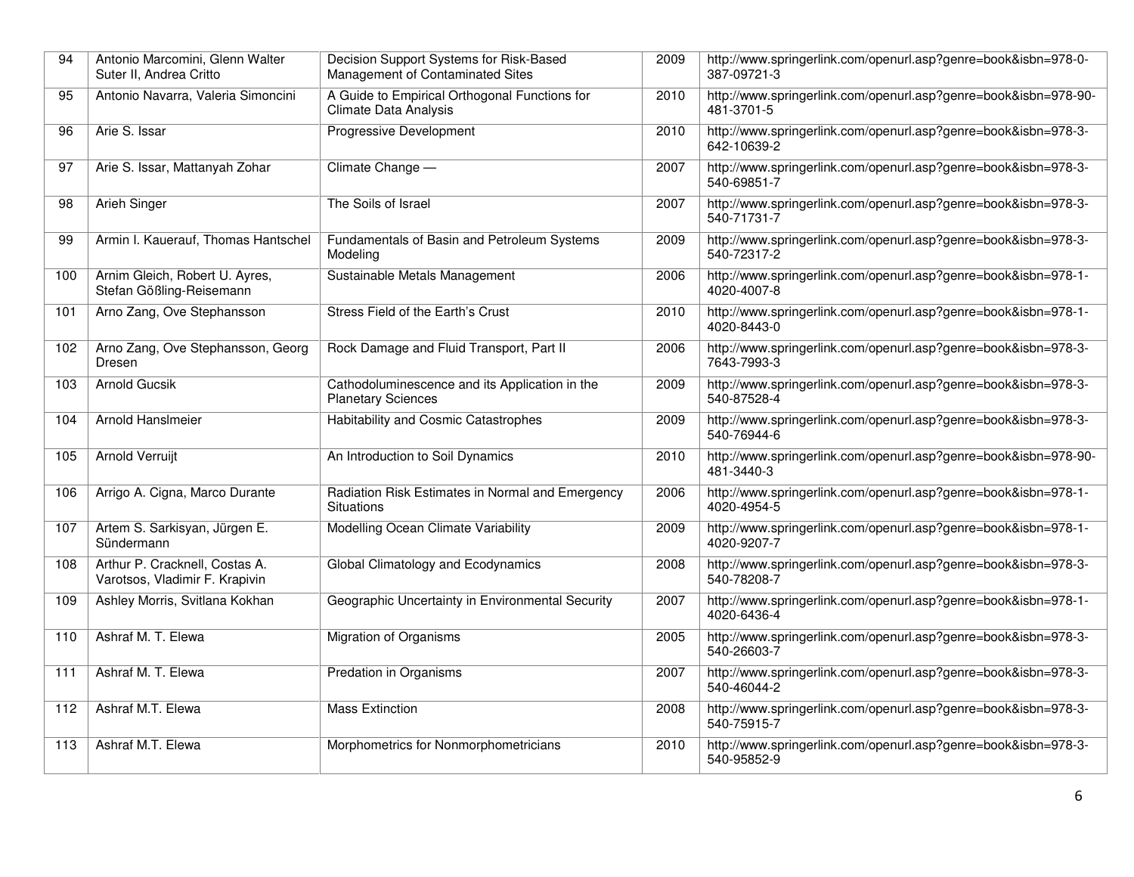| 94  | Antonio Marcomini, Glenn Walter<br>Suter II. Andrea Critto       | Decision Support Systems for Risk-Based<br>Management of Contaminated Sites   | 2009 | http://www.springerlink.com/openurl.asp?genre=book&isbn=978-0-<br>387-09721-3 |
|-----|------------------------------------------------------------------|-------------------------------------------------------------------------------|------|-------------------------------------------------------------------------------|
| 95  | Antonio Navarra, Valeria Simoncini                               | A Guide to Empirical Orthogonal Functions for<br><b>Climate Data Analysis</b> | 2010 | http://www.springerlink.com/openurl.asp?genre=book&isbn=978-90-<br>481-3701-5 |
| 96  | Arie S. Issar                                                    | <b>Progressive Development</b>                                                | 2010 | http://www.springerlink.com/openurl.asp?genre=book&isbn=978-3-<br>642-10639-2 |
| 97  | Arie S. Issar, Mattanyah Zohar                                   | Climate Change -                                                              | 2007 | http://www.springerlink.com/openurl.asp?genre=book&isbn=978-3-<br>540-69851-7 |
| 98  | <b>Arieh Singer</b>                                              | The Soils of Israel                                                           | 2007 | http://www.springerlink.com/openurl.asp?genre=book&isbn=978-3-<br>540-71731-7 |
| 99  | Armin I. Kauerauf, Thomas Hantschel                              | Fundamentals of Basin and Petroleum Systems<br>Modeling                       | 2009 | http://www.springerlink.com/openurl.asp?genre=book&isbn=978-3-<br>540-72317-2 |
| 100 | Arnim Gleich, Robert U. Ayres,<br>Stefan Gößling-Reisemann       | Sustainable Metals Management                                                 | 2006 | http://www.springerlink.com/openurl.asp?genre=book&isbn=978-1-<br>4020-4007-8 |
| 101 | Arno Zang, Ove Stephansson                                       | Stress Field of the Earth's Crust                                             | 2010 | http://www.springerlink.com/openurl.asp?genre=book&isbn=978-1-<br>4020-8443-0 |
| 102 | Arno Zang, Ove Stephansson, Georg<br>Dresen                      | Rock Damage and Fluid Transport, Part II                                      | 2006 | http://www.springerlink.com/openurl.asp?genre=book&isbn=978-3-<br>7643-7993-3 |
| 103 | Arnold Gucsik                                                    | Cathodoluminescence and its Application in the<br><b>Planetary Sciences</b>   | 2009 | http://www.springerlink.com/openurl.asp?genre=book&isbn=978-3-<br>540-87528-4 |
| 104 | <b>Arnold HansImeier</b>                                         | Habitability and Cosmic Catastrophes                                          | 2009 | http://www.springerlink.com/openurl.asp?genre=book&isbn=978-3-<br>540-76944-6 |
| 105 | Arnold Verruijt                                                  | An Introduction to Soil Dynamics                                              | 2010 | http://www.springerlink.com/openurl.asp?genre=book&isbn=978-90-<br>481-3440-3 |
| 106 | Arrigo A. Cigna, Marco Durante                                   | Radiation Risk Estimates in Normal and Emergency<br><b>Situations</b>         | 2006 | http://www.springerlink.com/openurl.asp?genre=book&isbn=978-1-<br>4020-4954-5 |
| 107 | Artem S. Sarkisyan, Jürgen E.<br>Sündermann                      | Modelling Ocean Climate Variability                                           | 2009 | http://www.springerlink.com/openurl.asp?genre=book&isbn=978-1-<br>4020-9207-7 |
| 108 | Arthur P. Cracknell, Costas A.<br>Varotsos, Vladimir F. Krapivin | Global Climatology and Ecodynamics                                            | 2008 | http://www.springerlink.com/openurl.asp?genre=book&isbn=978-3-<br>540-78208-7 |
| 109 | Ashley Morris, Svitlana Kokhan                                   | Geographic Uncertainty in Environmental Security                              | 2007 | http://www.springerlink.com/openurl.asp?genre=book&isbn=978-1-<br>4020-6436-4 |
| 110 | Ashraf M. T. Elewa                                               | <b>Migration of Organisms</b>                                                 | 2005 | http://www.springerlink.com/openurl.asp?genre=book&isbn=978-3-<br>540-26603-7 |
| 111 | Ashraf M. T. Elewa                                               | Predation in Organisms                                                        | 2007 | http://www.springerlink.com/openurl.asp?genre=book&isbn=978-3-<br>540-46044-2 |
| 112 | Ashraf M.T. Elewa                                                | <b>Mass Extinction</b>                                                        | 2008 | http://www.springerlink.com/openurl.asp?genre=book&isbn=978-3-<br>540-75915-7 |
| 113 | Ashraf M.T. Elewa                                                | Morphometrics for Nonmorphometricians                                         | 2010 | http://www.springerlink.com/openurl.asp?genre=book&isbn=978-3-<br>540-95852-9 |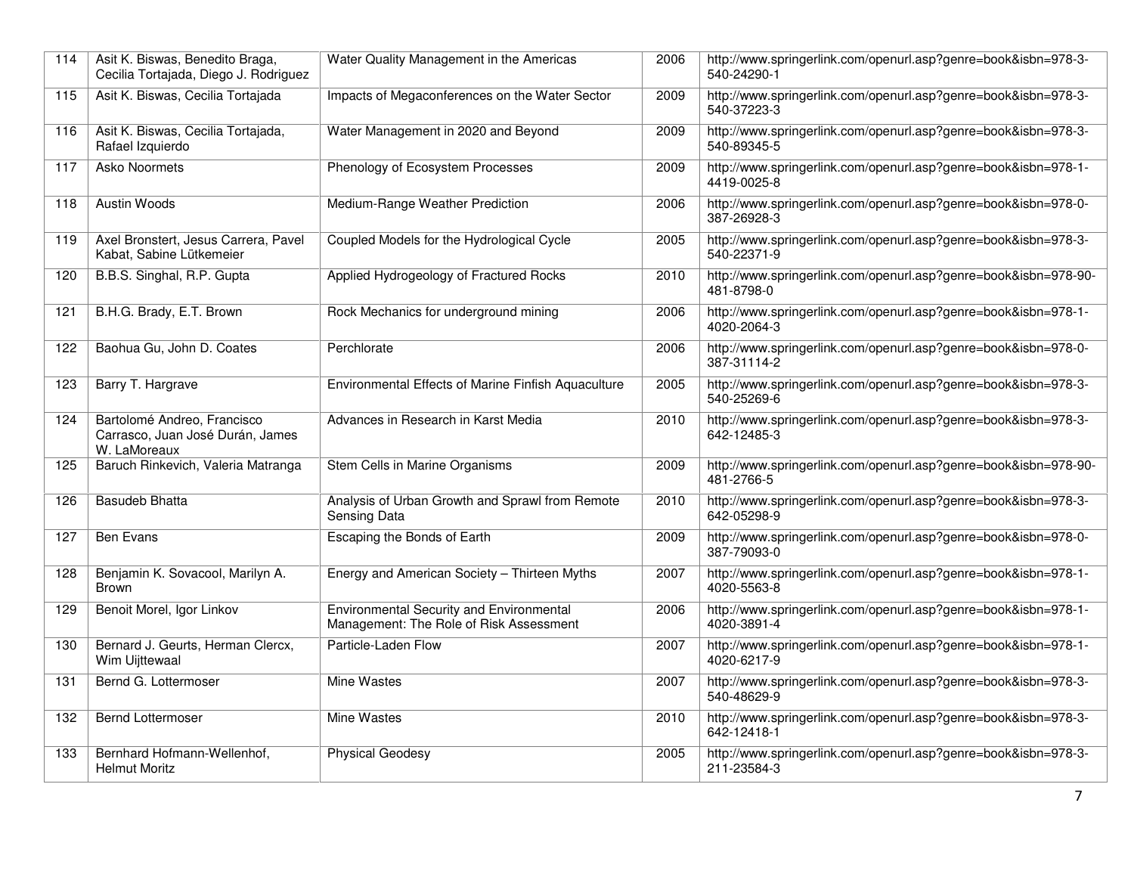| 114 | Asit K. Biswas, Benedito Braga,<br>Cecilia Tortajada, Diego J. Rodriguez        | Water Quality Management in the Americas                                                   | 2006 | http://www.springerlink.com/openurl.asp?genre=book&isbn=978-3-<br>540-24290-1 |
|-----|---------------------------------------------------------------------------------|--------------------------------------------------------------------------------------------|------|-------------------------------------------------------------------------------|
| 115 | Asit K. Biswas, Cecilia Tortajada                                               | Impacts of Megaconferences on the Water Sector                                             | 2009 | http://www.springerlink.com/openurl.asp?genre=book&isbn=978-3-<br>540-37223-3 |
| 116 | Asit K. Biswas, Cecilia Tortajada,<br>Rafael Izquierdo                          | Water Management in 2020 and Beyond                                                        | 2009 | http://www.springerlink.com/openurl.asp?genre=book&isbn=978-3-<br>540-89345-5 |
| 117 | Asko Noormets                                                                   | Phenology of Ecosystem Processes                                                           | 2009 | http://www.springerlink.com/openurl.asp?genre=book&isbn=978-1-<br>4419-0025-8 |
| 118 | <b>Austin Woods</b>                                                             | Medium-Range Weather Prediction                                                            | 2006 | http://www.springerlink.com/openurl.asp?genre=book&isbn=978-0-<br>387-26928-3 |
| 119 | Axel Bronstert, Jesus Carrera, Pavel<br>Kabat, Sabine Lütkemeier                | Coupled Models for the Hydrological Cycle                                                  | 2005 | http://www.springerlink.com/openurl.asp?genre=book&isbn=978-3-<br>540-22371-9 |
| 120 | B.B.S. Singhal, R.P. Gupta                                                      | Applied Hydrogeology of Fractured Rocks                                                    | 2010 | http://www.springerlink.com/openurl.asp?genre=book&isbn=978-90-<br>481-8798-0 |
| 121 | B.H.G. Brady, E.T. Brown                                                        | Rock Mechanics for underground mining                                                      | 2006 | http://www.springerlink.com/openurl.asp?genre=book&isbn=978-1-<br>4020-2064-3 |
| 122 | Baohua Gu, John D. Coates                                                       | Perchlorate                                                                                | 2006 | http://www.springerlink.com/openurl.asp?genre=book&isbn=978-0-<br>387-31114-2 |
| 123 | Barry T. Hargrave                                                               | Environmental Effects of Marine Finfish Aquaculture                                        | 2005 | http://www.springerlink.com/openurl.asp?genre=book&isbn=978-3-<br>540-25269-6 |
| 124 | Bartolomé Andreo, Francisco<br>Carrasco, Juan José Durán, James<br>W. LaMoreaux | Advances in Research in Karst Media                                                        | 2010 | http://www.springerlink.com/openurl.asp?genre=book&isbn=978-3-<br>642-12485-3 |
| 125 | Baruch Rinkevich, Valeria Matranga                                              | Stem Cells in Marine Organisms                                                             | 2009 | http://www.springerlink.com/openurl.asp?genre=book&isbn=978-90-<br>481-2766-5 |
| 126 | <b>Basudeb Bhatta</b>                                                           | Analysis of Urban Growth and Sprawl from Remote<br>Sensing Data                            | 2010 | http://www.springerlink.com/openurl.asp?genre=book&isbn=978-3-<br>642-05298-9 |
| 127 | Ben Evans                                                                       | Escaping the Bonds of Earth                                                                | 2009 | http://www.springerlink.com/openurl.asp?genre=book&isbn=978-0-<br>387-79093-0 |
| 128 | Benjamin K. Sovacool, Marilyn A.<br><b>Brown</b>                                | Energy and American Society - Thirteen Myths                                               | 2007 | http://www.springerlink.com/openurl.asp?genre=book&isbn=978-1-<br>4020-5563-8 |
| 129 | Benoit Morel, Igor Linkov                                                       | <b>Environmental Security and Environmental</b><br>Management: The Role of Risk Assessment | 2006 | http://www.springerlink.com/openurl.asp?genre=book&isbn=978-1-<br>4020-3891-4 |
| 130 | Bernard J. Geurts, Herman Clercx,<br>Wim Uijttewaal                             | Particle-Laden Flow                                                                        | 2007 | http://www.springerlink.com/openurl.asp?genre=book&isbn=978-1-<br>4020-6217-9 |
| 131 | Bernd G. Lottermoser                                                            | <b>Mine Wastes</b>                                                                         | 2007 | http://www.springerlink.com/openurl.asp?genre=book&isbn=978-3-<br>540-48629-9 |
| 132 | <b>Bernd Lottermoser</b>                                                        | Mine Wastes                                                                                | 2010 | http://www.springerlink.com/openurl.asp?genre=book&isbn=978-3-<br>642-12418-1 |
| 133 | Bernhard Hofmann-Wellenhof,<br><b>Helmut Moritz</b>                             | <b>Physical Geodesy</b>                                                                    | 2005 | http://www.springerlink.com/openurl.asp?genre=book&isbn=978-3-<br>211-23584-3 |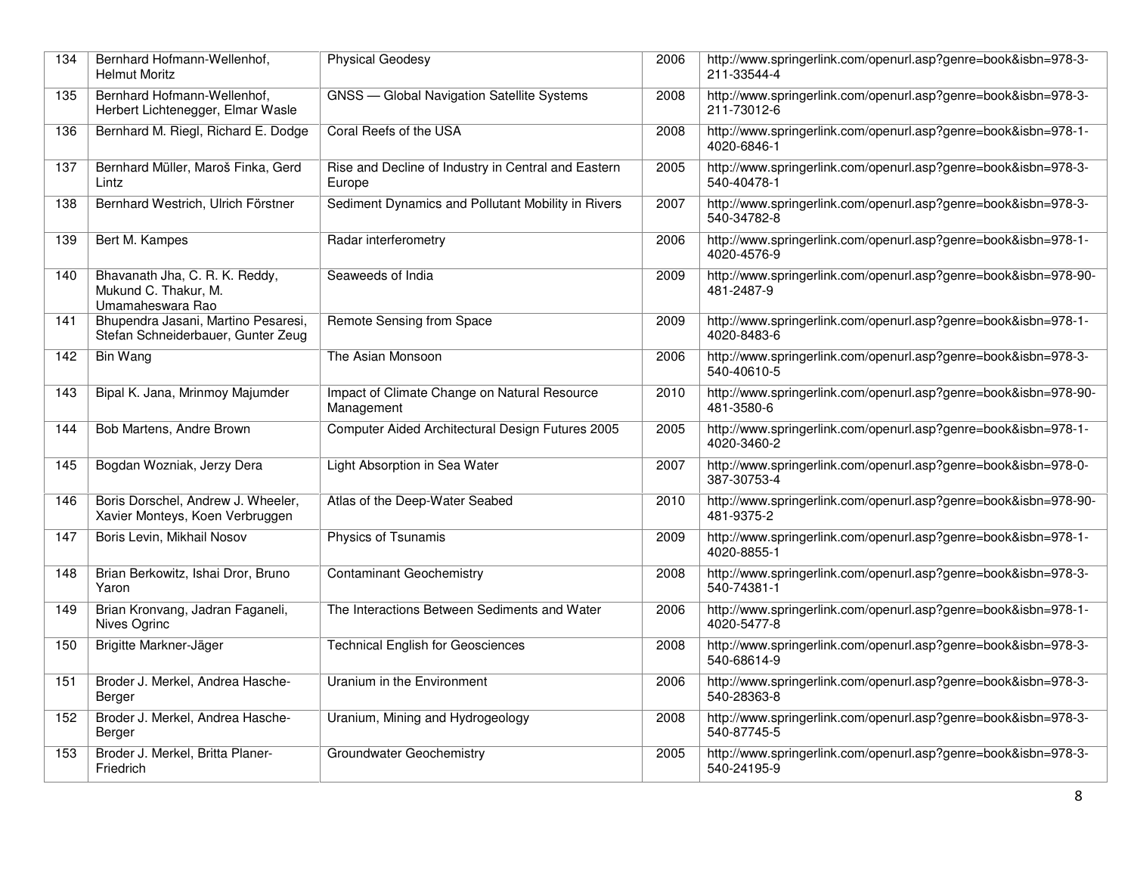| 134 | Bernhard Hofmann-Wellenhof,<br><b>Helmut Moritz</b>                        | <b>Physical Geodesy</b>                                       | 2006 | http://www.springerlink.com/openurl.asp?genre=book&isbn=978-3-<br>211-33544-4 |
|-----|----------------------------------------------------------------------------|---------------------------------------------------------------|------|-------------------------------------------------------------------------------|
| 135 | Bernhard Hofmann-Wellenhof,<br>Herbert Lichtenegger, Elmar Wasle           | <b>GNSS</b> - Global Navigation Satellite Systems             | 2008 | http://www.springerlink.com/openurl.asp?genre=book&isbn=978-3-<br>211-73012-6 |
| 136 | Bernhard M. Riegl, Richard E. Dodge                                        | Coral Reefs of the USA                                        | 2008 | http://www.springerlink.com/openurl.asp?genre=book&isbn=978-1-<br>4020-6846-1 |
| 137 | Bernhard Müller, Maroš Finka, Gerd<br>Lintz                                | Rise and Decline of Industry in Central and Eastern<br>Europe | 2005 | http://www.springerlink.com/openurl.asp?genre=book&isbn=978-3-<br>540-40478-1 |
| 138 | Bernhard Westrich, Ulrich Förstner                                         | Sediment Dynamics and Pollutant Mobility in Rivers            | 2007 | http://www.springerlink.com/openurl.asp?genre=book&isbn=978-3-<br>540-34782-8 |
| 139 | Bert M. Kampes                                                             | Radar interferometry                                          | 2006 | http://www.springerlink.com/openurl.asp?genre=book&isbn=978-1-<br>4020-4576-9 |
| 140 | Bhavanath Jha, C. R. K. Reddy,<br>Mukund C. Thakur, M.<br>Umamaheswara Rao | Seaweeds of India                                             | 2009 | http://www.springerlink.com/openurl.asp?genre=book&isbn=978-90-<br>481-2487-9 |
| 141 | Bhupendra Jasani, Martino Pesaresi,<br>Stefan Schneiderbauer, Gunter Zeug  | Remote Sensing from Space                                     | 2009 | http://www.springerlink.com/openurl.asp?genre=book&isbn=978-1-<br>4020-8483-6 |
| 142 | <b>Bin Wang</b>                                                            | The Asian Monsoon                                             | 2006 | http://www.springerlink.com/openurl.asp?genre=book&isbn=978-3-<br>540-40610-5 |
| 143 | Bipal K. Jana, Mrinmoy Majumder                                            | Impact of Climate Change on Natural Resource<br>Management    | 2010 | http://www.springerlink.com/openurl.asp?genre=book&isbn=978-90-<br>481-3580-6 |
| 144 | Bob Martens, Andre Brown                                                   | Computer Aided Architectural Design Futures 2005              | 2005 | http://www.springerlink.com/openurl.asp?genre=book&isbn=978-1-<br>4020-3460-2 |
| 145 | Bogdan Wozniak, Jerzy Dera                                                 | Light Absorption in Sea Water                                 | 2007 | http://www.springerlink.com/openurl.asp?genre=book&isbn=978-0-<br>387-30753-4 |
| 146 | Boris Dorschel, Andrew J. Wheeler,<br>Xavier Monteys, Koen Verbruggen      | Atlas of the Deep-Water Seabed                                | 2010 | http://www.springerlink.com/openurl.asp?genre=book&isbn=978-90-<br>481-9375-2 |
| 147 | Boris Levin, Mikhail Nosov                                                 | Physics of Tsunamis                                           | 2009 | http://www.springerlink.com/openurl.asp?genre=book&isbn=978-1-<br>4020-8855-1 |
| 148 | Brian Berkowitz, Ishai Dror, Bruno<br>Yaron                                | <b>Contaminant Geochemistry</b>                               | 2008 | http://www.springerlink.com/openurl.asp?genre=book&isbn=978-3-<br>540-74381-1 |
| 149 | Brian Kronvang, Jadran Faganeli,<br>Nives Ogrinc                           | The Interactions Between Sediments and Water                  | 2006 | http://www.springerlink.com/openurl.asp?genre=book&isbn=978-1-<br>4020-5477-8 |
| 150 | Brigitte Markner-Jäger                                                     | <b>Technical English for Geosciences</b>                      | 2008 | http://www.springerlink.com/openurl.asp?genre=book&isbn=978-3-<br>540-68614-9 |
| 151 | Broder J. Merkel, Andrea Hasche-<br>Berger                                 | Uranium in the Environment                                    | 2006 | http://www.springerlink.com/openurl.asp?genre=book&isbn=978-3-<br>540-28363-8 |
| 152 | Broder J. Merkel, Andrea Hasche-<br>Berger                                 | Uranium, Mining and Hydrogeology                              | 2008 | http://www.springerlink.com/openurl.asp?genre=book&isbn=978-3-<br>540-87745-5 |
| 153 | Broder J. Merkel, Britta Planer-<br>Friedrich                              | <b>Groundwater Geochemistry</b>                               | 2005 | http://www.springerlink.com/openurl.asp?genre=book&isbn=978-3-<br>540-24195-9 |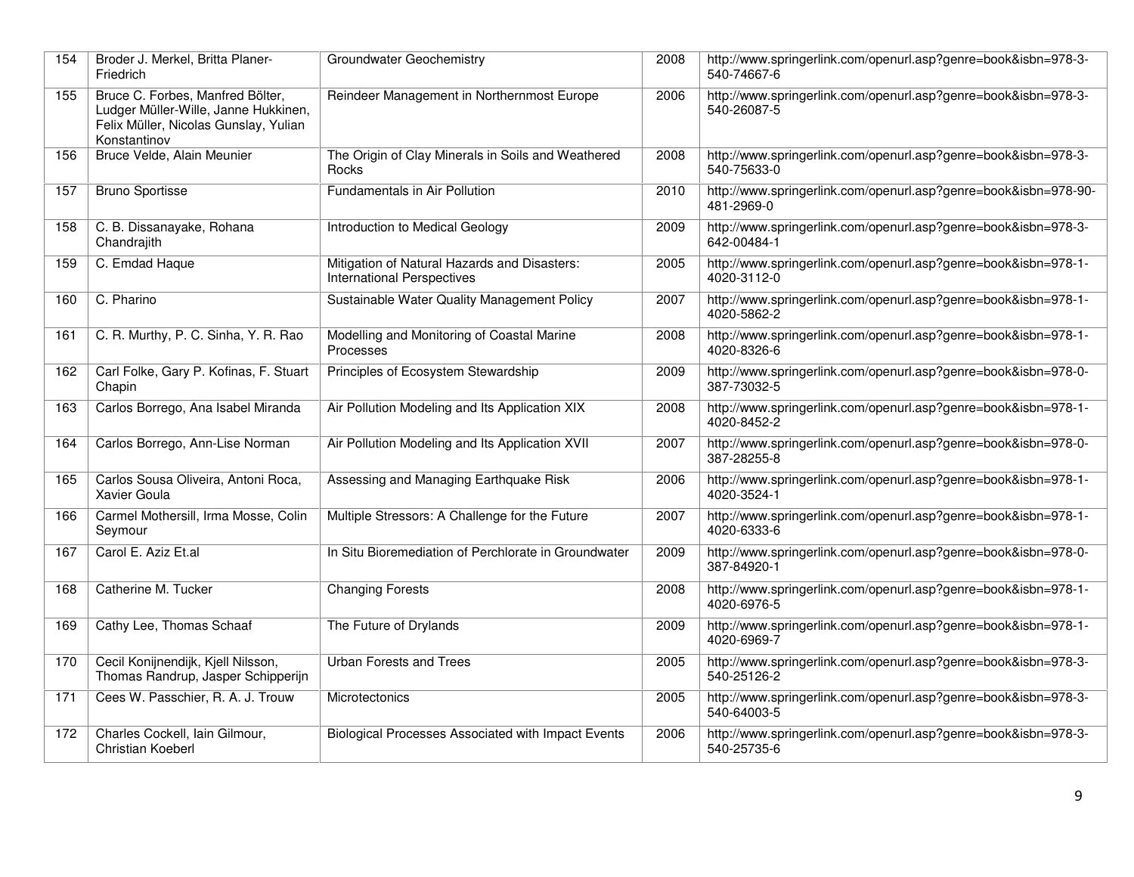| 154 | Broder J. Merkel, Britta Planer-<br>Friedrich                                                                                     | Groundwater Geochemistry                                                          | 2008 | http://www.springerlink.com/openurl.asp?genre=book&isbn=978-3-<br>540-74667-6 |
|-----|-----------------------------------------------------------------------------------------------------------------------------------|-----------------------------------------------------------------------------------|------|-------------------------------------------------------------------------------|
| 155 | Bruce C. Forbes, Manfred Bölter,<br>Ludger Müller-Wille, Janne Hukkinen,<br>Felix Müller, Nicolas Gunslay, Yulian<br>Konstantinov | Reindeer Management in Northernmost Europe                                        | 2006 | http://www.springerlink.com/openurl.asp?genre=book&isbn=978-3-<br>540-26087-5 |
| 156 | Bruce Velde, Alain Meunier                                                                                                        | The Origin of Clay Minerals in Soils and Weathered<br>Rocks                       | 2008 | http://www.springerlink.com/openurl.asp?genre=book&isbn=978-3-<br>540-75633-0 |
| 157 | <b>Bruno Sportisse</b>                                                                                                            | Fundamentals in Air Pollution                                                     | 2010 | http://www.springerlink.com/openurl.asp?genre=book&isbn=978-90-<br>481-2969-0 |
| 158 | C. B. Dissanayake, Rohana<br>Chandrajith                                                                                          | Introduction to Medical Geology                                                   | 2009 | http://www.springerlink.com/openurl.asp?genre=book&isbn=978-3-<br>642-00484-1 |
| 159 | C. Emdad Haque                                                                                                                    | Mitigation of Natural Hazards and Disasters:<br><b>International Perspectives</b> | 2005 | http://www.springerlink.com/openurl.asp?genre=book&isbn=978-1-<br>4020-3112-0 |
| 160 | C. Pharino                                                                                                                        | Sustainable Water Quality Management Policy                                       | 2007 | http://www.springerlink.com/openurl.asp?genre=book&isbn=978-1-<br>4020-5862-2 |
| 161 | C. R. Murthy, P. C. Sinha, Y. R. Rao                                                                                              | Modelling and Monitoring of Coastal Marine<br>Processes                           | 2008 | http://www.springerlink.com/openurl.asp?genre=book&isbn=978-1-<br>4020-8326-6 |
| 162 | Carl Folke, Gary P. Kofinas, F. Stuart<br>Chapin                                                                                  | Principles of Ecosystem Stewardship                                               | 2009 | http://www.springerlink.com/openurl.asp?genre=book&isbn=978-0-<br>387-73032-5 |
| 163 | Carlos Borrego, Ana Isabel Miranda                                                                                                | Air Pollution Modeling and Its Application XIX                                    | 2008 | http://www.springerlink.com/openurl.asp?genre=book&isbn=978-1-<br>4020-8452-2 |
| 164 | Carlos Borrego, Ann-Lise Norman                                                                                                   | Air Pollution Modeling and Its Application XVII                                   | 2007 | http://www.springerlink.com/openurl.asp?genre=book&isbn=978-0-<br>387-28255-8 |
| 165 | Carlos Sousa Oliveira, Antoni Roca,<br>Xavier Goula                                                                               | Assessing and Managing Earthquake Risk                                            | 2006 | http://www.springerlink.com/openurl.asp?genre=book&isbn=978-1-<br>4020-3524-1 |
| 166 | Carmel Mothersill, Irma Mosse, Colin<br>Seymour                                                                                   | Multiple Stressors: A Challenge for the Future                                    | 2007 | http://www.springerlink.com/openurl.asp?genre=book&isbn=978-1-<br>4020-6333-6 |
| 167 | Carol E. Aziz Et.al                                                                                                               | In Situ Bioremediation of Perchlorate in Groundwater                              | 2009 | http://www.springerlink.com/openurl.asp?genre=book&isbn=978-0-<br>387-84920-1 |
| 168 | Catherine M. Tucker                                                                                                               | <b>Changing Forests</b>                                                           | 2008 | http://www.springerlink.com/openurl.asp?genre=book&isbn=978-1-<br>4020-6976-5 |
| 169 | Cathy Lee, Thomas Schaaf                                                                                                          | The Future of Drylands                                                            | 2009 | http://www.springerlink.com/openurl.asp?genre=book&isbn=978-1-<br>4020-6969-7 |
| 170 | Cecil Konijnendijk, Kjell Nilsson,<br>Thomas Randrup, Jasper Schipperijn                                                          | <b>Urban Forests and Trees</b>                                                    | 2005 | http://www.springerlink.com/openurl.asp?genre=book&isbn=978-3-<br>540-25126-2 |
| 171 | Cees W. Passchier, R. A. J. Trouw                                                                                                 | Microtectonics                                                                    | 2005 | http://www.springerlink.com/openurl.asp?genre=book&isbn=978-3-<br>540-64003-5 |
| 172 | Charles Cockell, Iain Gilmour,<br><b>Christian Koeberl</b>                                                                        | <b>Biological Processes Associated with Impact Events</b>                         | 2006 | http://www.springerlink.com/openurl.asp?genre=book&isbn=978-3-<br>540-25735-6 |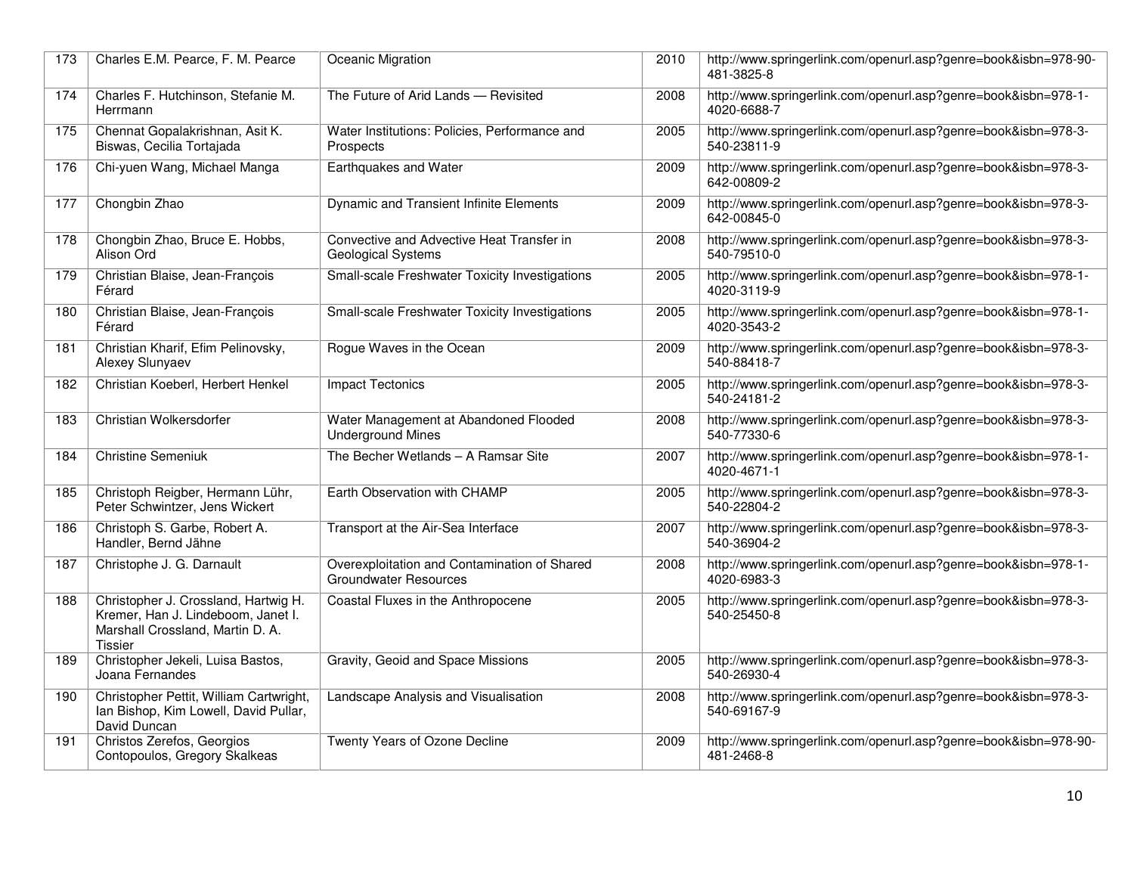| 173 | Charles E.M. Pearce, F. M. Pearce                                                                                                | Oceanic Migration                                                     | 2010 | http://www.springerlink.com/openurl.asp?genre=book&isbn=978-90-<br>481-3825-8 |
|-----|----------------------------------------------------------------------------------------------------------------------------------|-----------------------------------------------------------------------|------|-------------------------------------------------------------------------------|
| 174 | Charles F. Hutchinson, Stefanie M.<br>Herrmann                                                                                   | The Future of Arid Lands - Revisited                                  | 2008 | http://www.springerlink.com/openurl.asp?genre=book&isbn=978-1-<br>4020-6688-7 |
| 175 | Chennat Gopalakrishnan, Asit K.<br>Biswas, Cecilia Tortajada                                                                     | Water Institutions: Policies, Performance and<br>Prospects            | 2005 | http://www.springerlink.com/openurl.asp?genre=book&isbn=978-3-<br>540-23811-9 |
| 176 | Chi-yuen Wang, Michael Manga                                                                                                     | Earthquakes and Water                                                 | 2009 | http://www.springerlink.com/openurl.asp?genre=book&isbn=978-3-<br>642-00809-2 |
| 177 | Chongbin Zhao                                                                                                                    | Dynamic and Transient Infinite Elements                               | 2009 | http://www.springerlink.com/openurl.asp?genre=book&isbn=978-3-<br>642-00845-0 |
| 178 | Chongbin Zhao, Bruce E. Hobbs,<br>Alison Ord                                                                                     | Convective and Advective Heat Transfer in<br>Geological Systems       | 2008 | http://www.springerlink.com/openurl.asp?genre=book&isbn=978-3-<br>540-79510-0 |
| 179 | Christian Blaise, Jean-François<br>Férard                                                                                        | <b>Small-scale Freshwater Toxicity Investigations</b>                 | 2005 | http://www.springerlink.com/openurl.asp?genre=book&isbn=978-1-<br>4020-3119-9 |
| 180 | Christian Blaise, Jean-François<br>Férard                                                                                        | Small-scale Freshwater Toxicity Investigations                        | 2005 | http://www.springerlink.com/openurl.asp?genre=book&isbn=978-1-<br>4020-3543-2 |
| 181 | Christian Kharif, Efim Pelinovsky,<br>Alexey Slunyaev                                                                            | Rogue Waves in the Ocean                                              | 2009 | http://www.springerlink.com/openurl.asp?genre=book&isbn=978-3-<br>540-88418-7 |
| 182 | Christian Koeberl, Herbert Henkel                                                                                                | <b>Impact Tectonics</b>                                               | 2005 | http://www.springerlink.com/openurl.asp?genre=book&isbn=978-3-<br>540-24181-2 |
| 183 | Christian Wolkersdorfer                                                                                                          | Water Management at Abandoned Flooded<br><b>Underground Mines</b>     | 2008 | http://www.springerlink.com/openurl.asp?genre=book&isbn=978-3-<br>540-77330-6 |
| 184 | <b>Christine Semeniuk</b>                                                                                                        | The Becher Wetlands - A Ramsar Site                                   | 2007 | http://www.springerlink.com/openurl.asp?genre=book&isbn=978-1-<br>4020-4671-1 |
| 185 | Christoph Reigber, Hermann Lühr,<br>Peter Schwintzer, Jens Wickert                                                               | Earth Observation with CHAMP                                          | 2005 | http://www.springerlink.com/openurl.asp?genre=book&isbn=978-3-<br>540-22804-2 |
| 186 | Christoph S. Garbe, Robert A.<br>Handler, Bernd Jähne                                                                            | Transport at the Air-Sea Interface                                    | 2007 | http://www.springerlink.com/openurl.asp?genre=book&isbn=978-3-<br>540-36904-2 |
| 187 | Christophe J. G. Darnault                                                                                                        | Overexploitation and Contamination of Shared<br>Groundwater Resources | 2008 | http://www.springerlink.com/openurl.asp?genre=book&isbn=978-1-<br>4020-6983-3 |
| 188 | Christopher J. Crossland, Hartwig H.<br>Kremer, Han J. Lindeboom, Janet I.<br>Marshall Crossland, Martin D. A.<br><b>Tissier</b> | Coastal Fluxes in the Anthropocene                                    | 2005 | http://www.springerlink.com/openurl.asp?genre=book&isbn=978-3-<br>540-25450-8 |
| 189 | Christopher Jekeli, Luisa Bastos,<br>Joana Fernandes                                                                             | Gravity, Geoid and Space Missions                                     | 2005 | http://www.springerlink.com/openurl.asp?genre=book&isbn=978-3-<br>540-26930-4 |
| 190 | Christopher Pettit, William Cartwright,<br>Ian Bishop, Kim Lowell, David Pullar,<br>David Duncan                                 | Landscape Analysis and Visualisation                                  | 2008 | http://www.springerlink.com/openurl.asp?genre=book&isbn=978-3-<br>540-69167-9 |
| 191 | Christos Zerefos, Georgios<br>Contopoulos, Gregory Skalkeas                                                                      | Twenty Years of Ozone Decline                                         | 2009 | http://www.springerlink.com/openurl.asp?genre=book&isbn=978-90-<br>481-2468-8 |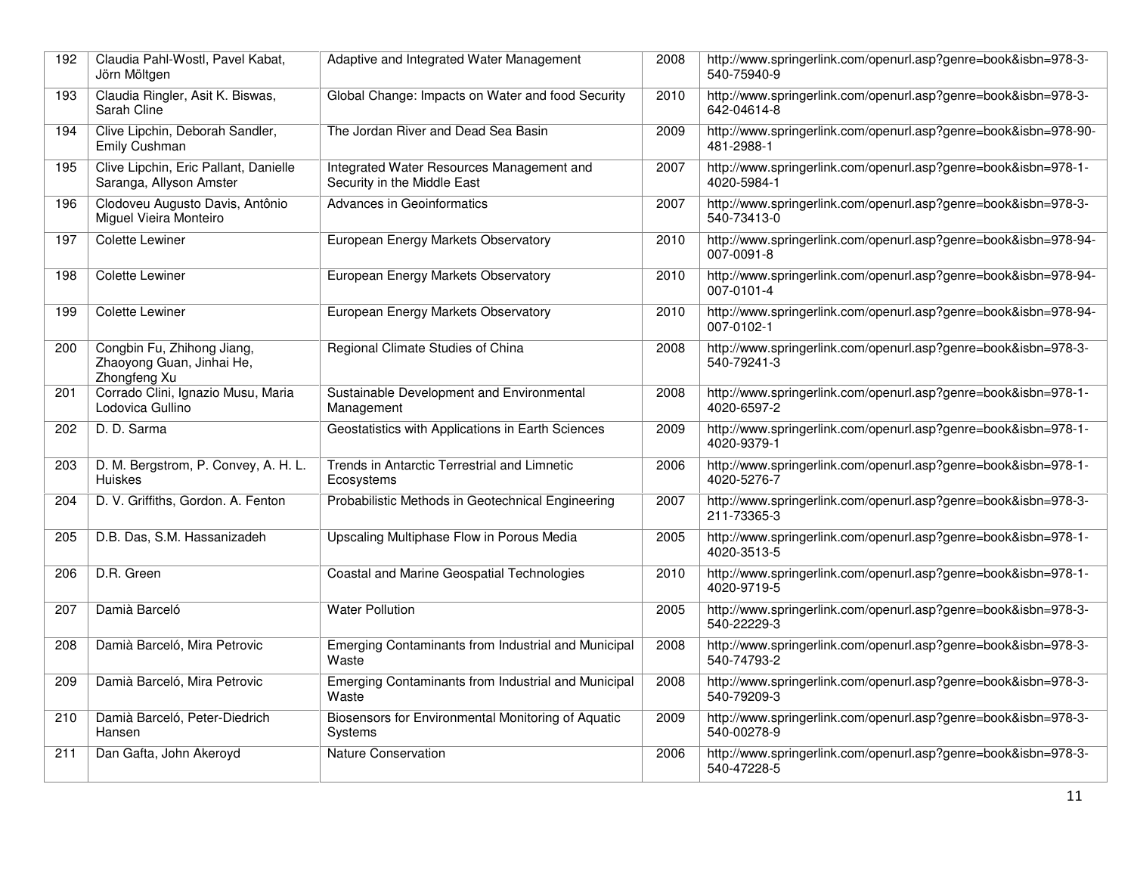| 192 | Claudia Pahl-Wostl, Pavel Kabat,<br>Jörn Möltgen                        | Adaptive and Integrated Water Management                                 | 2008 | http://www.springerlink.com/openurl.asp?genre=book&isbn=978-3-<br>540-75940-9 |
|-----|-------------------------------------------------------------------------|--------------------------------------------------------------------------|------|-------------------------------------------------------------------------------|
| 193 | Claudia Ringler, Asit K. Biswas,<br>Sarah Cline                         | Global Change: Impacts on Water and food Security                        | 2010 | http://www.springerlink.com/openurl.asp?genre=book&isbn=978-3-<br>642-04614-8 |
| 194 | Clive Lipchin, Deborah Sandler,<br>Emily Cushman                        | The Jordan River and Dead Sea Basin                                      | 2009 | http://www.springerlink.com/openurl.asp?genre=book&isbn=978-90-<br>481-2988-1 |
| 195 | Clive Lipchin, Eric Pallant, Danielle<br>Saranga, Allyson Amster        | Integrated Water Resources Management and<br>Security in the Middle East | 2007 | http://www.springerlink.com/openurl.asp?genre=book&isbn=978-1-<br>4020-5984-1 |
| 196 | Clodoveu Augusto Davis, Antônio<br>Miguel Vieira Monteiro               | Advances in Geoinformatics                                               | 2007 | http://www.springerlink.com/openurl.asp?genre=book&isbn=978-3-<br>540-73413-0 |
| 197 | <b>Colette Lewiner</b>                                                  | European Energy Markets Observatory                                      | 2010 | http://www.springerlink.com/openurl.asp?genre=book&isbn=978-94-<br>007-0091-8 |
| 198 | <b>Colette Lewiner</b>                                                  | European Energy Markets Observatory                                      | 2010 | http://www.springerlink.com/openurl.asp?genre=book&isbn=978-94-<br>007-0101-4 |
| 199 | <b>Colette Lewiner</b>                                                  | European Energy Markets Observatory                                      | 2010 | http://www.springerlink.com/openurl.asp?genre=book&isbn=978-94-<br>007-0102-1 |
| 200 | Congbin Fu, Zhihong Jiang,<br>Zhaoyong Guan, Jinhai He,<br>Zhongfeng Xu | Regional Climate Studies of China                                        | 2008 | http://www.springerlink.com/openurl.asp?genre=book&isbn=978-3-<br>540-79241-3 |
| 201 | Corrado Clini, Ignazio Musu, Maria<br>Lodovica Gullino                  | Sustainable Development and Environmental<br>Management                  | 2008 | http://www.springerlink.com/openurl.asp?genre=book&isbn=978-1-<br>4020-6597-2 |
| 202 | D. D. Sarma                                                             | Geostatistics with Applications in Earth Sciences                        | 2009 | http://www.springerlink.com/openurl.asp?genre=book&isbn=978-1-<br>4020-9379-1 |
| 203 | D. M. Bergstrom, P. Convey, A. H. L.<br><b>Huiskes</b>                  | Trends in Antarctic Terrestrial and Limnetic<br>Ecosystems               | 2006 | http://www.springerlink.com/openurl.asp?genre=book&isbn=978-1-<br>4020-5276-7 |
| 204 | D. V. Griffiths, Gordon. A. Fenton                                      | Probabilistic Methods in Geotechnical Engineering                        | 2007 | http://www.springerlink.com/openurl.asp?genre=book&isbn=978-3-<br>211-73365-3 |
| 205 | D.B. Das, S.M. Hassanizadeh                                             | Upscaling Multiphase Flow in Porous Media                                | 2005 | http://www.springerlink.com/openurl.asp?genre=book&isbn=978-1-<br>4020-3513-5 |
| 206 | D.R. Green                                                              | <b>Coastal and Marine Geospatial Technologies</b>                        | 2010 | http://www.springerlink.com/openurl.asp?genre=book&isbn=978-1-<br>4020-9719-5 |
| 207 | Damià Barceló                                                           | <b>Water Pollution</b>                                                   | 2005 | http://www.springerlink.com/openurl.asp?genre=book&isbn=978-3-<br>540-22229-3 |
| 208 | Damià Barceló, Mira Petrovic                                            | Emerging Contaminants from Industrial and Municipal<br>Waste             | 2008 | http://www.springerlink.com/openurl.asp?genre=book&isbn=978-3-<br>540-74793-2 |
| 209 | Damià Barceló, Mira Petrovic                                            | Emerging Contaminants from Industrial and Municipal<br>Waste             | 2008 | http://www.springerlink.com/openurl.asp?genre=book&isbn=978-3-<br>540-79209-3 |
| 210 | Damià Barceló, Peter-Diedrich<br>Hansen                                 | Biosensors for Environmental Monitoring of Aquatic<br>Systems            | 2009 | http://www.springerlink.com/openurl.asp?genre=book&isbn=978-3-<br>540-00278-9 |
| 211 | Dan Gafta, John Akeroyd                                                 | <b>Nature Conservation</b>                                               | 2006 | http://www.springerlink.com/openurl.asp?genre=book&isbn=978-3-<br>540-47228-5 |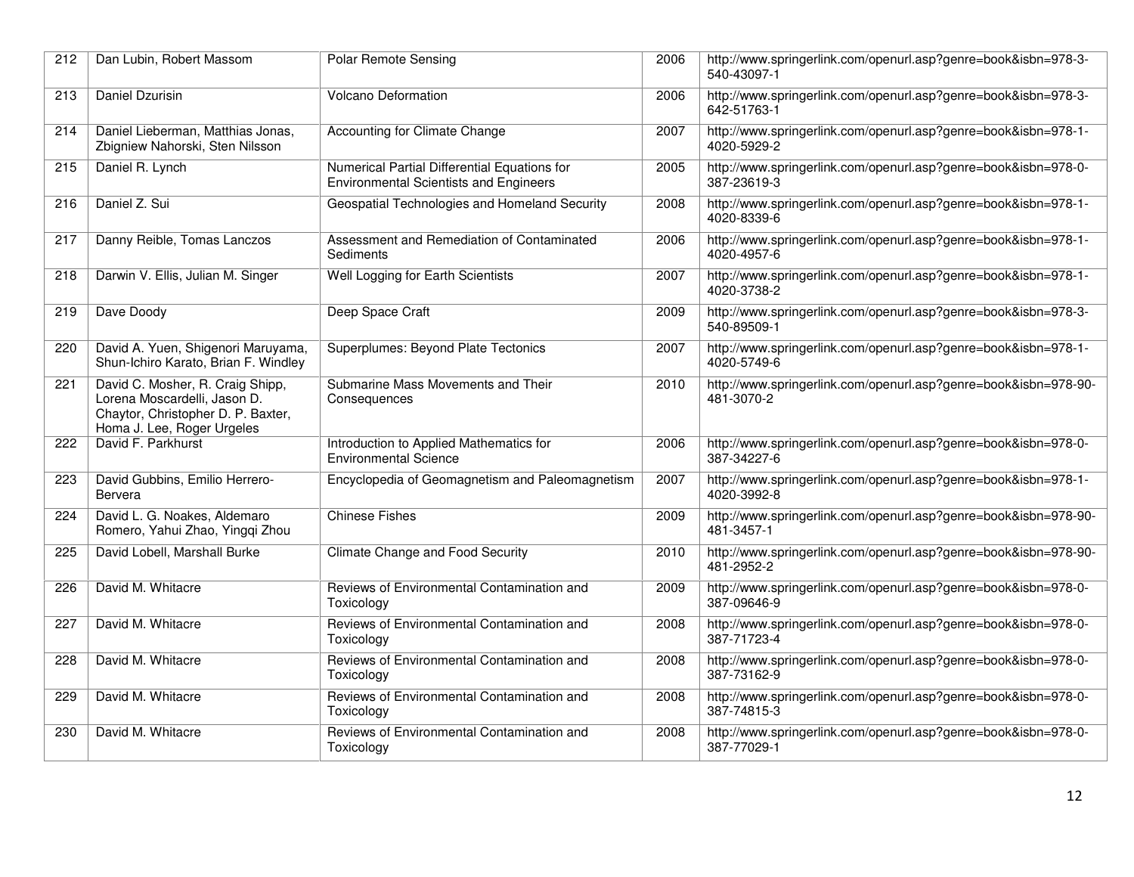| 212 | Dan Lubin, Robert Massom                                                                                                             | <b>Polar Remote Sensing</b>                                                                   | 2006 | http://www.springerlink.com/openurl.asp?genre=book&isbn=978-3-<br>540-43097-1 |
|-----|--------------------------------------------------------------------------------------------------------------------------------------|-----------------------------------------------------------------------------------------------|------|-------------------------------------------------------------------------------|
| 213 | Daniel Dzurisin                                                                                                                      | <b>Volcano Deformation</b>                                                                    | 2006 | http://www.springerlink.com/openurl.asp?genre=book&isbn=978-3-<br>642-51763-1 |
| 214 | Daniel Lieberman, Matthias Jonas,<br>Zbigniew Nahorski, Sten Nilsson                                                                 | Accounting for Climate Change                                                                 | 2007 | http://www.springerlink.com/openurl.asp?genre=book&isbn=978-1-<br>4020-5929-2 |
| 215 | Daniel R. Lynch                                                                                                                      | Numerical Partial Differential Equations for<br><b>Environmental Scientists and Engineers</b> | 2005 | http://www.springerlink.com/openurl.asp?genre=book&isbn=978-0-<br>387-23619-3 |
| 216 | Daniel Z. Sui                                                                                                                        | Geospatial Technologies and Homeland Security                                                 | 2008 | http://www.springerlink.com/openurl.asp?genre=book&isbn=978-1-<br>4020-8339-6 |
| 217 | Danny Reible, Tomas Lanczos                                                                                                          | Assessment and Remediation of Contaminated<br>Sediments                                       | 2006 | http://www.springerlink.com/openurl.asp?genre=book&isbn=978-1-<br>4020-4957-6 |
| 218 | Darwin V. Ellis, Julian M. Singer                                                                                                    | Well Logging for Earth Scientists                                                             | 2007 | http://www.springerlink.com/openurl.asp?genre=book&isbn=978-1-<br>4020-3738-2 |
| 219 | Dave Doody                                                                                                                           | Deep Space Craft                                                                              | 2009 | http://www.springerlink.com/openurl.asp?genre=book&isbn=978-3-<br>540-89509-1 |
| 220 | David A. Yuen, Shigenori Maruyama,<br>Shun-Ichiro Karato, Brian F. Windley                                                           | Superplumes: Beyond Plate Tectonics                                                           | 2007 | http://www.springerlink.com/openurl.asp?genre=book&isbn=978-1-<br>4020-5749-6 |
| 221 | David C. Mosher, R. Craig Shipp,<br>Lorena Moscardelli, Jason D.<br>Chaytor, Christopher D. P. Baxter,<br>Homa J. Lee, Roger Urgeles | Submarine Mass Movements and Their<br>Consequences                                            | 2010 | http://www.springerlink.com/openurl.asp?genre=book&isbn=978-90-<br>481-3070-2 |
| 222 | David F. Parkhurst                                                                                                                   | Introduction to Applied Mathematics for<br><b>Environmental Science</b>                       | 2006 | http://www.springerlink.com/openurl.asp?genre=book&isbn=978-0-<br>387-34227-6 |
| 223 | David Gubbins, Emilio Herrero-<br>Bervera                                                                                            | Encyclopedia of Geomagnetism and Paleomagnetism                                               | 2007 | http://www.springerlink.com/openurl.asp?genre=book&isbn=978-1-<br>4020-3992-8 |
| 224 | David L. G. Noakes, Aldemaro<br>Romero, Yahui Zhao, Yinggi Zhou                                                                      | <b>Chinese Fishes</b>                                                                         | 2009 | http://www.springerlink.com/openurl.asp?genre=book&isbn=978-90-<br>481-3457-1 |
| 225 | David Lobell, Marshall Burke                                                                                                         | Climate Change and Food Security                                                              | 2010 | http://www.springerlink.com/openurl.asp?genre=book&isbn=978-90-<br>481-2952-2 |
| 226 | David M. Whitacre                                                                                                                    | Reviews of Environmental Contamination and<br>Toxicology                                      | 2009 | http://www.springerlink.com/openurl.asp?genre=book&isbn=978-0-<br>387-09646-9 |
| 227 | David M. Whitacre                                                                                                                    | Reviews of Environmental Contamination and<br>Toxicology                                      | 2008 | http://www.springerlink.com/openurl.asp?genre=book&isbn=978-0-<br>387-71723-4 |
| 228 | David M. Whitacre                                                                                                                    | Reviews of Environmental Contamination and<br>Toxicology                                      | 2008 | http://www.springerlink.com/openurl.asp?genre=book&isbn=978-0-<br>387-73162-9 |
| 229 | David M. Whitacre                                                                                                                    | Reviews of Environmental Contamination and<br>Toxicology                                      | 2008 | http://www.springerlink.com/openurl.asp?genre=book&isbn=978-0-<br>387-74815-3 |
| 230 | David M. Whitacre                                                                                                                    | Reviews of Environmental Contamination and<br>Toxicology                                      | 2008 | http://www.springerlink.com/openurl.asp?genre=book&isbn=978-0-<br>387-77029-1 |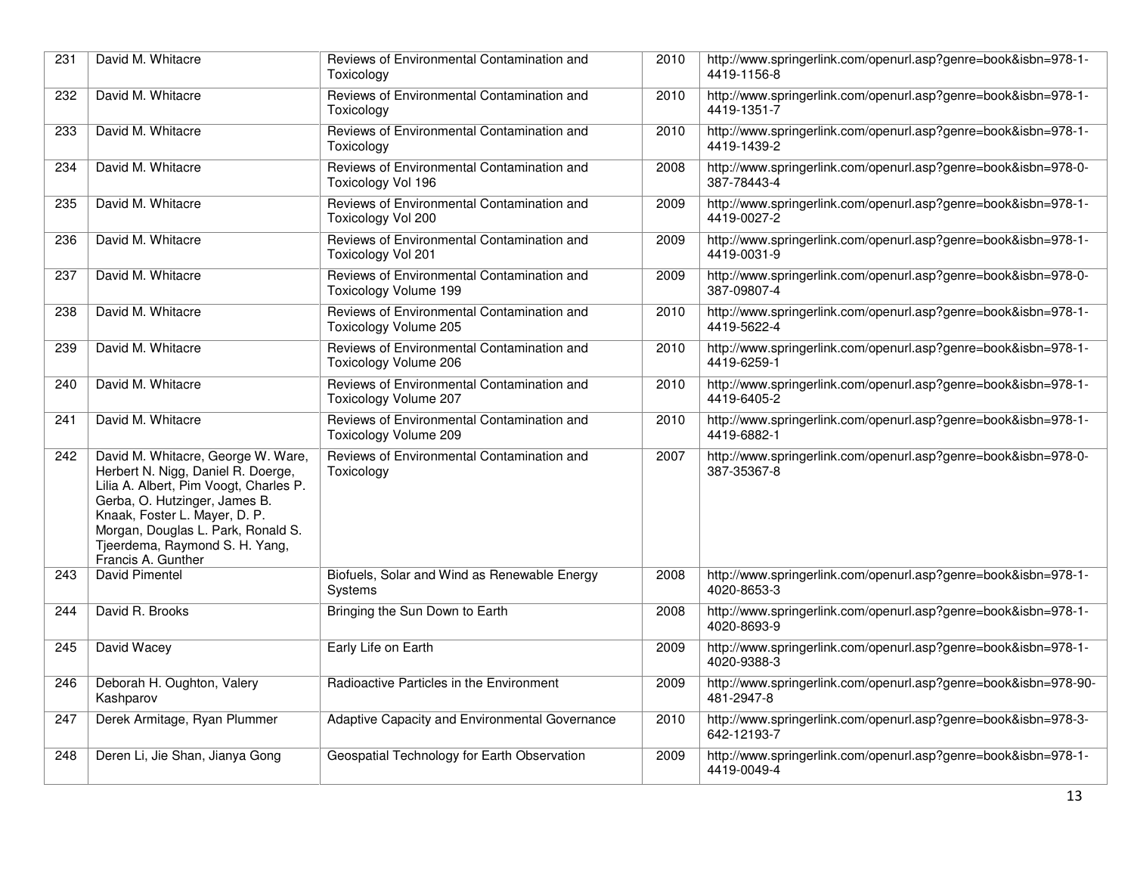| 231 | David M. Whitacre                                                                                                                                                                                                                                                                  | Reviews of Environmental Contamination and<br>Toxicology                   | 2010 | http://www.springerlink.com/openurl.asp?genre=book&isbn=978-1-<br>4419-1156-8 |
|-----|------------------------------------------------------------------------------------------------------------------------------------------------------------------------------------------------------------------------------------------------------------------------------------|----------------------------------------------------------------------------|------|-------------------------------------------------------------------------------|
| 232 | David M. Whitacre                                                                                                                                                                                                                                                                  | Reviews of Environmental Contamination and<br>Toxicology                   | 2010 | http://www.springerlink.com/openurl.asp?genre=book&isbn=978-1-<br>4419-1351-7 |
| 233 | David M. Whitacre                                                                                                                                                                                                                                                                  | Reviews of Environmental Contamination and<br>Toxicology                   | 2010 | http://www.springerlink.com/openurl.asp?genre=book&isbn=978-1-<br>4419-1439-2 |
| 234 | David M. Whitacre                                                                                                                                                                                                                                                                  | Reviews of Environmental Contamination and<br>Toxicology Vol 196           | 2008 | http://www.springerlink.com/openurl.asp?genre=book&isbn=978-0-<br>387-78443-4 |
| 235 | David M. Whitacre                                                                                                                                                                                                                                                                  | Reviews of Environmental Contamination and<br>Toxicology Vol 200           | 2009 | http://www.springerlink.com/openurl.asp?genre=book&isbn=978-1-<br>4419-0027-2 |
| 236 | David M. Whitacre                                                                                                                                                                                                                                                                  | Reviews of Environmental Contamination and<br>Toxicology Vol 201           | 2009 | http://www.springerlink.com/openurl.asp?genre=book&isbn=978-1-<br>4419-0031-9 |
| 237 | David M. Whitacre                                                                                                                                                                                                                                                                  | Reviews of Environmental Contamination and<br><b>Toxicology Volume 199</b> | 2009 | http://www.springerlink.com/openurl.asp?genre=book&isbn=978-0-<br>387-09807-4 |
| 238 | David M. Whitacre                                                                                                                                                                                                                                                                  | Reviews of Environmental Contamination and<br><b>Toxicology Volume 205</b> | 2010 | http://www.springerlink.com/openurl.asp?genre=book&isbn=978-1-<br>4419-5622-4 |
| 239 | David M. Whitacre                                                                                                                                                                                                                                                                  | Reviews of Environmental Contamination and<br>Toxicology Volume 206        | 2010 | http://www.springerlink.com/openurl.asp?genre=book&isbn=978-1-<br>4419-6259-1 |
| 240 | David M. Whitacre                                                                                                                                                                                                                                                                  | Reviews of Environmental Contamination and<br><b>Toxicology Volume 207</b> | 2010 | http://www.springerlink.com/openurl.asp?genre=book&isbn=978-1-<br>4419-6405-2 |
| 241 | David M. Whitacre                                                                                                                                                                                                                                                                  | Reviews of Environmental Contamination and<br>Toxicology Volume 209        | 2010 | http://www.springerlink.com/openurl.asp?genre=book&isbn=978-1-<br>4419-6882-1 |
| 242 | David M. Whitacre, George W. Ware,<br>Herbert N. Nigg, Daniel R. Doerge,<br>Lilia A. Albert, Pim Voogt, Charles P.<br>Gerba, O. Hutzinger, James B.<br>Knaak, Foster L. Mayer, D. P.<br>Morgan, Douglas L. Park, Ronald S.<br>Tjeerdema, Raymond S. H. Yang,<br>Francis A. Gunther | Reviews of Environmental Contamination and<br>Toxicology                   | 2007 | http://www.springerlink.com/openurl.asp?genre=book&isbn=978-0-<br>387-35367-8 |
| 243 | David Pimentel                                                                                                                                                                                                                                                                     | Biofuels, Solar and Wind as Renewable Energy<br>Systems                    | 2008 | http://www.springerlink.com/openurl.asp?genre=book&isbn=978-1-<br>4020-8653-3 |
| 244 | David R. Brooks                                                                                                                                                                                                                                                                    | Bringing the Sun Down to Earth                                             | 2008 | http://www.springerlink.com/openurl.asp?genre=book&isbn=978-1-<br>4020-8693-9 |
| 245 | David Wacey                                                                                                                                                                                                                                                                        | Early Life on Earth                                                        | 2009 | http://www.springerlink.com/openurl.asp?genre=book&isbn=978-1-<br>4020-9388-3 |
| 246 | Deborah H. Oughton, Valery<br>Kashparov                                                                                                                                                                                                                                            | Radioactive Particles in the Environment                                   | 2009 | http://www.springerlink.com/openurl.asp?genre=book&isbn=978-90-<br>481-2947-8 |
| 247 | Derek Armitage, Ryan Plummer                                                                                                                                                                                                                                                       | Adaptive Capacity and Environmental Governance                             | 2010 | http://www.springerlink.com/openurl.asp?genre=book&isbn=978-3-<br>642-12193-7 |
| 248 | Deren Li, Jie Shan, Jianya Gong                                                                                                                                                                                                                                                    | Geospatial Technology for Earth Observation                                | 2009 | http://www.springerlink.com/openurl.asp?genre=book&isbn=978-1-<br>4419-0049-4 |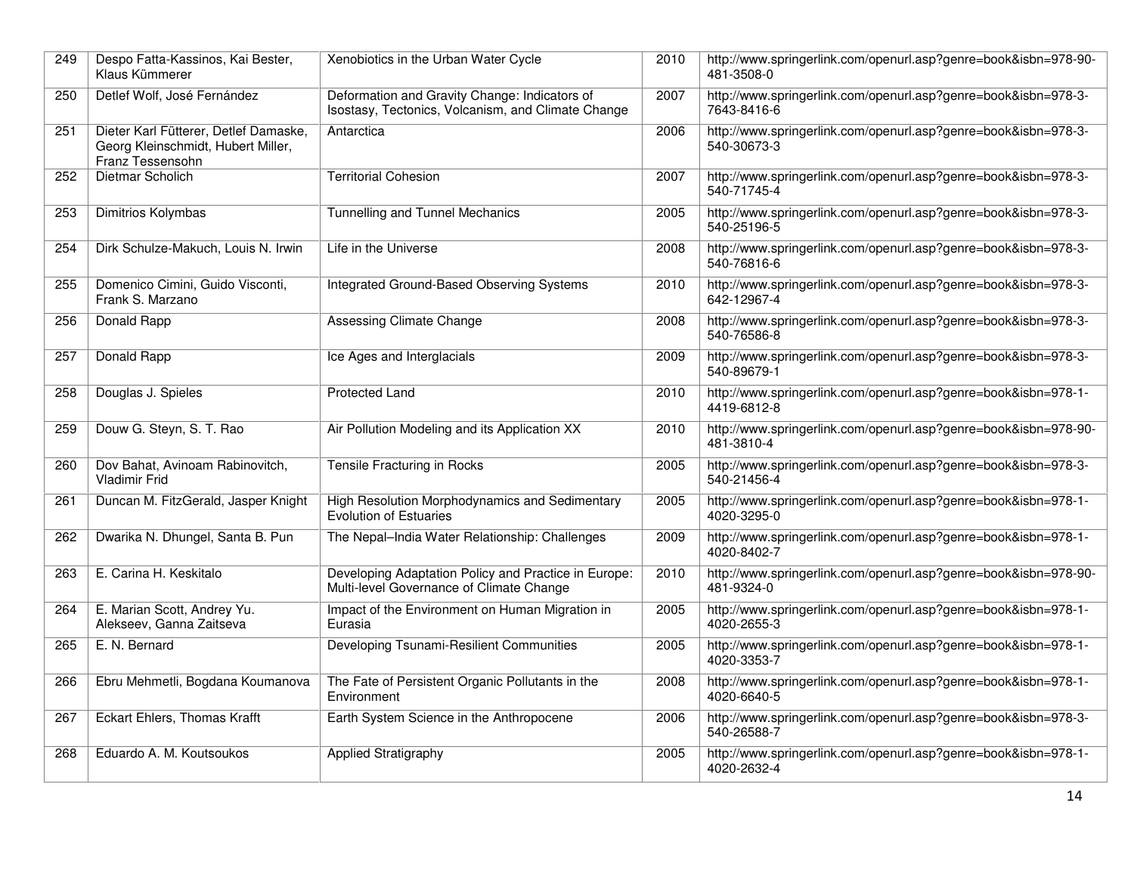| 249 | Despo Fatta-Kassinos, Kai Bester,<br>Klaus Kümmerer                                             | Xenobiotics in the Urban Water Cycle                                                                | 2010 | http://www.springerlink.com/openurl.asp?genre=book&isbn=978-90-<br>481-3508-0 |
|-----|-------------------------------------------------------------------------------------------------|-----------------------------------------------------------------------------------------------------|------|-------------------------------------------------------------------------------|
| 250 | Detlef Wolf, José Fernández                                                                     | Deformation and Gravity Change: Indicators of<br>Isostasy, Tectonics, Volcanism, and Climate Change | 2007 | http://www.springerlink.com/openurl.asp?genre=book&isbn=978-3-<br>7643-8416-6 |
| 251 | Dieter Karl Fütterer, Detlef Damaske,<br>Georg Kleinschmidt, Hubert Miller,<br>Franz Tessensohn | Antarctica                                                                                          | 2006 | http://www.springerlink.com/openurl.asp?genre=book&isbn=978-3-<br>540-30673-3 |
| 252 | Dietmar Scholich                                                                                | <b>Territorial Cohesion</b>                                                                         | 2007 | http://www.springerlink.com/openurl.asp?genre=book&isbn=978-3-<br>540-71745-4 |
| 253 | Dimitrios Kolymbas                                                                              | <b>Tunnelling and Tunnel Mechanics</b>                                                              | 2005 | http://www.springerlink.com/openurl.asp?genre=book&isbn=978-3-<br>540-25196-5 |
| 254 | Dirk Schulze-Makuch, Louis N. Irwin                                                             | Life in the Universe                                                                                | 2008 | http://www.springerlink.com/openurl.asp?genre=book&isbn=978-3-<br>540-76816-6 |
| 255 | Domenico Cimini, Guido Visconti,<br>Frank S. Marzano                                            | Integrated Ground-Based Observing Systems                                                           | 2010 | http://www.springerlink.com/openurl.asp?genre=book&isbn=978-3-<br>642-12967-4 |
| 256 | Donald Rapp                                                                                     | Assessing Climate Change                                                                            | 2008 | http://www.springerlink.com/openurl.asp?genre=book&isbn=978-3-<br>540-76586-8 |
| 257 | Donald Rapp                                                                                     | Ice Ages and Interglacials                                                                          | 2009 | http://www.springerlink.com/openurl.asp?genre=book&isbn=978-3-<br>540-89679-1 |
| 258 | Douglas J. Spieles                                                                              | <b>Protected Land</b>                                                                               | 2010 | http://www.springerlink.com/openurl.asp?genre=book&isbn=978-1-<br>4419-6812-8 |
| 259 | Douw G. Steyn, S. T. Rao                                                                        | Air Pollution Modeling and its Application XX                                                       | 2010 | http://www.springerlink.com/openurl.asp?genre=book&isbn=978-90-<br>481-3810-4 |
| 260 | Dov Bahat, Avinoam Rabinovitch,<br>Vladimir Frid                                                | Tensile Fracturing in Rocks                                                                         | 2005 | http://www.springerlink.com/openurl.asp?genre=book&isbn=978-3-<br>540-21456-4 |
| 261 | Duncan M. FitzGerald, Jasper Knight                                                             | High Resolution Morphodynamics and Sedimentary<br>Evolution of Estuaries                            | 2005 | http://www.springerlink.com/openurl.asp?genre=book&isbn=978-1-<br>4020-3295-0 |
| 262 | Dwarika N. Dhungel, Santa B. Pun                                                                | The Nepal-India Water Relationship: Challenges                                                      | 2009 | http://www.springerlink.com/openurl.asp?genre=book&isbn=978-1-<br>4020-8402-7 |
| 263 | E. Carina H. Keskitalo                                                                          | Developing Adaptation Policy and Practice in Europe:<br>Multi-level Governance of Climate Change    | 2010 | http://www.springerlink.com/openurl.asp?genre=book&isbn=978-90-<br>481-9324-0 |
| 264 | E. Marian Scott, Andrey Yu.<br>Alekseev, Ganna Zaitseva                                         | Impact of the Environment on Human Migration in<br>Eurasia                                          | 2005 | http://www.springerlink.com/openurl.asp?genre=book&isbn=978-1-<br>4020-2655-3 |
| 265 | E. N. Bernard                                                                                   | Developing Tsunami-Resilient Communities                                                            | 2005 | http://www.springerlink.com/openurl.asp?genre=book&isbn=978-1-<br>4020-3353-7 |
| 266 | Ebru Mehmetli, Bogdana Koumanova                                                                | The Fate of Persistent Organic Pollutants in the<br>Environment                                     | 2008 | http://www.springerlink.com/openurl.asp?genre=book&isbn=978-1-<br>4020-6640-5 |
| 267 | Eckart Ehlers, Thomas Krafft                                                                    | Earth System Science in the Anthropocene                                                            | 2006 | http://www.springerlink.com/openurl.asp?genre=book&isbn=978-3-<br>540-26588-7 |
| 268 | Eduardo A. M. Koutsoukos                                                                        | Applied Stratigraphy                                                                                | 2005 | http://www.springerlink.com/openurl.asp?genre=book&isbn=978-1-<br>4020-2632-4 |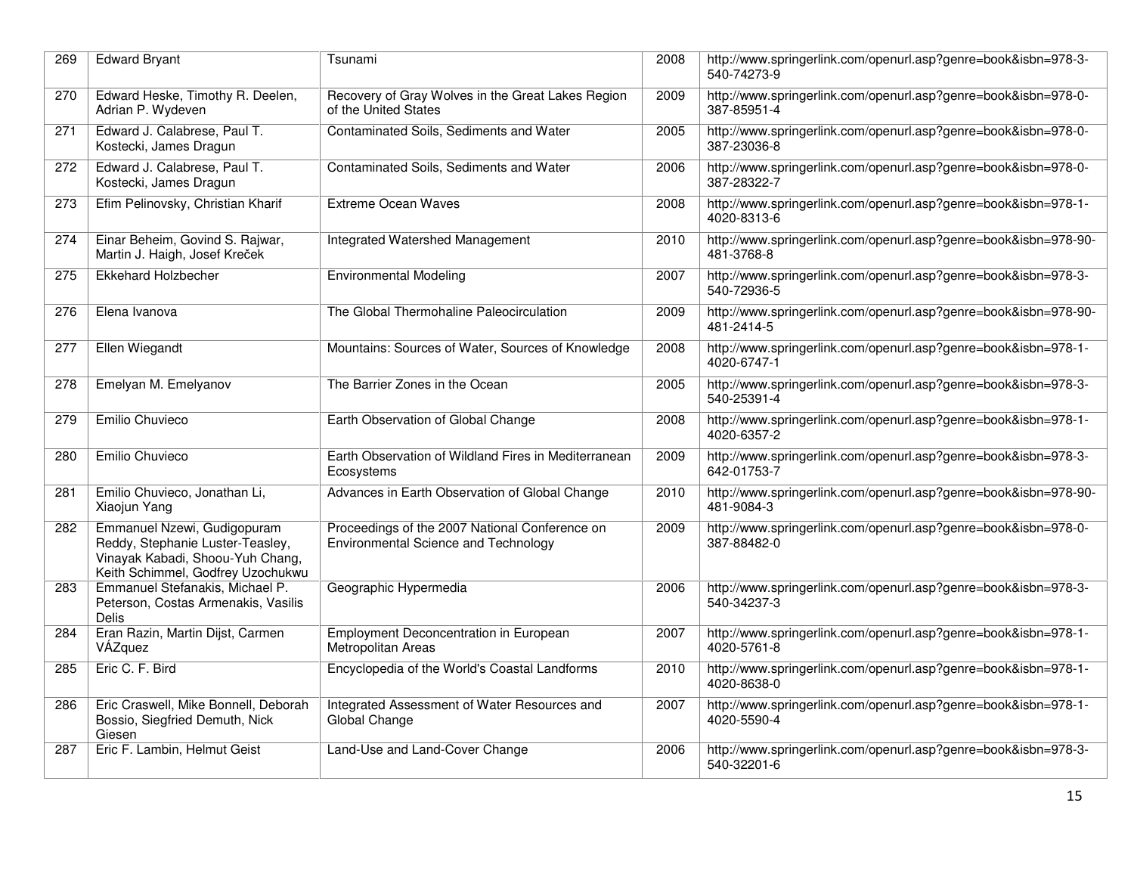| 269 | <b>Edward Bryant</b>                                                                                                                     | Tsunami                                                                                | 2008 | http://www.springerlink.com/openurl.asp?genre=book&isbn=978-3-<br>540-74273-9 |
|-----|------------------------------------------------------------------------------------------------------------------------------------------|----------------------------------------------------------------------------------------|------|-------------------------------------------------------------------------------|
| 270 | Edward Heske, Timothy R. Deelen,<br>Adrian P. Wydeven                                                                                    | Recovery of Gray Wolves in the Great Lakes Region<br>of the United States              | 2009 | http://www.springerlink.com/openurl.asp?genre=book&isbn=978-0-<br>387-85951-4 |
| 271 | Edward J. Calabrese, Paul T.<br>Kostecki, James Dragun                                                                                   | Contaminated Soils, Sediments and Water                                                | 2005 | http://www.springerlink.com/openurl.asp?genre=book&isbn=978-0-<br>387-23036-8 |
| 272 | Edward J. Calabrese, Paul T.<br>Kostecki, James Dragun                                                                                   | Contaminated Soils, Sediments and Water                                                | 2006 | http://www.springerlink.com/openurl.asp?genre=book&isbn=978-0-<br>387-28322-7 |
| 273 | Efim Pelinovsky, Christian Kharif                                                                                                        | <b>Extreme Ocean Waves</b>                                                             | 2008 | http://www.springerlink.com/openurl.asp?genre=book&isbn=978-1-<br>4020-8313-6 |
| 274 | Einar Beheim, Govind S. Rajwar,<br>Martin J. Haigh, Josef Kreček                                                                         | Integrated Watershed Management                                                        | 2010 | http://www.springerlink.com/openurl.asp?genre=book&isbn=978-90-<br>481-3768-8 |
| 275 | <b>Ekkehard Holzbecher</b>                                                                                                               | <b>Environmental Modeling</b>                                                          | 2007 | http://www.springerlink.com/openurl.asp?genre=book&isbn=978-3-<br>540-72936-5 |
| 276 | Elena Ivanova                                                                                                                            | The Global Thermohaline Paleocirculation                                               | 2009 | http://www.springerlink.com/openurl.asp?genre=book&isbn=978-90-<br>481-2414-5 |
| 277 | Ellen Wiegandt                                                                                                                           | Mountains: Sources of Water, Sources of Knowledge                                      | 2008 | http://www.springerlink.com/openurl.asp?genre=book&isbn=978-1-<br>4020-6747-1 |
| 278 | Emelyan M. Emelyanov                                                                                                                     | The Barrier Zones in the Ocean                                                         | 2005 | http://www.springerlink.com/openurl.asp?genre=book&isbn=978-3-<br>540-25391-4 |
| 279 | Emilio Chuvieco                                                                                                                          | Earth Observation of Global Change                                                     | 2008 | http://www.springerlink.com/openurl.asp?genre=book&isbn=978-1-<br>4020-6357-2 |
| 280 | Emilio Chuvieco                                                                                                                          | Earth Observation of Wildland Fires in Mediterranean<br>Ecosystems                     | 2009 | http://www.springerlink.com/openurl.asp?genre=book&isbn=978-3-<br>642-01753-7 |
| 281 | Emilio Chuvieco, Jonathan Li,<br>Xiaojun Yang                                                                                            | Advances in Earth Observation of Global Change                                         | 2010 | http://www.springerlink.com/openurl.asp?genre=book&isbn=978-90-<br>481-9084-3 |
| 282 | Emmanuel Nzewi, Gudigopuram<br>Reddy, Stephanie Luster-Teasley,<br>Vinayak Kabadi, Shoou-Yuh Chang,<br>Keith Schimmel, Godfrey Uzochukwu | Proceedings of the 2007 National Conference on<br>Environmental Science and Technology | 2009 | http://www.springerlink.com/openurl.asp?genre=book&isbn=978-0-<br>387-88482-0 |
| 283 | Emmanuel Stefanakis, Michael P.<br>Peterson, Costas Armenakis, Vasilis<br><b>Delis</b>                                                   | Geographic Hypermedia                                                                  | 2006 | http://www.springerlink.com/openurl.asp?genre=book&isbn=978-3-<br>540-34237-3 |
| 284 | Eran Razin, Martin Dijst, Carmen<br>VÁZquez                                                                                              | Employment Deconcentration in European<br>Metropolitan Areas                           | 2007 | http://www.springerlink.com/openurl.asp?genre=book&isbn=978-1-<br>4020-5761-8 |
| 285 | Eric C. F. Bird                                                                                                                          | Encyclopedia of the World's Coastal Landforms                                          | 2010 | http://www.springerlink.com/openurl.asp?genre=book&isbn=978-1-<br>4020-8638-0 |
| 286 | Eric Craswell, Mike Bonnell, Deborah<br>Bossio, Siegfried Demuth, Nick<br>Giesen                                                         | Integrated Assessment of Water Resources and<br>Global Change                          | 2007 | http://www.springerlink.com/openurl.asp?genre=book&isbn=978-1-<br>4020-5590-4 |
| 287 | Eric F. Lambin, Helmut Geist                                                                                                             | Land-Use and Land-Cover Change                                                         | 2006 | http://www.springerlink.com/openurl.asp?genre=book&isbn=978-3-<br>540-32201-6 |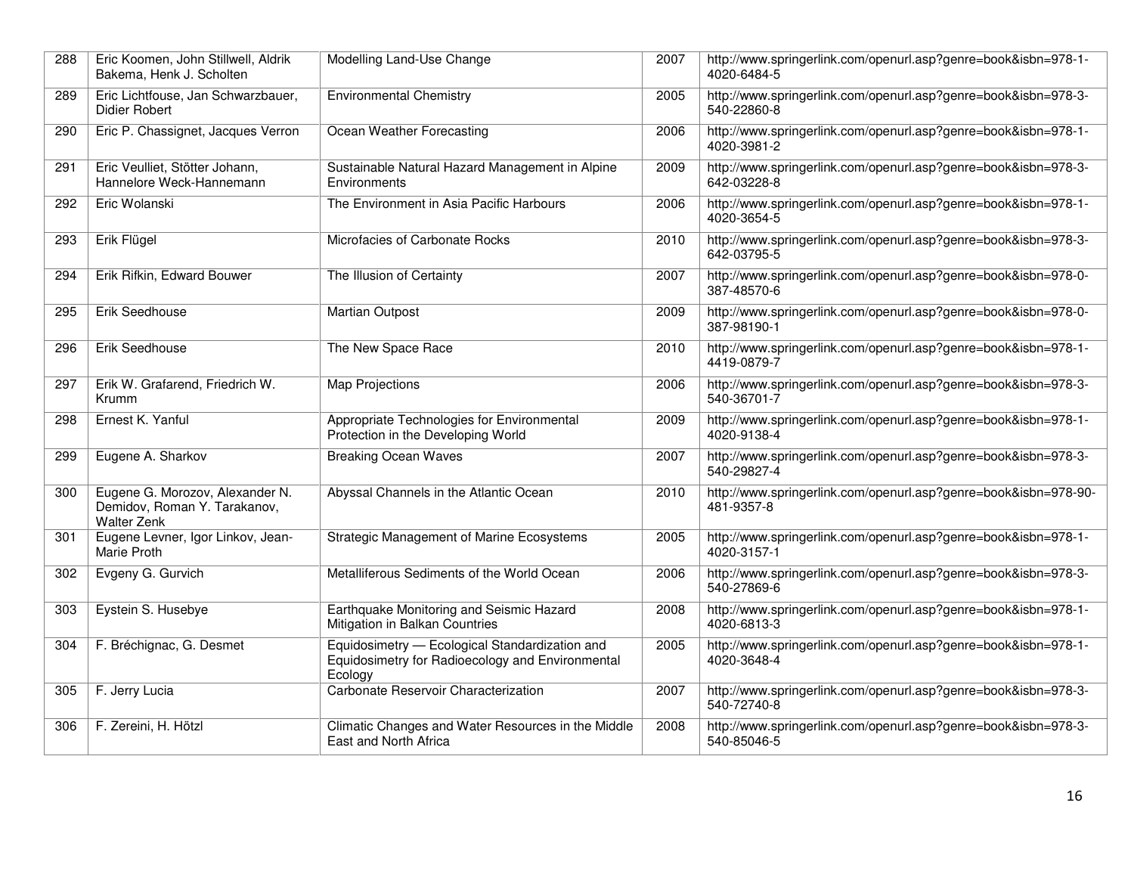| 288 | Eric Koomen, John Stillwell, Aldrik<br>Bakema, Henk J. Scholten                       | Modelling Land-Use Change                                                                                     | 2007 | http://www.springerlink.com/openurl.asp?genre=book&isbn=978-1-<br>4020-6484-5 |
|-----|---------------------------------------------------------------------------------------|---------------------------------------------------------------------------------------------------------------|------|-------------------------------------------------------------------------------|
| 289 | Eric Lichtfouse, Jan Schwarzbauer,<br>Didier Robert                                   | <b>Environmental Chemistry</b>                                                                                | 2005 | http://www.springerlink.com/openurl.asp?genre=book&isbn=978-3-<br>540-22860-8 |
| 290 | Eric P. Chassignet, Jacques Verron                                                    | Ocean Weather Forecasting                                                                                     | 2006 | http://www.springerlink.com/openurl.asp?genre=book&isbn=978-1-<br>4020-3981-2 |
| 291 | Eric Veulliet, Stötter Johann,<br>Hannelore Weck-Hannemann                            | Sustainable Natural Hazard Management in Alpine<br>Environments                                               | 2009 | http://www.springerlink.com/openurl.asp?genre=book&isbn=978-3-<br>642-03228-8 |
| 292 | Eric Wolanski                                                                         | The Environment in Asia Pacific Harbours                                                                      | 2006 | http://www.springerlink.com/openurl.asp?genre=book&isbn=978-1-<br>4020-3654-5 |
| 293 | Erik Flügel                                                                           | Microfacies of Carbonate Rocks                                                                                | 2010 | http://www.springerlink.com/openurl.asp?genre=book&isbn=978-3-<br>642-03795-5 |
| 294 | Erik Rifkin, Edward Bouwer                                                            | The Illusion of Certainty                                                                                     | 2007 | http://www.springerlink.com/openurl.asp?genre=book&isbn=978-0-<br>387-48570-6 |
| 295 | Erik Seedhouse                                                                        | <b>Martian Outpost</b>                                                                                        | 2009 | http://www.springerlink.com/openurl.asp?genre=book&isbn=978-0-<br>387-98190-1 |
| 296 | Erik Seedhouse                                                                        | The New Space Race                                                                                            | 2010 | http://www.springerlink.com/openurl.asp?genre=book&isbn=978-1-<br>4419-0879-7 |
| 297 | Erik W. Grafarend, Friedrich W.<br>Krumm                                              | <b>Map Projections</b>                                                                                        | 2006 | http://www.springerlink.com/openurl.asp?genre=book&isbn=978-3-<br>540-36701-7 |
| 298 | Ernest K. Yanful                                                                      | Appropriate Technologies for Environmental<br>Protection in the Developing World                              | 2009 | http://www.springerlink.com/openurl.asp?genre=book&isbn=978-1-<br>4020-9138-4 |
| 299 | Eugene A. Sharkov                                                                     | <b>Breaking Ocean Waves</b>                                                                                   | 2007 | http://www.springerlink.com/openurl.asp?genre=book&isbn=978-3-<br>540-29827-4 |
| 300 | Eugene G. Morozov, Alexander N.<br>Demidov, Roman Y. Tarakanov,<br><b>Walter Zenk</b> | Abyssal Channels in the Atlantic Ocean                                                                        | 2010 | http://www.springerlink.com/openurl.asp?genre=book&isbn=978-90-<br>481-9357-8 |
| 301 | Eugene Levner, Igor Linkov, Jean-<br>Marie Proth                                      | <b>Strategic Management of Marine Ecosystems</b>                                                              | 2005 | http://www.springerlink.com/openurl.asp?genre=book&isbn=978-1-<br>4020-3157-1 |
| 302 | Evgeny G. Gurvich                                                                     | Metalliferous Sediments of the World Ocean                                                                    | 2006 | http://www.springerlink.com/openurl.asp?genre=book&isbn=978-3-<br>540-27869-6 |
| 303 | Eystein S. Husebye                                                                    | Earthquake Monitoring and Seismic Hazard<br>Mitigation in Balkan Countries                                    | 2008 | http://www.springerlink.com/openurl.asp?genre=book&isbn=978-1-<br>4020-6813-3 |
| 304 | F. Bréchignac, G. Desmet                                                              | Equidosimetry - Ecological Standardization and<br>Equidosimetry for Radioecology and Environmental<br>Ecology | 2005 | http://www.springerlink.com/openurl.asp?genre=book&isbn=978-1-<br>4020-3648-4 |
| 305 | F. Jerry Lucia                                                                        | Carbonate Reservoir Characterization                                                                          | 2007 | http://www.springerlink.com/openurl.asp?genre=book&isbn=978-3-<br>540-72740-8 |
| 306 | F. Zereini, H. Hötzl                                                                  | Climatic Changes and Water Resources in the Middle<br>East and North Africa                                   | 2008 | http://www.springerlink.com/openurl.asp?genre=book&isbn=978-3-<br>540-85046-5 |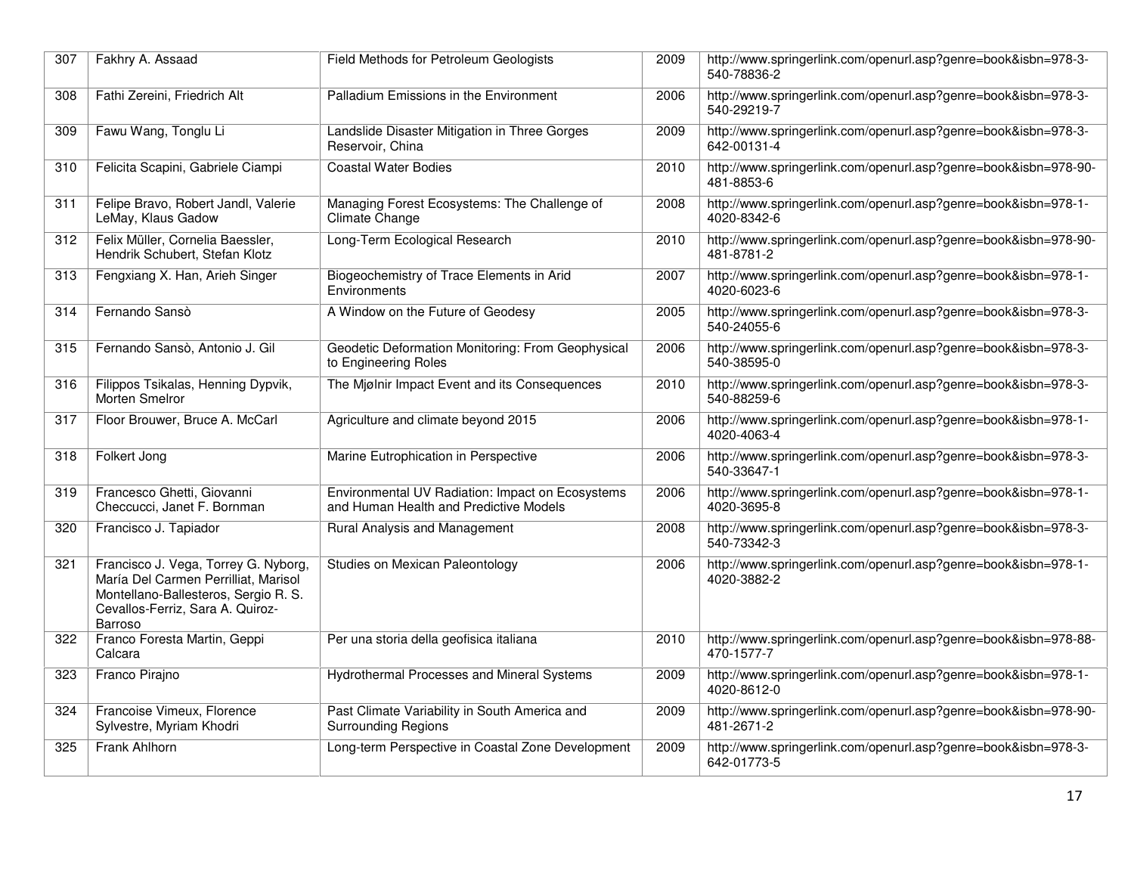| 307 | Fakhry A. Assaad                                                                                                                                                           | Field Methods for Petroleum Geologists                                                     | 2009 | http://www.springerlink.com/openurl.asp?genre=book&isbn=978-3-<br>540-78836-2 |
|-----|----------------------------------------------------------------------------------------------------------------------------------------------------------------------------|--------------------------------------------------------------------------------------------|------|-------------------------------------------------------------------------------|
| 308 | Fathi Zereini, Friedrich Alt                                                                                                                                               | Palladium Emissions in the Environment                                                     | 2006 | http://www.springerlink.com/openurl.asp?genre=book&isbn=978-3-<br>540-29219-7 |
| 309 | Fawu Wang, Tonglu Li                                                                                                                                                       | Landslide Disaster Mitigation in Three Gorges<br>Reservoir, China                          | 2009 | http://www.springerlink.com/openurl.asp?genre=book&isbn=978-3-<br>642-00131-4 |
| 310 | Felicita Scapini, Gabriele Ciampi                                                                                                                                          | Coastal Water Bodies                                                                       | 2010 | http://www.springerlink.com/openurl.asp?genre=book&isbn=978-90-<br>481-8853-6 |
| 311 | Felipe Bravo, Robert Jandl, Valerie<br>LeMay, Klaus Gadow                                                                                                                  | Managing Forest Ecosystems: The Challenge of<br>Climate Change                             | 2008 | http://www.springerlink.com/openurl.asp?genre=book&isbn=978-1-<br>4020-8342-6 |
| 312 | Felix Müller, Cornelia Baessler,<br>Hendrik Schubert, Stefan Klotz                                                                                                         | Long-Term Ecological Research                                                              | 2010 | http://www.springerlink.com/openurl.asp?genre=book&isbn=978-90-<br>481-8781-2 |
| 313 | Fengxiang X. Han, Arieh Singer                                                                                                                                             | Biogeochemistry of Trace Elements in Arid<br>Environments                                  | 2007 | http://www.springerlink.com/openurl.asp?genre=book&isbn=978-1-<br>4020-6023-6 |
| 314 | Fernando Sansò                                                                                                                                                             | A Window on the Future of Geodesy                                                          | 2005 | http://www.springerlink.com/openurl.asp?genre=book&isbn=978-3-<br>540-24055-6 |
| 315 | Fernando Sansò, Antonio J. Gil                                                                                                                                             | Geodetic Deformation Monitoring: From Geophysical<br>to Engineering Roles                  | 2006 | http://www.springerlink.com/openurl.asp?genre=book&isbn=978-3-<br>540-38595-0 |
| 316 | Filippos Tsikalas, Henning Dypvik,<br><b>Morten Smelror</b>                                                                                                                | The Mjølnir Impact Event and its Consequences                                              | 2010 | http://www.springerlink.com/openurl.asp?genre=book&isbn=978-3-<br>540-88259-6 |
| 317 | Floor Brouwer, Bruce A. McCarl                                                                                                                                             | Agriculture and climate beyond 2015                                                        | 2006 | http://www.springerlink.com/openurl.asp?genre=book&isbn=978-1-<br>4020-4063-4 |
| 318 | Folkert Jong                                                                                                                                                               | Marine Eutrophication in Perspective                                                       | 2006 | http://www.springerlink.com/openurl.asp?genre=book&isbn=978-3-<br>540-33647-1 |
| 319 | Francesco Ghetti, Giovanni<br>Checcucci, Janet F. Bornman                                                                                                                  | Environmental UV Radiation: Impact on Ecosystems<br>and Human Health and Predictive Models | 2006 | http://www.springerlink.com/openurl.asp?genre=book&isbn=978-1-<br>4020-3695-8 |
| 320 | Francisco J. Tapiador                                                                                                                                                      | Rural Analysis and Management                                                              | 2008 | http://www.springerlink.com/openurl.asp?genre=book&isbn=978-3-<br>540-73342-3 |
| 321 | Francisco J. Vega, Torrey G. Nyborg,<br>María Del Carmen Perrilliat, Marisol<br>Montellano-Ballesteros, Sergio R. S.<br>Cevallos-Ferriz, Sara A. Quiroz-<br><b>Barroso</b> | <b>Studies on Mexican Paleontology</b>                                                     | 2006 | http://www.springerlink.com/openurl.asp?genre=book&isbn=978-1-<br>4020-3882-2 |
| 322 | Franco Foresta Martin, Geppi<br>Calcara                                                                                                                                    | Per una storia della geofisica italiana                                                    | 2010 | http://www.springerlink.com/openurl.asp?genre=book&isbn=978-88-<br>470-1577-7 |
| 323 | Franco Pirajno                                                                                                                                                             | Hydrothermal Processes and Mineral Systems                                                 | 2009 | http://www.springerlink.com/openurl.asp?genre=book&isbn=978-1-<br>4020-8612-0 |
| 324 | Francoise Vimeux, Florence<br>Sylvestre, Myriam Khodri                                                                                                                     | Past Climate Variability in South America and<br><b>Surrounding Regions</b>                | 2009 | http://www.springerlink.com/openurl.asp?genre=book&isbn=978-90-<br>481-2671-2 |
| 325 | Frank Ahlhorn                                                                                                                                                              | Long-term Perspective in Coastal Zone Development                                          | 2009 | http://www.springerlink.com/openurl.asp?genre=book&isbn=978-3-<br>642-01773-5 |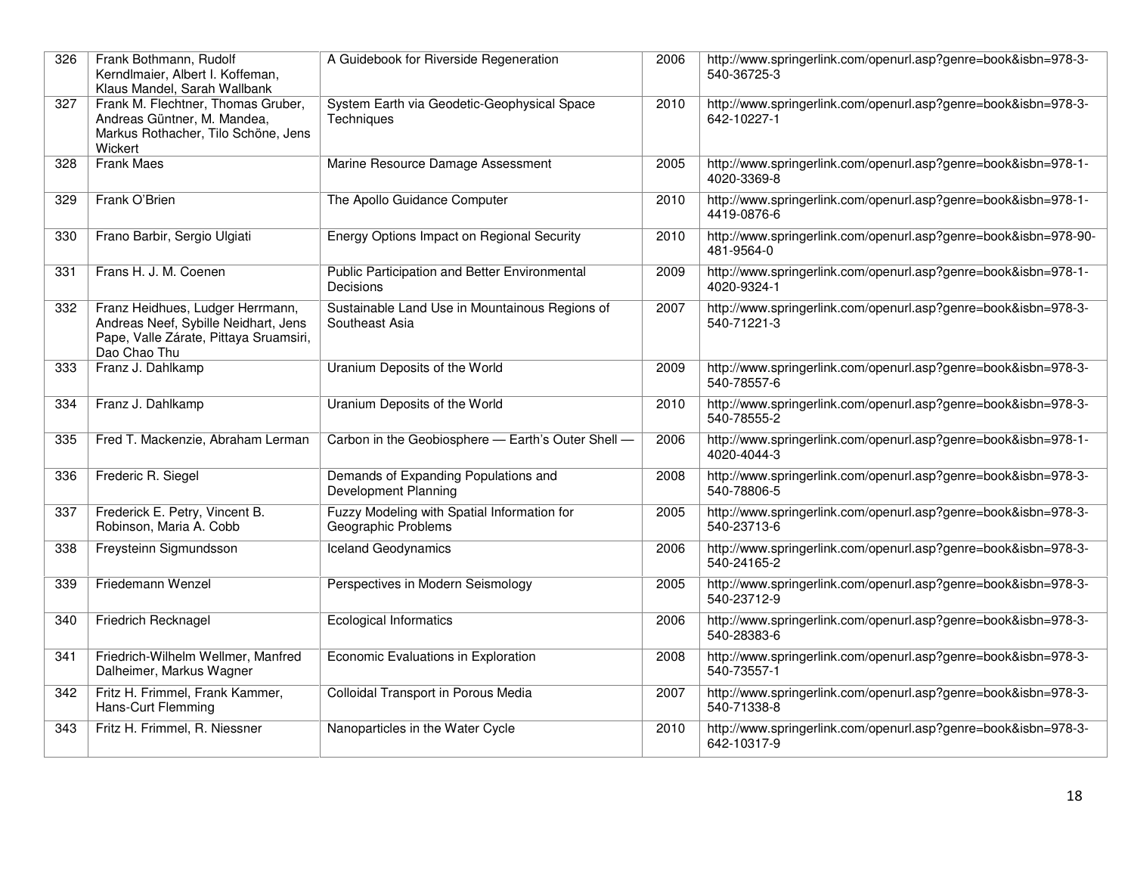| 326 | Frank Bothmann, Rudolf<br>Kerndlmaier, Albert I. Koffeman,<br>Klaus Mandel, Sarah Wallbank                                         | A Guidebook for Riverside Regeneration                             | 2006 | http://www.springerlink.com/openurl.asp?genre=book&isbn=978-3-<br>540-36725-3 |
|-----|------------------------------------------------------------------------------------------------------------------------------------|--------------------------------------------------------------------|------|-------------------------------------------------------------------------------|
| 327 | Frank M. Flechtner, Thomas Gruber,<br>Andreas Güntner, M. Mandea,<br>Markus Rothacher, Tilo Schöne, Jens<br>Wickert                | System Earth via Geodetic-Geophysical Space<br><b>Techniques</b>   | 2010 | http://www.springerlink.com/openurl.asp?genre=book&isbn=978-3-<br>642-10227-1 |
| 328 | <b>Frank Maes</b>                                                                                                                  | Marine Resource Damage Assessment                                  | 2005 | http://www.springerlink.com/openurl.asp?genre=book&isbn=978-1-<br>4020-3369-8 |
| 329 | Frank O'Brien                                                                                                                      | The Apollo Guidance Computer                                       | 2010 | http://www.springerlink.com/openurl.asp?genre=book&isbn=978-1-<br>4419-0876-6 |
| 330 | Frano Barbir, Sergio Ulgiati                                                                                                       | <b>Energy Options Impact on Regional Security</b>                  | 2010 | http://www.springerlink.com/openurl.asp?genre=book&isbn=978-90-<br>481-9564-0 |
| 331 | Frans H. J. M. Coenen                                                                                                              | Public Participation and Better Environmental<br>Decisions         | 2009 | http://www.springerlink.com/openurl.asp?genre=book&isbn=978-1-<br>4020-9324-1 |
| 332 | Franz Heidhues, Ludger Herrmann,<br>Andreas Neef, Sybille Neidhart, Jens<br>Pape, Valle Zárate, Pittaya Sruamsiri,<br>Dao Chao Thu | Sustainable Land Use in Mountainous Regions of<br>Southeast Asia   | 2007 | http://www.springerlink.com/openurl.asp?genre=book&isbn=978-3-<br>540-71221-3 |
| 333 | Franz J. Dahlkamp                                                                                                                  | Uranium Deposits of the World                                      | 2009 | http://www.springerlink.com/openurl.asp?genre=book&isbn=978-3-<br>540-78557-6 |
| 334 | Franz J. Dahlkamp                                                                                                                  | Uranium Deposits of the World                                      | 2010 | http://www.springerlink.com/openurl.asp?genre=book&isbn=978-3-<br>540-78555-2 |
| 335 | Fred T. Mackenzie, Abraham Lerman                                                                                                  | Carbon in the Geobiosphere - Earth's Outer Shell -                 | 2006 | http://www.springerlink.com/openurl.asp?genre=book&isbn=978-1-<br>4020-4044-3 |
| 336 | Frederic R. Siegel                                                                                                                 | Demands of Expanding Populations and<br>Development Planning       | 2008 | http://www.springerlink.com/openurl.asp?genre=book&isbn=978-3-<br>540-78806-5 |
| 337 | Frederick E. Petry, Vincent B.<br>Robinson, Maria A. Cobb                                                                          | Fuzzy Modeling with Spatial Information for<br>Geographic Problems | 2005 | http://www.springerlink.com/openurl.asp?genre=book&isbn=978-3-<br>540-23713-6 |
| 338 | Freysteinn Sigmundsson                                                                                                             | <b>Iceland Geodynamics</b>                                         | 2006 | http://www.springerlink.com/openurl.asp?genre=book&isbn=978-3-<br>540-24165-2 |
| 339 | Friedemann Wenzel                                                                                                                  | Perspectives in Modern Seismology                                  | 2005 | http://www.springerlink.com/openurl.asp?genre=book&isbn=978-3-<br>540-23712-9 |
| 340 | Friedrich Recknagel                                                                                                                | <b>Ecological Informatics</b>                                      | 2006 | http://www.springerlink.com/openurl.asp?genre=book&isbn=978-3-<br>540-28383-6 |
| 341 | Friedrich-Wilhelm Wellmer, Manfred<br>Dalheimer, Markus Wagner                                                                     | Economic Evaluations in Exploration                                | 2008 | http://www.springerlink.com/openurl.asp?genre=book&isbn=978-3-<br>540-73557-1 |
| 342 | Fritz H. Frimmel, Frank Kammer,<br>Hans-Curt Flemming                                                                              | Colloidal Transport in Porous Media                                | 2007 | http://www.springerlink.com/openurl.asp?genre=book&isbn=978-3-<br>540-71338-8 |
| 343 | Fritz H. Frimmel, R. Niessner                                                                                                      | Nanoparticles in the Water Cycle                                   | 2010 | http://www.springerlink.com/openurl.asp?genre=book&isbn=978-3-<br>642-10317-9 |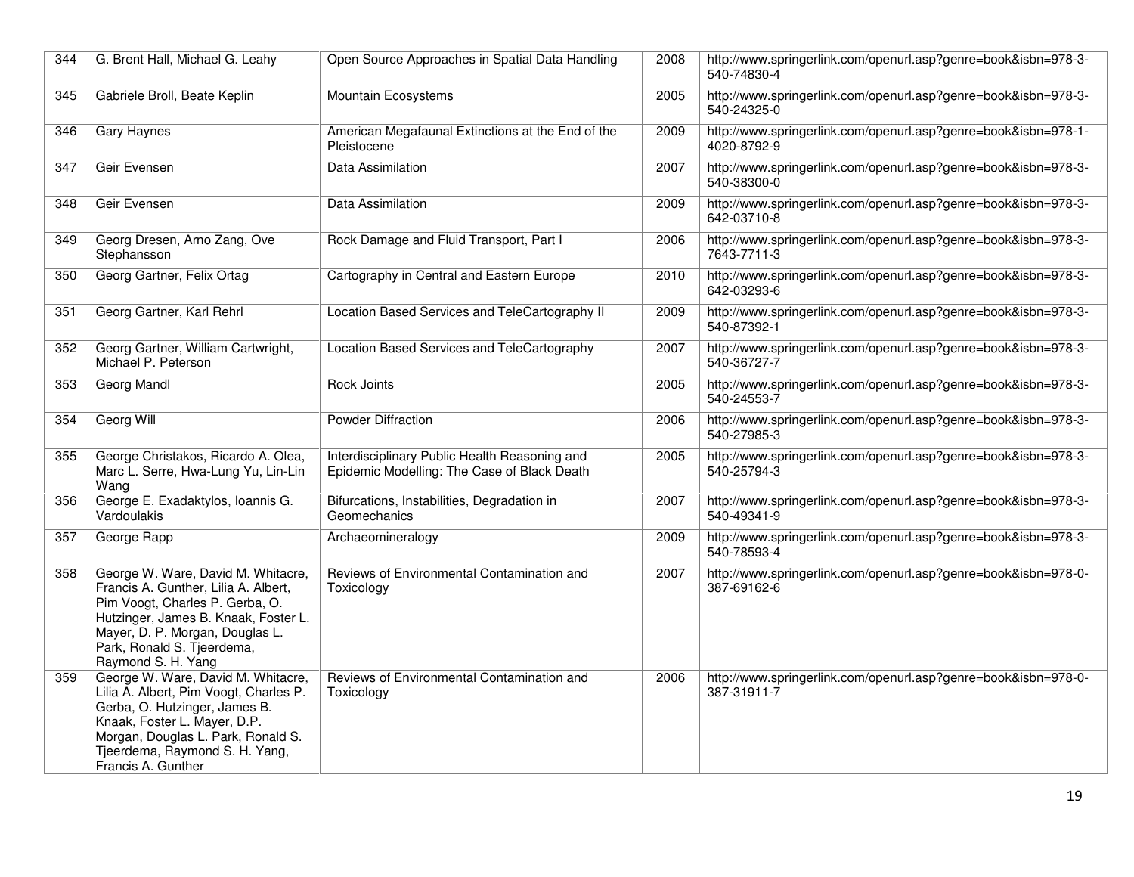| 344 | G. Brent Hall, Michael G. Leahy                                                                                                                                                                                                              | Open Source Approaches in Spatial Data Handling                                              | 2008 | http://www.springerlink.com/openurl.asp?genre=book&isbn=978-3-<br>540-74830-4 |
|-----|----------------------------------------------------------------------------------------------------------------------------------------------------------------------------------------------------------------------------------------------|----------------------------------------------------------------------------------------------|------|-------------------------------------------------------------------------------|
| 345 | Gabriele Broll, Beate Keplin                                                                                                                                                                                                                 | Mountain Ecosystems                                                                          | 2005 | http://www.springerlink.com/openurl.asp?genre=book&isbn=978-3-<br>540-24325-0 |
| 346 | Gary Haynes                                                                                                                                                                                                                                  | American Megafaunal Extinctions at the End of the<br>Pleistocene                             | 2009 | http://www.springerlink.com/openurl.asp?genre=book&isbn=978-1-<br>4020-8792-9 |
| 347 | Geir Evensen                                                                                                                                                                                                                                 | Data Assimilation                                                                            | 2007 | http://www.springerlink.com/openurl.asp?genre=book&isbn=978-3-<br>540-38300-0 |
| 348 | Geir Evensen                                                                                                                                                                                                                                 | Data Assimilation                                                                            | 2009 | http://www.springerlink.com/openurl.asp?genre=book&isbn=978-3-<br>642-03710-8 |
| 349 | Georg Dresen, Arno Zang, Ove<br>Stephansson                                                                                                                                                                                                  | Rock Damage and Fluid Transport, Part I                                                      | 2006 | http://www.springerlink.com/openurl.asp?genre=book&isbn=978-3-<br>7643-7711-3 |
| 350 | Georg Gartner, Felix Ortag                                                                                                                                                                                                                   | Cartography in Central and Eastern Europe                                                    | 2010 | http://www.springerlink.com/openurl.asp?genre=book&isbn=978-3-<br>642-03293-6 |
| 351 | Georg Gartner, Karl Rehrl                                                                                                                                                                                                                    | Location Based Services and TeleCartography II                                               | 2009 | http://www.springerlink.com/openurl.asp?genre=book&isbn=978-3-<br>540-87392-1 |
| 352 | Georg Gartner, William Cartwright,<br>Michael P. Peterson                                                                                                                                                                                    | Location Based Services and TeleCartography                                                  | 2007 | http://www.springerlink.com/openurl.asp?genre=book&isbn=978-3-<br>540-36727-7 |
| 353 | Georg Mandl                                                                                                                                                                                                                                  | Rock Joints                                                                                  | 2005 | http://www.springerlink.com/openurl.asp?genre=book&isbn=978-3-<br>540-24553-7 |
| 354 | Georg Will                                                                                                                                                                                                                                   | <b>Powder Diffraction</b>                                                                    | 2006 | http://www.springerlink.com/openurl.asp?genre=book&isbn=978-3-<br>540-27985-3 |
| 355 | George Christakos, Ricardo A. Olea,<br>Marc L. Serre, Hwa-Lung Yu, Lin-Lin<br>Wang                                                                                                                                                           | Interdisciplinary Public Health Reasoning and<br>Epidemic Modelling: The Case of Black Death | 2005 | http://www.springerlink.com/openurl.asp?genre=book&isbn=978-3-<br>540-25794-3 |
| 356 | George E. Exadaktylos, Ioannis G.<br>Vardoulakis                                                                                                                                                                                             | Bifurcations, Instabilities, Degradation in<br>Geomechanics                                  | 2007 | http://www.springerlink.com/openurl.asp?genre=book&isbn=978-3-<br>540-49341-9 |
| 357 | George Rapp                                                                                                                                                                                                                                  | Archaeomineralogy                                                                            | 2009 | http://www.springerlink.com/openurl.asp?genre=book&isbn=978-3-<br>540-78593-4 |
| 358 | George W. Ware, David M. Whitacre,<br>Francis A. Gunther, Lilia A. Albert,<br>Pim Voogt, Charles P. Gerba, O.<br>Hutzinger, James B. Knaak, Foster L.<br>Mayer, D. P. Morgan, Douglas L.<br>Park, Ronald S. Tjeerdema,<br>Raymond S. H. Yang | Reviews of Environmental Contamination and<br>Toxicology                                     | 2007 | http://www.springerlink.com/openurl.asp?genre=book&isbn=978-0-<br>387-69162-6 |
| 359 | George W. Ware, David M. Whitacre,<br>Lilia A. Albert, Pim Voogt, Charles P.<br>Gerba, O. Hutzinger, James B.<br>Knaak, Foster L. Mayer, D.P.<br>Morgan, Douglas L. Park, Ronald S.<br>Tjeerdema, Raymond S. H. Yang,<br>Francis A. Gunther  | Reviews of Environmental Contamination and<br>Toxicology                                     | 2006 | http://www.springerlink.com/openurl.asp?genre=book&isbn=978-0-<br>387-31911-7 |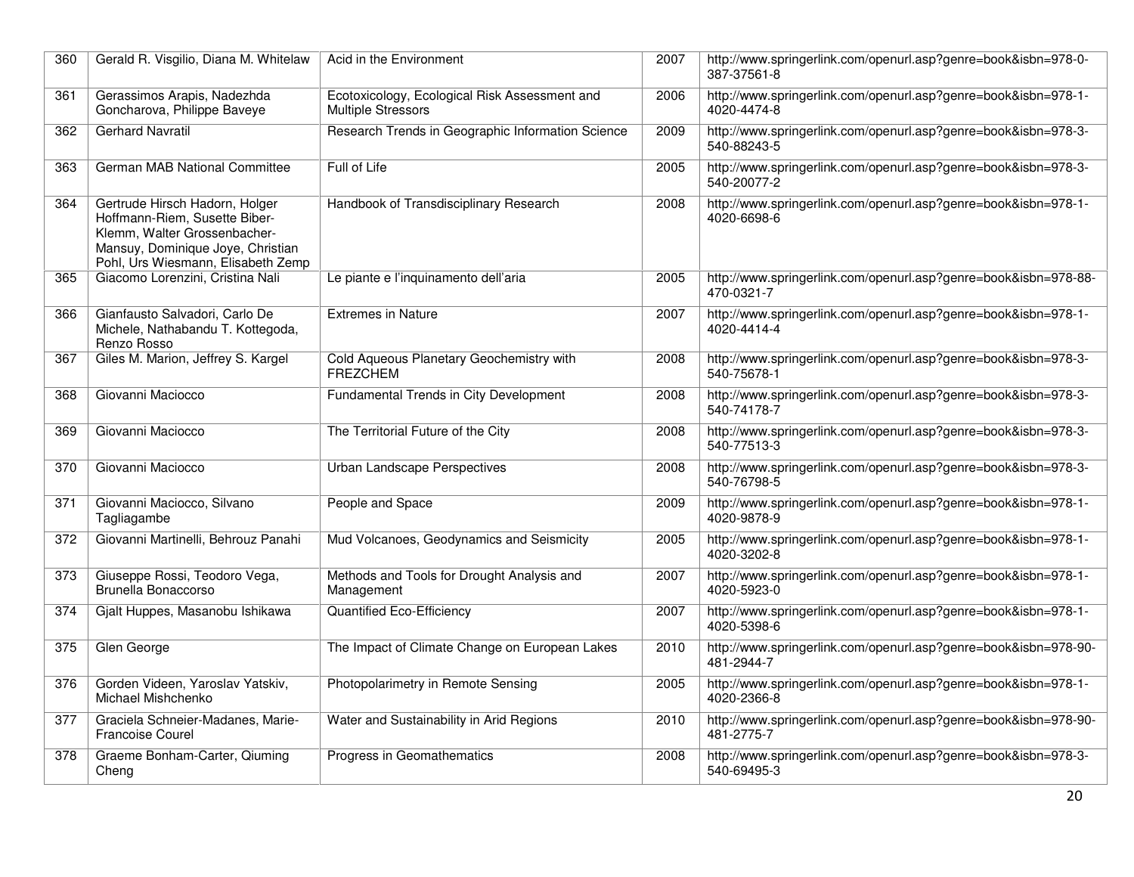| 360 | Gerald R. Visgilio, Diana M. Whitelaw                                                                                                                                      | Acid in the Environment                                                    | 2007 | http://www.springerlink.com/openurl.asp?genre=book&isbn=978-0-<br>387-37561-8 |
|-----|----------------------------------------------------------------------------------------------------------------------------------------------------------------------------|----------------------------------------------------------------------------|------|-------------------------------------------------------------------------------|
| 361 | Gerassimos Arapis, Nadezhda<br>Goncharova, Philippe Baveye                                                                                                                 | Ecotoxicology, Ecological Risk Assessment and<br><b>Multiple Stressors</b> | 2006 | http://www.springerlink.com/openurl.asp?genre=book&isbn=978-1-<br>4020-4474-8 |
| 362 | <b>Gerhard Navratil</b>                                                                                                                                                    | Research Trends in Geographic Information Science                          | 2009 | http://www.springerlink.com/openurl.asp?genre=book&isbn=978-3-<br>540-88243-5 |
| 363 | German MAB National Committee                                                                                                                                              | Full of Life                                                               | 2005 | http://www.springerlink.com/openurl.asp?genre=book&isbn=978-3-<br>540-20077-2 |
| 364 | Gertrude Hirsch Hadorn, Holger<br>Hoffmann-Riem, Susette Biber-<br>Klemm, Walter Grossenbacher-<br>Mansuy, Dominique Joye, Christian<br>Pohl, Urs Wiesmann, Elisabeth Zemp | Handbook of Transdisciplinary Research                                     | 2008 | http://www.springerlink.com/openurl.asp?genre=book&isbn=978-1-<br>4020-6698-6 |
| 365 | Giacomo Lorenzini, Cristina Nali                                                                                                                                           | Le piante e l'inquinamento dell'aria                                       | 2005 | http://www.springerlink.com/openurl.asp?genre=book&isbn=978-88-<br>470-0321-7 |
| 366 | Gianfausto Salvadori, Carlo De<br>Michele, Nathabandu T. Kottegoda,<br>Renzo Rosso                                                                                         | <b>Extremes in Nature</b>                                                  | 2007 | http://www.springerlink.com/openurl.asp?genre=book&isbn=978-1-<br>4020-4414-4 |
| 367 | Giles M. Marion, Jeffrey S. Kargel                                                                                                                                         | Cold Aqueous Planetary Geochemistry with<br><b>FREZCHEM</b>                | 2008 | http://www.springerlink.com/openurl.asp?genre=book&isbn=978-3-<br>540-75678-1 |
| 368 | Giovanni Maciocco                                                                                                                                                          | Fundamental Trends in City Development                                     | 2008 | http://www.springerlink.com/openurl.asp?genre=book&isbn=978-3-<br>540-74178-7 |
| 369 | Giovanni Maciocco                                                                                                                                                          | The Territorial Future of the City                                         | 2008 | http://www.springerlink.com/openurl.asp?genre=book&isbn=978-3-<br>540-77513-3 |
| 370 | Giovanni Maciocco                                                                                                                                                          | Urban Landscape Perspectives                                               | 2008 | http://www.springerlink.com/openurl.asp?genre=book&isbn=978-3-<br>540-76798-5 |
| 371 | Giovanni Maciocco, Silvano<br>Tagliagambe                                                                                                                                  | People and Space                                                           | 2009 | http://www.springerlink.com/openurl.asp?genre=book&isbn=978-1-<br>4020-9878-9 |
| 372 | Giovanni Martinelli, Behrouz Panahi                                                                                                                                        | Mud Volcanoes, Geodynamics and Seismicity                                  | 2005 | http://www.springerlink.com/openurl.asp?genre=book&isbn=978-1-<br>4020-3202-8 |
| 373 | Giuseppe Rossi, Teodoro Vega,<br>Brunella Bonaccorso                                                                                                                       | Methods and Tools for Drought Analysis and<br>Management                   | 2007 | http://www.springerlink.com/openurl.asp?genre=book&isbn=978-1-<br>4020-5923-0 |
| 374 | Gjalt Huppes, Masanobu Ishikawa                                                                                                                                            | Quantified Eco-Efficiency                                                  | 2007 | http://www.springerlink.com/openurl.asp?genre=book&isbn=978-1-<br>4020-5398-6 |
| 375 | Glen George                                                                                                                                                                | The Impact of Climate Change on European Lakes                             | 2010 | http://www.springerlink.com/openurl.asp?genre=book&isbn=978-90-<br>481-2944-7 |
| 376 | Gorden Videen, Yaroslav Yatskiv,<br>Michael Mishchenko                                                                                                                     | Photopolarimetry in Remote Sensing                                         | 2005 | http://www.springerlink.com/openurl.asp?genre=book&isbn=978-1-<br>4020-2366-8 |
| 377 | Graciela Schneier-Madanes, Marie-<br><b>Francoise Courel</b>                                                                                                               | Water and Sustainability in Arid Regions                                   | 2010 | http://www.springerlink.com/openurl.asp?genre=book&isbn=978-90-<br>481-2775-7 |
| 378 | Graeme Bonham-Carter, Qiuming<br>Cheng                                                                                                                                     | Progress in Geomathematics                                                 | 2008 | http://www.springerlink.com/openurl.asp?genre=book&isbn=978-3-<br>540-69495-3 |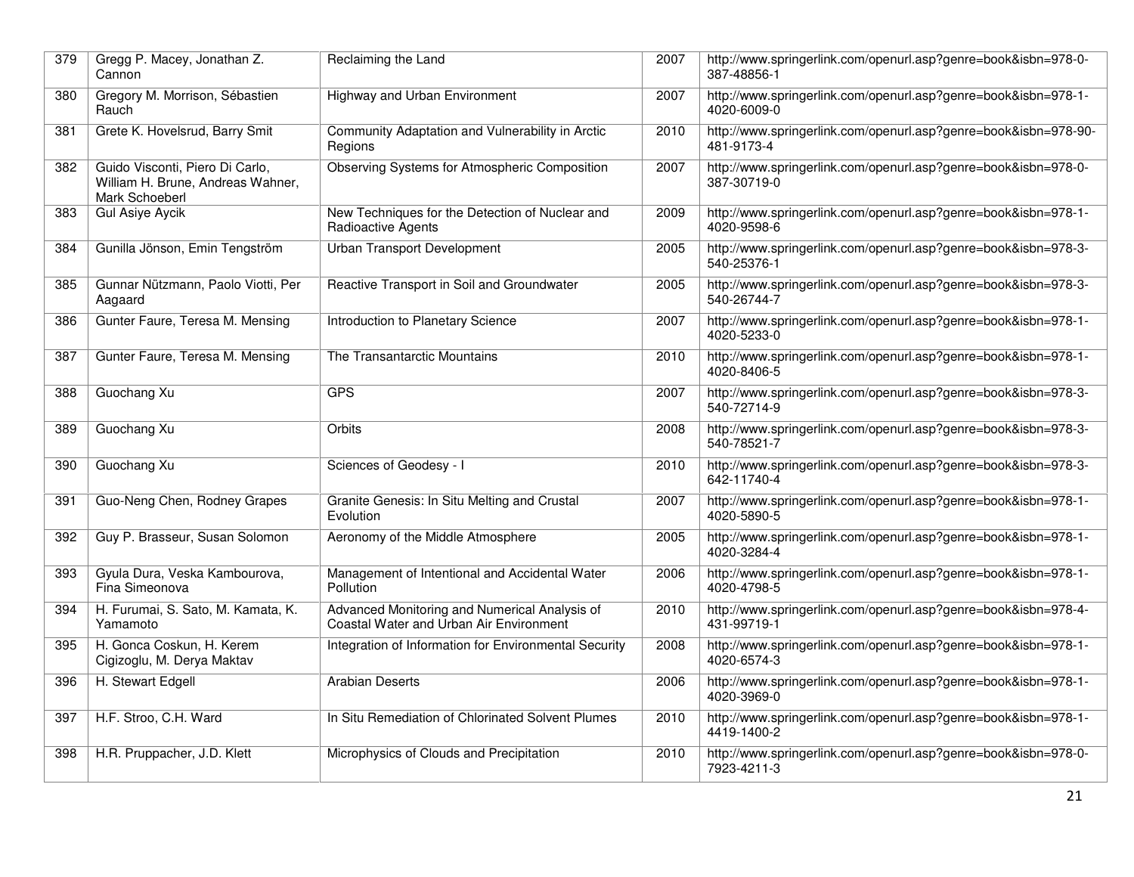| 379 | Gregg P. Macey, Jonathan Z.<br>Cannon                                                  | Reclaiming the Land                                                                      | 2007 | http://www.springerlink.com/openurl.asp?genre=book&isbn=978-0-<br>387-48856-1 |
|-----|----------------------------------------------------------------------------------------|------------------------------------------------------------------------------------------|------|-------------------------------------------------------------------------------|
| 380 | Gregory M. Morrison, Sébastien<br>Rauch                                                | Highway and Urban Environment                                                            | 2007 | http://www.springerlink.com/openurl.asp?genre=book&isbn=978-1-<br>4020-6009-0 |
| 381 | Grete K. Hovelsrud, Barry Smit                                                         | Community Adaptation and Vulnerability in Arctic<br>Regions                              | 2010 | http://www.springerlink.com/openurl.asp?genre=book&isbn=978-90-<br>481-9173-4 |
| 382 | Guido Visconti, Piero Di Carlo,<br>William H. Brune, Andreas Wahner,<br>Mark Schoeberl | Observing Systems for Atmospheric Composition                                            | 2007 | http://www.springerlink.com/openurl.asp?genre=book&isbn=978-0-<br>387-30719-0 |
| 383 | <b>Gul Asiye Aycik</b>                                                                 | New Techniques for the Detection of Nuclear and<br>Radioactive Agents                    | 2009 | http://www.springerlink.com/openurl.asp?genre=book&isbn=978-1-<br>4020-9598-6 |
| 384 | Gunilla Jönson, Emin Tengström                                                         | <b>Urban Transport Development</b>                                                       | 2005 | http://www.springerlink.com/openurl.asp?genre=book&isbn=978-3-<br>540-25376-1 |
| 385 | Gunnar Nützmann, Paolo Viotti, Per<br>Aagaard                                          | Reactive Transport in Soil and Groundwater                                               | 2005 | http://www.springerlink.com/openurl.asp?genre=book&isbn=978-3-<br>540-26744-7 |
| 386 | Gunter Faure, Teresa M. Mensing                                                        | Introduction to Planetary Science                                                        | 2007 | http://www.springerlink.com/openurl.asp?genre=book&isbn=978-1-<br>4020-5233-0 |
| 387 | Gunter Faure, Teresa M. Mensing                                                        | The Transantarctic Mountains                                                             | 2010 | http://www.springerlink.com/openurl.asp?genre=book&isbn=978-1-<br>4020-8406-5 |
| 388 | Guochang Xu                                                                            | <b>GPS</b>                                                                               | 2007 | http://www.springerlink.com/openurl.asp?genre=book&isbn=978-3-<br>540-72714-9 |
| 389 | Guochang Xu                                                                            | Orbits                                                                                   | 2008 | http://www.springerlink.com/openurl.asp?genre=book&isbn=978-3-<br>540-78521-7 |
| 390 | Guochang Xu                                                                            | Sciences of Geodesy - I                                                                  | 2010 | http://www.springerlink.com/openurl.asp?genre=book&isbn=978-3-<br>642-11740-4 |
| 391 | Guo-Neng Chen, Rodney Grapes                                                           | Granite Genesis: In Situ Melting and Crustal<br>Evolution                                | 2007 | http://www.springerlink.com/openurl.asp?genre=book&isbn=978-1-<br>4020-5890-5 |
| 392 | Guy P. Brasseur, Susan Solomon                                                         | Aeronomy of the Middle Atmosphere                                                        | 2005 | http://www.springerlink.com/openurl.asp?genre=book&isbn=978-1-<br>4020-3284-4 |
| 393 | Gyula Dura, Veska Kambourova,<br>Fina Simeonova                                        | Management of Intentional and Accidental Water<br>Pollution                              | 2006 | http://www.springerlink.com/openurl.asp?genre=book&isbn=978-1-<br>4020-4798-5 |
| 394 | H. Furumai, S. Sato, M. Kamata, K.<br>Yamamoto                                         | Advanced Monitoring and Numerical Analysis of<br>Coastal Water and Urban Air Environment | 2010 | http://www.springerlink.com/openurl.asp?genre=book&isbn=978-4-<br>431-99719-1 |
| 395 | H. Gonca Coskun, H. Kerem<br>Cigizoglu, M. Derya Maktav                                | Integration of Information for Environmental Security                                    | 2008 | http://www.springerlink.com/openurl.asp?genre=book&isbn=978-1-<br>4020-6574-3 |
| 396 | H. Stewart Edgell                                                                      | <b>Arabian Deserts</b>                                                                   | 2006 | http://www.springerlink.com/openurl.asp?genre=book&isbn=978-1-<br>4020-3969-0 |
| 397 | H.F. Stroo, C.H. Ward                                                                  | In Situ Remediation of Chlorinated Solvent Plumes                                        | 2010 | http://www.springerlink.com/openurl.asp?genre=book&isbn=978-1-<br>4419-1400-2 |
| 398 | H.R. Pruppacher, J.D. Klett                                                            | Microphysics of Clouds and Precipitation                                                 | 2010 | http://www.springerlink.com/openurl.asp?genre=book&isbn=978-0-<br>7923-4211-3 |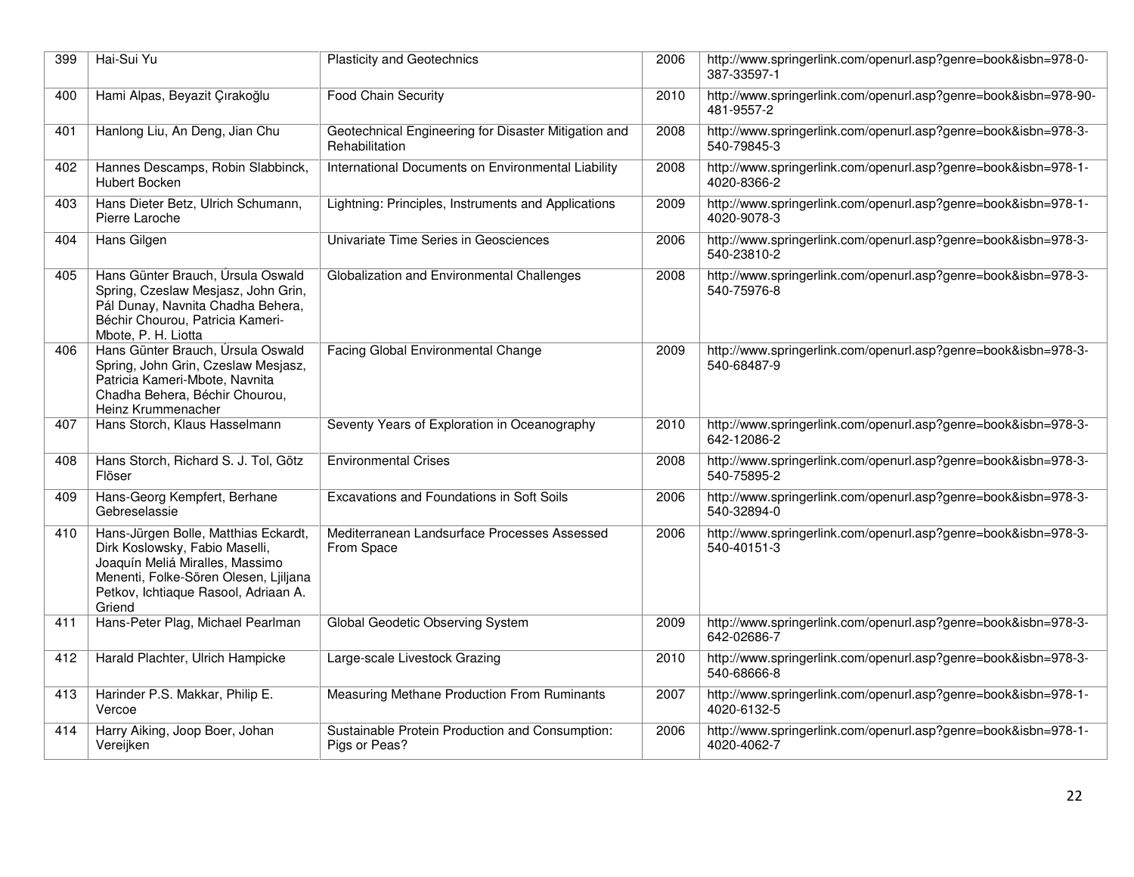| 399 | Hai-Sui Yu                                                                                                                                                                                           | <b>Plasticity and Geotechnics</b>                                      | 2006 | http://www.springerlink.com/openurl.asp?genre=book&isbn=978-0-<br>387-33597-1 |
|-----|------------------------------------------------------------------------------------------------------------------------------------------------------------------------------------------------------|------------------------------------------------------------------------|------|-------------------------------------------------------------------------------|
| 400 | Hami Alpas, Beyazit Çırakoğlu                                                                                                                                                                        | <b>Food Chain Security</b>                                             | 2010 | http://www.springerlink.com/openurl.asp?genre=book&isbn=978-90-<br>481-9557-2 |
| 401 | Hanlong Liu, An Deng, Jian Chu                                                                                                                                                                       | Geotechnical Engineering for Disaster Mitigation and<br>Rehabilitation | 2008 | http://www.springerlink.com/openurl.asp?genre=book&isbn=978-3-<br>540-79845-3 |
| 402 | Hannes Descamps, Robin Slabbinck,<br>Hubert Bocken                                                                                                                                                   | International Documents on Environmental Liability                     | 2008 | http://www.springerlink.com/openurl.asp?genre=book&isbn=978-1-<br>4020-8366-2 |
| 403 | Hans Dieter Betz, Ulrich Schumann,<br>Pierre Laroche                                                                                                                                                 | Lightning: Principles, Instruments and Applications                    | 2009 | http://www.springerlink.com/openurl.asp?genre=book&isbn=978-1-<br>4020-9078-3 |
| 404 | Hans Gilgen                                                                                                                                                                                          | Univariate Time Series in Geosciences                                  | 2006 | http://www.springerlink.com/openurl.asp?genre=book&isbn=978-3-<br>540-23810-2 |
| 405 | Hans Günter Brauch, Úrsula Oswald<br>Spring, Czeslaw Mesjasz, John Grin,<br>Pál Dunay, Navnita Chadha Behera,<br>Béchir Chourou, Patricia Kameri-<br>Mbote, P. H. Liotta                             | Globalization and Environmental Challenges                             | 2008 | http://www.springerlink.com/openurl.asp?genre=book&isbn=978-3-<br>540-75976-8 |
| 406 | Hans Günter Brauch, Úrsula Oswald<br>Spring, John Grin, Czeslaw Mesjasz,<br>Patricia Kameri-Mbote, Navnita<br>Chadha Behera, Béchir Chourou,<br>Heinz Krummenacher                                   | <b>Facing Global Environmental Change</b>                              | 2009 | http://www.springerlink.com/openurl.asp?genre=book&isbn=978-3-<br>540-68487-9 |
| 407 | Hans Storch, Klaus Hasselmann                                                                                                                                                                        | Seventy Years of Exploration in Oceanography                           | 2010 | http://www.springerlink.com/openurl.asp?genre=book&isbn=978-3-<br>642-12086-2 |
| 408 | Hans Storch, Richard S. J. Tol, Götz<br>Flöser                                                                                                                                                       | <b>Environmental Crises</b>                                            | 2008 | http://www.springerlink.com/openurl.asp?genre=book&isbn=978-3-<br>540-75895-2 |
| 409 | Hans-Georg Kempfert, Berhane<br>Gebreselassie                                                                                                                                                        | Excavations and Foundations in Soft Soils                              | 2006 | http://www.springerlink.com/openurl.asp?genre=book&isbn=978-3-<br>540-32894-0 |
| 410 | Hans-Jürgen Bolle, Matthias Eckardt,<br>Dirk Koslowsky, Fabio Maselli,<br>Joaquín Meliá Miralles, Massimo<br>Menenti, Folke-Sören Olesen, Ljiljana<br>Petkov, Ichtiaque Rasool, Adriaan A.<br>Griend | Mediterranean Landsurface Processes Assessed<br>From Space             | 2006 | http://www.springerlink.com/openurl.asp?genre=book&isbn=978-3-<br>540-40151-3 |
| 411 | Hans-Peter Plag, Michael Pearlman                                                                                                                                                                    | Global Geodetic Observing System                                       | 2009 | http://www.springerlink.com/openurl.asp?genre=book&isbn=978-3-<br>642-02686-7 |
| 412 | Harald Plachter, Ulrich Hampicke                                                                                                                                                                     | Large-scale Livestock Grazing                                          | 2010 | http://www.springerlink.com/openurl.asp?genre=book&isbn=978-3-<br>540-68666-8 |
| 413 | Harinder P.S. Makkar, Philip E.<br>Vercoe                                                                                                                                                            | Measuring Methane Production From Ruminants                            | 2007 | http://www.springerlink.com/openurl.asp?genre=book&isbn=978-1-<br>4020-6132-5 |
| 414 | Harry Aiking, Joop Boer, Johan<br>Vereijken                                                                                                                                                          | Sustainable Protein Production and Consumption:<br>Pigs or Peas?       | 2006 | http://www.springerlink.com/openurl.asp?genre=book&isbn=978-1-<br>4020-4062-7 |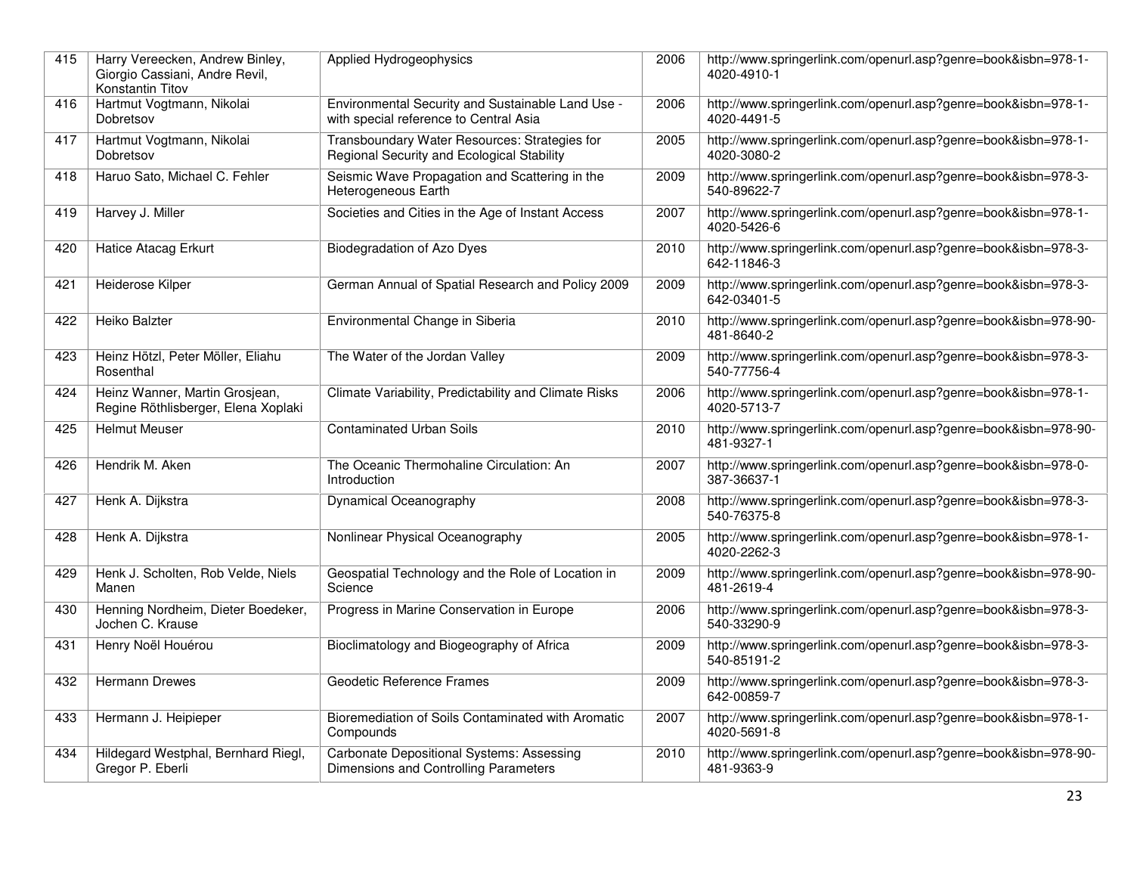| 415 | Harry Vereecken, Andrew Binley,<br>Giorgio Cassiani, Andre Revil,<br>Konstantin Titov | Applied Hydrogeophysics                                                                     | 2006 | http://www.springerlink.com/openurl.asp?genre=book&isbn=978-1-<br>4020-4910-1 |
|-----|---------------------------------------------------------------------------------------|---------------------------------------------------------------------------------------------|------|-------------------------------------------------------------------------------|
| 416 | Hartmut Vogtmann, Nikolai<br>Dobretsov                                                | Environmental Security and Sustainable Land Use -<br>with special reference to Central Asia | 2006 | http://www.springerlink.com/openurl.asp?genre=book&isbn=978-1-<br>4020-4491-5 |
| 417 | Hartmut Vogtmann, Nikolai<br>Dobretsov                                                | Transboundary Water Resources: Strategies for<br>Regional Security and Ecological Stability | 2005 | http://www.springerlink.com/openurl.asp?genre=book&isbn=978-1-<br>4020-3080-2 |
| 418 | Haruo Sato, Michael C. Fehler                                                         | Seismic Wave Propagation and Scattering in the<br>Heterogeneous Earth                       | 2009 | http://www.springerlink.com/openurl.asp?genre=book&isbn=978-3-<br>540-89622-7 |
| 419 | Harvey J. Miller                                                                      | Societies and Cities in the Age of Instant Access                                           | 2007 | http://www.springerlink.com/openurl.asp?genre=book&isbn=978-1-<br>4020-5426-6 |
| 420 | Hatice Atacag Erkurt                                                                  | <b>Biodegradation of Azo Dyes</b>                                                           | 2010 | http://www.springerlink.com/openurl.asp?genre=book&isbn=978-3-<br>642-11846-3 |
| 421 | Heiderose Kilper                                                                      | German Annual of Spatial Research and Policy 2009                                           | 2009 | http://www.springerlink.com/openurl.asp?genre=book&isbn=978-3-<br>642-03401-5 |
| 422 | Heiko Balzter                                                                         | Environmental Change in Siberia                                                             | 2010 | http://www.springerlink.com/openurl.asp?genre=book&isbn=978-90-<br>481-8640-2 |
| 423 | Heinz Hötzl, Peter Möller, Eliahu<br>Rosenthal                                        | The Water of the Jordan Valley                                                              | 2009 | http://www.springerlink.com/openurl.asp?genre=book&isbn=978-3-<br>540-77756-4 |
| 424 | Heinz Wanner, Martin Grosjean,<br>Regine Röthlisberger, Elena Xoplaki                 | Climate Variability, Predictability and Climate Risks                                       | 2006 | http://www.springerlink.com/openurl.asp?genre=book&isbn=978-1-<br>4020-5713-7 |
| 425 | <b>Helmut Meuser</b>                                                                  | <b>Contaminated Urban Soils</b>                                                             | 2010 | http://www.springerlink.com/openurl.asp?genre=book&isbn=978-90-<br>481-9327-1 |
| 426 | Hendrik M. Aken                                                                       | The Oceanic Thermohaline Circulation: An<br>Introduction                                    | 2007 | http://www.springerlink.com/openurl.asp?genre=book&isbn=978-0-<br>387-36637-1 |
| 427 | Henk A. Dijkstra                                                                      | Dynamical Oceanography                                                                      | 2008 | http://www.springerlink.com/openurl.asp?genre=book&isbn=978-3-<br>540-76375-8 |
| 428 | Henk A. Dijkstra                                                                      | Nonlinear Physical Oceanography                                                             | 2005 | http://www.springerlink.com/openurl.asp?genre=book&isbn=978-1-<br>4020-2262-3 |
| 429 | Henk J. Scholten, Rob Velde, Niels<br>Manen                                           | Geospatial Technology and the Role of Location in<br>Science                                | 2009 | http://www.springerlink.com/openurl.asp?genre=book&isbn=978-90-<br>481-2619-4 |
| 430 | Henning Nordheim, Dieter Boedeker,<br>Jochen C. Krause                                | Progress in Marine Conservation in Europe                                                   | 2006 | http://www.springerlink.com/openurl.asp?genre=book&isbn=978-3-<br>540-33290-9 |
| 431 | Henry Noël Houérou                                                                    | Bioclimatology and Biogeography of Africa                                                   | 2009 | http://www.springerlink.com/openurl.asp?genre=book&isbn=978-3-<br>540-85191-2 |
| 432 | <b>Hermann Drewes</b>                                                                 | Geodetic Reference Frames                                                                   | 2009 | http://www.springerlink.com/openurl.asp?genre=book&isbn=978-3-<br>642-00859-7 |
| 433 | Hermann J. Heipieper                                                                  | Bioremediation of Soils Contaminated with Aromatic<br>Compounds                             | 2007 | http://www.springerlink.com/openurl.asp?genre=book&isbn=978-1-<br>4020-5691-8 |
| 434 | Hildegard Westphal, Bernhard Riegl,<br>Gregor P. Eberli                               | <b>Carbonate Depositional Systems: Assessing</b><br>Dimensions and Controlling Parameters   | 2010 | http://www.springerlink.com/openurl.asp?genre=book&isbn=978-90-<br>481-9363-9 |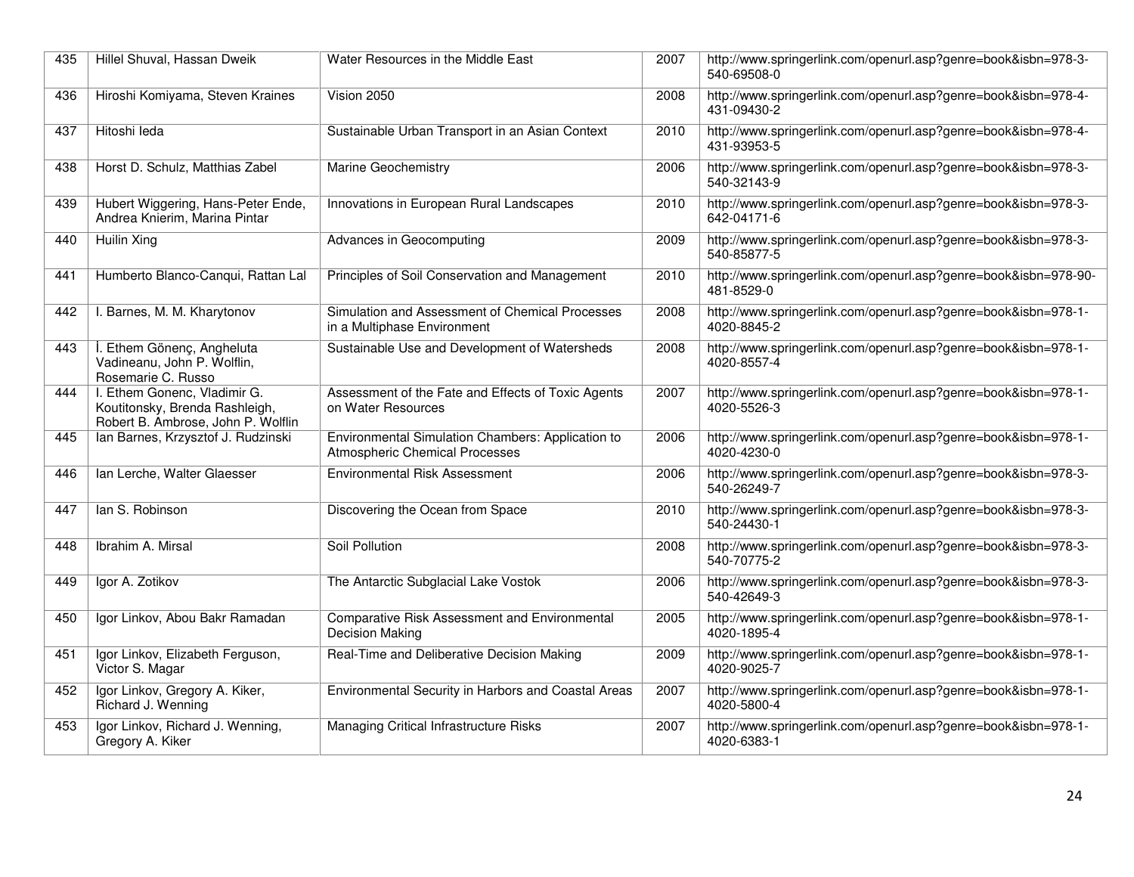| 435 | Hillel Shuval, Hassan Dweik                                                                          | Water Resources in the Middle East                                                         | 2007 | http://www.springerlink.com/openurl.asp?genre=book&isbn=978-3-<br>540-69508-0 |
|-----|------------------------------------------------------------------------------------------------------|--------------------------------------------------------------------------------------------|------|-------------------------------------------------------------------------------|
| 436 | Hiroshi Komiyama, Steven Kraines                                                                     | Vision 2050                                                                                | 2008 | http://www.springerlink.com/openurl.asp?genre=book&isbn=978-4-<br>431-09430-2 |
| 437 | Hitoshi leda                                                                                         | Sustainable Urban Transport in an Asian Context                                            | 2010 | http://www.springerlink.com/openurl.asp?genre=book&isbn=978-4-<br>431-93953-5 |
| 438 | Horst D. Schulz, Matthias Zabel                                                                      | <b>Marine Geochemistry</b>                                                                 | 2006 | http://www.springerlink.com/openurl.asp?genre=book&isbn=978-3-<br>540-32143-9 |
| 439 | Hubert Wiggering, Hans-Peter Ende,<br>Andrea Knierim, Marina Pintar                                  | Innovations in European Rural Landscapes                                                   | 2010 | http://www.springerlink.com/openurl.asp?genre=book&isbn=978-3-<br>642-04171-6 |
| 440 | Huilin Xing                                                                                          | Advances in Geocomputing                                                                   | 2009 | http://www.springerlink.com/openurl.asp?genre=book&isbn=978-3-<br>540-85877-5 |
| 441 | Humberto Blanco-Canqui, Rattan Lal                                                                   | Principles of Soil Conservation and Management                                             | 2010 | http://www.springerlink.com/openurl.asp?genre=book&isbn=978-90-<br>481-8529-0 |
| 442 | I. Barnes, M. M. Kharytonov                                                                          | Simulation and Assessment of Chemical Processes<br>in a Multiphase Environment             | 2008 | http://www.springerlink.com/openurl.asp?genre=book&isbn=978-1-<br>4020-8845-2 |
| 443 | Ethem Gönenç, Angheluta<br>Vadineanu, John P. Wolflin,<br>Rosemarie C. Russo                         | Sustainable Use and Development of Watersheds                                              | 2008 | http://www.springerlink.com/openurl.asp?genre=book&isbn=978-1-<br>4020-8557-4 |
| 444 | I. Ethem Gonenc, Vladimir G.<br>Koutitonsky, Brenda Rashleigh,<br>Robert B. Ambrose, John P. Wolflin | Assessment of the Fate and Effects of Toxic Agents<br>on Water Resources                   | 2007 | http://www.springerlink.com/openurl.asp?genre=book&isbn=978-1-<br>4020-5526-3 |
| 445 | Ian Barnes, Krzysztof J. Rudzinski                                                                   | Environmental Simulation Chambers: Application to<br><b>Atmospheric Chemical Processes</b> | 2006 | http://www.springerlink.com/openurl.asp?genre=book&isbn=978-1-<br>4020-4230-0 |
| 446 | Ian Lerche, Walter Glaesser                                                                          | <b>Environmental Risk Assessment</b>                                                       | 2006 | http://www.springerlink.com/openurl.asp?genre=book&isbn=978-3-<br>540-26249-7 |
| 447 | lan S. Robinson                                                                                      | Discovering the Ocean from Space                                                           | 2010 | http://www.springerlink.com/openurl.asp?genre=book&isbn=978-3-<br>540-24430-1 |
| 448 | Ibrahim A. Mirsal                                                                                    | Soil Pollution                                                                             | 2008 | http://www.springerlink.com/openurl.asp?genre=book&isbn=978-3-<br>540-70775-2 |
| 449 | Igor A. Zotikov                                                                                      | The Antarctic Subglacial Lake Vostok                                                       | 2006 | http://www.springerlink.com/openurl.asp?genre=book&isbn=978-3-<br>540-42649-3 |
| 450 | Igor Linkov, Abou Bakr Ramadan                                                                       | Comparative Risk Assessment and Environmental<br><b>Decision Making</b>                    | 2005 | http://www.springerlink.com/openurl.asp?genre=book&isbn=978-1-<br>4020-1895-4 |
| 451 | Igor Linkov, Elizabeth Ferguson,<br>Victor S. Magar                                                  | Real-Time and Deliberative Decision Making                                                 | 2009 | http://www.springerlink.com/openurl.asp?genre=book&isbn=978-1-<br>4020-9025-7 |
| 452 | Igor Linkov, Gregory A. Kiker,<br>Richard J. Wenning                                                 | Environmental Security in Harbors and Coastal Areas                                        | 2007 | http://www.springerlink.com/openurl.asp?genre=book&isbn=978-1-<br>4020-5800-4 |
| 453 | Igor Linkov, Richard J. Wenning,<br>Gregory A. Kiker                                                 | Managing Critical Infrastructure Risks                                                     | 2007 | http://www.springerlink.com/openurl.asp?genre=book&isbn=978-1-<br>4020-6383-1 |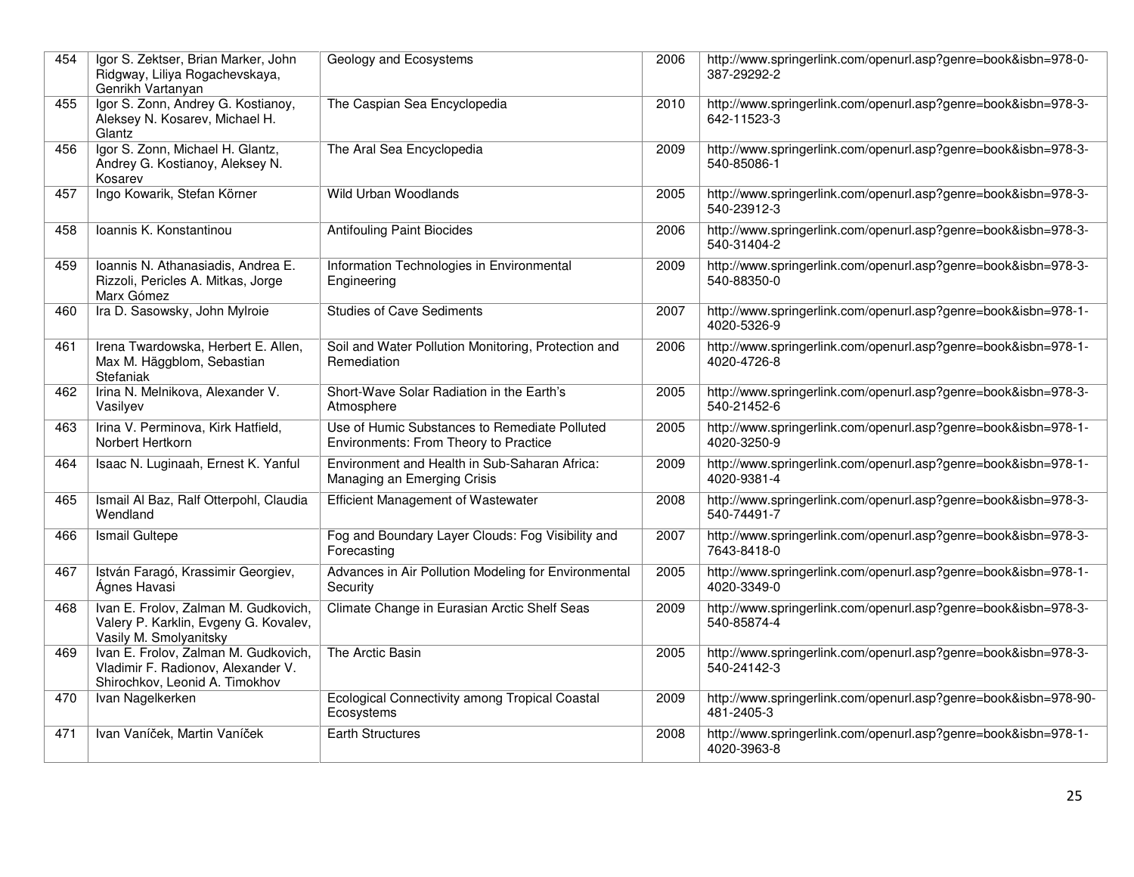| 454 | Igor S. Zektser, Brian Marker, John<br>Ridgway, Liliya Rogachevskaya,<br>Genrikh Vartanyan                   | Geology and Ecosystems                                                                 | 2006 | http://www.springerlink.com/openurl.asp?genre=book&isbn=978-0-<br>387-29292-2 |
|-----|--------------------------------------------------------------------------------------------------------------|----------------------------------------------------------------------------------------|------|-------------------------------------------------------------------------------|
| 455 | Igor S. Zonn, Andrey G. Kostianoy,<br>Aleksey N. Kosarev, Michael H.<br>Glantz                               | The Caspian Sea Encyclopedia                                                           | 2010 | http://www.springerlink.com/openurl.asp?genre=book&isbn=978-3-<br>642-11523-3 |
| 456 | Igor S. Zonn, Michael H. Glantz,<br>Andrey G. Kostianoy, Aleksey N.<br>Kosarev                               | The Aral Sea Encyclopedia                                                              | 2009 | http://www.springerlink.com/openurl.asp?genre=book&isbn=978-3-<br>540-85086-1 |
| 457 | Ingo Kowarik, Stefan Körner                                                                                  | Wild Urban Woodlands                                                                   | 2005 | http://www.springerlink.com/openurl.asp?genre=book&isbn=978-3-<br>540-23912-3 |
| 458 | Ioannis K. Konstantinou                                                                                      | <b>Antifouling Paint Biocides</b>                                                      | 2006 | http://www.springerlink.com/openurl.asp?genre=book&isbn=978-3-<br>540-31404-2 |
| 459 | Ioannis N. Athanasiadis, Andrea E.<br>Rizzoli, Pericles A. Mitkas, Jorge<br>Marx Gómez                       | Information Technologies in Environmental<br>Engineering                               | 2009 | http://www.springerlink.com/openurl.asp?genre=book&isbn=978-3-<br>540-88350-0 |
| 460 | Ira D. Sasowsky, John Mylroie                                                                                | <b>Studies of Cave Sediments</b>                                                       | 2007 | http://www.springerlink.com/openurl.asp?genre=book&isbn=978-1-<br>4020-5326-9 |
| 461 | Irena Twardowska, Herbert E. Allen,<br>Max M. Häggblom, Sebastian<br>Stefaniak                               | Soil and Water Pollution Monitoring, Protection and<br>Remediation                     | 2006 | http://www.springerlink.com/openurl.asp?genre=book&isbn=978-1-<br>4020-4726-8 |
| 462 | Irina N. Melnikova, Alexander V.<br>Vasilyev                                                                 | Short-Wave Solar Radiation in the Earth's<br>Atmosphere                                | 2005 | http://www.springerlink.com/openurl.asp?genre=book&isbn=978-3-<br>540-21452-6 |
| 463 | Irina V. Perminova, Kirk Hatfield,<br>Norbert Hertkorn                                                       | Use of Humic Substances to Remediate Polluted<br>Environments: From Theory to Practice | 2005 | http://www.springerlink.com/openurl.asp?genre=book&isbn=978-1-<br>4020-3250-9 |
| 464 | Isaac N. Luginaah, Ernest K. Yanful                                                                          | Environment and Health in Sub-Saharan Africa:<br>Managing an Emerging Crisis           | 2009 | http://www.springerlink.com/openurl.asp?genre=book&isbn=978-1-<br>4020-9381-4 |
| 465 | Ismail Al Baz, Ralf Otterpohl, Claudia<br>Wendland                                                           | <b>Efficient Management of Wastewater</b>                                              | 2008 | http://www.springerlink.com/openurl.asp?genre=book&isbn=978-3-<br>540-74491-7 |
| 466 | Ismail Gultepe                                                                                               | Fog and Boundary Layer Clouds: Fog Visibility and<br>Forecasting                       | 2007 | http://www.springerlink.com/openurl.asp?genre=book&isbn=978-3-<br>7643-8418-0 |
| 467 | István Faragó, Krassimir Georgiev,<br>Ágnes Havasi                                                           | Advances in Air Pollution Modeling for Environmental<br>Security                       | 2005 | http://www.springerlink.com/openurl.asp?genre=book&isbn=978-1-<br>4020-3349-0 |
| 468 | Ivan E. Frolov, Zalman M. Gudkovich,<br>Valery P. Karklin, Evgeny G. Kovalev,<br>Vasily M. Smolyanitsky      | Climate Change in Eurasian Arctic Shelf Seas                                           | 2009 | http://www.springerlink.com/openurl.asp?genre=book&isbn=978-3-<br>540-85874-4 |
| 469 | Ivan E. Frolov, Zalman M. Gudkovich,<br>Vladimir F. Radionov, Alexander V.<br>Shirochkov, Leonid A. Timokhov | The Arctic Basin                                                                       | 2005 | http://www.springerlink.com/openurl.asp?genre=book&isbn=978-3-<br>540-24142-3 |
| 470 | Ivan Nagelkerken                                                                                             | Ecological Connectivity among Tropical Coastal<br>Ecosystems                           | 2009 | http://www.springerlink.com/openurl.asp?genre=book&isbn=978-90-<br>481-2405-3 |
| 471 | Ivan Vaníček, Martin Vaníček                                                                                 | <b>Earth Structures</b>                                                                | 2008 | http://www.springerlink.com/openurl.asp?genre=book&isbn=978-1-<br>4020-3963-8 |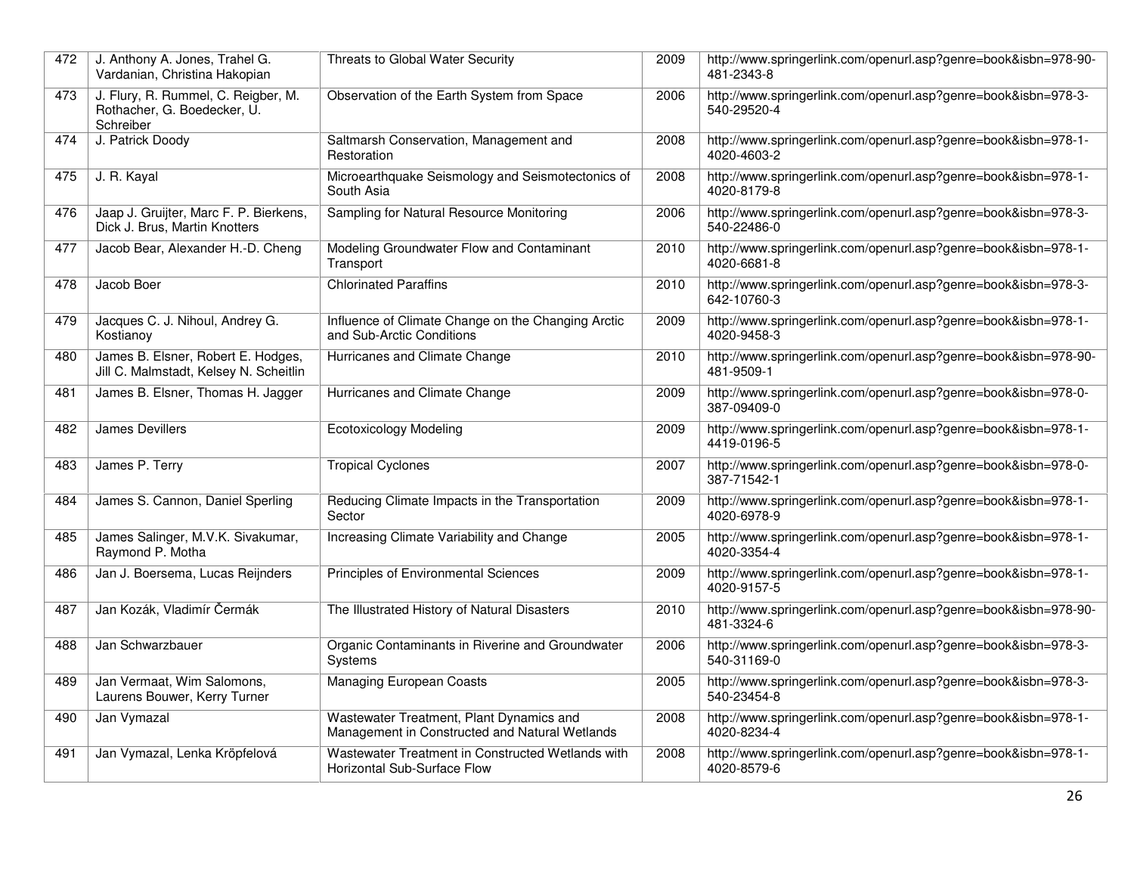| 472 | J. Anthony A. Jones, Trahel G.<br>Vardanian, Christina Hakopian                 | Threats to Global Water Security                                                           | 2009 | http://www.springerlink.com/openurl.asp?genre=book&isbn=978-90-<br>481-2343-8 |
|-----|---------------------------------------------------------------------------------|--------------------------------------------------------------------------------------------|------|-------------------------------------------------------------------------------|
| 473 | J. Flury, R. Rummel, C. Reigber, M.<br>Rothacher, G. Boedecker, U.<br>Schreiber | Observation of the Earth System from Space                                                 | 2006 | http://www.springerlink.com/openurl.asp?genre=book&isbn=978-3-<br>540-29520-4 |
| 474 | J. Patrick Doody                                                                | Saltmarsh Conservation, Management and<br>Restoration                                      | 2008 | http://www.springerlink.com/openurl.asp?genre=book&isbn=978-1-<br>4020-4603-2 |
| 475 | J. R. Kayal                                                                     | Microearthquake Seismology and Seismotectonics of<br>South Asia                            | 2008 | http://www.springerlink.com/openurl.asp?genre=book&isbn=978-1-<br>4020-8179-8 |
| 476 | Jaap J. Gruijter, Marc F. P. Bierkens,<br>Dick J. Brus, Martin Knotters         | Sampling for Natural Resource Monitoring                                                   | 2006 | http://www.springerlink.com/openurl.asp?genre=book&isbn=978-3-<br>540-22486-0 |
| 477 | Jacob Bear, Alexander H.-D. Cheng                                               | Modeling Groundwater Flow and Contaminant<br>Transport                                     | 2010 | http://www.springerlink.com/openurl.asp?genre=book&isbn=978-1-<br>4020-6681-8 |
| 478 | Jacob Boer                                                                      | <b>Chlorinated Paraffins</b>                                                               | 2010 | http://www.springerlink.com/openurl.asp?genre=book&isbn=978-3-<br>642-10760-3 |
| 479 | Jacques C. J. Nihoul, Andrey G.<br>Kostianov                                    | Influence of Climate Change on the Changing Arctic<br>and Sub-Arctic Conditions            | 2009 | http://www.springerlink.com/openurl.asp?genre=book&isbn=978-1-<br>4020-9458-3 |
| 480 | James B. Elsner, Robert E. Hodges,<br>Jill C. Malmstadt, Kelsey N. Scheitlin    | Hurricanes and Climate Change                                                              | 2010 | http://www.springerlink.com/openurl.asp?genre=book&isbn=978-90-<br>481-9509-1 |
| 481 | James B. Elsner, Thomas H. Jagger                                               | Hurricanes and Climate Change                                                              | 2009 | http://www.springerlink.com/openurl.asp?genre=book&isbn=978-0-<br>387-09409-0 |
| 482 | <b>James Devillers</b>                                                          | <b>Ecotoxicology Modeling</b>                                                              | 2009 | http://www.springerlink.com/openurl.asp?genre=book&isbn=978-1-<br>4419-0196-5 |
| 483 | James P. Terry                                                                  | <b>Tropical Cyclones</b>                                                                   | 2007 | http://www.springerlink.com/openurl.asp?genre=book&isbn=978-0-<br>387-71542-1 |
| 484 | James S. Cannon, Daniel Sperling                                                | Reducing Climate Impacts in the Transportation<br>Sector                                   | 2009 | http://www.springerlink.com/openurl.asp?genre=book&isbn=978-1-<br>4020-6978-9 |
| 485 | James Salinger, M.V.K. Sivakumar,<br>Raymond P. Motha                           | Increasing Climate Variability and Change                                                  | 2005 | http://www.springerlink.com/openurl.asp?genre=book&isbn=978-1-<br>4020-3354-4 |
| 486 | Jan J. Boersema, Lucas Reijnders                                                | Principles of Environmental Sciences                                                       | 2009 | http://www.springerlink.com/openurl.asp?genre=book&isbn=978-1-<br>4020-9157-5 |
| 487 | Jan Kozák, Vladimír Čermák                                                      | The Illustrated History of Natural Disasters                                               | 2010 | http://www.springerlink.com/openurl.asp?genre=book&isbn=978-90-<br>481-3324-6 |
| 488 | Jan Schwarzbauer                                                                | Organic Contaminants in Riverine and Groundwater<br>Systems                                | 2006 | http://www.springerlink.com/openurl.asp?genre=book&isbn=978-3-<br>540-31169-0 |
| 489 | Jan Vermaat, Wim Salomons,<br>Laurens Bouwer, Kerry Turner                      | <b>Managing European Coasts</b>                                                            | 2005 | http://www.springerlink.com/openurl.asp?genre=book&isbn=978-3-<br>540-23454-8 |
| 490 | Jan Vymazal                                                                     | Wastewater Treatment, Plant Dynamics and<br>Management in Constructed and Natural Wetlands | 2008 | http://www.springerlink.com/openurl.asp?genre=book&isbn=978-1-<br>4020-8234-4 |
| 491 | Jan Vymazal, Lenka Kröpfelová                                                   | Wastewater Treatment in Constructed Wetlands with<br>Horizontal Sub-Surface Flow           | 2008 | http://www.springerlink.com/openurl.asp?genre=book&isbn=978-1-<br>4020-8579-6 |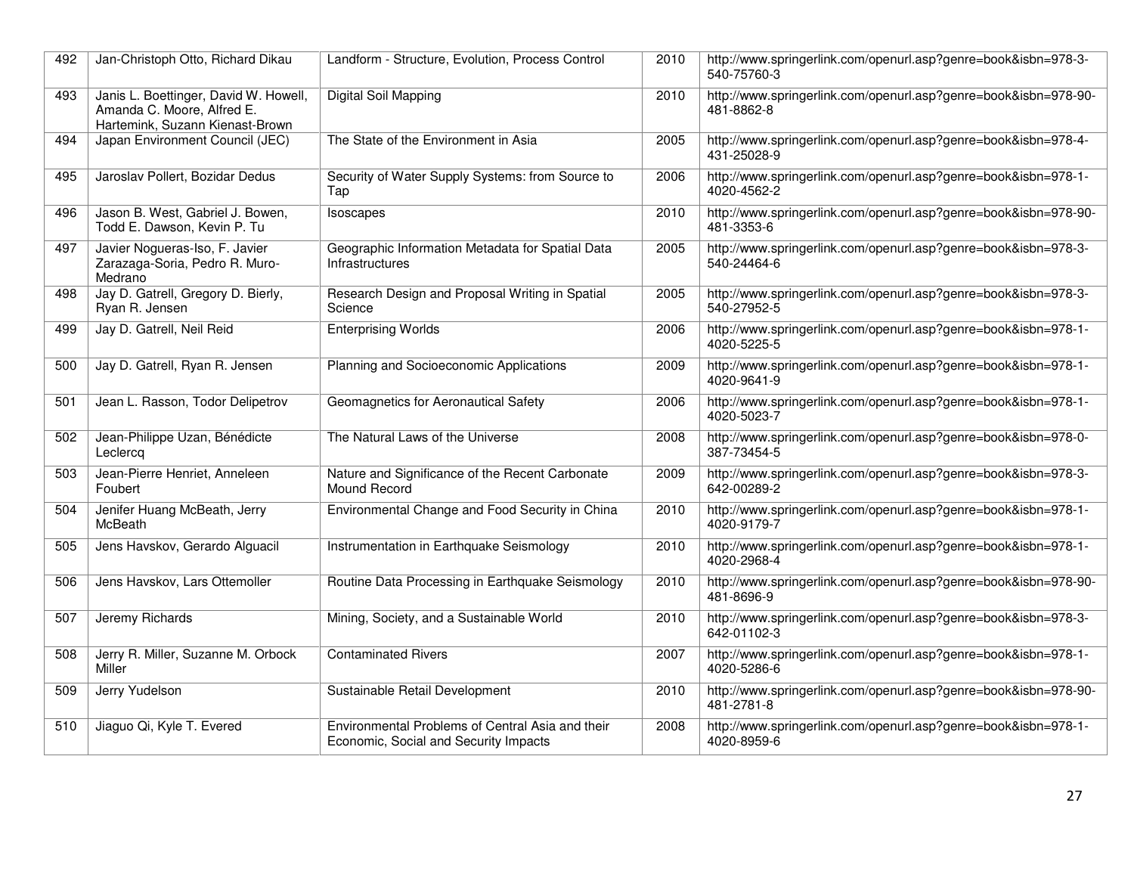| 492 | Jan-Christoph Otto, Richard Dikau                                                                      | Landform - Structure, Evolution, Process Control                                          | 2010 | http://www.springerlink.com/openurl.asp?genre=book&isbn=978-3-<br>540-75760-3 |
|-----|--------------------------------------------------------------------------------------------------------|-------------------------------------------------------------------------------------------|------|-------------------------------------------------------------------------------|
| 493 | Janis L. Boettinger, David W. Howell,<br>Amanda C. Moore, Alfred E.<br>Hartemink, Suzann Kienast-Brown | Digital Soil Mapping                                                                      | 2010 | http://www.springerlink.com/openurl.asp?genre=book&isbn=978-90-<br>481-8862-8 |
| 494 | Japan Environment Council (JEC)                                                                        | The State of the Environment in Asia                                                      | 2005 | http://www.springerlink.com/openurl.asp?genre=book&isbn=978-4-<br>431-25028-9 |
| 495 | Jaroslav Pollert, Bozidar Dedus                                                                        | Security of Water Supply Systems: from Source to<br>Tap                                   | 2006 | http://www.springerlink.com/openurl.asp?genre=book&isbn=978-1-<br>4020-4562-2 |
| 496 | Jason B. West, Gabriel J. Bowen,<br>Todd E. Dawson, Kevin P. Tu                                        | Isoscapes                                                                                 | 2010 | http://www.springerlink.com/openurl.asp?genre=book&isbn=978-90-<br>481-3353-6 |
| 497 | Javier Nogueras-Iso, F. Javier<br>Zarazaga-Soria, Pedro R. Muro-<br>Medrano                            | Geographic Information Metadata for Spatial Data<br><b>Infrastructures</b>                | 2005 | http://www.springerlink.com/openurl.asp?genre=book&isbn=978-3-<br>540-24464-6 |
| 498 | Jay D. Gatrell, Gregory D. Bierly,<br>Ryan R. Jensen                                                   | Research Design and Proposal Writing in Spatial<br>Science                                | 2005 | http://www.springerlink.com/openurl.asp?genre=book&isbn=978-3-<br>540-27952-5 |
| 499 | Jay D. Gatrell, Neil Reid                                                                              | <b>Enterprising Worlds</b>                                                                | 2006 | http://www.springerlink.com/openurl.asp?genre=book&isbn=978-1-<br>4020-5225-5 |
| 500 | Jay D. Gatrell, Ryan R. Jensen                                                                         | Planning and Socioeconomic Applications                                                   | 2009 | http://www.springerlink.com/openurl.asp?genre=book&isbn=978-1-<br>4020-9641-9 |
| 501 | Jean L. Rasson, Todor Delipetrov                                                                       | Geomagnetics for Aeronautical Safety                                                      | 2006 | http://www.springerlink.com/openurl.asp?genre=book&isbn=978-1-<br>4020-5023-7 |
| 502 | Jean-Philippe Uzan, Bénédicte<br>Leclercq                                                              | The Natural Laws of the Universe                                                          | 2008 | http://www.springerlink.com/openurl.asp?genre=book&isbn=978-0-<br>387-73454-5 |
| 503 | Jean-Pierre Henriet, Anneleen<br>Foubert                                                               | Nature and Significance of the Recent Carbonate<br>Mound Record                           | 2009 | http://www.springerlink.com/openurl.asp?genre=book&isbn=978-3-<br>642-00289-2 |
| 504 | Jenifer Huang McBeath, Jerry<br>McBeath                                                                | Environmental Change and Food Security in China                                           | 2010 | http://www.springerlink.com/openurl.asp?genre=book&isbn=978-1-<br>4020-9179-7 |
| 505 | Jens Havskov, Gerardo Alguacil                                                                         | Instrumentation in Earthquake Seismology                                                  | 2010 | http://www.springerlink.com/openurl.asp?genre=book&isbn=978-1-<br>4020-2968-4 |
| 506 | Jens Havskov, Lars Ottemoller                                                                          | Routine Data Processing in Earthquake Seismology                                          | 2010 | http://www.springerlink.com/openurl.asp?genre=book&isbn=978-90-<br>481-8696-9 |
| 507 | Jeremy Richards                                                                                        | Mining, Society, and a Sustainable World                                                  | 2010 | http://www.springerlink.com/openurl.asp?genre=book&isbn=978-3-<br>642-01102-3 |
| 508 | Jerry R. Miller, Suzanne M. Orbock<br>Miller                                                           | <b>Contaminated Rivers</b>                                                                | 2007 | http://www.springerlink.com/openurl.asp?genre=book&isbn=978-1-<br>4020-5286-6 |
| 509 | Jerry Yudelson                                                                                         | Sustainable Retail Development                                                            | 2010 | http://www.springerlink.com/openurl.asp?genre=book&isbn=978-90-<br>481-2781-8 |
| 510 | Jiaguo Qi, Kyle T. Evered                                                                              | Environmental Problems of Central Asia and their<br>Economic, Social and Security Impacts | 2008 | http://www.springerlink.com/openurl.asp?genre=book&isbn=978-1-<br>4020-8959-6 |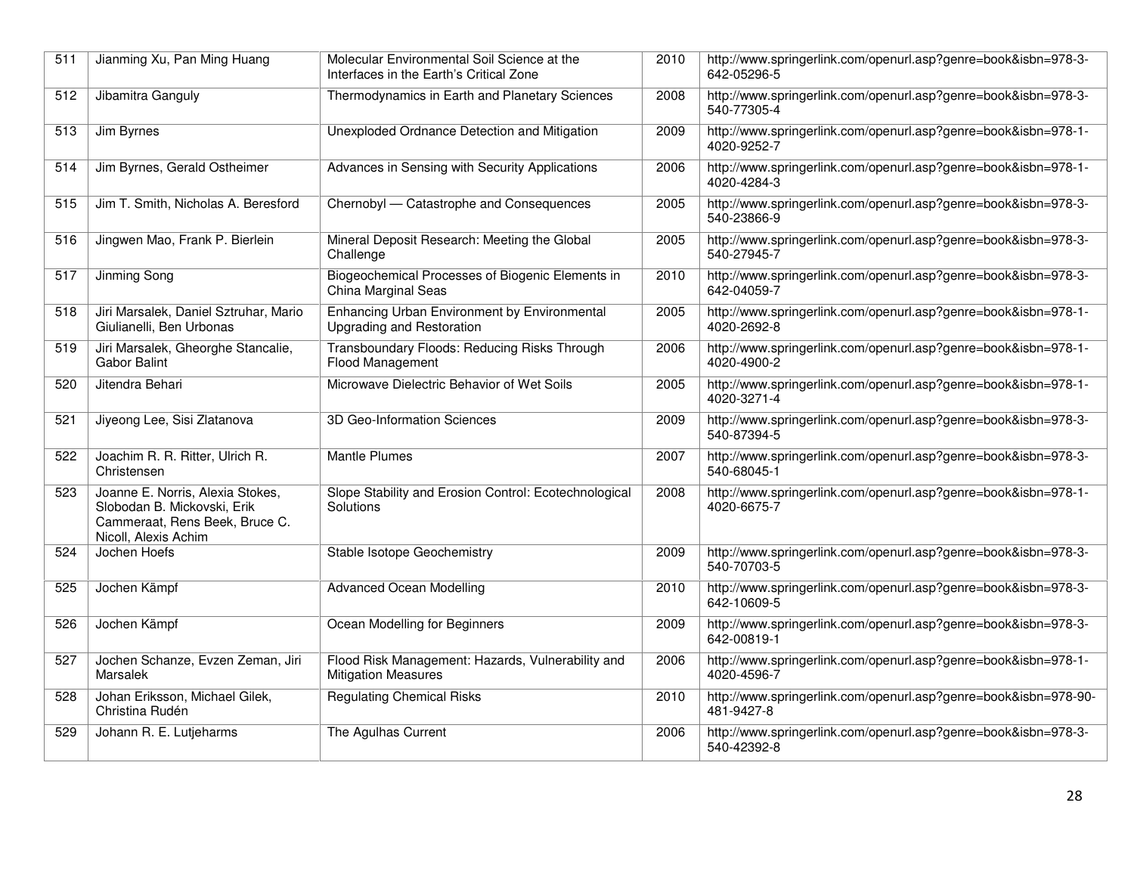| $\overline{511}$ | Jianming Xu, Pan Ming Huang                                                                                               | Molecular Environmental Soil Science at the<br>Interfaces in the Earth's Critical Zone | 2010 | http://www.springerlink.com/openurl.asp?genre=book&isbn=978-3-<br>642-05296-5 |
|------------------|---------------------------------------------------------------------------------------------------------------------------|----------------------------------------------------------------------------------------|------|-------------------------------------------------------------------------------|
| 512              | Jibamitra Ganguly                                                                                                         | Thermodynamics in Earth and Planetary Sciences                                         | 2008 | http://www.springerlink.com/openurl.asp?genre=book&isbn=978-3-<br>540-77305-4 |
| 513              | Jim Byrnes                                                                                                                | Unexploded Ordnance Detection and Mitigation                                           | 2009 | http://www.springerlink.com/openurl.asp?genre=book&isbn=978-1-<br>4020-9252-7 |
| 514              | Jim Byrnes, Gerald Ostheimer                                                                                              | Advances in Sensing with Security Applications                                         | 2006 | http://www.springerlink.com/openurl.asp?genre=book&isbn=978-1-<br>4020-4284-3 |
| 515              | Jim T. Smith, Nicholas A. Beresford                                                                                       | Chernobyl - Catastrophe and Consequences                                               | 2005 | http://www.springerlink.com/openurl.asp?genre=book&isbn=978-3-<br>540-23866-9 |
| 516              | Jingwen Mao, Frank P. Bierlein                                                                                            | Mineral Deposit Research: Meeting the Global<br>Challenge                              | 2005 | http://www.springerlink.com/openurl.asp?genre=book&isbn=978-3-<br>540-27945-7 |
| 517              | Jinming Song                                                                                                              | Biogeochemical Processes of Biogenic Elements in<br>China Marginal Seas                | 2010 | http://www.springerlink.com/openurl.asp?genre=book&isbn=978-3-<br>642-04059-7 |
| 518              | Jiri Marsalek, Daniel Sztruhar, Mario<br>Giulianelli, Ben Urbonas                                                         | Enhancing Urban Environment by Environmental<br><b>Upgrading and Restoration</b>       | 2005 | http://www.springerlink.com/openurl.asp?genre=book&isbn=978-1-<br>4020-2692-8 |
| 519              | Jiri Marsalek, Gheorghe Stancalie,<br><b>Gabor Balint</b>                                                                 | Transboundary Floods: Reducing Risks Through<br>Flood Management                       | 2006 | http://www.springerlink.com/openurl.asp?genre=book&isbn=978-1-<br>4020-4900-2 |
| 520              | Jitendra Behari                                                                                                           | Microwave Dielectric Behavior of Wet Soils                                             | 2005 | http://www.springerlink.com/openurl.asp?genre=book&isbn=978-1-<br>4020-3271-4 |
| 521              | Jiyeong Lee, Sisi Zlatanova                                                                                               | 3D Geo-Information Sciences                                                            | 2009 | http://www.springerlink.com/openurl.asp?genre=book&isbn=978-3-<br>540-87394-5 |
| 522              | Joachim R. R. Ritter, Ulrich R.<br>Christensen                                                                            | <b>Mantle Plumes</b>                                                                   | 2007 | http://www.springerlink.com/openurl.asp?genre=book&isbn=978-3-<br>540-68045-1 |
| 523              | Joanne E. Norris, Alexia Stokes,<br>Slobodan B. Mickovski, Erik<br>Cammeraat, Rens Beek, Bruce C.<br>Nicoll, Alexis Achim | Slope Stability and Erosion Control: Ecotechnological<br>Solutions                     | 2008 | http://www.springerlink.com/openurl.asp?genre=book&isbn=978-1-<br>4020-6675-7 |
| 524              | Jochen Hoefs                                                                                                              | Stable Isotope Geochemistry                                                            | 2009 | http://www.springerlink.com/openurl.asp?genre=book&isbn=978-3-<br>540-70703-5 |
| 525              | Jochen Kämpf                                                                                                              | <b>Advanced Ocean Modelling</b>                                                        | 2010 | http://www.springerlink.com/openurl.asp?genre=book&isbn=978-3-<br>642-10609-5 |
| 526              | Jochen Kämpf                                                                                                              | Ocean Modelling for Beginners                                                          | 2009 | http://www.springerlink.com/openurl.asp?genre=book&isbn=978-3-<br>642-00819-1 |
| 527              | Jochen Schanze, Evzen Zeman, Jiri<br>Marsalek                                                                             | Flood Risk Management: Hazards, Vulnerability and<br><b>Mitigation Measures</b>        | 2006 | http://www.springerlink.com/openurl.asp?genre=book&isbn=978-1-<br>4020-4596-7 |
| 528              | Johan Eriksson, Michael Gilek,<br>Christina Rudén                                                                         | <b>Regulating Chemical Risks</b>                                                       | 2010 | http://www.springerlink.com/openurl.asp?genre=book&isbn=978-90-<br>481-9427-8 |
| 529              | Johann R. E. Lutjeharms                                                                                                   | The Agulhas Current                                                                    | 2006 | http://www.springerlink.com/openurl.asp?genre=book&isbn=978-3-<br>540-42392-8 |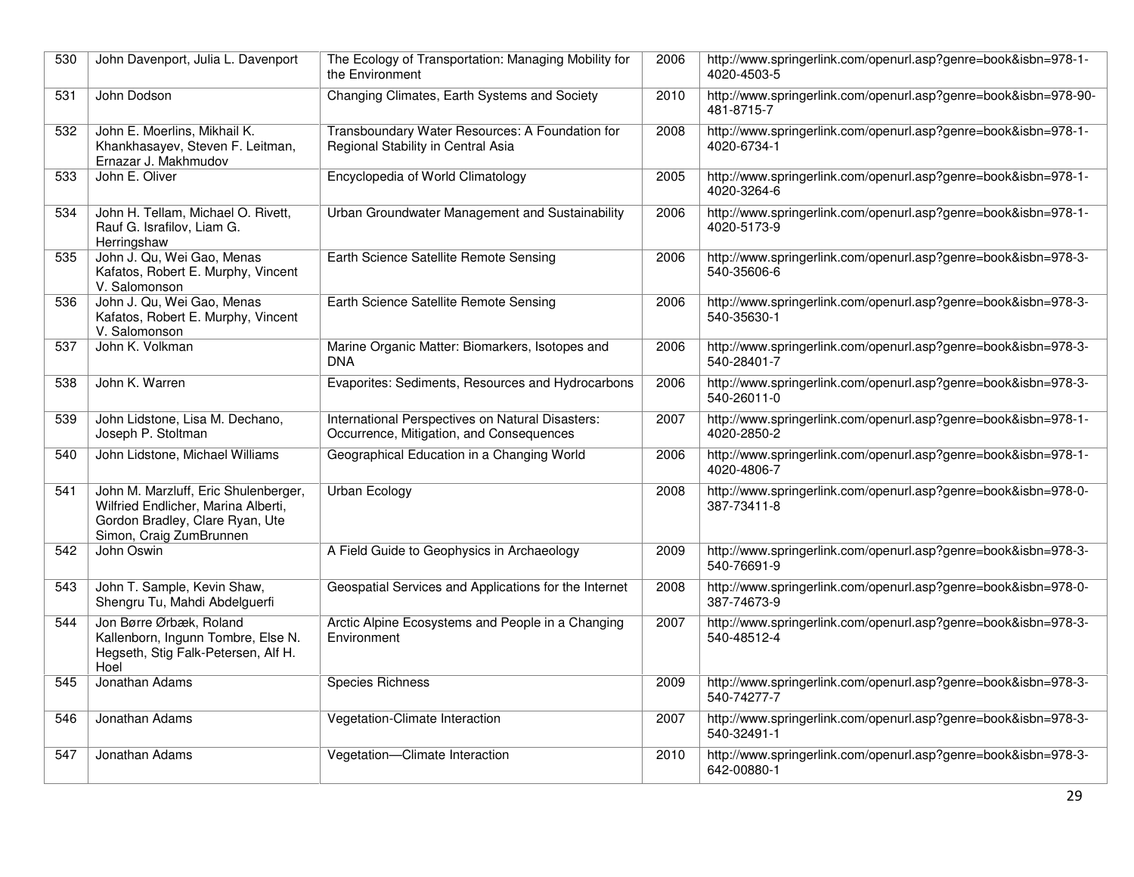| 530 | John Davenport, Julia L. Davenport                                                                                                        | The Ecology of Transportation: Managing Mobility for<br>the Environment                      | 2006 | http://www.springerlink.com/openurl.asp?genre=book&isbn=978-1-<br>4020-4503-5 |
|-----|-------------------------------------------------------------------------------------------------------------------------------------------|----------------------------------------------------------------------------------------------|------|-------------------------------------------------------------------------------|
| 531 | John Dodson                                                                                                                               | Changing Climates, Earth Systems and Society                                                 | 2010 | http://www.springerlink.com/openurl.asp?genre=book&isbn=978-90-<br>481-8715-7 |
| 532 | John E. Moerlins, Mikhail K.<br>Khankhasayev, Steven F. Leitman,<br>Ernazar J. Makhmudov                                                  | Transboundary Water Resources: A Foundation for<br>Regional Stability in Central Asia        | 2008 | http://www.springerlink.com/openurl.asp?genre=book&isbn=978-1-<br>4020-6734-1 |
| 533 | John E. Oliver                                                                                                                            | Encyclopedia of World Climatology                                                            | 2005 | http://www.springerlink.com/openurl.asp?genre=book&isbn=978-1-<br>4020-3264-6 |
| 534 | John H. Tellam, Michael O. Rivett,<br>Rauf G. Israfilov, Liam G.<br>Herringshaw                                                           | Urban Groundwater Management and Sustainability                                              | 2006 | http://www.springerlink.com/openurl.asp?genre=book&isbn=978-1-<br>4020-5173-9 |
| 535 | John J. Qu, Wei Gao, Menas<br>Kafatos, Robert E. Murphy, Vincent<br>V. Salomonson                                                         | Earth Science Satellite Remote Sensing                                                       | 2006 | http://www.springerlink.com/openurl.asp?genre=book&isbn=978-3-<br>540-35606-6 |
| 536 | John J. Qu, Wei Gao, Menas<br>Kafatos, Robert E. Murphy, Vincent<br>V. Salomonson                                                         | Earth Science Satellite Remote Sensing                                                       | 2006 | http://www.springerlink.com/openurl.asp?genre=book&isbn=978-3-<br>540-35630-1 |
| 537 | John K. Volkman                                                                                                                           | Marine Organic Matter: Biomarkers, Isotopes and<br><b>DNA</b>                                | 2006 | http://www.springerlink.com/openurl.asp?genre=book&isbn=978-3-<br>540-28401-7 |
| 538 | John K. Warren                                                                                                                            | Evaporites: Sediments, Resources and Hydrocarbons                                            | 2006 | http://www.springerlink.com/openurl.asp?genre=book&isbn=978-3-<br>540-26011-0 |
| 539 | John Lidstone, Lisa M. Dechano,<br>Joseph P. Stoltman                                                                                     | International Perspectives on Natural Disasters:<br>Occurrence, Mitigation, and Consequences | 2007 | http://www.springerlink.com/openurl.asp?genre=book&isbn=978-1-<br>4020-2850-2 |
| 540 | John Lidstone, Michael Williams                                                                                                           | Geographical Education in a Changing World                                                   | 2006 | http://www.springerlink.com/openurl.asp?genre=book&isbn=978-1-<br>4020-4806-7 |
| 541 | John M. Marzluff, Eric Shulenberger,<br>Wilfried Endlicher, Marina Alberti,<br>Gordon Bradley, Clare Ryan, Ute<br>Simon, Craig ZumBrunnen | Urban Ecology                                                                                | 2008 | http://www.springerlink.com/openurl.asp?genre=book&isbn=978-0-<br>387-73411-8 |
| 542 | John Oswin                                                                                                                                | A Field Guide to Geophysics in Archaeology                                                   | 2009 | http://www.springerlink.com/openurl.asp?genre=book&isbn=978-3-<br>540-76691-9 |
| 543 | John T. Sample, Kevin Shaw,<br>Shengru Tu, Mahdi Abdelguerfi                                                                              | Geospatial Services and Applications for the Internet                                        | 2008 | http://www.springerlink.com/openurl.asp?genre=book&isbn=978-0-<br>387-74673-9 |
| 544 | Jon Børre Ørbæk, Roland<br>Kallenborn, Ingunn Tombre, Else N.<br>Hegseth, Stig Falk-Petersen, Alf H.<br>Hoel                              | Arctic Alpine Ecosystems and People in a Changing<br>Environment                             | 2007 | http://www.springerlink.com/openurl.asp?genre=book&isbn=978-3-<br>540-48512-4 |
| 545 | Jonathan Adams                                                                                                                            | <b>Species Richness</b>                                                                      | 2009 | http://www.springerlink.com/openurl.asp?genre=book&isbn=978-3-<br>540-74277-7 |
| 546 | Jonathan Adams                                                                                                                            | Vegetation-Climate Interaction                                                               | 2007 | http://www.springerlink.com/openurl.asp?genre=book&isbn=978-3-<br>540-32491-1 |
| 547 | Jonathan Adams                                                                                                                            | Vegetation-Climate Interaction                                                               | 2010 | http://www.springerlink.com/openurl.asp?genre=book&isbn=978-3-<br>642-00880-1 |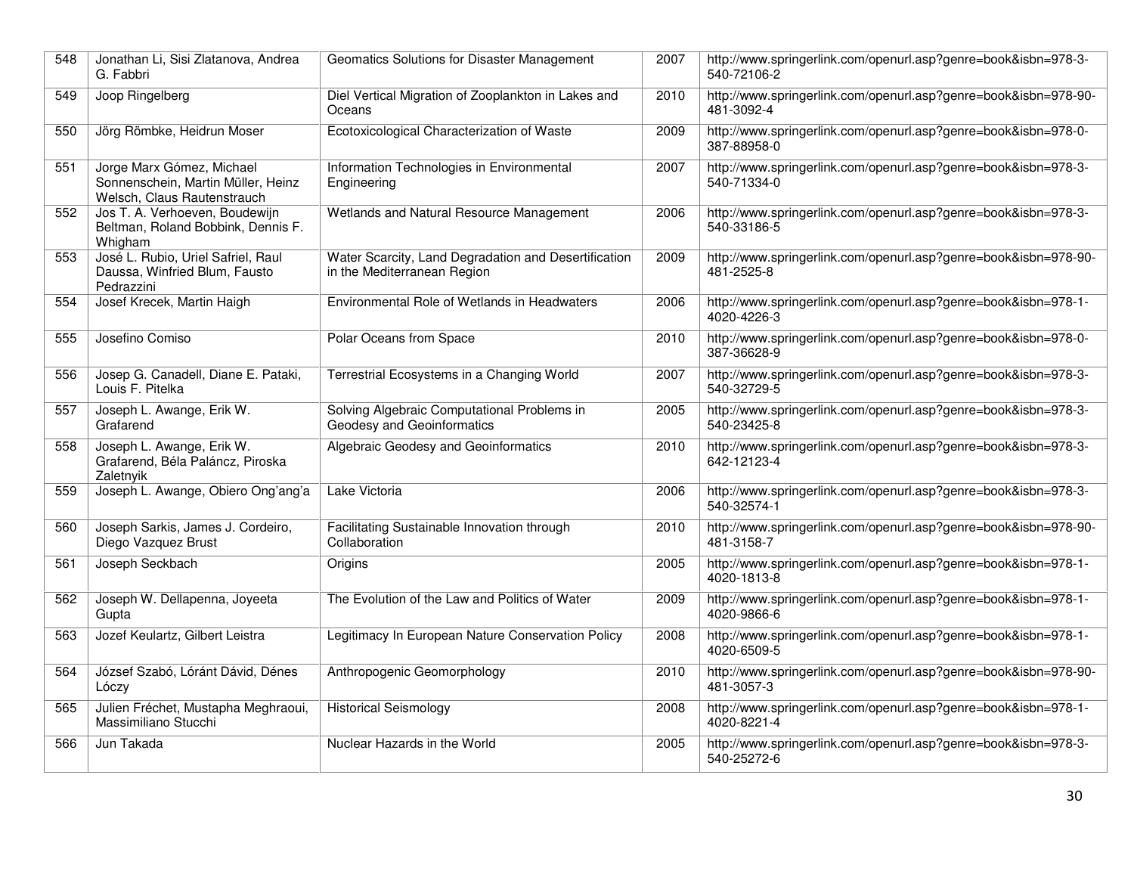| 548 | Jonathan Li, Sisi Zlatanova, Andrea<br>G. Fabbri                                               | Geomatics Solutions for Disaster Management                                         | 2007 | http://www.springerlink.com/openurl.asp?genre=book&isbn=978-3-<br>540-72106-2 |
|-----|------------------------------------------------------------------------------------------------|-------------------------------------------------------------------------------------|------|-------------------------------------------------------------------------------|
| 549 | Joop Ringelberg                                                                                | Diel Vertical Migration of Zooplankton in Lakes and<br>Oceans                       | 2010 | http://www.springerlink.com/openurl.asp?genre=book&isbn=978-90-<br>481-3092-4 |
| 550 | Jörg Römbke, Heidrun Moser                                                                     | Ecotoxicological Characterization of Waste                                          | 2009 | http://www.springerlink.com/openurl.asp?genre=book&isbn=978-0-<br>387-88958-0 |
| 551 | Jorge Marx Gómez, Michael<br>Sonnenschein, Martin Müller, Heinz<br>Welsch, Claus Rautenstrauch | Information Technologies in Environmental<br>Engineering                            | 2007 | http://www.springerlink.com/openurl.asp?genre=book&isbn=978-3-<br>540-71334-0 |
| 552 | Jos T. A. Verhoeven, Boudewijn<br>Beltman, Roland Bobbink, Dennis F.<br>Whigham                | Wetlands and Natural Resource Management                                            | 2006 | http://www.springerlink.com/openurl.asp?genre=book&isbn=978-3-<br>540-33186-5 |
| 553 | José L. Rubio, Uriel Safriel, Raul<br>Daussa, Winfried Blum, Fausto<br>Pedrazzini              | Water Scarcity, Land Degradation and Desertification<br>in the Mediterranean Region | 2009 | http://www.springerlink.com/openurl.asp?genre=book&isbn=978-90-<br>481-2525-8 |
| 554 | Josef Krecek, Martin Haigh                                                                     | Environmental Role of Wetlands in Headwaters                                        | 2006 | http://www.springerlink.com/openurl.asp?genre=book&isbn=978-1-<br>4020-4226-3 |
| 555 | Josefino Comiso                                                                                | Polar Oceans from Space                                                             | 2010 | http://www.springerlink.com/openurl.asp?genre=book&isbn=978-0-<br>387-36628-9 |
| 556 | Josep G. Canadell, Diane E. Pataki,<br>Louis F. Pitelka                                        | Terrestrial Ecosystems in a Changing World                                          | 2007 | http://www.springerlink.com/openurl.asp?genre=book&isbn=978-3-<br>540-32729-5 |
| 557 | Joseph L. Awange, Erik W.<br>Grafarend                                                         | Solving Algebraic Computational Problems in<br>Geodesy and Geoinformatics           | 2005 | http://www.springerlink.com/openurl.asp?genre=book&isbn=978-3-<br>540-23425-8 |
| 558 | Joseph L. Awange, Erik W.<br>Grafarend, Béla Paláncz, Piroska<br>Zaletnvik                     | Algebraic Geodesy and Geoinformatics                                                | 2010 | http://www.springerlink.com/openurl.asp?genre=book&isbn=978-3-<br>642-12123-4 |
| 559 | Joseph L. Awange, Obiero Ong'ang'a                                                             | Lake Victoria                                                                       | 2006 | http://www.springerlink.com/openurl.asp?genre=book&isbn=978-3-<br>540-32574-1 |
| 560 | Joseph Sarkis, James J. Cordeiro,<br>Diego Vazquez Brust                                       | Facilitating Sustainable Innovation through<br>Collaboration                        | 2010 | http://www.springerlink.com/openurl.asp?genre=book&isbn=978-90-<br>481-3158-7 |
| 561 | Joseph Seckbach                                                                                | Origins                                                                             | 2005 | http://www.springerlink.com/openurl.asp?genre=book&isbn=978-1-<br>4020-1813-8 |
| 562 | Joseph W. Dellapenna, Joyeeta<br>Gupta                                                         | The Evolution of the Law and Politics of Water                                      | 2009 | http://www.springerlink.com/openurl.asp?genre=book&isbn=978-1-<br>4020-9866-6 |
| 563 | Jozef Keulartz, Gilbert Leistra                                                                | Legitimacy In European Nature Conservation Policy                                   | 2008 | http://www.springerlink.com/openurl.asp?genre=book&isbn=978-1-<br>4020-6509-5 |
| 564 | József Szabó, Lóránt Dávid, Dénes<br>Lóczy                                                     | Anthropogenic Geomorphology                                                         | 2010 | http://www.springerlink.com/openurl.asp?genre=book&isbn=978-90-<br>481-3057-3 |
| 565 | Julien Fréchet, Mustapha Meghraoui,<br>Massimiliano Stucchi                                    | <b>Historical Seismology</b>                                                        | 2008 | http://www.springerlink.com/openurl.asp?genre=book&isbn=978-1-<br>4020-8221-4 |
| 566 | Jun Takada                                                                                     | Nuclear Hazards in the World                                                        | 2005 | http://www.springerlink.com/openurl.asp?genre=book&isbn=978-3-<br>540-25272-6 |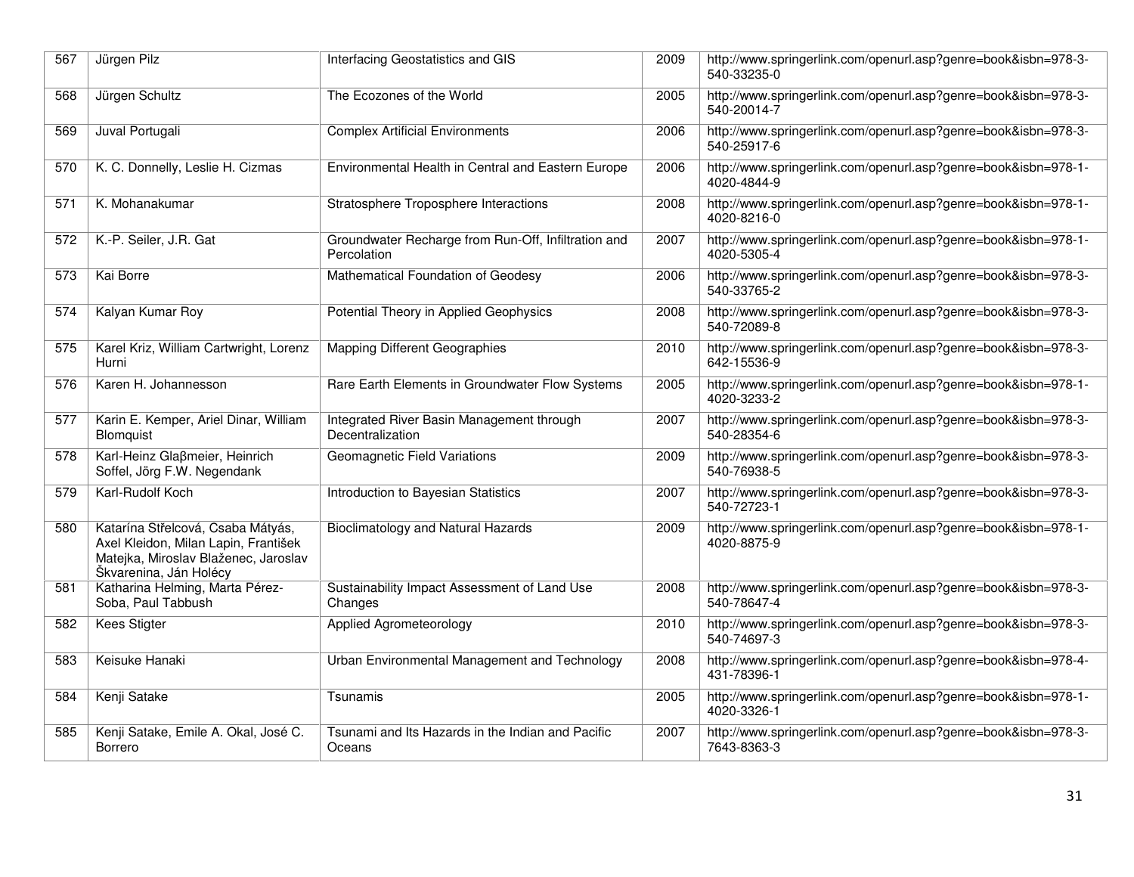| 567 | Jürgen Pilz                                                                                                                                 | Interfacing Geostatistics and GIS                                  | 2009 | http://www.springerlink.com/openurl.asp?genre=book&isbn=978-3-<br>540-33235-0 |
|-----|---------------------------------------------------------------------------------------------------------------------------------------------|--------------------------------------------------------------------|------|-------------------------------------------------------------------------------|
| 568 | Jürgen Schultz                                                                                                                              | The Ecozones of the World                                          | 2005 | http://www.springerlink.com/openurl.asp?genre=book&isbn=978-3-<br>540-20014-7 |
| 569 | Juval Portugali                                                                                                                             | <b>Complex Artificial Environments</b>                             | 2006 | http://www.springerlink.com/openurl.asp?genre=book&isbn=978-3-<br>540-25917-6 |
| 570 | K. C. Donnelly, Leslie H. Cizmas                                                                                                            | Environmental Health in Central and Eastern Europe                 | 2006 | http://www.springerlink.com/openurl.asp?genre=book&isbn=978-1-<br>4020-4844-9 |
| 571 | K. Mohanakumar                                                                                                                              | Stratosphere Troposphere Interactions                              | 2008 | http://www.springerlink.com/openurl.asp?genre=book&isbn=978-1-<br>4020-8216-0 |
| 572 | K.-P. Seiler, J.R. Gat                                                                                                                      | Groundwater Recharge from Run-Off, Infiltration and<br>Percolation | 2007 | http://www.springerlink.com/openurl.asp?genre=book&isbn=978-1-<br>4020-5305-4 |
| 573 | Kai Borre                                                                                                                                   | Mathematical Foundation of Geodesy                                 | 2006 | http://www.springerlink.com/openurl.asp?genre=book&isbn=978-3-<br>540-33765-2 |
| 574 | Kalyan Kumar Roy                                                                                                                            | Potential Theory in Applied Geophysics                             | 2008 | http://www.springerlink.com/openurl.asp?genre=book&isbn=978-3-<br>540-72089-8 |
| 575 | Karel Kriz, William Cartwright, Lorenz<br>Hurni                                                                                             | <b>Mapping Different Geographies</b>                               | 2010 | http://www.springerlink.com/openurl.asp?genre=book&isbn=978-3-<br>642-15536-9 |
| 576 | Karen H. Johannesson                                                                                                                        | Rare Earth Elements in Groundwater Flow Systems                    | 2005 | http://www.springerlink.com/openurl.asp?genre=book&isbn=978-1-<br>4020-3233-2 |
| 577 | Karin E. Kemper, Ariel Dinar, William<br>Blomquist                                                                                          | Integrated River Basin Management through<br>Decentralization      | 2007 | http://www.springerlink.com/openurl.asp?genre=book&isbn=978-3-<br>540-28354-6 |
| 578 | Karl-Heinz Glaßmeier, Heinrich<br>Soffel, Jörg F.W. Negendank                                                                               | Geomagnetic Field Variations                                       | 2009 | http://www.springerlink.com/openurl.asp?genre=book&isbn=978-3-<br>540-76938-5 |
| 579 | Karl-Rudolf Koch                                                                                                                            | Introduction to Bayesian Statistics                                | 2007 | http://www.springerlink.com/openurl.asp?genre=book&isbn=978-3-<br>540-72723-1 |
| 580 | Katarína Střelcová, Csaba Mátyás,<br>Axel Kleidon, Milan Lapin, František<br>Matejka, Miroslav Blaženec, Jaroslav<br>Škvarenina, Ján Holécy | Bioclimatology and Natural Hazards                                 | 2009 | http://www.springerlink.com/openurl.asp?genre=book&isbn=978-1-<br>4020-8875-9 |
| 581 | Katharina Helming, Marta Pérez-<br>Soba, Paul Tabbush                                                                                       | Sustainability Impact Assessment of Land Use<br>Changes            | 2008 | http://www.springerlink.com/openurl.asp?genre=book&isbn=978-3-<br>540-78647-4 |
| 582 | <b>Kees Stigter</b>                                                                                                                         | Applied Agrometeorology                                            | 2010 | http://www.springerlink.com/openurl.asp?genre=book&isbn=978-3-<br>540-74697-3 |
| 583 | Keisuke Hanaki                                                                                                                              | Urban Environmental Management and Technology                      | 2008 | http://www.springerlink.com/openurl.asp?genre=book&isbn=978-4-<br>431-78396-1 |
| 584 | Kenji Satake                                                                                                                                | Tsunamis                                                           | 2005 | http://www.springerlink.com/openurl.asp?genre=book&isbn=978-1-<br>4020-3326-1 |
| 585 | Kenji Satake, Emile A. Okal, José C.<br><b>Borrero</b>                                                                                      | Tsunami and Its Hazards in the Indian and Pacific<br>Oceans        | 2007 | http://www.springerlink.com/openurl.asp?genre=book&isbn=978-3-<br>7643-8363-3 |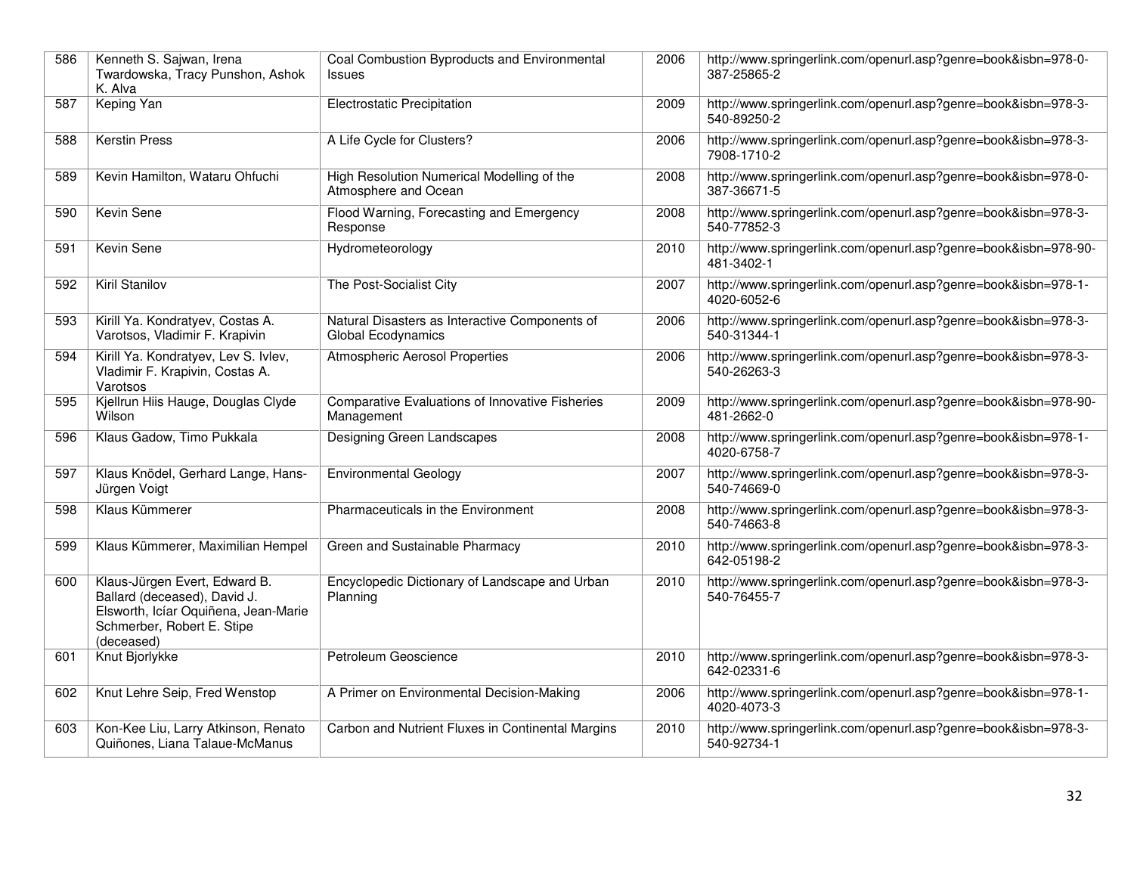| 586 | Kenneth S. Sajwan, Irena<br>Twardowska, Tracy Punshon, Ashok<br>K. Alva                                                                           | Coal Combustion Byproducts and Environmental<br><b>Issues</b>        | 2006 | http://www.springerlink.com/openurl.asp?genre=book&isbn=978-0-<br>387-25865-2 |
|-----|---------------------------------------------------------------------------------------------------------------------------------------------------|----------------------------------------------------------------------|------|-------------------------------------------------------------------------------|
| 587 | Keping Yan                                                                                                                                        | <b>Electrostatic Precipitation</b>                                   | 2009 | http://www.springerlink.com/openurl.asp?genre=book&isbn=978-3-<br>540-89250-2 |
| 588 | <b>Kerstin Press</b>                                                                                                                              | A Life Cycle for Clusters?                                           | 2006 | http://www.springerlink.com/openurl.asp?genre=book&isbn=978-3-<br>7908-1710-2 |
| 589 | Kevin Hamilton, Wataru Ohfuchi                                                                                                                    | High Resolution Numerical Modelling of the<br>Atmosphere and Ocean   | 2008 | http://www.springerlink.com/openurl.asp?genre=book&isbn=978-0-<br>387-36671-5 |
| 590 | Kevin Sene                                                                                                                                        | Flood Warning, Forecasting and Emergency<br>Response                 | 2008 | http://www.springerlink.com/openurl.asp?genre=book&isbn=978-3-<br>540-77852-3 |
| 591 | <b>Kevin Sene</b>                                                                                                                                 | Hydrometeorology                                                     | 2010 | http://www.springerlink.com/openurl.asp?genre=book&isbn=978-90-<br>481-3402-1 |
| 592 | Kiril Stanilov                                                                                                                                    | The Post-Socialist City                                              | 2007 | http://www.springerlink.com/openurl.asp?genre=book&isbn=978-1-<br>4020-6052-6 |
| 593 | Kirill Ya. Kondratyev, Costas A.<br>Varotsos, Vladimir F. Krapivin                                                                                | Natural Disasters as Interactive Components of<br>Global Ecodynamics | 2006 | http://www.springerlink.com/openurl.asp?genre=book&isbn=978-3-<br>540-31344-1 |
| 594 | Kirill Ya. Kondratyev, Lev S. Ivlev,<br>Vladimir F. Krapivin, Costas A.<br>Varotsos                                                               | <b>Atmospheric Aerosol Properties</b>                                | 2006 | http://www.springerlink.com/openurl.asp?genre=book&isbn=978-3-<br>540-26263-3 |
| 595 | Kjellrun Hiis Hauge, Douglas Clyde<br>Wilson                                                                                                      | <b>Comparative Evaluations of Innovative Fisheries</b><br>Management | 2009 | http://www.springerlink.com/openurl.asp?genre=book&isbn=978-90-<br>481-2662-0 |
| 596 | Klaus Gadow, Timo Pukkala                                                                                                                         | Designing Green Landscapes                                           | 2008 | http://www.springerlink.com/openurl.asp?genre=book&isbn=978-1-<br>4020-6758-7 |
| 597 | Klaus Knödel, Gerhard Lange, Hans-<br>Jürgen Voigt                                                                                                | <b>Environmental Geology</b>                                         | 2007 | http://www.springerlink.com/openurl.asp?genre=book&isbn=978-3-<br>540-74669-0 |
| 598 | Klaus Kümmerer                                                                                                                                    | Pharmaceuticals in the Environment                                   | 2008 | http://www.springerlink.com/openurl.asp?genre=book&isbn=978-3-<br>540-74663-8 |
| 599 | Klaus Kümmerer, Maximilian Hempel                                                                                                                 | Green and Sustainable Pharmacy                                       | 2010 | http://www.springerlink.com/openurl.asp?genre=book&isbn=978-3-<br>642-05198-2 |
| 600 | Klaus-Jürgen Evert, Edward B.<br>Ballard (deceased), David J.<br>Elsworth, Icíar Oquiñena, Jean-Marie<br>Schmerber, Robert E. Stipe<br>(deceased) | Encyclopedic Dictionary of Landscape and Urban<br>Planning           | 2010 | http://www.springerlink.com/openurl.asp?genre=book&isbn=978-3-<br>540-76455-7 |
| 601 | Knut Bjorlykke                                                                                                                                    | Petroleum Geoscience                                                 | 2010 | http://www.springerlink.com/openurl.asp?genre=book&isbn=978-3-<br>642-02331-6 |
| 602 | Knut Lehre Seip, Fred Wenstop                                                                                                                     | A Primer on Environmental Decision-Making                            | 2006 | http://www.springerlink.com/openurl.asp?genre=book&isbn=978-1-<br>4020-4073-3 |
| 603 | Kon-Kee Liu, Larry Atkinson, Renato<br>Quiñones, Liana Talaue-McManus                                                                             | Carbon and Nutrient Fluxes in Continental Margins                    | 2010 | http://www.springerlink.com/openurl.asp?genre=book&isbn=978-3-<br>540-92734-1 |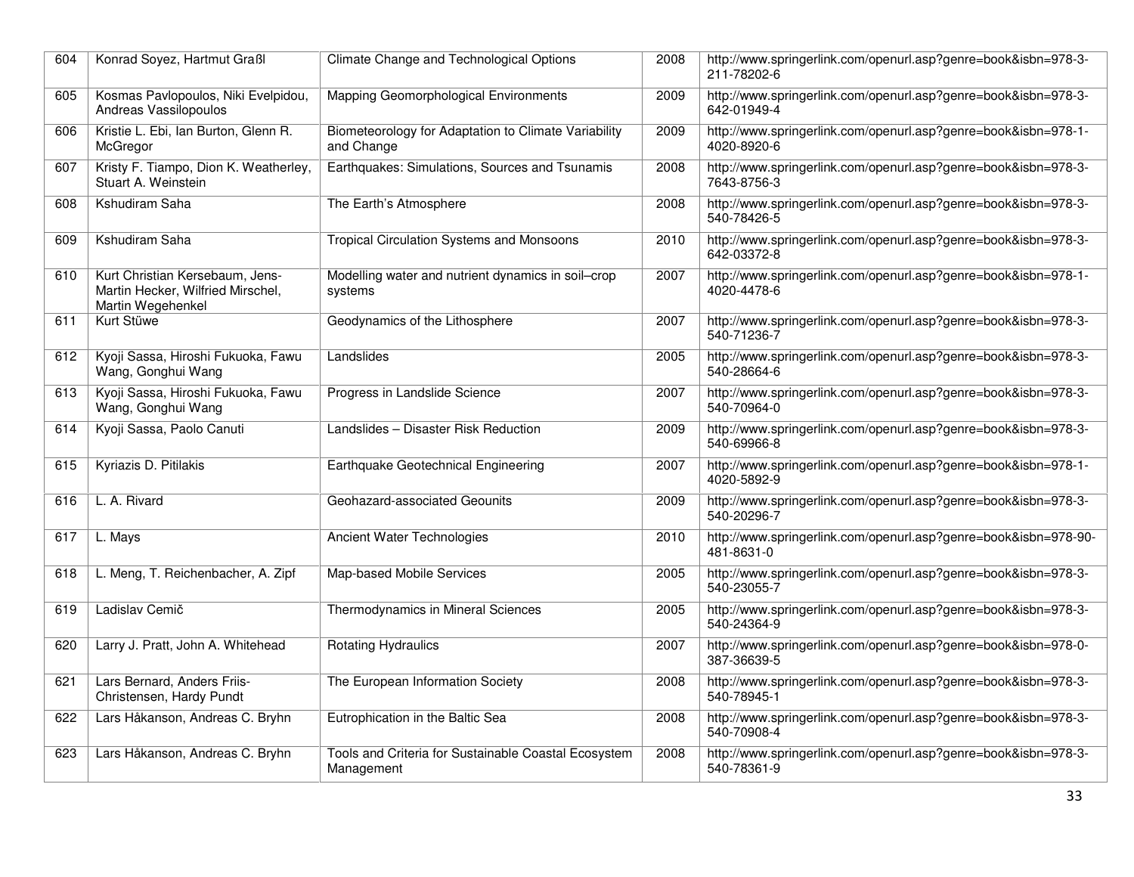| 604 | Konrad Soyez, Hartmut Graßl                                                               | Climate Change and Technological Options                           | 2008 | http://www.springerlink.com/openurl.asp?genre=book&isbn=978-3-<br>211-78202-6 |
|-----|-------------------------------------------------------------------------------------------|--------------------------------------------------------------------|------|-------------------------------------------------------------------------------|
| 605 | Kosmas Pavlopoulos, Niki Evelpidou,<br>Andreas Vassilopoulos                              | Mapping Geomorphological Environments                              | 2009 | http://www.springerlink.com/openurl.asp?genre=book&isbn=978-3-<br>642-01949-4 |
| 606 | Kristie L. Ebi, Ian Burton, Glenn R.<br>McGregor                                          | Biometeorology for Adaptation to Climate Variability<br>and Change | 2009 | http://www.springerlink.com/openurl.asp?genre=book&isbn=978-1-<br>4020-8920-6 |
| 607 | Kristy F. Tiampo, Dion K. Weatherley,<br>Stuart A. Weinstein                              | Earthquakes: Simulations, Sources and Tsunamis                     | 2008 | http://www.springerlink.com/openurl.asp?genre=book&isbn=978-3-<br>7643-8756-3 |
| 608 | Kshudiram Saha                                                                            | The Earth's Atmosphere                                             | 2008 | http://www.springerlink.com/openurl.asp?genre=book&isbn=978-3-<br>540-78426-5 |
| 609 | Kshudiram Saha                                                                            | <b>Tropical Circulation Systems and Monsoons</b>                   | 2010 | http://www.springerlink.com/openurl.asp?genre=book&isbn=978-3-<br>642-03372-8 |
| 610 | Kurt Christian Kersebaum, Jens-<br>Martin Hecker, Wilfried Mirschel,<br>Martin Wegehenkel | Modelling water and nutrient dynamics in soil-crop<br>systems      | 2007 | http://www.springerlink.com/openurl.asp?genre=book&isbn=978-1-<br>4020-4478-6 |
| 611 | Kurt Stüwe                                                                                | Geodynamics of the Lithosphere                                     | 2007 | http://www.springerlink.com/openurl.asp?genre=book&isbn=978-3-<br>540-71236-7 |
| 612 | Kyoji Sassa, Hiroshi Fukuoka, Fawu<br>Wang, Gonghui Wang                                  | Landslides                                                         | 2005 | http://www.springerlink.com/openurl.asp?genre=book&isbn=978-3-<br>540-28664-6 |
| 613 | Kyoji Sassa, Hiroshi Fukuoka, Fawu<br>Wang, Gonghui Wang                                  | Progress in Landslide Science                                      | 2007 | http://www.springerlink.com/openurl.asp?genre=book&isbn=978-3-<br>540-70964-0 |
| 614 | Kyoji Sassa, Paolo Canuti                                                                 | Landslides - Disaster Risk Reduction                               | 2009 | http://www.springerlink.com/openurl.asp?genre=book&isbn=978-3-<br>540-69966-8 |
| 615 | Kyriazis D. Pitilakis                                                                     | Earthquake Geotechnical Engineering                                | 2007 | http://www.springerlink.com/openurl.asp?genre=book&isbn=978-1-<br>4020-5892-9 |
| 616 | L. A. Rivard                                                                              | Geohazard-associated Geounits                                      | 2009 | http://www.springerlink.com/openurl.asp?genre=book&isbn=978-3-<br>540-20296-7 |
| 617 | L. Mays                                                                                   | Ancient Water Technologies                                         | 2010 | http://www.springerlink.com/openurl.asp?genre=book&isbn=978-90-<br>481-8631-0 |
| 618 | L. Meng, T. Reichenbacher, A. Zipf                                                        | Map-based Mobile Services                                          | 2005 | http://www.springerlink.com/openurl.asp?genre=book&isbn=978-3-<br>540-23055-7 |
| 619 | Ladislav Cemič                                                                            | Thermodynamics in Mineral Sciences                                 | 2005 | http://www.springerlink.com/openurl.asp?genre=book&isbn=978-3-<br>540-24364-9 |
| 620 | Larry J. Pratt, John A. Whitehead                                                         | <b>Rotating Hydraulics</b>                                         | 2007 | http://www.springerlink.com/openurl.asp?genre=book&isbn=978-0-<br>387-36639-5 |
| 621 | Lars Bernard, Anders Friis-<br>Christensen, Hardy Pundt                                   | The European Information Society                                   | 2008 | http://www.springerlink.com/openurl.asp?genre=book&isbn=978-3-<br>540-78945-1 |
| 622 | Lars Håkanson, Andreas C. Bryhn                                                           | Eutrophication in the Baltic Sea                                   | 2008 | http://www.springerlink.com/openurl.asp?genre=book&isbn=978-3-<br>540-70908-4 |
| 623 | Lars Håkanson, Andreas C. Bryhn                                                           | Tools and Criteria for Sustainable Coastal Ecosystem<br>Management | 2008 | http://www.springerlink.com/openurl.asp?genre=book&isbn=978-3-<br>540-78361-9 |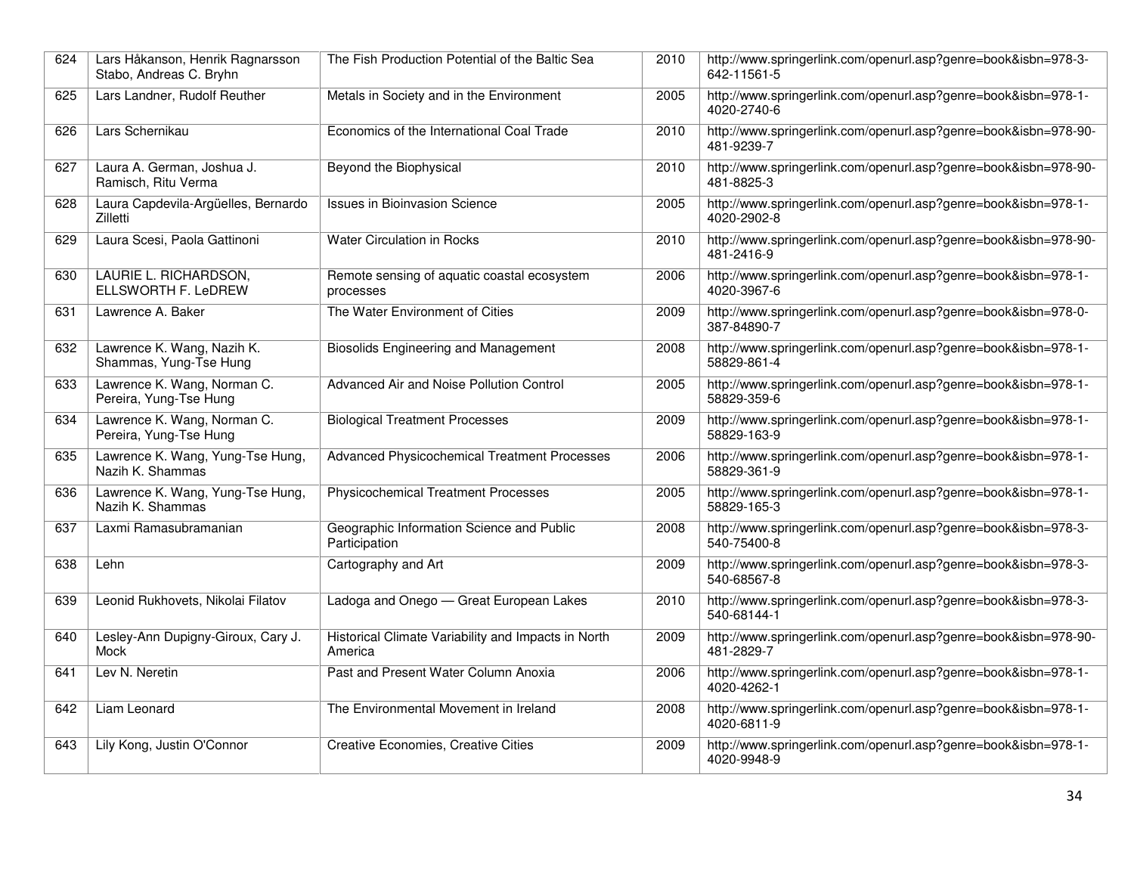| 624 | Lars Håkanson, Henrik Ragnarsson<br>Stabo, Andreas C. Bryhn | The Fish Production Potential of the Baltic Sea                | 2010 | http://www.springerlink.com/openurl.asp?genre=book&isbn=978-3-<br>642-11561-5 |
|-----|-------------------------------------------------------------|----------------------------------------------------------------|------|-------------------------------------------------------------------------------|
| 625 | Lars Landner, Rudolf Reuther                                | Metals in Society and in the Environment                       | 2005 | http://www.springerlink.com/openurl.asp?genre=book&isbn=978-1-<br>4020-2740-6 |
| 626 | Lars Schernikau                                             | Economics of the International Coal Trade                      | 2010 | http://www.springerlink.com/openurl.asp?genre=book&isbn=978-90-<br>481-9239-7 |
| 627 | Laura A. German, Joshua J.<br>Ramisch. Ritu Verma           | Beyond the Biophysical                                         | 2010 | http://www.springerlink.com/openurl.asp?genre=book&isbn=978-90-<br>481-8825-3 |
| 628 | Laura Capdevila-Argüelles, Bernardo<br>Zilletti             | <b>Issues in Bioinvasion Science</b>                           | 2005 | http://www.springerlink.com/openurl.asp?genre=book&isbn=978-1-<br>4020-2902-8 |
| 629 | Laura Scesi, Paola Gattinoni                                | <b>Water Circulation in Rocks</b>                              | 2010 | http://www.springerlink.com/openurl.asp?genre=book&isbn=978-90-<br>481-2416-9 |
| 630 | LAURIE L. RICHARDSON,<br>ELLSWORTH F. LeDREW                | Remote sensing of aquatic coastal ecosystem<br>processes       | 2006 | http://www.springerlink.com/openurl.asp?genre=book&isbn=978-1-<br>4020-3967-6 |
| 631 | Lawrence A. Baker                                           | The Water Environment of Cities                                | 2009 | http://www.springerlink.com/openurl.asp?genre=book&isbn=978-0-<br>387-84890-7 |
| 632 | Lawrence K. Wang, Nazih K.<br>Shammas, Yung-Tse Hung        | <b>Biosolids Engineering and Management</b>                    | 2008 | http://www.springerlink.com/openurl.asp?genre=book&isbn=978-1-<br>58829-861-4 |
| 633 | Lawrence K. Wang, Norman C.<br>Pereira, Yung-Tse Hung       | Advanced Air and Noise Pollution Control                       | 2005 | http://www.springerlink.com/openurl.asp?genre=book&isbn=978-1-<br>58829-359-6 |
| 634 | Lawrence K. Wang, Norman C.<br>Pereira, Yung-Tse Hung       | <b>Biological Treatment Processes</b>                          | 2009 | http://www.springerlink.com/openurl.asp?genre=book&isbn=978-1-<br>58829-163-9 |
| 635 | Lawrence K. Wang, Yung-Tse Hung,<br>Nazih K. Shammas        | <b>Advanced Physicochemical Treatment Processes</b>            | 2006 | http://www.springerlink.com/openurl.asp?genre=book&isbn=978-1-<br>58829-361-9 |
| 636 | Lawrence K. Wang, Yung-Tse Hung,<br>Nazih K. Shammas        | <b>Physicochemical Treatment Processes</b>                     | 2005 | http://www.springerlink.com/openurl.asp?genre=book&isbn=978-1-<br>58829-165-3 |
| 637 | Laxmi Ramasubramanian                                       | Geographic Information Science and Public<br>Participation     | 2008 | http://www.springerlink.com/openurl.asp?genre=book&isbn=978-3-<br>540-75400-8 |
| 638 | Lehn                                                        | Cartography and Art                                            | 2009 | http://www.springerlink.com/openurl.asp?genre=book&isbn=978-3-<br>540-68567-8 |
| 639 | Leonid Rukhovets, Nikolai Filatov                           | Ladoga and Onego - Great European Lakes                        | 2010 | http://www.springerlink.com/openurl.asp?genre=book&isbn=978-3-<br>540-68144-1 |
| 640 | Lesley-Ann Dupigny-Giroux, Cary J.<br><b>Mock</b>           | Historical Climate Variability and Impacts in North<br>America | 2009 | http://www.springerlink.com/openurl.asp?genre=book&isbn=978-90-<br>481-2829-7 |
| 641 | Lev N. Neretin                                              | Past and Present Water Column Anoxia                           | 2006 | http://www.springerlink.com/openurl.asp?genre=book&isbn=978-1-<br>4020-4262-1 |
| 642 | Liam Leonard                                                | The Environmental Movement in Ireland                          | 2008 | http://www.springerlink.com/openurl.asp?genre=book&isbn=978-1-<br>4020-6811-9 |
| 643 | Lily Kong, Justin O'Connor                                  | <b>Creative Economies, Creative Cities</b>                     | 2009 | http://www.springerlink.com/openurl.asp?genre=book&isbn=978-1-<br>4020-9948-9 |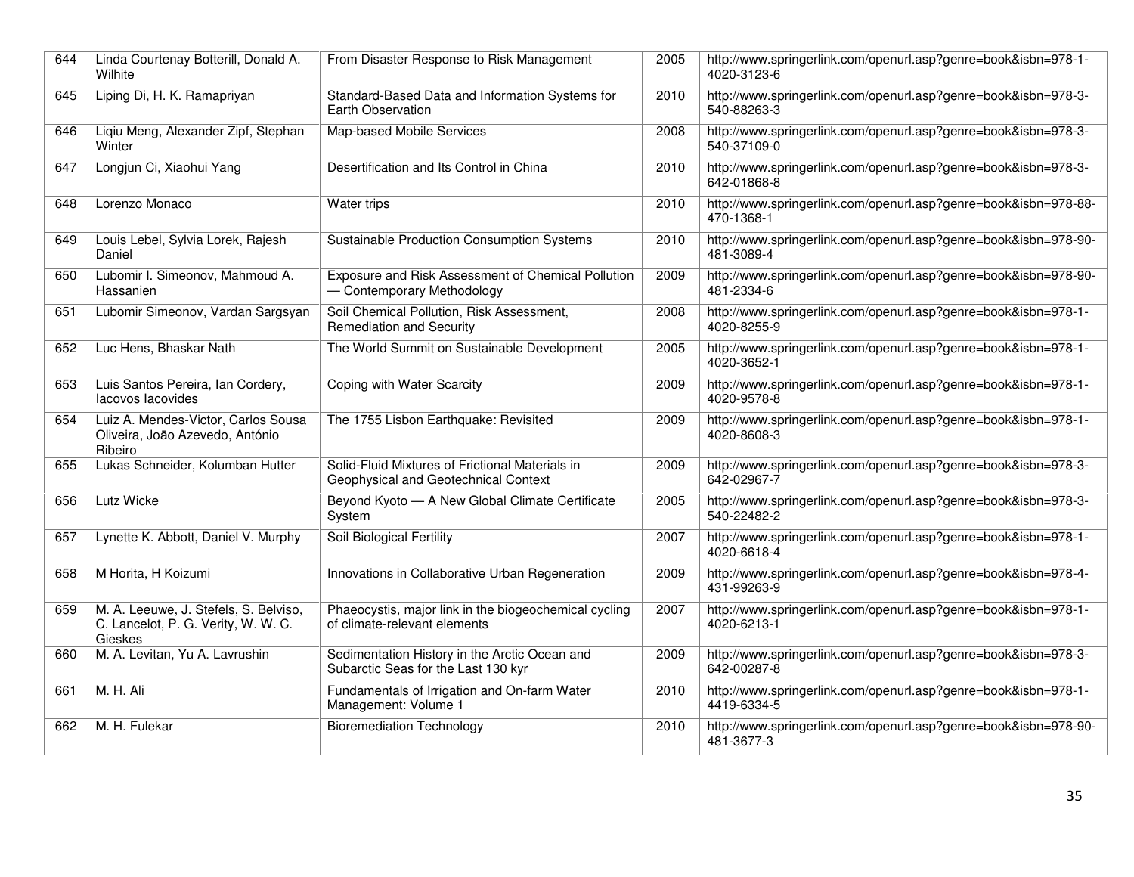| 644 | Linda Courtenay Botterill, Donald A.<br>Wilhite                                         | From Disaster Response to Risk Management                                               | 2005 | http://www.springerlink.com/openurl.asp?genre=book&isbn=978-1-<br>4020-3123-6 |
|-----|-----------------------------------------------------------------------------------------|-----------------------------------------------------------------------------------------|------|-------------------------------------------------------------------------------|
| 645 | Liping Di, H. K. Ramapriyan                                                             | Standard-Based Data and Information Systems for<br>Earth Observation                    | 2010 | http://www.springerlink.com/openurl.asp?genre=book&isbn=978-3-<br>540-88263-3 |
| 646 | Liqiu Meng, Alexander Zipf, Stephan<br>Winter                                           | Map-based Mobile Services                                                               | 2008 | http://www.springerlink.com/openurl.asp?genre=book&isbn=978-3-<br>540-37109-0 |
| 647 | Longjun Ci, Xiaohui Yang                                                                | Desertification and Its Control in China                                                | 2010 | http://www.springerlink.com/openurl.asp?genre=book&isbn=978-3-<br>642-01868-8 |
| 648 | Lorenzo Monaco                                                                          | Water trips                                                                             | 2010 | http://www.springerlink.com/openurl.asp?genre=book&isbn=978-88-<br>470-1368-1 |
| 649 | Louis Lebel, Sylvia Lorek, Rajesh<br>Daniel                                             | Sustainable Production Consumption Systems                                              | 2010 | http://www.springerlink.com/openurl.asp?genre=book&isbn=978-90-<br>481-3089-4 |
| 650 | Lubomir I. Simeonov, Mahmoud A.<br>Hassanien                                            | Exposure and Risk Assessment of Chemical Pollution<br>- Contemporary Methodology        | 2009 | http://www.springerlink.com/openurl.asp?genre=book&isbn=978-90-<br>481-2334-6 |
| 651 | Lubomir Simeonov, Vardan Sargsyan                                                       | Soil Chemical Pollution, Risk Assessment,<br>Remediation and Security                   | 2008 | http://www.springerlink.com/openurl.asp?genre=book&isbn=978-1-<br>4020-8255-9 |
| 652 | Luc Hens, Bhaskar Nath                                                                  | The World Summit on Sustainable Development                                             | 2005 | http://www.springerlink.com/openurl.asp?genre=book&isbn=978-1-<br>4020-3652-1 |
| 653 | Luis Santos Pereira, Ian Cordery,<br>lacovos lacovides                                  | Coping with Water Scarcity                                                              | 2009 | http://www.springerlink.com/openurl.asp?genre=book&isbn=978-1-<br>4020-9578-8 |
| 654 | Luiz A. Mendes-Victor, Carlos Sousa<br>Oliveira, João Azevedo, António<br>Ribeiro       | The 1755 Lisbon Earthquake: Revisited                                                   | 2009 | http://www.springerlink.com/openurl.asp?genre=book&isbn=978-1-<br>4020-8608-3 |
| 655 | Lukas Schneider, Kolumban Hutter                                                        | Solid-Fluid Mixtures of Frictional Materials in<br>Geophysical and Geotechnical Context | 2009 | http://www.springerlink.com/openurl.asp?genre=book&isbn=978-3-<br>642-02967-7 |
| 656 | Lutz Wicke                                                                              | Beyond Kyoto - A New Global Climate Certificate<br>System                               | 2005 | http://www.springerlink.com/openurl.asp?genre=book&isbn=978-3-<br>540-22482-2 |
| 657 | Lynette K. Abbott, Daniel V. Murphy                                                     | Soil Biological Fertility                                                               | 2007 | http://www.springerlink.com/openurl.asp?genre=book&isbn=978-1-<br>4020-6618-4 |
| 658 | M Horita, H Koizumi                                                                     | Innovations in Collaborative Urban Regeneration                                         | 2009 | http://www.springerlink.com/openurl.asp?genre=book&isbn=978-4-<br>431-99263-9 |
| 659 | M. A. Leeuwe, J. Stefels, S. Belviso,<br>C. Lancelot, P. G. Verity, W. W. C.<br>Gieskes | Phaeocystis, major link in the biogeochemical cycling<br>of climate-relevant elements   | 2007 | http://www.springerlink.com/openurl.asp?genre=book&isbn=978-1-<br>4020-6213-1 |
| 660 | M. A. Levitan, Yu A. Lavrushin                                                          | Sedimentation History in the Arctic Ocean and<br>Subarctic Seas for the Last 130 kyr    | 2009 | http://www.springerlink.com/openurl.asp?genre=book&isbn=978-3-<br>642-00287-8 |
| 661 | M. H. Ali                                                                               | Fundamentals of Irrigation and On-farm Water<br>Management: Volume 1                    | 2010 | http://www.springerlink.com/openurl.asp?genre=book&isbn=978-1-<br>4419-6334-5 |
| 662 | M. H. Fulekar                                                                           | <b>Bioremediation Technology</b>                                                        | 2010 | http://www.springerlink.com/openurl.asp?genre=book&isbn=978-90-<br>481-3677-3 |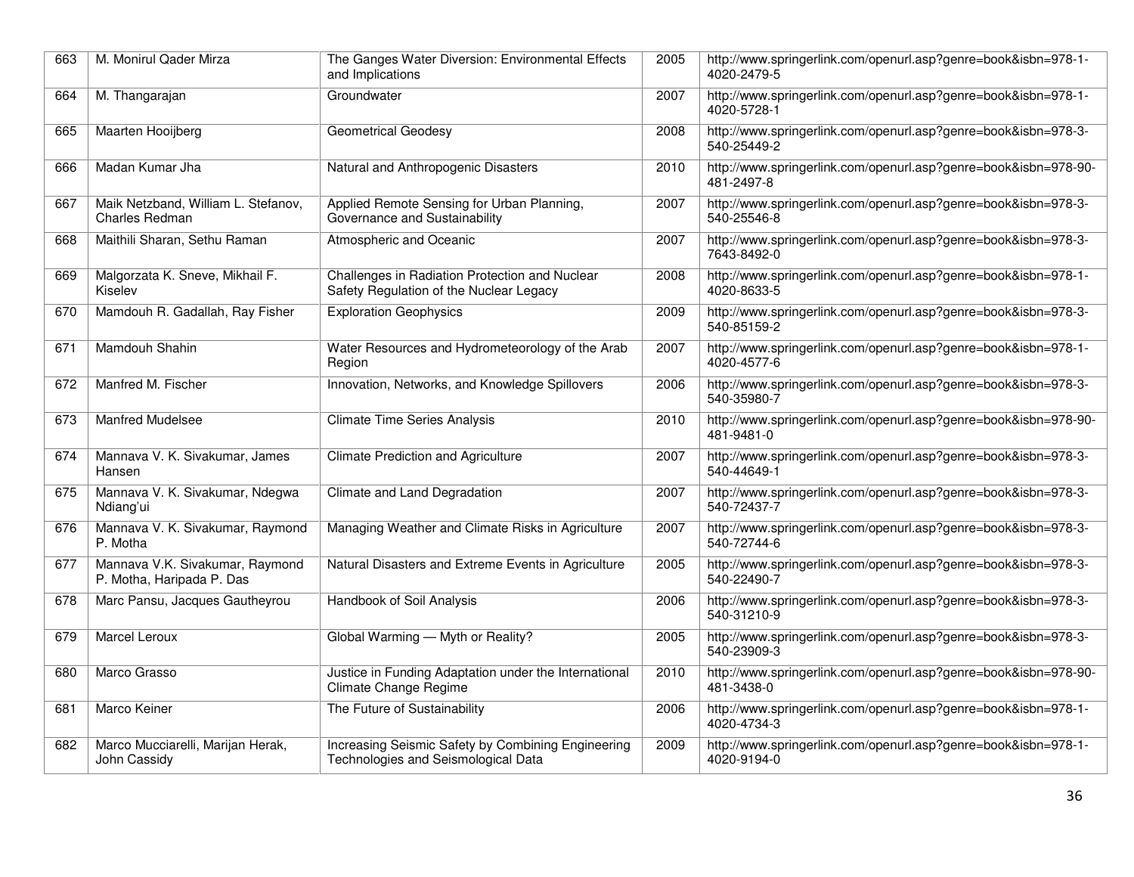| 663 | M. Monirul Qader Mirza                                       | The Ganges Water Diversion: Environmental Effects<br>and Implications                     | 2005 | http://www.springerlink.com/openurl.asp?genre=book&isbn=978-1-<br>4020-2479-5 |
|-----|--------------------------------------------------------------|-------------------------------------------------------------------------------------------|------|-------------------------------------------------------------------------------|
| 664 | M. Thangarajan                                               | Groundwater                                                                               | 2007 | http://www.springerlink.com/openurl.asp?genre=book&isbn=978-1-<br>4020-5728-1 |
| 665 | Maarten Hooijberg                                            | <b>Geometrical Geodesy</b>                                                                | 2008 | http://www.springerlink.com/openurl.asp?genre=book&isbn=978-3-<br>540-25449-2 |
| 666 | Madan Kumar Jha                                              | Natural and Anthropogenic Disasters                                                       | 2010 | http://www.springerlink.com/openurl.asp?genre=book&isbn=978-90-<br>481-2497-8 |
| 667 | Maik Netzband, William L. Stefanov,<br>Charles Redman        | Applied Remote Sensing for Urban Planning,<br>Governance and Sustainability               | 2007 | http://www.springerlink.com/openurl.asp?genre=book&isbn=978-3-<br>540-25546-8 |
| 668 | Maithili Sharan, Sethu Raman                                 | Atmospheric and Oceanic                                                                   | 2007 | http://www.springerlink.com/openurl.asp?genre=book&isbn=978-3-<br>7643-8492-0 |
| 669 | Malgorzata K. Sneve, Mikhail F.<br>Kiselev                   | Challenges in Radiation Protection and Nuclear<br>Safety Regulation of the Nuclear Legacy | 2008 | http://www.springerlink.com/openurl.asp?genre=book&isbn=978-1-<br>4020-8633-5 |
| 670 | Mamdouh R. Gadallah, Ray Fisher                              | <b>Exploration Geophysics</b>                                                             | 2009 | http://www.springerlink.com/openurl.asp?genre=book&isbn=978-3-<br>540-85159-2 |
| 671 | Mamdouh Shahin                                               | Water Resources and Hydrometeorology of the Arab<br>Region                                | 2007 | http://www.springerlink.com/openurl.asp?genre=book&isbn=978-1-<br>4020-4577-6 |
| 672 | Manfred M. Fischer                                           | Innovation, Networks, and Knowledge Spillovers                                            | 2006 | http://www.springerlink.com/openurl.asp?genre=book&isbn=978-3-<br>540-35980-7 |
| 673 | <b>Manfred Mudelsee</b>                                      | <b>Climate Time Series Analysis</b>                                                       | 2010 | http://www.springerlink.com/openurl.asp?genre=book&isbn=978-90-<br>481-9481-0 |
| 674 | Mannava V. K. Sivakumar, James<br>Hansen                     | <b>Climate Prediction and Agriculture</b>                                                 | 2007 | http://www.springerlink.com/openurl.asp?genre=book&isbn=978-3-<br>540-44649-1 |
| 675 | Mannava V. K. Sivakumar, Ndegwa<br>Ndiang'ui                 | Climate and Land Degradation                                                              | 2007 | http://www.springerlink.com/openurl.asp?genre=book&isbn=978-3-<br>540-72437-7 |
| 676 | Mannava V. K. Sivakumar, Raymond<br>P. Motha                 | Managing Weather and Climate Risks in Agriculture                                         | 2007 | http://www.springerlink.com/openurl.asp?genre=book&isbn=978-3-<br>540-72744-6 |
| 677 | Mannava V.K. Sivakumar, Raymond<br>P. Motha, Haripada P. Das | Natural Disasters and Extreme Events in Agriculture                                       | 2005 | http://www.springerlink.com/openurl.asp?genre=book&isbn=978-3-<br>540-22490-7 |
| 678 | Marc Pansu, Jacques Gautheyrou                               | Handbook of Soil Analysis                                                                 | 2006 | http://www.springerlink.com/openurl.asp?genre=book&isbn=978-3-<br>540-31210-9 |
| 679 | <b>Marcel Leroux</b>                                         | Global Warming - Myth or Reality?                                                         | 2005 | http://www.springerlink.com/openurl.asp?genre=book&isbn=978-3-<br>540-23909-3 |
| 680 | Marco Grasso                                                 | Justice in Funding Adaptation under the International<br>Climate Change Regime            | 2010 | http://www.springerlink.com/openurl.asp?genre=book&isbn=978-90-<br>481-3438-0 |
| 681 | Marco Keiner                                                 | The Future of Sustainability                                                              | 2006 | http://www.springerlink.com/openurl.asp?genre=book&isbn=978-1-<br>4020-4734-3 |
| 682 | Marco Mucciarelli, Marijan Herak,<br>John Cassidy            | Increasing Seismic Safety by Combining Engineering<br>Technologies and Seismological Data | 2009 | http://www.springerlink.com/openurl.asp?genre=book&isbn=978-1-<br>4020-9194-0 |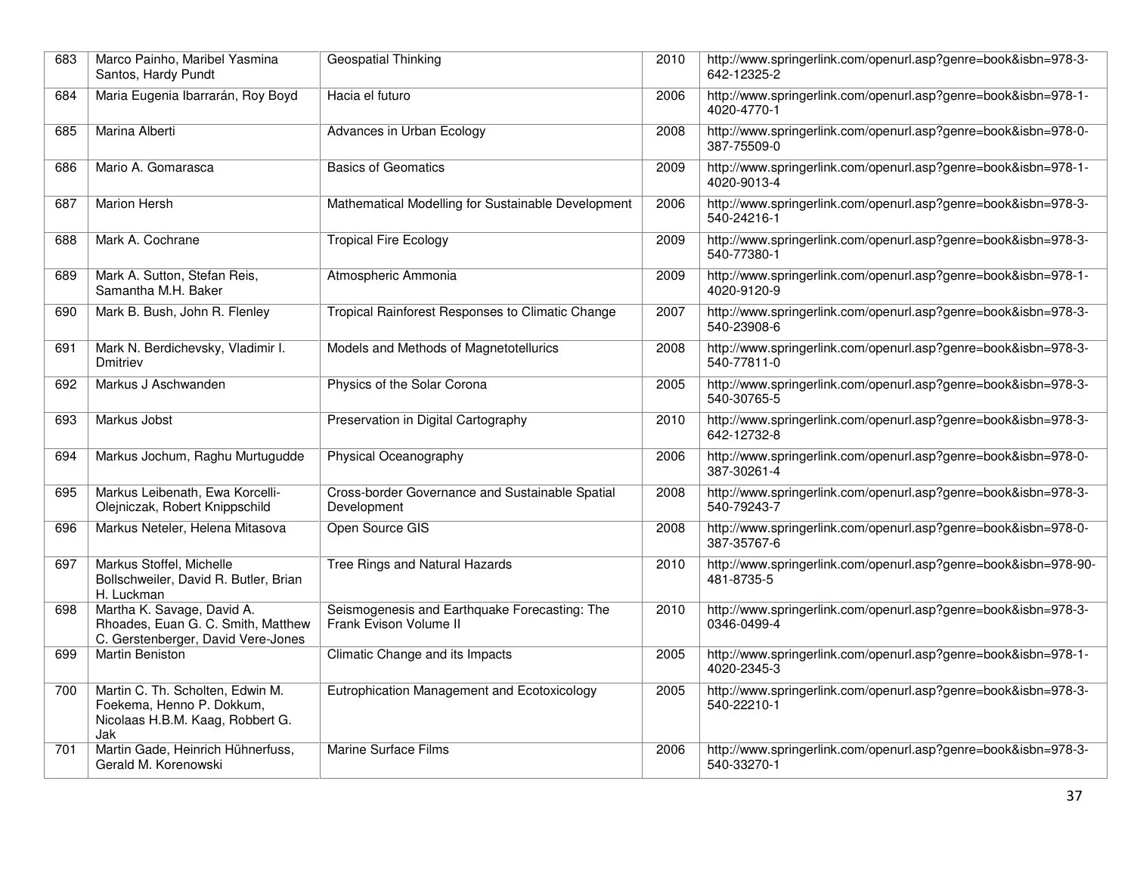| 683 | Marco Painho, Maribel Yasmina<br>Santos, Hardy Pundt                                                     | Geospatial Thinking                                                     | 2010 | http://www.springerlink.com/openurl.asp?genre=book&isbn=978-3-<br>642-12325-2 |
|-----|----------------------------------------------------------------------------------------------------------|-------------------------------------------------------------------------|------|-------------------------------------------------------------------------------|
| 684 | Maria Eugenia Ibarrarán, Roy Boyd                                                                        | Hacia el futuro                                                         | 2006 | http://www.springerlink.com/openurl.asp?genre=book&isbn=978-1-<br>4020-4770-1 |
| 685 | Marina Alberti                                                                                           | Advances in Urban Ecology                                               | 2008 | http://www.springerlink.com/openurl.asp?genre=book&isbn=978-0-<br>387-75509-0 |
| 686 | Mario A. Gomarasca                                                                                       | <b>Basics of Geomatics</b>                                              | 2009 | http://www.springerlink.com/openurl.asp?genre=book&isbn=978-1-<br>4020-9013-4 |
| 687 | <b>Marion Hersh</b>                                                                                      | Mathematical Modelling for Sustainable Development                      | 2006 | http://www.springerlink.com/openurl.asp?genre=book&isbn=978-3-<br>540-24216-1 |
| 688 | Mark A. Cochrane                                                                                         | <b>Tropical Fire Ecology</b>                                            | 2009 | http://www.springerlink.com/openurl.asp?genre=book&isbn=978-3-<br>540-77380-1 |
| 689 | Mark A. Sutton, Stefan Reis,<br>Samantha M.H. Baker                                                      | Atmospheric Ammonia                                                     | 2009 | http://www.springerlink.com/openurl.asp?genre=book&isbn=978-1-<br>4020-9120-9 |
| 690 | Mark B. Bush, John R. Flenley                                                                            | Tropical Rainforest Responses to Climatic Change                        | 2007 | http://www.springerlink.com/openurl.asp?genre=book&isbn=978-3-<br>540-23908-6 |
| 691 | Mark N. Berdichevsky, Vladimir I.<br>Dmitriev                                                            | Models and Methods of Magnetotellurics                                  | 2008 | http://www.springerlink.com/openurl.asp?genre=book&isbn=978-3-<br>540-77811-0 |
| 692 | Markus J Aschwanden                                                                                      | Physics of the Solar Corona                                             | 2005 | http://www.springerlink.com/openurl.asp?genre=book&isbn=978-3-<br>540-30765-5 |
| 693 | Markus Jobst                                                                                             | Preservation in Digital Cartography                                     | 2010 | http://www.springerlink.com/openurl.asp?genre=book&isbn=978-3-<br>642-12732-8 |
| 694 | Markus Jochum, Raghu Murtugudde                                                                          | Physical Oceanography                                                   | 2006 | http://www.springerlink.com/openurl.asp?genre=book&isbn=978-0-<br>387-30261-4 |
| 695 | Markus Leibenath, Ewa Korcelli-<br>Olejniczak, Robert Knippschild                                        | Cross-border Governance and Sustainable Spatial<br>Development          | 2008 | http://www.springerlink.com/openurl.asp?genre=book&isbn=978-3-<br>540-79243-7 |
| 696 | Markus Neteler, Helena Mitasova                                                                          | Open Source GIS                                                         | 2008 | http://www.springerlink.com/openurl.asp?genre=book&isbn=978-0-<br>387-35767-6 |
| 697 | Markus Stoffel, Michelle<br>Bollschweiler, David R. Butler, Brian<br>H. Luckman                          | Tree Rings and Natural Hazards                                          | 2010 | http://www.springerlink.com/openurl.asp?genre=book&isbn=978-90-<br>481-8735-5 |
| 698 | Martha K. Savage, David A.<br>Rhoades, Euan G. C. Smith, Matthew<br>C. Gerstenberger, David Vere-Jones   | Seismogenesis and Earthquake Forecasting: The<br>Frank Evison Volume II | 2010 | http://www.springerlink.com/openurl.asp?genre=book&isbn=978-3-<br>0346-0499-4 |
| 699 | <b>Martin Beniston</b>                                                                                   | Climatic Change and its Impacts                                         | 2005 | http://www.springerlink.com/openurl.asp?genre=book&isbn=978-1-<br>4020-2345-3 |
| 700 | Martin C. Th. Scholten, Edwin M.<br>Foekema, Henno P. Dokkum,<br>Nicolaas H.B.M. Kaag, Robbert G.<br>Jak | Eutrophication Management and Ecotoxicology                             | 2005 | http://www.springerlink.com/openurl.asp?genre=book&isbn=978-3-<br>540-22210-1 |
| 701 | Martin Gade, Heinrich Hühnerfuss,<br>Gerald M. Korenowski                                                | Marine Surface Films                                                    | 2006 | http://www.springerlink.com/openurl.asp?genre=book&isbn=978-3-<br>540-33270-1 |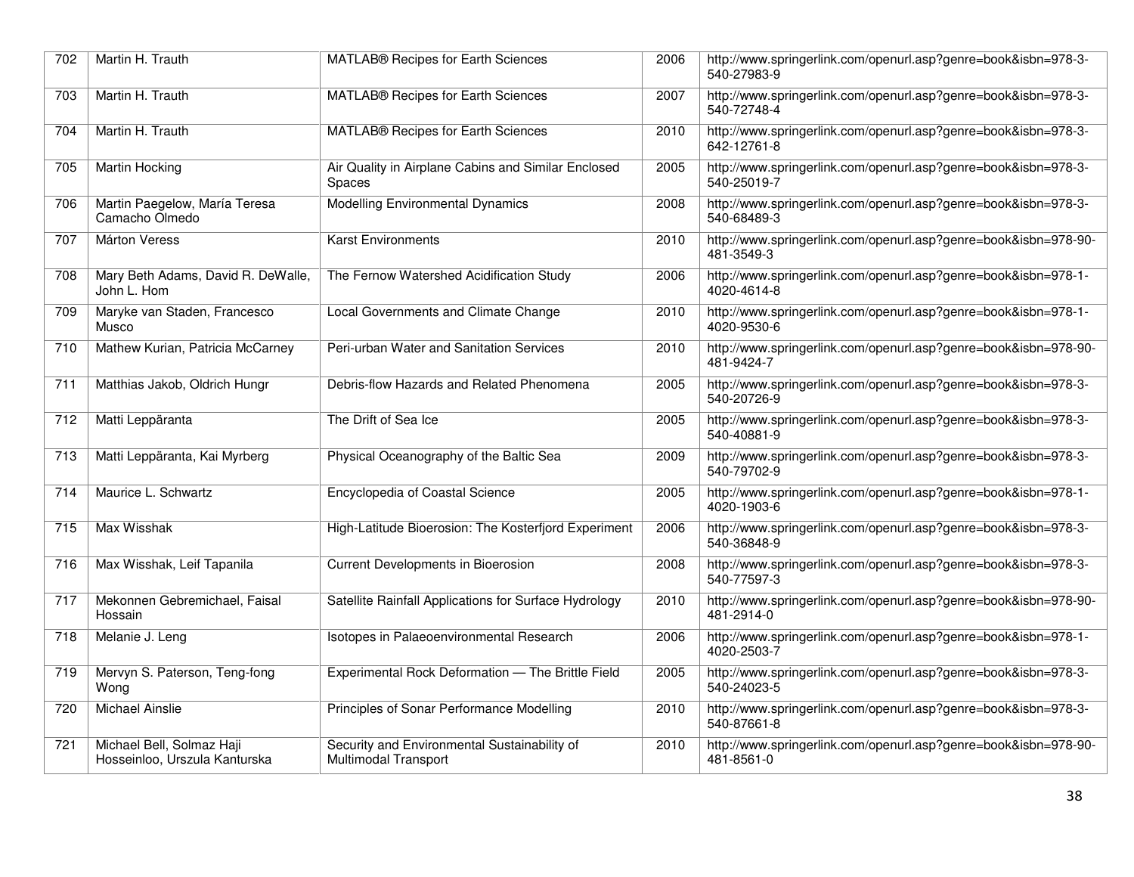| 702 | Martin H. Trauth                                           | MATLAB® Recipes for Earth Sciences                                   | 2006 | http://www.springerlink.com/openurl.asp?genre=book&isbn=978-3-<br>540-27983-9 |
|-----|------------------------------------------------------------|----------------------------------------------------------------------|------|-------------------------------------------------------------------------------|
| 703 | Martin H. Trauth                                           | MATLAB® Recipes for Earth Sciences                                   | 2007 | http://www.springerlink.com/openurl.asp?genre=book&isbn=978-3-<br>540-72748-4 |
| 704 | Martin H. Trauth                                           | MATLAB® Recipes for Earth Sciences                                   | 2010 | http://www.springerlink.com/openurl.asp?genre=book&isbn=978-3-<br>642-12761-8 |
| 705 | <b>Martin Hocking</b>                                      | Air Quality in Airplane Cabins and Similar Enclosed<br>Spaces        | 2005 | http://www.springerlink.com/openurl.asp?genre=book&isbn=978-3-<br>540-25019-7 |
| 706 | Martin Paegelow, María Teresa<br>Camacho Olmedo            | Modelling Environmental Dynamics                                     | 2008 | http://www.springerlink.com/openurl.asp?genre=book&isbn=978-3-<br>540-68489-3 |
| 707 | <b>Márton Veress</b>                                       | <b>Karst Environments</b>                                            | 2010 | http://www.springerlink.com/openurl.asp?genre=book&isbn=978-90-<br>481-3549-3 |
| 708 | Mary Beth Adams, David R. DeWalle,<br>John L. Hom          | The Fernow Watershed Acidification Study                             | 2006 | http://www.springerlink.com/openurl.asp?genre=book&isbn=978-1-<br>4020-4614-8 |
| 709 | Maryke van Staden, Francesco<br>Musco                      | Local Governments and Climate Change                                 | 2010 | http://www.springerlink.com/openurl.asp?genre=book&isbn=978-1-<br>4020-9530-6 |
| 710 | Mathew Kurian, Patricia McCarney                           | Peri-urban Water and Sanitation Services                             | 2010 | http://www.springerlink.com/openurl.asp?genre=book&isbn=978-90-<br>481-9424-7 |
| 711 | Matthias Jakob, Oldrich Hungr                              | Debris-flow Hazards and Related Phenomena                            | 2005 | http://www.springerlink.com/openurl.asp?genre=book&isbn=978-3-<br>540-20726-9 |
| 712 | Matti Leppäranta                                           | The Drift of Sea Ice                                                 | 2005 | http://www.springerlink.com/openurl.asp?genre=book&isbn=978-3-<br>540-40881-9 |
| 713 | Matti Leppäranta, Kai Myrberg                              | Physical Oceanography of the Baltic Sea                              | 2009 | http://www.springerlink.com/openurl.asp?genre=book&isbn=978-3-<br>540-79702-9 |
| 714 | Maurice L. Schwartz                                        | Encyclopedia of Coastal Science                                      | 2005 | http://www.springerlink.com/openurl.asp?genre=book&isbn=978-1-<br>4020-1903-6 |
| 715 | Max Wisshak                                                | High-Latitude Bioerosion: The Kosterfjord Experiment                 | 2006 | http://www.springerlink.com/openurl.asp?genre=book&isbn=978-3-<br>540-36848-9 |
| 716 | Max Wisshak, Leif Tapanila                                 | <b>Current Developments in Bioerosion</b>                            | 2008 | http://www.springerlink.com/openurl.asp?genre=book&isbn=978-3-<br>540-77597-3 |
| 717 | Mekonnen Gebremichael, Faisal<br>Hossain                   | Satellite Rainfall Applications for Surface Hydrology                | 2010 | http://www.springerlink.com/openurl.asp?genre=book&isbn=978-90-<br>481-2914-0 |
| 718 | Melanie J. Leng                                            | Isotopes in Palaeoenvironmental Research                             | 2006 | http://www.springerlink.com/openurl.asp?genre=book&isbn=978-1-<br>4020-2503-7 |
| 719 | Mervyn S. Paterson, Teng-fong<br>Wong                      | Experimental Rock Deformation - The Brittle Field                    | 2005 | http://www.springerlink.com/openurl.asp?genre=book&isbn=978-3-<br>540-24023-5 |
| 720 | <b>Michael Ainslie</b>                                     | Principles of Sonar Performance Modelling                            | 2010 | http://www.springerlink.com/openurl.asp?genre=book&isbn=978-3-<br>540-87661-8 |
| 721 | Michael Bell, Solmaz Haji<br>Hosseinloo, Urszula Kanturska | Security and Environmental Sustainability of<br>Multimodal Transport | 2010 | http://www.springerlink.com/openurl.asp?genre=book&isbn=978-90-<br>481-8561-0 |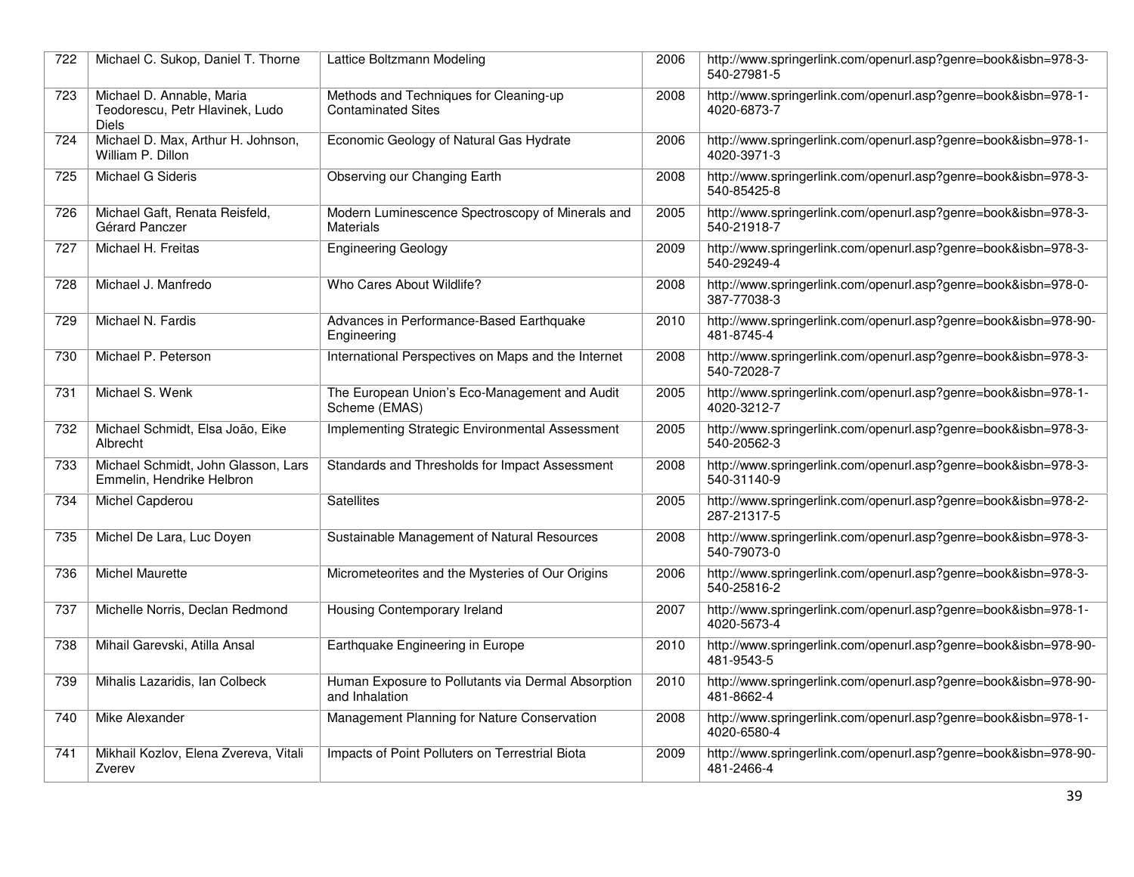| 722 | Michael C. Sukop, Daniel T. Thorne                                           | Lattice Boltzmann Modeling                                           | 2006 | http://www.springerlink.com/openurl.asp?genre=book&isbn=978-3-<br>540-27981-5 |
|-----|------------------------------------------------------------------------------|----------------------------------------------------------------------|------|-------------------------------------------------------------------------------|
| 723 | Michael D. Annable, Maria<br>Teodorescu, Petr Hlavinek, Ludo<br><b>Diels</b> | Methods and Techniques for Cleaning-up<br><b>Contaminated Sites</b>  | 2008 | http://www.springerlink.com/openurl.asp?genre=book&isbn=978-1-<br>4020-6873-7 |
| 724 | Michael D. Max, Arthur H. Johnson,<br>William P. Dillon                      | Economic Geology of Natural Gas Hydrate                              | 2006 | http://www.springerlink.com/openurl.asp?genre=book&isbn=978-1-<br>4020-3971-3 |
| 725 | Michael G Sideris                                                            | Observing our Changing Earth                                         | 2008 | http://www.springerlink.com/openurl.asp?genre=book&isbn=978-3-<br>540-85425-8 |
| 726 | Michael Gaft, Renata Reisfeld,<br>Gérard Panczer                             | Modern Luminescence Spectroscopy of Minerals and<br>Materials        | 2005 | http://www.springerlink.com/openurl.asp?genre=book&isbn=978-3-<br>540-21918-7 |
| 727 | Michael H. Freitas                                                           | <b>Engineering Geology</b>                                           | 2009 | http://www.springerlink.com/openurl.asp?genre=book&isbn=978-3-<br>540-29249-4 |
| 728 | Michael J. Manfredo                                                          | Who Cares About Wildlife?                                            | 2008 | http://www.springerlink.com/openurl.asp?genre=book&isbn=978-0-<br>387-77038-3 |
| 729 | Michael N. Fardis                                                            | Advances in Performance-Based Earthquake<br>Engineering              | 2010 | http://www.springerlink.com/openurl.asp?genre=book&isbn=978-90-<br>481-8745-4 |
| 730 | Michael P. Peterson                                                          | International Perspectives on Maps and the Internet                  | 2008 | http://www.springerlink.com/openurl.asp?genre=book&isbn=978-3-<br>540-72028-7 |
| 731 | Michael S. Wenk                                                              | The European Union's Eco-Management and Audit<br>Scheme (EMAS)       | 2005 | http://www.springerlink.com/openurl.asp?genre=book&isbn=978-1-<br>4020-3212-7 |
| 732 | Michael Schmidt, Elsa João, Eike<br>Albrecht                                 | Implementing Strategic Environmental Assessment                      | 2005 | http://www.springerlink.com/openurl.asp?genre=book&isbn=978-3-<br>540-20562-3 |
| 733 | Michael Schmidt, John Glasson, Lars<br>Emmelin, Hendrike Helbron             | Standards and Thresholds for Impact Assessment                       | 2008 | http://www.springerlink.com/openurl.asp?genre=book&isbn=978-3-<br>540-31140-9 |
| 734 | Michel Capderou                                                              | <b>Satellites</b>                                                    | 2005 | http://www.springerlink.com/openurl.asp?genre=book&isbn=978-2-<br>287-21317-5 |
| 735 | Michel De Lara, Luc Doyen                                                    | Sustainable Management of Natural Resources                          | 2008 | http://www.springerlink.com/openurl.asp?genre=book&isbn=978-3-<br>540-79073-0 |
| 736 | <b>Michel Maurette</b>                                                       | Micrometeorites and the Mysteries of Our Origins                     | 2006 | http://www.springerlink.com/openurl.asp?genre=book&isbn=978-3-<br>540-25816-2 |
| 737 | Michelle Norris, Declan Redmond                                              | Housing Contemporary Ireland                                         | 2007 | http://www.springerlink.com/openurl.asp?genre=book&isbn=978-1-<br>4020-5673-4 |
| 738 | Mihail Garevski, Atilla Ansal                                                | Earthquake Engineering in Europe                                     | 2010 | http://www.springerlink.com/openurl.asp?genre=book&isbn=978-90-<br>481-9543-5 |
| 739 | Mihalis Lazaridis, Ian Colbeck                                               | Human Exposure to Pollutants via Dermal Absorption<br>and Inhalation | 2010 | http://www.springerlink.com/openurl.asp?genre=book&isbn=978-90-<br>481-8662-4 |
| 740 | <b>Mike Alexander</b>                                                        | Management Planning for Nature Conservation                          | 2008 | http://www.springerlink.com/openurl.asp?genre=book&isbn=978-1-<br>4020-6580-4 |
| 741 | Mikhail Kozlov, Elena Zvereva, Vitali<br>Zverev                              | Impacts of Point Polluters on Terrestrial Biota                      | 2009 | http://www.springerlink.com/openurl.asp?genre=book&isbn=978-90-<br>481-2466-4 |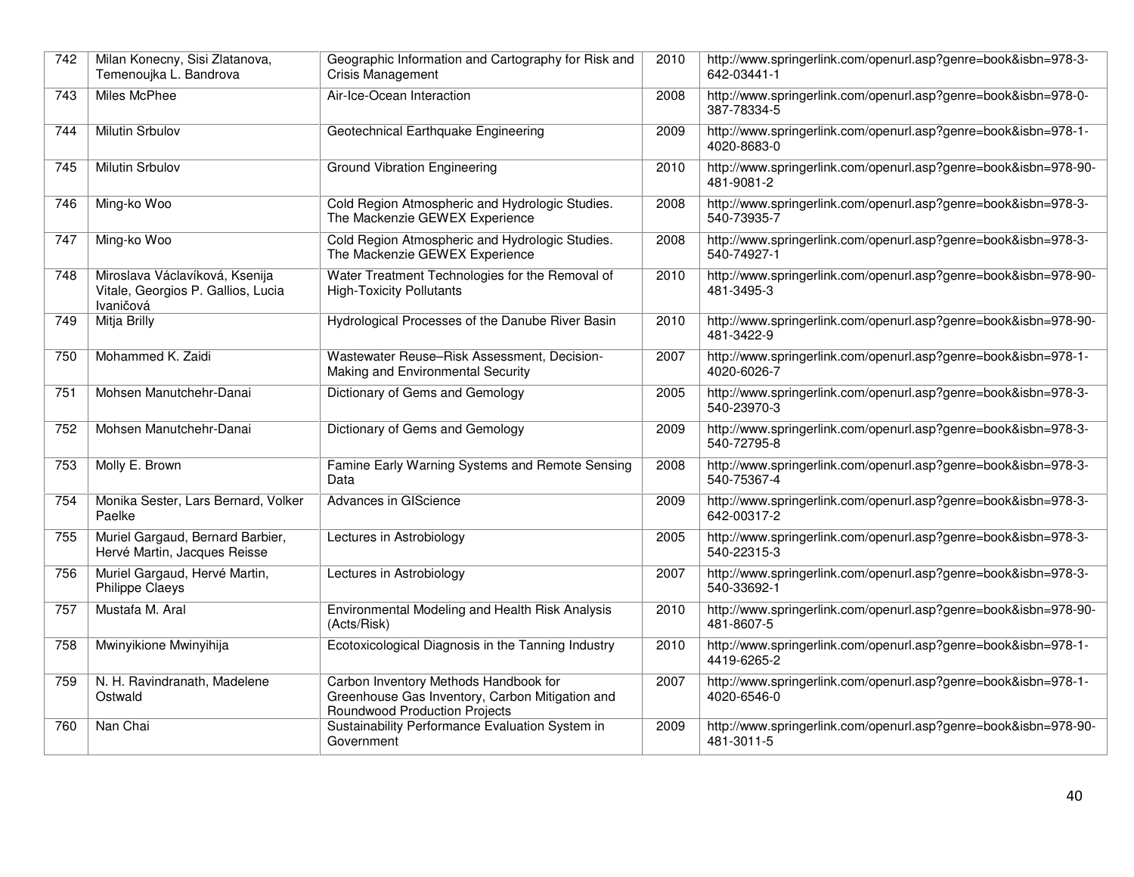| 742 | Milan Konecny, Sisi Zlatanova,<br>Temenoujka L. Bandrova                          | Geographic Information and Cartography for Risk and<br><b>Crisis Management</b>                                                  | 2010 | http://www.springerlink.com/openurl.asp?genre=book&isbn=978-3-<br>642-03441-1 |
|-----|-----------------------------------------------------------------------------------|----------------------------------------------------------------------------------------------------------------------------------|------|-------------------------------------------------------------------------------|
| 743 | <b>Miles McPhee</b>                                                               | Air-Ice-Ocean Interaction                                                                                                        | 2008 | http://www.springerlink.com/openurl.asp?genre=book&isbn=978-0-<br>387-78334-5 |
| 744 | <b>Milutin Srbulov</b>                                                            | Geotechnical Earthquake Engineering                                                                                              | 2009 | http://www.springerlink.com/openurl.asp?genre=book&isbn=978-1-<br>4020-8683-0 |
| 745 | <b>Milutin Srbulov</b>                                                            | <b>Ground Vibration Engineering</b>                                                                                              | 2010 | http://www.springerlink.com/openurl.asp?genre=book&isbn=978-90-<br>481-9081-2 |
| 746 | Ming-ko Woo                                                                       | Cold Region Atmospheric and Hydrologic Studies.<br>The Mackenzie GEWEX Experience                                                | 2008 | http://www.springerlink.com/openurl.asp?genre=book&isbn=978-3-<br>540-73935-7 |
| 747 | Ming-ko Woo                                                                       | Cold Region Atmospheric and Hydrologic Studies.<br>The Mackenzie GEWEX Experience                                                | 2008 | http://www.springerlink.com/openurl.asp?genre=book&isbn=978-3-<br>540-74927-1 |
| 748 | Miroslava Václavíková, Ksenija<br>Vitale, Georgios P. Gallios, Lucia<br>Ivaničová | Water Treatment Technologies for the Removal of<br><b>High-Toxicity Pollutants</b>                                               | 2010 | http://www.springerlink.com/openurl.asp?genre=book&isbn=978-90-<br>481-3495-3 |
| 749 | Mitja Brilly                                                                      | Hydrological Processes of the Danube River Basin                                                                                 | 2010 | http://www.springerlink.com/openurl.asp?genre=book&isbn=978-90-<br>481-3422-9 |
| 750 | Mohammed K. Zaidi                                                                 | Wastewater Reuse-Risk Assessment, Decision-<br>Making and Environmental Security                                                 | 2007 | http://www.springerlink.com/openurl.asp?genre=book&isbn=978-1-<br>4020-6026-7 |
| 751 | Mohsen Manutchehr-Danai                                                           | Dictionary of Gems and Gemology                                                                                                  | 2005 | http://www.springerlink.com/openurl.asp?genre=book&isbn=978-3-<br>540-23970-3 |
| 752 | Mohsen Manutchehr-Danai                                                           | Dictionary of Gems and Gemology                                                                                                  | 2009 | http://www.springerlink.com/openurl.asp?genre=book&isbn=978-3-<br>540-72795-8 |
| 753 | Molly E. Brown                                                                    | Famine Early Warning Systems and Remote Sensing<br>Data                                                                          | 2008 | http://www.springerlink.com/openurl.asp?genre=book&isbn=978-3-<br>540-75367-4 |
| 754 | Monika Sester, Lars Bernard, Volker<br>Paelke                                     | Advances in GIScience                                                                                                            | 2009 | http://www.springerlink.com/openurl.asp?genre=book&isbn=978-3-<br>642-00317-2 |
| 755 | Muriel Gargaud, Bernard Barbier,<br>Hervé Martin, Jacques Reisse                  | Lectures in Astrobiology                                                                                                         | 2005 | http://www.springerlink.com/openurl.asp?genre=book&isbn=978-3-<br>540-22315-3 |
| 756 | Muriel Gargaud, Hervé Martin,<br>Philippe Claeys                                  | Lectures in Astrobiology                                                                                                         | 2007 | http://www.springerlink.com/openurl.asp?genre=book&isbn=978-3-<br>540-33692-1 |
| 757 | Mustafa M. Aral                                                                   | Environmental Modeling and Health Risk Analysis<br>(Acts/Risk)                                                                   | 2010 | http://www.springerlink.com/openurl.asp?genre=book&isbn=978-90-<br>481-8607-5 |
| 758 | Mwinyikione Mwinyihija                                                            | Ecotoxicological Diagnosis in the Tanning Industry                                                                               | 2010 | http://www.springerlink.com/openurl.asp?genre=book&isbn=978-1-<br>4419-6265-2 |
| 759 | N. H. Ravindranath, Madelene<br>Ostwald                                           | Carbon Inventory Methods Handbook for<br>Greenhouse Gas Inventory, Carbon Mitigation and<br><b>Roundwood Production Projects</b> | 2007 | http://www.springerlink.com/openurl.asp?genre=book&isbn=978-1-<br>4020-6546-0 |
| 760 | Nan Chai                                                                          | Sustainability Performance Evaluation System in<br>Government                                                                    | 2009 | http://www.springerlink.com/openurl.asp?genre=book&isbn=978-90-<br>481-3011-5 |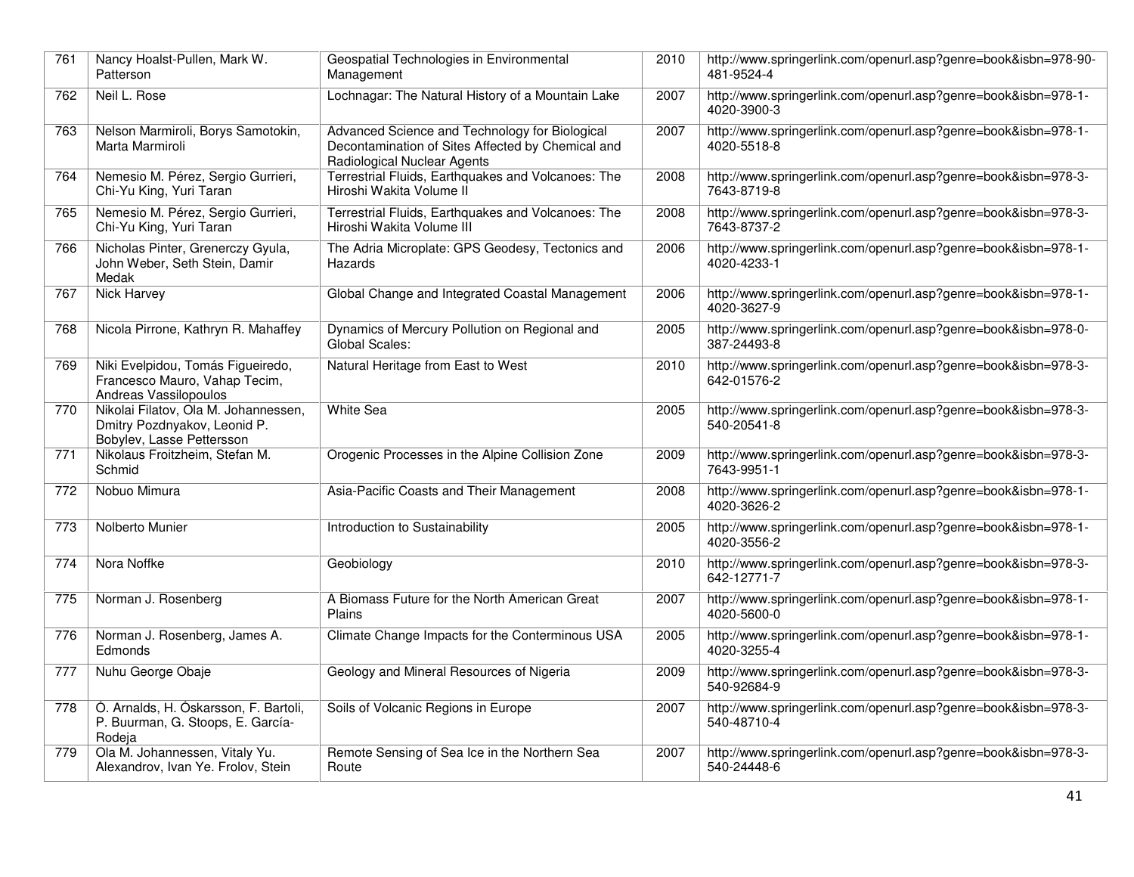| 761 | Nancy Hoalst-Pullen, Mark W.<br>Patterson                                                         | Geospatial Technologies in Environmental<br>Management                                                                             | 2010 | http://www.springerlink.com/openurl.asp?genre=book&isbn=978-90-<br>481-9524-4 |
|-----|---------------------------------------------------------------------------------------------------|------------------------------------------------------------------------------------------------------------------------------------|------|-------------------------------------------------------------------------------|
| 762 | Neil L. Rose                                                                                      | Lochnagar: The Natural History of a Mountain Lake                                                                                  | 2007 | http://www.springerlink.com/openurl.asp?genre=book&isbn=978-1-<br>4020-3900-3 |
| 763 | Nelson Marmiroli, Borys Samotokin,<br>Marta Marmiroli                                             | Advanced Science and Technology for Biological<br>Decontamination of Sites Affected by Chemical and<br>Radiological Nuclear Agents | 2007 | http://www.springerlink.com/openurl.asp?genre=book&isbn=978-1-<br>4020-5518-8 |
| 764 | Nemesio M. Pérez, Sergio Gurrieri,<br>Chi-Yu King, Yuri Taran                                     | Terrestrial Fluids, Earthquakes and Volcanoes: The<br>Hiroshi Wakita Volume II                                                     | 2008 | http://www.springerlink.com/openurl.asp?genre=book&isbn=978-3-<br>7643-8719-8 |
| 765 | Nemesio M. Pérez, Sergio Gurrieri,<br>Chi-Yu King, Yuri Taran                                     | Terrestrial Fluids, Earthquakes and Volcanoes: The<br>Hiroshi Wakita Volume III                                                    | 2008 | http://www.springerlink.com/openurl.asp?genre=book&isbn=978-3-<br>7643-8737-2 |
| 766 | Nicholas Pinter, Grenerczy Gyula,<br>John Weber, Seth Stein, Damir<br>Medak                       | The Adria Microplate: GPS Geodesy, Tectonics and<br>Hazards                                                                        | 2006 | http://www.springerlink.com/openurl.asp?genre=book&isbn=978-1-<br>4020-4233-1 |
| 767 | <b>Nick Harvey</b>                                                                                | Global Change and Integrated Coastal Management                                                                                    | 2006 | http://www.springerlink.com/openurl.asp?genre=book&isbn=978-1-<br>4020-3627-9 |
| 768 | Nicola Pirrone, Kathryn R. Mahaffey                                                               | Dynamics of Mercury Pollution on Regional and<br>Global Scales:                                                                    | 2005 | http://www.springerlink.com/openurl.asp?genre=book&isbn=978-0-<br>387-24493-8 |
| 769 | Niki Evelpidou, Tomás Figueiredo,<br>Francesco Mauro, Vahap Tecim,<br>Andreas Vassilopoulos       | Natural Heritage from East to West                                                                                                 | 2010 | http://www.springerlink.com/openurl.asp?genre=book&isbn=978-3-<br>642-01576-2 |
| 770 | Nikolai Filatov, Ola M. Johannessen,<br>Dmitry Pozdnyakov, Leonid P.<br>Bobylev, Lasse Pettersson | White Sea                                                                                                                          | 2005 | http://www.springerlink.com/openurl.asp?genre=book&isbn=978-3-<br>540-20541-8 |
| 771 | Nikolaus Froitzheim, Stefan M.<br>Schmid                                                          | Orogenic Processes in the Alpine Collision Zone                                                                                    | 2009 | http://www.springerlink.com/openurl.asp?genre=book&isbn=978-3-<br>7643-9951-1 |
| 772 | Nobuo Mimura                                                                                      | Asia-Pacific Coasts and Their Management                                                                                           | 2008 | http://www.springerlink.com/openurl.asp?genre=book&isbn=978-1-<br>4020-3626-2 |
| 773 | Nolberto Munier                                                                                   | Introduction to Sustainability                                                                                                     | 2005 | http://www.springerlink.com/openurl.asp?genre=book&isbn=978-1-<br>4020-3556-2 |
| 774 | Nora Noffke                                                                                       | Geobiology                                                                                                                         | 2010 | http://www.springerlink.com/openurl.asp?genre=book&isbn=978-3-<br>642-12771-7 |
| 775 | Norman J. Rosenberg                                                                               | A Biomass Future for the North American Great<br>Plains                                                                            | 2007 | http://www.springerlink.com/openurl.asp?genre=book&isbn=978-1-<br>4020-5600-0 |
| 776 | Norman J. Rosenberg, James A.<br>Edmonds                                                          | Climate Change Impacts for the Conterminous USA                                                                                    | 2005 | http://www.springerlink.com/openurl.asp?genre=book&isbn=978-1-<br>4020-3255-4 |
| 777 | Nuhu George Obaje                                                                                 | Geology and Mineral Resources of Nigeria                                                                                           | 2009 | http://www.springerlink.com/openurl.asp?genre=book&isbn=978-3-<br>540-92684-9 |
| 778 | Ó. Arnalds, H. Óskarsson, F. Bartoli,<br>P. Buurman, G. Stoops, E. García-<br>Rodeja              | Soils of Volcanic Regions in Europe                                                                                                | 2007 | http://www.springerlink.com/openurl.asp?genre=book&isbn=978-3-<br>540-48710-4 |
| 779 | Ola M. Johannessen, Vitaly Yu.<br>Alexandrov, Ivan Ye. Frolov, Stein                              | Remote Sensing of Sea Ice in the Northern Sea<br>Route                                                                             | 2007 | http://www.springerlink.com/openurl.asp?genre=book&isbn=978-3-<br>540-24448-6 |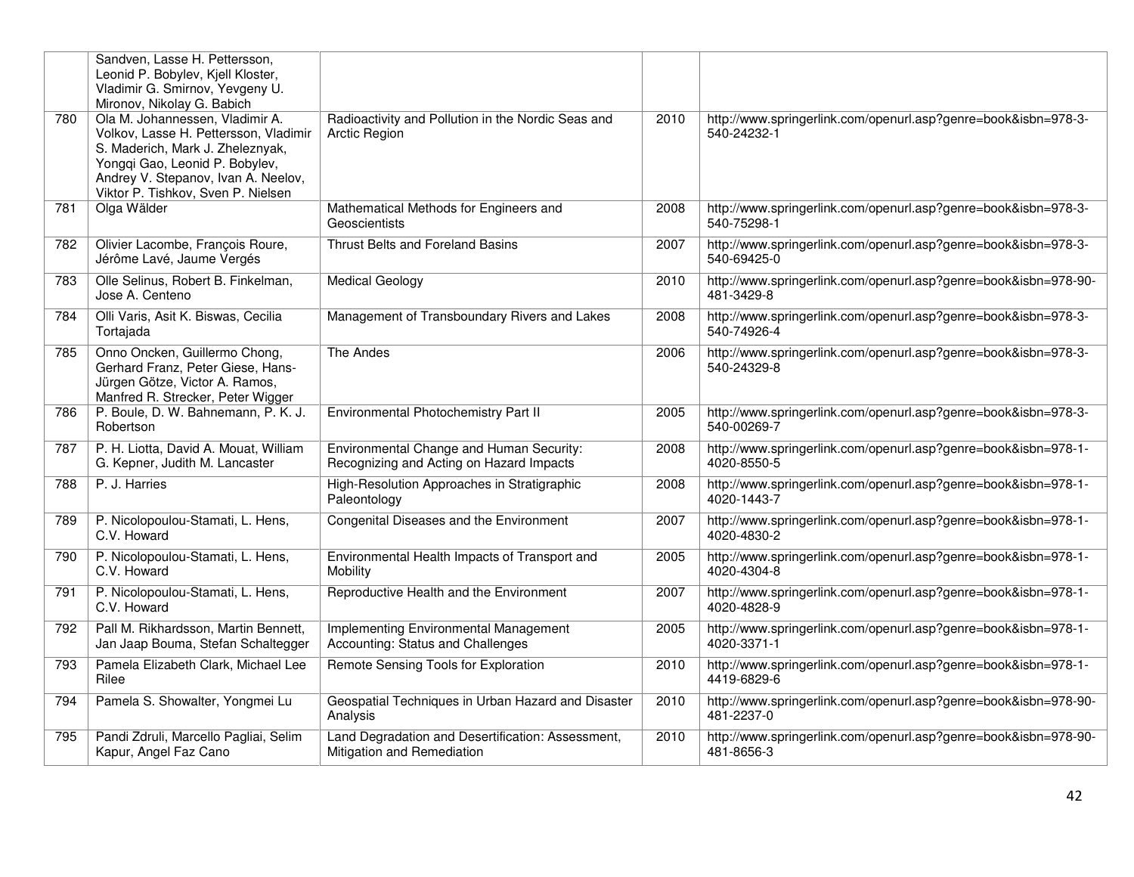|     | Sandven, Lasse H. Pettersson,<br>Leonid P. Bobylev, Kjell Kloster,<br>Vladimir G. Smirnov, Yevgeny U.<br>Mironov, Nikolay G. Babich                                                                                         |                                                                                      |      |                                                                               |
|-----|-----------------------------------------------------------------------------------------------------------------------------------------------------------------------------------------------------------------------------|--------------------------------------------------------------------------------------|------|-------------------------------------------------------------------------------|
| 780 | Ola M. Johannessen, Vladimir A.<br>Volkov, Lasse H. Pettersson, Vladimir<br>S. Maderich, Mark J. Zheleznyak,<br>Yongqi Gao, Leonid P. Bobylev,<br>Andrey V. Stepanov, Ivan A. Neelov,<br>Viktor P. Tishkov, Sven P. Nielsen | Radioactivity and Pollution in the Nordic Seas and<br><b>Arctic Region</b>           | 2010 | http://www.springerlink.com/openurl.asp?genre=book&isbn=978-3-<br>540-24232-1 |
| 781 | Olga Wälder                                                                                                                                                                                                                 | Mathematical Methods for Engineers and<br>Geoscientists                              | 2008 | http://www.springerlink.com/openurl.asp?genre=book&isbn=978-3-<br>540-75298-1 |
| 782 | Olivier Lacombe, François Roure,<br>Jérôme Lavé, Jaume Vergés                                                                                                                                                               | Thrust Belts and Foreland Basins                                                     | 2007 | http://www.springerlink.com/openurl.asp?genre=book&isbn=978-3-<br>540-69425-0 |
| 783 | Olle Selinus, Robert B. Finkelman,<br>Jose A. Centeno                                                                                                                                                                       | <b>Medical Geology</b>                                                               | 2010 | http://www.springerlink.com/openurl.asp?genre=book&isbn=978-90-<br>481-3429-8 |
| 784 | Olli Varis, Asit K. Biswas, Cecilia<br>Tortajada                                                                                                                                                                            | Management of Transboundary Rivers and Lakes                                         | 2008 | http://www.springerlink.com/openurl.asp?genre=book&isbn=978-3-<br>540-74926-4 |
| 785 | Onno Oncken, Guillermo Chong,<br>Gerhard Franz, Peter Giese, Hans-<br>Jürgen Götze, Victor A. Ramos,<br>Manfred R. Strecker, Peter Wigger                                                                                   | The Andes                                                                            | 2006 | http://www.springerlink.com/openurl.asp?genre=book&isbn=978-3-<br>540-24329-8 |
| 786 | P. Boule, D. W. Bahnemann, P. K. J.<br>Robertson                                                                                                                                                                            | Environmental Photochemistry Part II                                                 | 2005 | http://www.springerlink.com/openurl.asp?genre=book&isbn=978-3-<br>540-00269-7 |
| 787 | P. H. Liotta, David A. Mouat, William<br>G. Kepner, Judith M. Lancaster                                                                                                                                                     | Environmental Change and Human Security:<br>Recognizing and Acting on Hazard Impacts | 2008 | http://www.springerlink.com/openurl.asp?genre=book&isbn=978-1-<br>4020-8550-5 |
| 788 | P. J. Harries                                                                                                                                                                                                               | High-Resolution Approaches in Stratigraphic<br>Paleontology                          | 2008 | http://www.springerlink.com/openurl.asp?genre=book&isbn=978-1-<br>4020-1443-7 |
| 789 | P. Nicolopoulou-Stamati, L. Hens,<br>C.V. Howard                                                                                                                                                                            | Congenital Diseases and the Environment                                              | 2007 | http://www.springerlink.com/openurl.asp?genre=book&isbn=978-1-<br>4020-4830-2 |
| 790 | P. Nicolopoulou-Stamati, L. Hens,<br>C.V. Howard                                                                                                                                                                            | Environmental Health Impacts of Transport and<br>Mobility                            | 2005 | http://www.springerlink.com/openurl.asp?genre=book&isbn=978-1-<br>4020-4304-8 |
| 791 | P. Nicolopoulou-Stamati, L. Hens,<br>C.V. Howard                                                                                                                                                                            | Reproductive Health and the Environment                                              | 2007 | http://www.springerlink.com/openurl.asp?genre=book&isbn=978-1-<br>4020-4828-9 |
| 792 | Pall M. Rikhardsson, Martin Bennett,<br>Jan Jaap Bouma, Stefan Schaltegger                                                                                                                                                  | Implementing Environmental Management<br>Accounting: Status and Challenges           | 2005 | http://www.springerlink.com/openurl.asp?genre=book&isbn=978-1-<br>4020-3371-1 |
| 793 | Pamela Elizabeth Clark, Michael Lee<br>Rilee                                                                                                                                                                                | Remote Sensing Tools for Exploration                                                 | 2010 | http://www.springerlink.com/openurl.asp?genre=book&isbn=978-1-<br>4419-6829-6 |
| 794 | Pamela S. Showalter, Yongmei Lu                                                                                                                                                                                             | Geospatial Techniques in Urban Hazard and Disaster<br>Analysis                       | 2010 | http://www.springerlink.com/openurl.asp?genre=book&isbn=978-90-<br>481-2237-0 |
| 795 | Pandi Zdruli, Marcello Pagliai, Selim<br>Kapur, Angel Faz Cano                                                                                                                                                              | Land Degradation and Desertification: Assessment,<br>Mitigation and Remediation      | 2010 | http://www.springerlink.com/openurl.asp?genre=book&isbn=978-90-<br>481-8656-3 |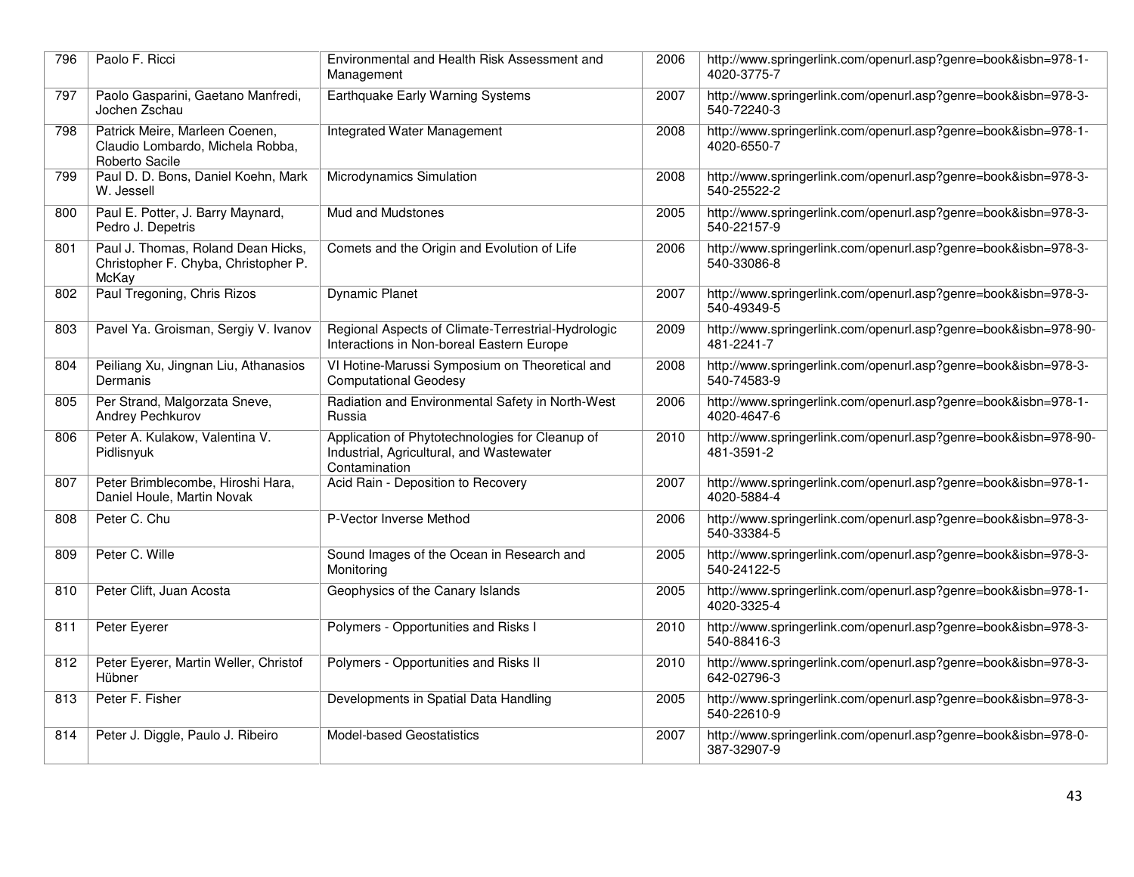| 796 | Paolo F. Ricci                                                                       | Environmental and Health Risk Assessment and<br>Management                                                   | 2006 | http://www.springerlink.com/openurl.asp?genre=book&isbn=978-1-<br>4020-3775-7 |
|-----|--------------------------------------------------------------------------------------|--------------------------------------------------------------------------------------------------------------|------|-------------------------------------------------------------------------------|
| 797 | Paolo Gasparini, Gaetano Manfredi,<br>Jochen Zschau                                  | Earthquake Early Warning Systems                                                                             | 2007 | http://www.springerlink.com/openurl.asp?genre=book&isbn=978-3-<br>540-72240-3 |
| 798 | Patrick Meire, Marleen Coenen,<br>Claudio Lombardo, Michela Robba,<br>Roberto Sacile | Integrated Water Management                                                                                  | 2008 | http://www.springerlink.com/openurl.asp?genre=book&isbn=978-1-<br>4020-6550-7 |
| 799 | Paul D. D. Bons, Daniel Koehn, Mark<br>W. Jessell                                    | Microdynamics Simulation                                                                                     | 2008 | http://www.springerlink.com/openurl.asp?genre=book&isbn=978-3-<br>540-25522-2 |
| 800 | Paul E. Potter, J. Barry Maynard,<br>Pedro J. Depetris                               | <b>Mud and Mudstones</b>                                                                                     | 2005 | http://www.springerlink.com/openurl.asp?genre=book&isbn=978-3-<br>540-22157-9 |
| 801 | Paul J. Thomas, Roland Dean Hicks,<br>Christopher F. Chyba, Christopher P.<br>McKay  | Comets and the Origin and Evolution of Life                                                                  | 2006 | http://www.springerlink.com/openurl.asp?genre=book&isbn=978-3-<br>540-33086-8 |
| 802 | Paul Tregoning, Chris Rizos                                                          | <b>Dynamic Planet</b>                                                                                        | 2007 | http://www.springerlink.com/openurl.asp?genre=book&isbn=978-3-<br>540-49349-5 |
| 803 | Pavel Ya. Groisman, Sergiy V. Ivanov                                                 | Regional Aspects of Climate-Terrestrial-Hydrologic<br>Interactions in Non-boreal Eastern Europe              | 2009 | http://www.springerlink.com/openurl.asp?genre=book&isbn=978-90-<br>481-2241-7 |
| 804 | Peiliang Xu, Jingnan Liu, Athanasios<br>Dermanis                                     | VI Hotine-Marussi Symposium on Theoretical and<br><b>Computational Geodesy</b>                               | 2008 | http://www.springerlink.com/openurl.asp?genre=book&isbn=978-3-<br>540-74583-9 |
| 805 | Per Strand, Malgorzata Sneve,<br>Andrey Pechkurov                                    | Radiation and Environmental Safety in North-West<br>Russia                                                   | 2006 | http://www.springerlink.com/openurl.asp?genre=book&isbn=978-1-<br>4020-4647-6 |
| 806 | Peter A. Kulakow, Valentina V.<br>Pidlisnyuk                                         | Application of Phytotechnologies for Cleanup of<br>Industrial, Agricultural, and Wastewater<br>Contamination | 2010 | http://www.springerlink.com/openurl.asp?genre=book&isbn=978-90-<br>481-3591-2 |
| 807 | Peter Brimblecombe, Hiroshi Hara,<br>Daniel Houle, Martin Novak                      | Acid Rain - Deposition to Recovery                                                                           | 2007 | http://www.springerlink.com/openurl.asp?genre=book&isbn=978-1-<br>4020-5884-4 |
| 808 | Peter C. Chu                                                                         | P-Vector Inverse Method                                                                                      | 2006 | http://www.springerlink.com/openurl.asp?genre=book&isbn=978-3-<br>540-33384-5 |
| 809 | Peter C. Wille                                                                       | Sound Images of the Ocean in Research and<br>Monitorina                                                      | 2005 | http://www.springerlink.com/openurl.asp?genre=book&isbn=978-3-<br>540-24122-5 |
| 810 | Peter Clift, Juan Acosta                                                             | Geophysics of the Canary Islands                                                                             | 2005 | http://www.springerlink.com/openurl.asp?genre=book&isbn=978-1-<br>4020-3325-4 |
| 811 | Peter Eyerer                                                                         | Polymers - Opportunities and Risks I                                                                         | 2010 | http://www.springerlink.com/openurl.asp?genre=book&isbn=978-3-<br>540-88416-3 |
| 812 | Peter Eyerer, Martin Weller, Christof<br>Hübner                                      | Polymers - Opportunities and Risks II                                                                        | 2010 | http://www.springerlink.com/openurl.asp?genre=book&isbn=978-3-<br>642-02796-3 |
| 813 | Peter F. Fisher                                                                      | Developments in Spatial Data Handling                                                                        | 2005 | http://www.springerlink.com/openurl.asp?genre=book&isbn=978-3-<br>540-22610-9 |
| 814 | Peter J. Diggle, Paulo J. Ribeiro                                                    | <b>Model-based Geostatistics</b>                                                                             | 2007 | http://www.springerlink.com/openurl.asp?genre=book&isbn=978-0-<br>387-32907-9 |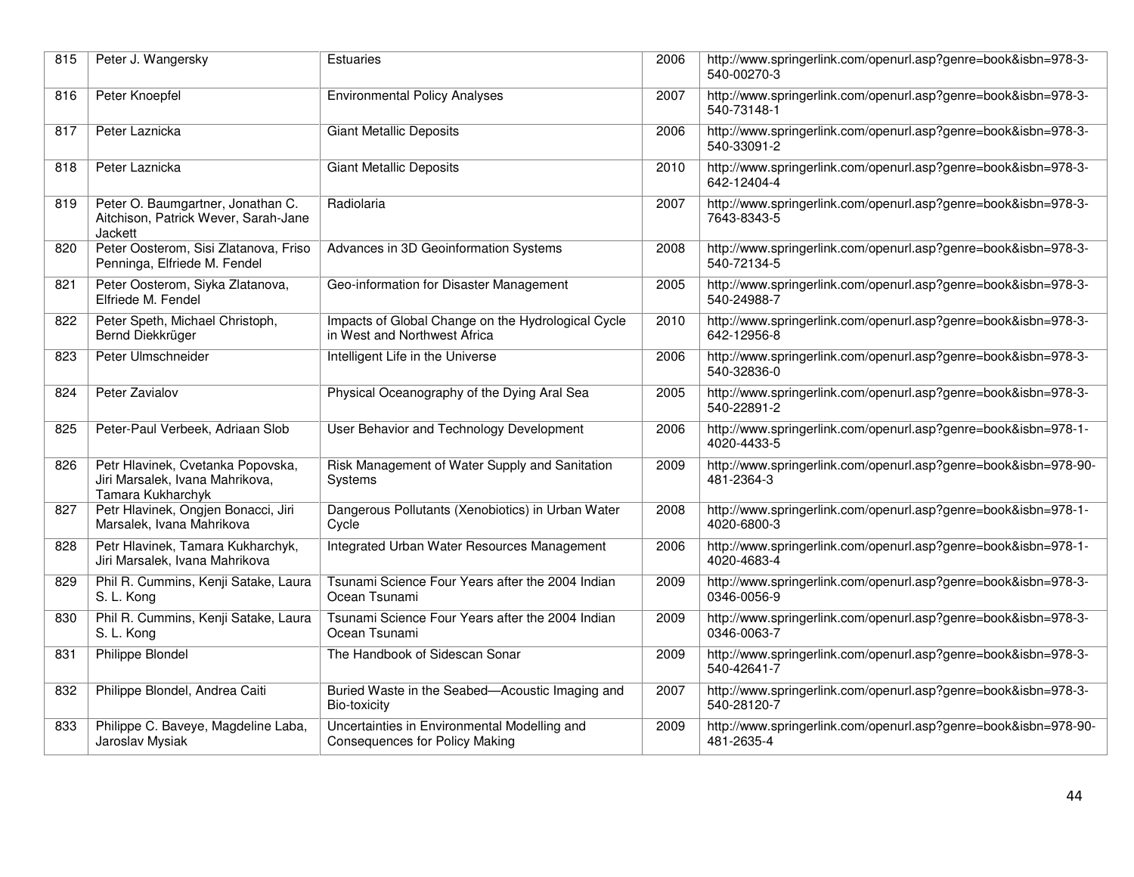| 815 | Peter J. Wangersky                                                                        | Estuaries                                                                             | 2006 | http://www.springerlink.com/openurl.asp?genre=book&isbn=978-3-<br>540-00270-3 |
|-----|-------------------------------------------------------------------------------------------|---------------------------------------------------------------------------------------|------|-------------------------------------------------------------------------------|
| 816 | Peter Knoepfel                                                                            | <b>Environmental Policy Analyses</b>                                                  | 2007 | http://www.springerlink.com/openurl.asp?genre=book&isbn=978-3-<br>540-73148-1 |
| 817 | Peter Laznicka                                                                            | <b>Giant Metallic Deposits</b>                                                        | 2006 | http://www.springerlink.com/openurl.asp?genre=book&isbn=978-3-<br>540-33091-2 |
| 818 | Peter Laznicka                                                                            | <b>Giant Metallic Deposits</b>                                                        | 2010 | http://www.springerlink.com/openurl.asp?genre=book&isbn=978-3-<br>642-12404-4 |
| 819 | Peter O. Baumgartner, Jonathan C.<br>Aitchison, Patrick Wever, Sarah-Jane<br>Jackett      | Radiolaria                                                                            | 2007 | http://www.springerlink.com/openurl.asp?genre=book&isbn=978-3-<br>7643-8343-5 |
| 820 | Peter Oosterom, Sisi Zlatanova, Friso<br>Penninga, Elfriede M. Fendel                     | Advances in 3D Geoinformation Systems                                                 | 2008 | http://www.springerlink.com/openurl.asp?genre=book&isbn=978-3-<br>540-72134-5 |
| 821 | Peter Oosterom, Siyka Zlatanova,<br>Elfriede M. Fendel                                    | Geo-information for Disaster Management                                               | 2005 | http://www.springerlink.com/openurl.asp?genre=book&isbn=978-3-<br>540-24988-7 |
| 822 | Peter Speth, Michael Christoph,<br>Bernd Diekkrüger                                       | Impacts of Global Change on the Hydrological Cycle<br>in West and Northwest Africa    | 2010 | http://www.springerlink.com/openurl.asp?genre=book&isbn=978-3-<br>642-12956-8 |
| 823 | Peter Ulmschneider                                                                        | Intelligent Life in the Universe                                                      | 2006 | http://www.springerlink.com/openurl.asp?genre=book&isbn=978-3-<br>540-32836-0 |
| 824 | Peter Zavialov                                                                            | Physical Oceanography of the Dying Aral Sea                                           | 2005 | http://www.springerlink.com/openurl.asp?genre=book&isbn=978-3-<br>540-22891-2 |
| 825 | Peter-Paul Verbeek, Adriaan Slob                                                          | User Behavior and Technology Development                                              | 2006 | http://www.springerlink.com/openurl.asp?genre=book&isbn=978-1-<br>4020-4433-5 |
| 826 | Petr Hlavinek, Cvetanka Popovska,<br>Jiri Marsalek, Ivana Mahrikova,<br>Tamara Kukharchyk | Risk Management of Water Supply and Sanitation<br>Systems                             | 2009 | http://www.springerlink.com/openurl.asp?genre=book&isbn=978-90-<br>481-2364-3 |
| 827 | Petr Hlavinek, Ongjen Bonacci, Jiri<br>Marsalek, Ivana Mahrikova                          | Dangerous Pollutants (Xenobiotics) in Urban Water<br>Cycle                            | 2008 | http://www.springerlink.com/openurl.asp?genre=book&isbn=978-1-<br>4020-6800-3 |
| 828 | Petr Hlavinek, Tamara Kukharchyk,<br>Jiri Marsalek, Ivana Mahrikova                       | Integrated Urban Water Resources Management                                           | 2006 | http://www.springerlink.com/openurl.asp?genre=book&isbn=978-1-<br>4020-4683-4 |
| 829 | Phil R. Cummins, Kenji Satake, Laura<br>S. L. Kong                                        | Tsunami Science Four Years after the 2004 Indian<br>Ocean Tsunami                     | 2009 | http://www.springerlink.com/openurl.asp?genre=book&isbn=978-3-<br>0346-0056-9 |
| 830 | Phil R. Cummins, Kenji Satake, Laura<br>S. L. Kong                                        | Tsunami Science Four Years after the 2004 Indian<br>Ocean Tsunami                     | 2009 | http://www.springerlink.com/openurl.asp?genre=book&isbn=978-3-<br>0346-0063-7 |
| 831 | Philippe Blondel                                                                          | The Handbook of Sidescan Sonar                                                        | 2009 | http://www.springerlink.com/openurl.asp?genre=book&isbn=978-3-<br>540-42641-7 |
| 832 | Philippe Blondel, Andrea Caiti                                                            | Buried Waste in the Seabed-Acoustic Imaging and<br>Bio-toxicity                       | 2007 | http://www.springerlink.com/openurl.asp?genre=book&isbn=978-3-<br>540-28120-7 |
| 833 | Philippe C. Baveye, Magdeline Laba,<br>Jaroslav Mysiak                                    | Uncertainties in Environmental Modelling and<br><b>Consequences for Policy Making</b> | 2009 | http://www.springerlink.com/openurl.asp?genre=book&isbn=978-90-<br>481-2635-4 |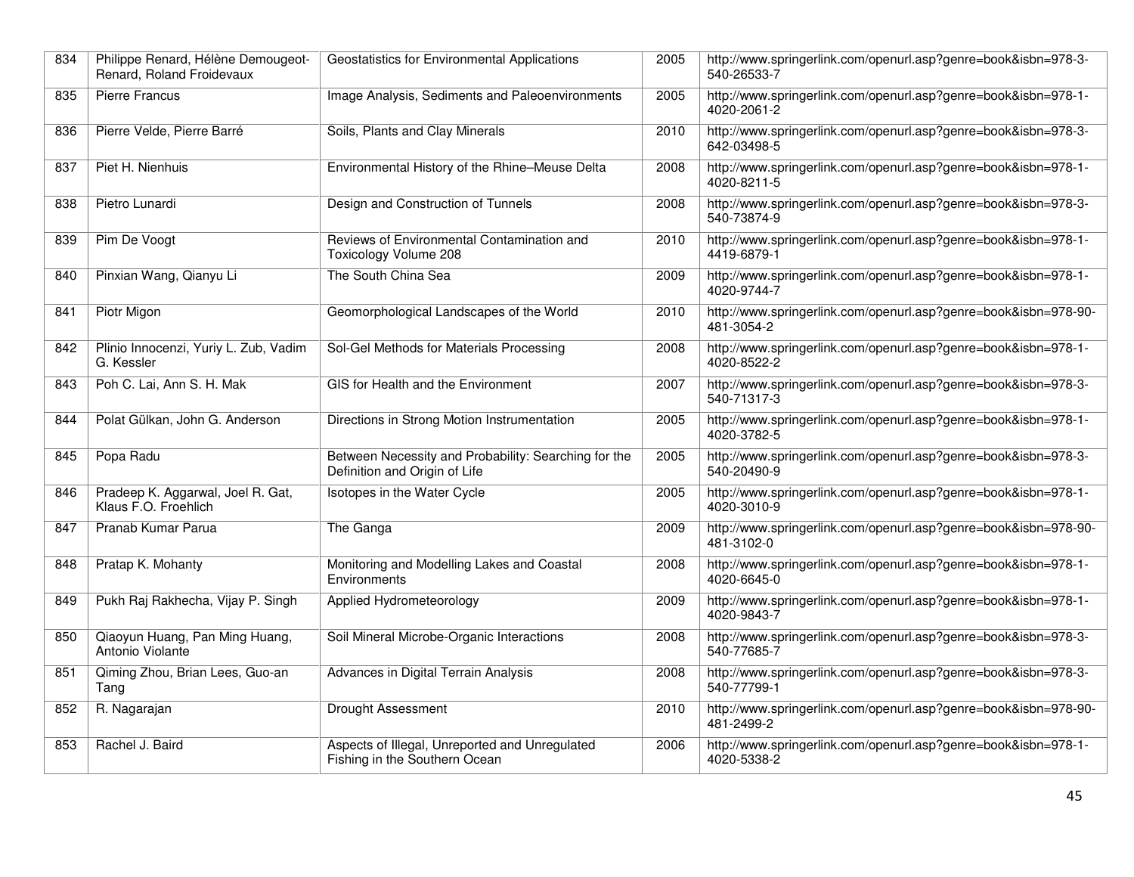| 834 | Philippe Renard, Hélène Demougeot-<br>Renard, Roland Froidevaux | Geostatistics for Environmental Applications                                          | 2005 | http://www.springerlink.com/openurl.asp?genre=book&isbn=978-3-<br>540-26533-7 |
|-----|-----------------------------------------------------------------|---------------------------------------------------------------------------------------|------|-------------------------------------------------------------------------------|
| 835 | <b>Pierre Francus</b>                                           | Image Analysis, Sediments and Paleoenvironments                                       | 2005 | http://www.springerlink.com/openurl.asp?genre=book&isbn=978-1-<br>4020-2061-2 |
| 836 | Pierre Velde, Pierre Barré                                      | Soils, Plants and Clay Minerals                                                       | 2010 | http://www.springerlink.com/openurl.asp?genre=book&isbn=978-3-<br>642-03498-5 |
| 837 | Piet H. Nienhuis                                                | Environmental History of the Rhine-Meuse Delta                                        | 2008 | http://www.springerlink.com/openurl.asp?genre=book&isbn=978-1-<br>4020-8211-5 |
| 838 | Pietro Lunardi                                                  | Design and Construction of Tunnels                                                    | 2008 | http://www.springerlink.com/openurl.asp?genre=book&isbn=978-3-<br>540-73874-9 |
| 839 | Pim De Voogt                                                    | Reviews of Environmental Contamination and<br>Toxicology Volume 208                   | 2010 | http://www.springerlink.com/openurl.asp?genre=book&isbn=978-1-<br>4419-6879-1 |
| 840 | Pinxian Wang, Qianyu Li                                         | The South China Sea                                                                   | 2009 | http://www.springerlink.com/openurl.asp?genre=book&isbn=978-1-<br>4020-9744-7 |
| 841 | Piotr Migon                                                     | Geomorphological Landscapes of the World                                              | 2010 | http://www.springerlink.com/openurl.asp?genre=book&isbn=978-90-<br>481-3054-2 |
| 842 | Plinio Innocenzi, Yuriy L. Zub, Vadim<br>G. Kessler             | Sol-Gel Methods for Materials Processing                                              | 2008 | http://www.springerlink.com/openurl.asp?genre=book&isbn=978-1-<br>4020-8522-2 |
| 843 | Poh C. Lai, Ann S. H. Mak                                       | GIS for Health and the Environment                                                    | 2007 | http://www.springerlink.com/openurl.asp?genre=book&isbn=978-3-<br>540-71317-3 |
| 844 | Polat Gülkan, John G. Anderson                                  | Directions in Strong Motion Instrumentation                                           | 2005 | http://www.springerlink.com/openurl.asp?genre=book&isbn=978-1-<br>4020-3782-5 |
| 845 | Popa Radu                                                       | Between Necessity and Probability: Searching for the<br>Definition and Origin of Life | 2005 | http://www.springerlink.com/openurl.asp?genre=book&isbn=978-3-<br>540-20490-9 |
| 846 | Pradeep K. Aggarwal, Joel R. Gat,<br>Klaus F.O. Froehlich       | Isotopes in the Water Cycle                                                           | 2005 | http://www.springerlink.com/openurl.asp?genre=book&isbn=978-1-<br>4020-3010-9 |
| 847 | Pranab Kumar Parua                                              | The Ganga                                                                             | 2009 | http://www.springerlink.com/openurl.asp?genre=book&isbn=978-90-<br>481-3102-0 |
| 848 | Pratap K. Mohanty                                               | Monitoring and Modelling Lakes and Coastal<br>Environments                            | 2008 | http://www.springerlink.com/openurl.asp?genre=book&isbn=978-1-<br>4020-6645-0 |
| 849 | Pukh Raj Rakhecha, Vijay P. Singh                               | Applied Hydrometeorology                                                              | 2009 | http://www.springerlink.com/openurl.asp?genre=book&isbn=978-1-<br>4020-9843-7 |
| 850 | Qiaoyun Huang, Pan Ming Huang,<br>Antonio Violante              | Soil Mineral Microbe-Organic Interactions                                             | 2008 | http://www.springerlink.com/openurl.asp?genre=book&isbn=978-3-<br>540-77685-7 |
| 851 | Qiming Zhou, Brian Lees, Guo-an<br>Tang                         | Advances in Digital Terrain Analysis                                                  | 2008 | http://www.springerlink.com/openurl.asp?genre=book&isbn=978-3-<br>540-77799-1 |
| 852 | R. Nagarajan                                                    | Drought Assessment                                                                    | 2010 | http://www.springerlink.com/openurl.asp?genre=book&isbn=978-90-<br>481-2499-2 |
| 853 | Rachel J. Baird                                                 | Aspects of Illegal, Unreported and Unregulated<br>Fishing in the Southern Ocean       | 2006 | http://www.springerlink.com/openurl.asp?genre=book&isbn=978-1-<br>4020-5338-2 |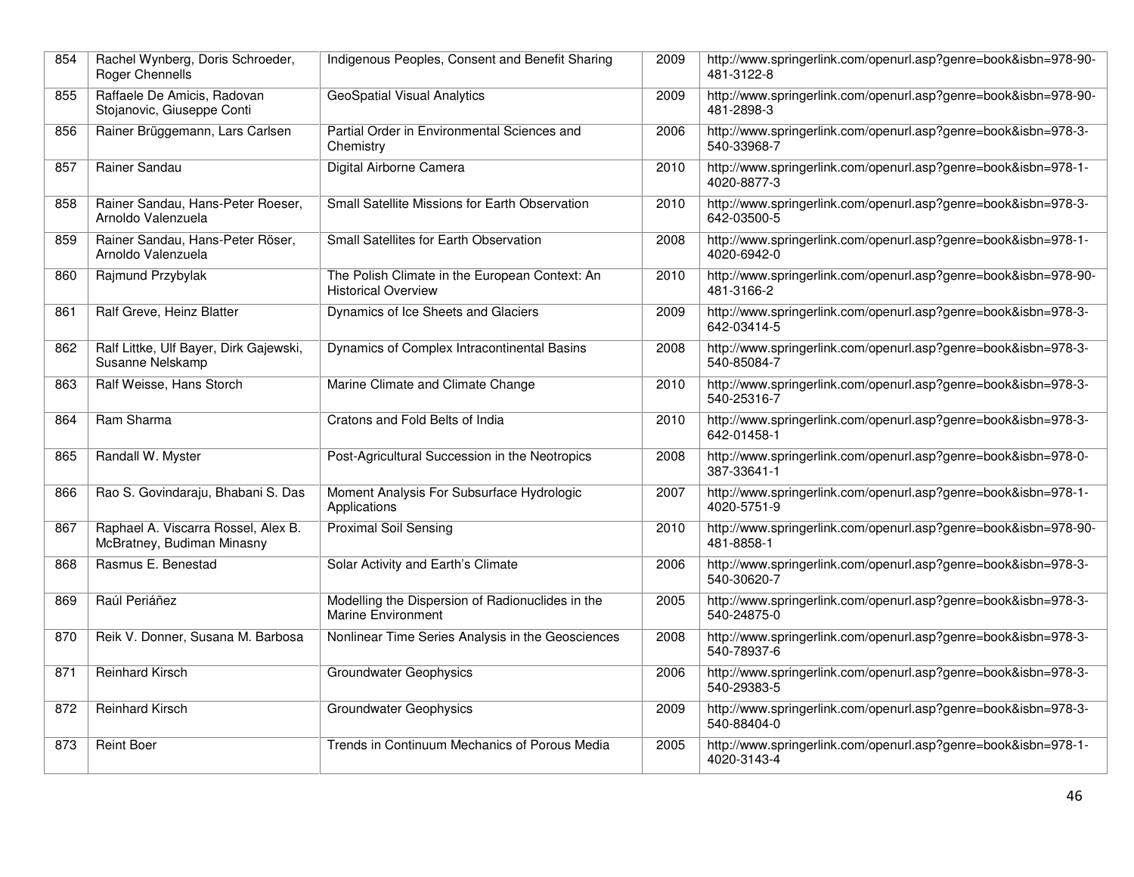| 854 | Rachel Wynberg, Doris Schroeder,<br>Roger Chennells               | Indigenous Peoples, Consent and Benefit Sharing                              | 2009 | http://www.springerlink.com/openurl.asp?genre=book&isbn=978-90-<br>481-3122-8 |
|-----|-------------------------------------------------------------------|------------------------------------------------------------------------------|------|-------------------------------------------------------------------------------|
| 855 | Raffaele De Amicis, Radovan<br>Stojanovic, Giuseppe Conti         | <b>GeoSpatial Visual Analytics</b>                                           | 2009 | http://www.springerlink.com/openurl.asp?genre=book&isbn=978-90-<br>481-2898-3 |
| 856 | Rainer Brüggemann, Lars Carlsen                                   | Partial Order in Environmental Sciences and<br>Chemistry                     | 2006 | http://www.springerlink.com/openurl.asp?genre=book&isbn=978-3-<br>540-33968-7 |
| 857 | Rainer Sandau                                                     | Digital Airborne Camera                                                      | 2010 | http://www.springerlink.com/openurl.asp?genre=book&isbn=978-1-<br>4020-8877-3 |
| 858 | Rainer Sandau, Hans-Peter Roeser,<br>Arnoldo Valenzuela           | Small Satellite Missions for Earth Observation                               | 2010 | http://www.springerlink.com/openurl.asp?genre=book&isbn=978-3-<br>642-03500-5 |
| 859 | Rainer Sandau, Hans-Peter Röser,<br>Arnoldo Valenzuela            | Small Satellites for Earth Observation                                       | 2008 | http://www.springerlink.com/openurl.asp?genre=book&isbn=978-1-<br>4020-6942-0 |
| 860 | Rajmund Przybylak                                                 | The Polish Climate in the European Context: An<br><b>Historical Overview</b> | 2010 | http://www.springerlink.com/openurl.asp?genre=book&isbn=978-90-<br>481-3166-2 |
| 861 | Ralf Greve, Heinz Blatter                                         | Dynamics of Ice Sheets and Glaciers                                          | 2009 | http://www.springerlink.com/openurl.asp?genre=book&isbn=978-3-<br>642-03414-5 |
| 862 | Ralf Littke, Ulf Bayer, Dirk Gajewski,<br>Susanne Nelskamp        | Dynamics of Complex Intracontinental Basins                                  | 2008 | http://www.springerlink.com/openurl.asp?genre=book&isbn=978-3-<br>540-85084-7 |
| 863 | Ralf Weisse, Hans Storch                                          | Marine Climate and Climate Change                                            | 2010 | http://www.springerlink.com/openurl.asp?genre=book&isbn=978-3-<br>540-25316-7 |
| 864 | Ram Sharma                                                        | Cratons and Fold Belts of India                                              | 2010 | http://www.springerlink.com/openurl.asp?genre=book&isbn=978-3-<br>642-01458-1 |
| 865 | Randall W. Myster                                                 | Post-Agricultural Succession in the Neotropics                               | 2008 | http://www.springerlink.com/openurl.asp?genre=book&isbn=978-0-<br>387-33641-1 |
| 866 | Rao S. Govindaraju, Bhabani S. Das                                | Moment Analysis For Subsurface Hydrologic<br>Applications                    | 2007 | http://www.springerlink.com/openurl.asp?genre=book&isbn=978-1-<br>4020-5751-9 |
| 867 | Raphael A. Viscarra Rossel, Alex B.<br>McBratney, Budiman Minasny | <b>Proximal Soil Sensing</b>                                                 | 2010 | http://www.springerlink.com/openurl.asp?genre=book&isbn=978-90-<br>481-8858-1 |
| 868 | Rasmus E. Benestad                                                | Solar Activity and Earth's Climate                                           | 2006 | http://www.springerlink.com/openurl.asp?genre=book&isbn=978-3-<br>540-30620-7 |
| 869 | Raúl Periáñez                                                     | Modelling the Dispersion of Radionuclides in the<br>Marine Environment       | 2005 | http://www.springerlink.com/openurl.asp?genre=book&isbn=978-3-<br>540-24875-0 |
| 870 | Reik V. Donner, Susana M. Barbosa                                 | Nonlinear Time Series Analysis in the Geosciences                            | 2008 | http://www.springerlink.com/openurl.asp?genre=book&isbn=978-3-<br>540-78937-6 |
| 871 | <b>Reinhard Kirsch</b>                                            | <b>Groundwater Geophysics</b>                                                | 2006 | http://www.springerlink.com/openurl.asp?genre=book&isbn=978-3-<br>540-29383-5 |
| 872 | <b>Reinhard Kirsch</b>                                            | <b>Groundwater Geophysics</b>                                                | 2009 | http://www.springerlink.com/openurl.asp?genre=book&isbn=978-3-<br>540-88404-0 |
| 873 | <b>Reint Boer</b>                                                 | Trends in Continuum Mechanics of Porous Media                                | 2005 | http://www.springerlink.com/openurl.asp?genre=book&isbn=978-1-<br>4020-3143-4 |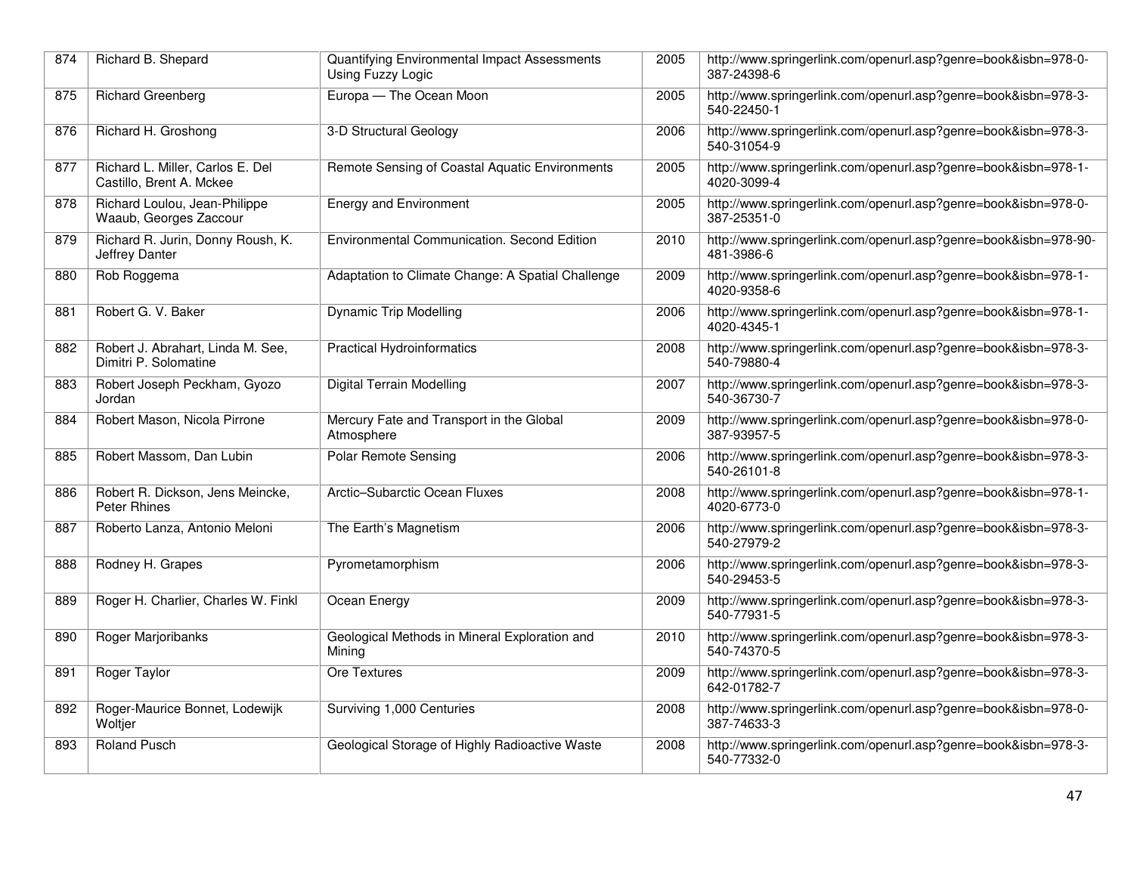| 874 | Richard B. Shepard                                           | Quantifying Environmental Impact Assessments<br>Using Fuzzy Logic | 2005 | http://www.springerlink.com/openurl.asp?genre=book&isbn=978-0-<br>387-24398-6 |
|-----|--------------------------------------------------------------|-------------------------------------------------------------------|------|-------------------------------------------------------------------------------|
| 875 | <b>Richard Greenberg</b>                                     | Europa - The Ocean Moon                                           | 2005 | http://www.springerlink.com/openurl.asp?genre=book&isbn=978-3-<br>540-22450-1 |
| 876 | Richard H. Groshong                                          | 3-D Structural Geology                                            | 2006 | http://www.springerlink.com/openurl.asp?genre=book&isbn=978-3-<br>540-31054-9 |
| 877 | Richard L. Miller, Carlos E. Del<br>Castillo, Brent A. Mckee | Remote Sensing of Coastal Aquatic Environments                    | 2005 | http://www.springerlink.com/openurl.asp?genre=book&isbn=978-1-<br>4020-3099-4 |
| 878 | Richard Loulou, Jean-Philippe<br>Waaub, Georges Zaccour      | <b>Energy and Environment</b>                                     | 2005 | http://www.springerlink.com/openurl.asp?genre=book&isbn=978-0-<br>387-25351-0 |
| 879 | Richard R. Jurin, Donny Roush, K.<br>Jeffrey Danter          | Environmental Communication. Second Edition                       | 2010 | http://www.springerlink.com/openurl.asp?genre=book&isbn=978-90-<br>481-3986-6 |
| 880 | Rob Roggema                                                  | Adaptation to Climate Change: A Spatial Challenge                 | 2009 | http://www.springerlink.com/openurl.asp?genre=book&isbn=978-1-<br>4020-9358-6 |
| 881 | Robert G. V. Baker                                           | <b>Dynamic Trip Modelling</b>                                     | 2006 | http://www.springerlink.com/openurl.asp?genre=book&isbn=978-1-<br>4020-4345-1 |
| 882 | Robert J. Abrahart, Linda M. See,<br>Dimitri P. Solomatine   | <b>Practical Hydroinformatics</b>                                 | 2008 | http://www.springerlink.com/openurl.asp?genre=book&isbn=978-3-<br>540-79880-4 |
| 883 | Robert Joseph Peckham, Gyozo<br>Jordan                       | Digital Terrain Modelling                                         | 2007 | http://www.springerlink.com/openurl.asp?genre=book&isbn=978-3-<br>540-36730-7 |
| 884 | Robert Mason, Nicola Pirrone                                 | Mercury Fate and Transport in the Global<br>Atmosphere            | 2009 | http://www.springerlink.com/openurl.asp?genre=book&isbn=978-0-<br>387-93957-5 |
| 885 | Robert Massom, Dan Lubin                                     | <b>Polar Remote Sensing</b>                                       | 2006 | http://www.springerlink.com/openurl.asp?genre=book&isbn=978-3-<br>540-26101-8 |
| 886 | Robert R. Dickson, Jens Meincke,<br><b>Peter Rhines</b>      | Arctic-Subarctic Ocean Fluxes                                     | 2008 | http://www.springerlink.com/openurl.asp?genre=book&isbn=978-1-<br>4020-6773-0 |
| 887 | Roberto Lanza, Antonio Meloni                                | The Earth's Magnetism                                             | 2006 | http://www.springerlink.com/openurl.asp?genre=book&isbn=978-3-<br>540-27979-2 |
| 888 | Rodney H. Grapes                                             | Pyrometamorphism                                                  | 2006 | http://www.springerlink.com/openurl.asp?genre=book&isbn=978-3-<br>540-29453-5 |
| 889 | Roger H. Charlier, Charles W. Finkl                          | Ocean Energy                                                      | 2009 | http://www.springerlink.com/openurl.asp?genre=book&isbn=978-3-<br>540-77931-5 |
| 890 | <b>Roger Marjoribanks</b>                                    | Geological Methods in Mineral Exploration and<br>Mining           | 2010 | http://www.springerlink.com/openurl.asp?genre=book&isbn=978-3-<br>540-74370-5 |
| 891 | Roger Taylor                                                 | Ore Textures                                                      | 2009 | http://www.springerlink.com/openurl.asp?genre=book&isbn=978-3-<br>642-01782-7 |
| 892 | Roger-Maurice Bonnet, Lodewijk<br>Woltjer                    | Surviving 1,000 Centuries                                         | 2008 | http://www.springerlink.com/openurl.asp?genre=book&isbn=978-0-<br>387-74633-3 |
| 893 | <b>Roland Pusch</b>                                          | Geological Storage of Highly Radioactive Waste                    | 2008 | http://www.springerlink.com/openurl.asp?genre=book&isbn=978-3-<br>540-77332-0 |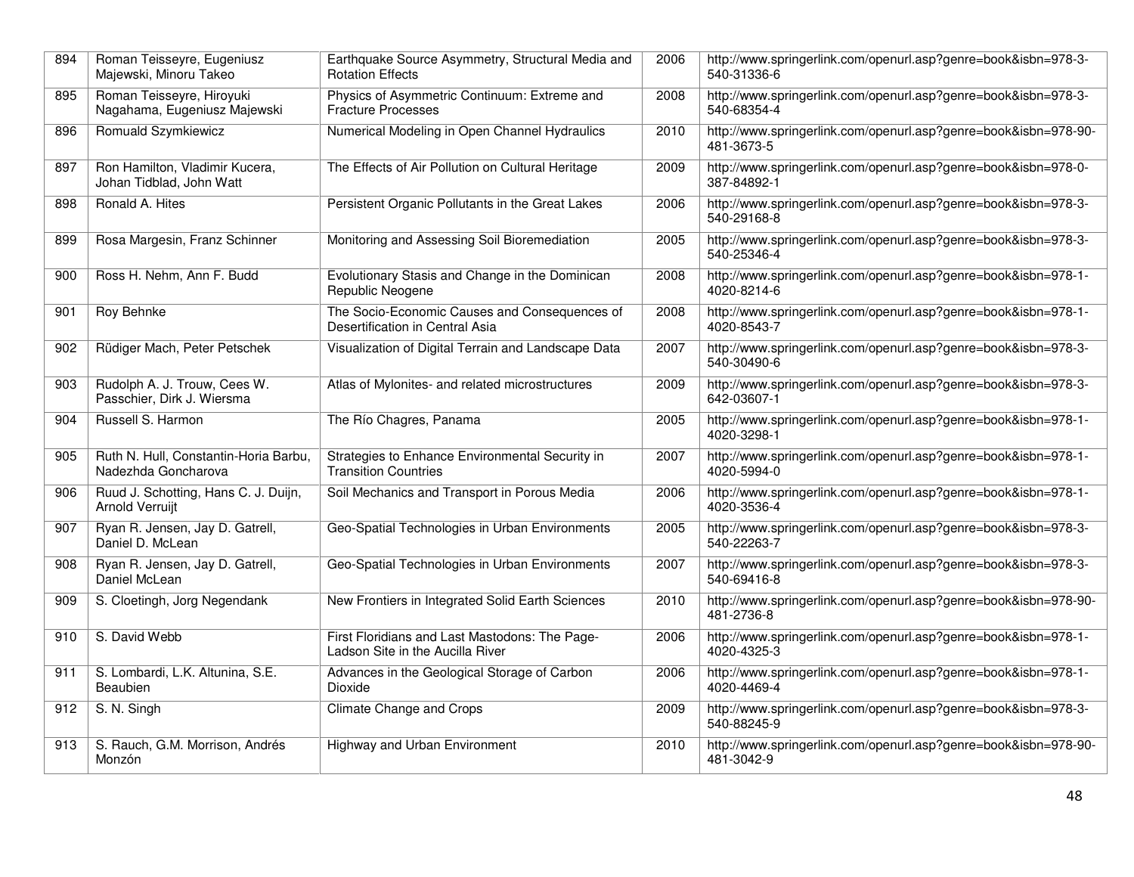| 894 | Roman Teisseyre, Eugeniusz<br>Majewski, Minoru Takeo         | Earthquake Source Asymmetry, Structural Media and<br><b>Rotation Effects</b>       | 2006 | http://www.springerlink.com/openurl.asp?genre=book&isbn=978-3-<br>540-31336-6 |
|-----|--------------------------------------------------------------|------------------------------------------------------------------------------------|------|-------------------------------------------------------------------------------|
| 895 | Roman Teisseyre, Hiroyuki<br>Nagahama, Eugeniusz Majewski    | Physics of Asymmetric Continuum: Extreme and<br><b>Fracture Processes</b>          | 2008 | http://www.springerlink.com/openurl.asp?genre=book&isbn=978-3-<br>540-68354-4 |
| 896 | <b>Romuald Szymkiewicz</b>                                   | Numerical Modeling in Open Channel Hydraulics                                      | 2010 | http://www.springerlink.com/openurl.asp?genre=book&isbn=978-90-<br>481-3673-5 |
| 897 | Ron Hamilton, Vladimir Kucera,<br>Johan Tidblad, John Watt   | The Effects of Air Pollution on Cultural Heritage                                  | 2009 | http://www.springerlink.com/openurl.asp?genre=book&isbn=978-0-<br>387-84892-1 |
| 898 | Ronald A. Hites                                              | Persistent Organic Pollutants in the Great Lakes                                   | 2006 | http://www.springerlink.com/openurl.asp?genre=book&isbn=978-3-<br>540-29168-8 |
| 899 | Rosa Margesin, Franz Schinner                                | Monitoring and Assessing Soil Bioremediation                                       | 2005 | http://www.springerlink.com/openurl.asp?genre=book&isbn=978-3-<br>540-25346-4 |
| 900 | Ross H. Nehm, Ann F. Budd                                    | Evolutionary Stasis and Change in the Dominican<br>Republic Neogene                | 2008 | http://www.springerlink.com/openurl.asp?genre=book&isbn=978-1-<br>4020-8214-6 |
| 901 | Roy Behnke                                                   | The Socio-Economic Causes and Consequences of<br>Desertification in Central Asia   | 2008 | http://www.springerlink.com/openurl.asp?genre=book&isbn=978-1-<br>4020-8543-7 |
| 902 | Rüdiger Mach, Peter Petschek                                 | Visualization of Digital Terrain and Landscape Data                                | 2007 | http://www.springerlink.com/openurl.asp?genre=book&isbn=978-3-<br>540-30490-6 |
| 903 | Rudolph A. J. Trouw, Cees W.<br>Passchier, Dirk J. Wiersma   | Atlas of Mylonites- and related microstructures                                    | 2009 | http://www.springerlink.com/openurl.asp?genre=book&isbn=978-3-<br>642-03607-1 |
| 904 | Russell S. Harmon                                            | The Río Chagres, Panama                                                            | 2005 | http://www.springerlink.com/openurl.asp?genre=book&isbn=978-1-<br>4020-3298-1 |
| 905 | Ruth N. Hull, Constantin-Horia Barbu,<br>Nadezhda Goncharova | Strategies to Enhance Environmental Security in<br><b>Transition Countries</b>     | 2007 | http://www.springerlink.com/openurl.asp?genre=book&isbn=978-1-<br>4020-5994-0 |
| 906 | Ruud J. Schotting, Hans C. J. Duijn,<br>Arnold Verruijt      | Soil Mechanics and Transport in Porous Media                                       | 2006 | http://www.springerlink.com/openurl.asp?genre=book&isbn=978-1-<br>4020-3536-4 |
| 907 | Ryan R. Jensen, Jay D. Gatrell,<br>Daniel D. McLean          | Geo-Spatial Technologies in Urban Environments                                     | 2005 | http://www.springerlink.com/openurl.asp?genre=book&isbn=978-3-<br>540-22263-7 |
| 908 | Ryan R. Jensen, Jay D. Gatrell,<br>Daniel McLean             | Geo-Spatial Technologies in Urban Environments                                     | 2007 | http://www.springerlink.com/openurl.asp?genre=book&isbn=978-3-<br>540-69416-8 |
| 909 | S. Cloetingh, Jorg Negendank                                 | New Frontiers in Integrated Solid Earth Sciences                                   | 2010 | http://www.springerlink.com/openurl.asp?genre=book&isbn=978-90-<br>481-2736-8 |
| 910 | S. David Webb                                                | First Floridians and Last Mastodons: The Page-<br>Ladson Site in the Aucilla River | 2006 | http://www.springerlink.com/openurl.asp?genre=book&isbn=978-1-<br>4020-4325-3 |
| 911 | S. Lombardi, L.K. Altunina, S.E.<br>Beaubien                 | Advances in the Geological Storage of Carbon<br>Dioxide                            | 2006 | http://www.springerlink.com/openurl.asp?genre=book&isbn=978-1-<br>4020-4469-4 |
| 912 | S. N. Singh                                                  | Climate Change and Crops                                                           | 2009 | http://www.springerlink.com/openurl.asp?genre=book&isbn=978-3-<br>540-88245-9 |
| 913 | S. Rauch, G.M. Morrison, Andrés<br>Monzón                    | Highway and Urban Environment                                                      | 2010 | http://www.springerlink.com/openurl.asp?genre=book&isbn=978-90-<br>481-3042-9 |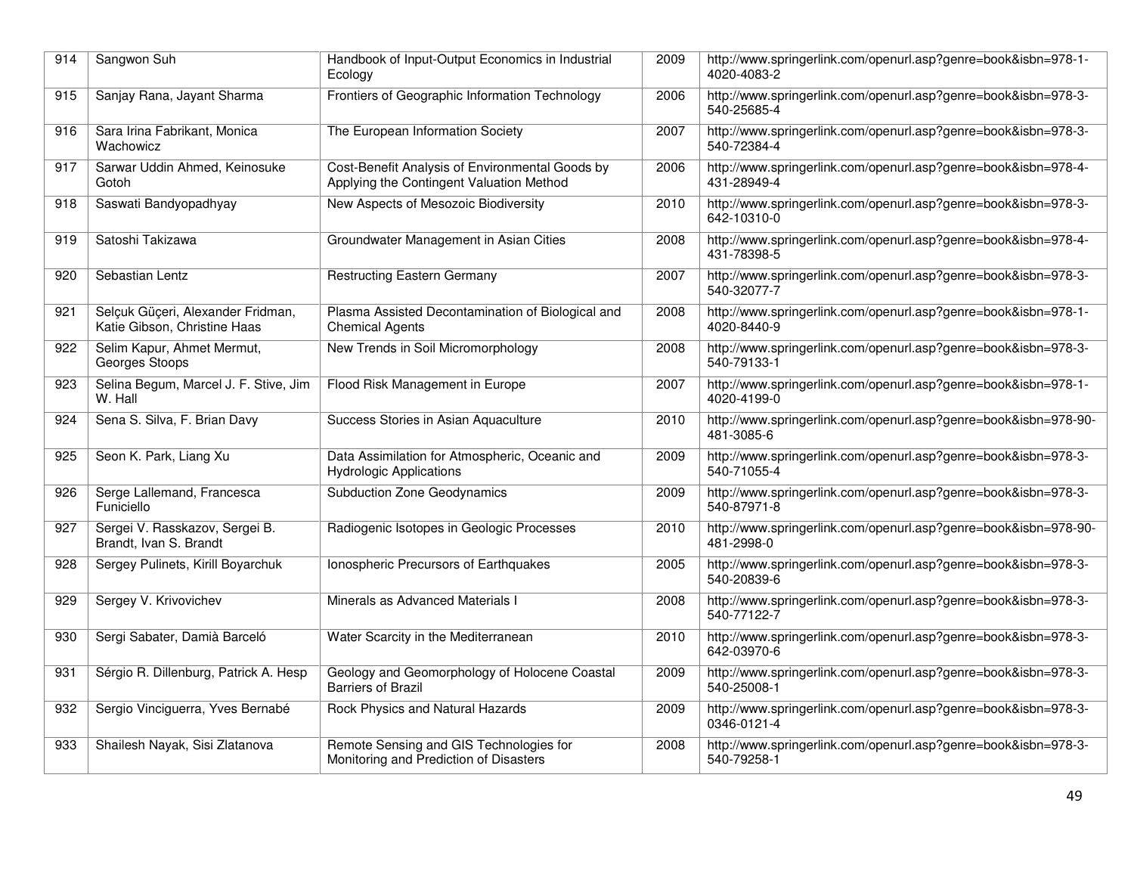| 914 | Sangwon Suh                                                       | Handbook of Input-Output Economics in Industrial<br>Ecology                                 | 2009 | http://www.springerlink.com/openurl.asp?genre=book&isbn=978-1-<br>4020-4083-2 |
|-----|-------------------------------------------------------------------|---------------------------------------------------------------------------------------------|------|-------------------------------------------------------------------------------|
| 915 | Sanjay Rana, Jayant Sharma                                        | Frontiers of Geographic Information Technology                                              | 2006 | http://www.springerlink.com/openurl.asp?genre=book&isbn=978-3-<br>540-25685-4 |
| 916 | Sara Irina Fabrikant, Monica<br>Wachowicz                         | The European Information Society                                                            | 2007 | http://www.springerlink.com/openurl.asp?genre=book&isbn=978-3-<br>540-72384-4 |
| 917 | Sarwar Uddin Ahmed, Keinosuke<br>Gotoh                            | Cost-Benefit Analysis of Environmental Goods by<br>Applying the Contingent Valuation Method | 2006 | http://www.springerlink.com/openurl.asp?genre=book&isbn=978-4-<br>431-28949-4 |
| 918 | Saswati Bandyopadhyay                                             | New Aspects of Mesozoic Biodiversity                                                        | 2010 | http://www.springerlink.com/openurl.asp?genre=book&isbn=978-3-<br>642-10310-0 |
| 919 | Satoshi Takizawa                                                  | Groundwater Management in Asian Cities                                                      | 2008 | http://www.springerlink.com/openurl.asp?genre=book&isbn=978-4-<br>431-78398-5 |
| 920 | Sebastian Lentz                                                   | <b>Restructing Eastern Germany</b>                                                          | 2007 | http://www.springerlink.com/openurl.asp?genre=book&isbn=978-3-<br>540-32077-7 |
| 921 | Selçuk Güçeri, Alexander Fridman,<br>Katie Gibson, Christine Haas | Plasma Assisted Decontamination of Biological and<br><b>Chemical Agents</b>                 | 2008 | http://www.springerlink.com/openurl.asp?genre=book&isbn=978-1-<br>4020-8440-9 |
| 922 | Selim Kapur, Ahmet Mermut,<br>Georges Stoops                      | New Trends in Soil Micromorphology                                                          | 2008 | http://www.springerlink.com/openurl.asp?genre=book&isbn=978-3-<br>540-79133-1 |
| 923 | Selina Begum, Marcel J. F. Stive, Jim<br>W. Hall                  | Flood Risk Management in Europe                                                             | 2007 | http://www.springerlink.com/openurl.asp?genre=book&isbn=978-1-<br>4020-4199-0 |
| 924 | Sena S. Silva, F. Brian Davy                                      | Success Stories in Asian Aquaculture                                                        | 2010 | http://www.springerlink.com/openurl.asp?genre=book&isbn=978-90-<br>481-3085-6 |
| 925 | Seon K. Park, Liang Xu                                            | Data Assimilation for Atmospheric, Oceanic and<br><b>Hydrologic Applications</b>            | 2009 | http://www.springerlink.com/openurl.asp?genre=book&isbn=978-3-<br>540-71055-4 |
| 926 | Serge Lallemand, Francesca<br>Funiciello                          | <b>Subduction Zone Geodynamics</b>                                                          | 2009 | http://www.springerlink.com/openurl.asp?genre=book&isbn=978-3-<br>540-87971-8 |
| 927 | Sergei V. Rasskazov, Sergei B.<br>Brandt, Ivan S. Brandt          | Radiogenic Isotopes in Geologic Processes                                                   | 2010 | http://www.springerlink.com/openurl.asp?genre=book&isbn=978-90-<br>481-2998-0 |
| 928 | Sergey Pulinets, Kirill Boyarchuk                                 | Ionospheric Precursors of Earthquakes                                                       | 2005 | http://www.springerlink.com/openurl.asp?genre=book&isbn=978-3-<br>540-20839-6 |
| 929 | Sergey V. Krivovichev                                             | Minerals as Advanced Materials I                                                            | 2008 | http://www.springerlink.com/openurl.asp?genre=book&isbn=978-3-<br>540-77122-7 |
| 930 | Sergi Sabater, Damià Barceló                                      | Water Scarcity in the Mediterranean                                                         | 2010 | http://www.springerlink.com/openurl.asp?genre=book&isbn=978-3-<br>642-03970-6 |
| 931 | Sérgio R. Dillenburg, Patrick A. Hesp                             | Geology and Geomorphology of Holocene Coastal<br><b>Barriers of Brazil</b>                  | 2009 | http://www.springerlink.com/openurl.asp?genre=book&isbn=978-3-<br>540-25008-1 |
| 932 | Sergio Vinciguerra, Yves Bernabé                                  | Rock Physics and Natural Hazards                                                            | 2009 | http://www.springerlink.com/openurl.asp?genre=book&isbn=978-3-<br>0346-0121-4 |
| 933 | Shailesh Nayak, Sisi Zlatanova                                    | Remote Sensing and GIS Technologies for<br>Monitoring and Prediction of Disasters           | 2008 | http://www.springerlink.com/openurl.asp?genre=book&isbn=978-3-<br>540-79258-1 |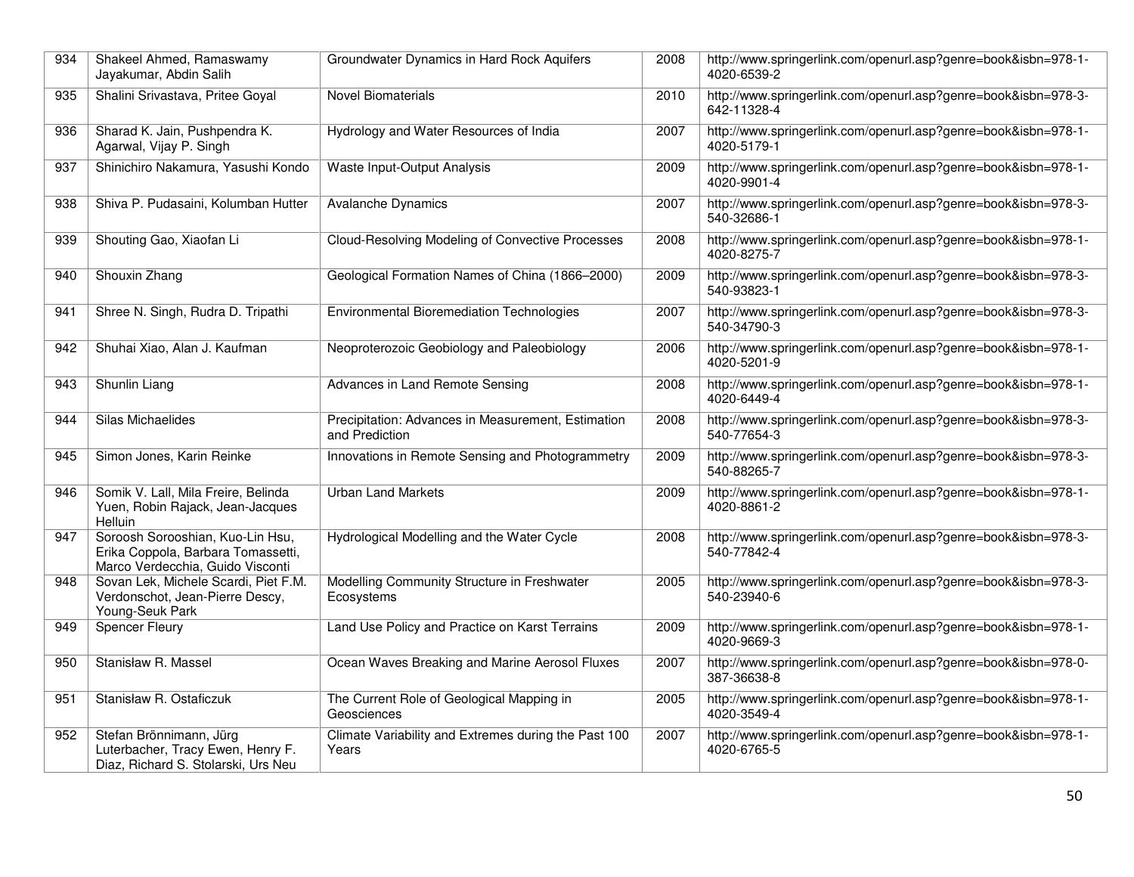| 934 | Shakeel Ahmed, Ramaswamy<br>Jayakumar, Abdin Salih                                                         | Groundwater Dynamics in Hard Rock Aquifers                           | 2008 | http://www.springerlink.com/openurl.asp?genre=book&isbn=978-1-<br>4020-6539-2 |
|-----|------------------------------------------------------------------------------------------------------------|----------------------------------------------------------------------|------|-------------------------------------------------------------------------------|
| 935 | Shalini Srivastava, Pritee Goyal                                                                           | <b>Novel Biomaterials</b>                                            | 2010 | http://www.springerlink.com/openurl.asp?genre=book&isbn=978-3-<br>642-11328-4 |
| 936 | Sharad K. Jain, Pushpendra K.<br>Agarwal, Vijay P. Singh                                                   | Hydrology and Water Resources of India                               | 2007 | http://www.springerlink.com/openurl.asp?genre=book&isbn=978-1-<br>4020-5179-1 |
| 937 | Shinichiro Nakamura, Yasushi Kondo                                                                         | Waste Input-Output Analysis                                          | 2009 | http://www.springerlink.com/openurl.asp?genre=book&isbn=978-1-<br>4020-9901-4 |
| 938 | Shiva P. Pudasaini, Kolumban Hutter                                                                        | <b>Avalanche Dynamics</b>                                            | 2007 | http://www.springerlink.com/openurl.asp?genre=book&isbn=978-3-<br>540-32686-1 |
| 939 | Shouting Gao, Xiaofan Li                                                                                   | Cloud-Resolving Modeling of Convective Processes                     | 2008 | http://www.springerlink.com/openurl.asp?genre=book&isbn=978-1-<br>4020-8275-7 |
| 940 | Shouxin Zhang                                                                                              | Geological Formation Names of China (1866-2000)                      | 2009 | http://www.springerlink.com/openurl.asp?genre=book&isbn=978-3-<br>540-93823-1 |
| 941 | Shree N. Singh, Rudra D. Tripathi                                                                          | <b>Environmental Bioremediation Technologies</b>                     | 2007 | http://www.springerlink.com/openurl.asp?genre=book&isbn=978-3-<br>540-34790-3 |
| 942 | Shuhai Xiao, Alan J. Kaufman                                                                               | Neoproterozoic Geobiology and Paleobiology                           | 2006 | http://www.springerlink.com/openurl.asp?genre=book&isbn=978-1-<br>4020-5201-9 |
| 943 | Shunlin Liang                                                                                              | Advances in Land Remote Sensing                                      | 2008 | http://www.springerlink.com/openurl.asp?genre=book&isbn=978-1-<br>4020-6449-4 |
| 944 | <b>Silas Michaelides</b>                                                                                   | Precipitation: Advances in Measurement, Estimation<br>and Prediction | 2008 | http://www.springerlink.com/openurl.asp?genre=book&isbn=978-3-<br>540-77654-3 |
| 945 | Simon Jones, Karin Reinke                                                                                  | Innovations in Remote Sensing and Photogrammetry                     | 2009 | http://www.springerlink.com/openurl.asp?genre=book&isbn=978-3-<br>540-88265-7 |
| 946 | Somik V. Lall, Mila Freire, Belinda<br>Yuen, Robin Rajack, Jean-Jacques<br>Helluin                         | <b>Urban Land Markets</b>                                            | 2009 | http://www.springerlink.com/openurl.asp?genre=book&isbn=978-1-<br>4020-8861-2 |
| 947 | Soroosh Sorooshian, Kuo-Lin Hsu,<br>Erika Coppola, Barbara Tomassetti,<br>Marco Verdecchia, Guido Visconti | Hydrological Modelling and the Water Cycle                           | 2008 | http://www.springerlink.com/openurl.asp?genre=book&isbn=978-3-<br>540-77842-4 |
| 948 | Sovan Lek, Michele Scardi, Piet F.M.<br>Verdonschot, Jean-Pierre Descy,<br>Young-Seuk Park                 | Modelling Community Structure in Freshwater<br>Ecosystems            | 2005 | http://www.springerlink.com/openurl.asp?genre=book&isbn=978-3-<br>540-23940-6 |
| 949 | <b>Spencer Fleury</b>                                                                                      | Land Use Policy and Practice on Karst Terrains                       | 2009 | http://www.springerlink.com/openurl.asp?genre=book&isbn=978-1-<br>4020-9669-3 |
| 950 | Stanisław R. Massel                                                                                        | Ocean Waves Breaking and Marine Aerosol Fluxes                       | 2007 | http://www.springerlink.com/openurl.asp?genre=book&isbn=978-0-<br>387-36638-8 |
| 951 | Stanisław R. Ostaficzuk                                                                                    | The Current Role of Geological Mapping in<br>Geosciences             | 2005 | http://www.springerlink.com/openurl.asp?genre=book&isbn=978-1-<br>4020-3549-4 |
| 952 | Stefan Brönnimann, Jürg<br>Luterbacher, Tracy Ewen, Henry F.<br>Diaz, Richard S. Stolarski, Urs Neu        | Climate Variability and Extremes during the Past 100<br>Years        | 2007 | http://www.springerlink.com/openurl.asp?genre=book&isbn=978-1-<br>4020-6765-5 |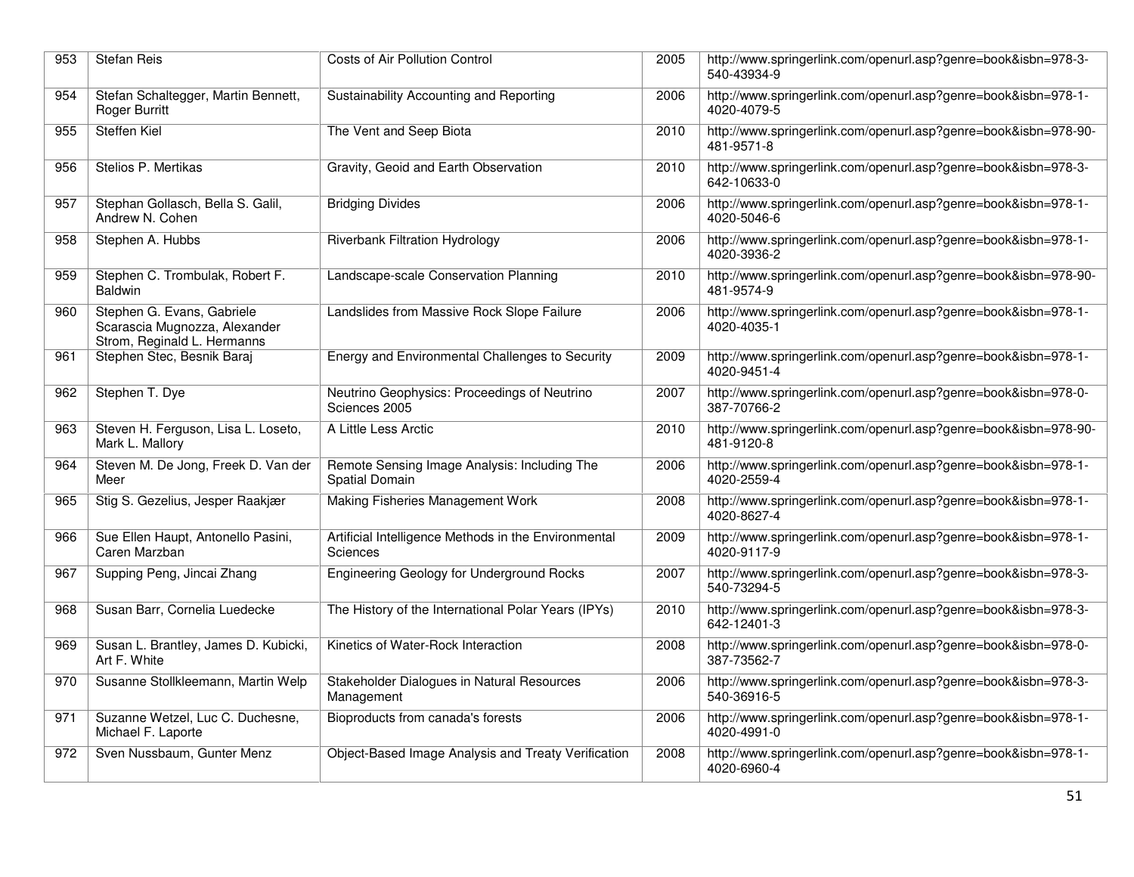| 953 | <b>Stefan Reis</b>                                                                         | Costs of Air Pollution Control                                   | 2005 | http://www.springerlink.com/openurl.asp?genre=book&isbn=978-3-<br>540-43934-9 |
|-----|--------------------------------------------------------------------------------------------|------------------------------------------------------------------|------|-------------------------------------------------------------------------------|
| 954 | Stefan Schaltegger, Martin Bennett,<br><b>Roger Burritt</b>                                | Sustainability Accounting and Reporting                          | 2006 | http://www.springerlink.com/openurl.asp?genre=book&isbn=978-1-<br>4020-4079-5 |
| 955 | <b>Steffen Kiel</b>                                                                        | The Vent and Seep Biota                                          | 2010 | http://www.springerlink.com/openurl.asp?genre=book&isbn=978-90-<br>481-9571-8 |
| 956 | Stelios P. Mertikas                                                                        | Gravity, Geoid and Earth Observation                             | 2010 | http://www.springerlink.com/openurl.asp?genre=book&isbn=978-3-<br>642-10633-0 |
| 957 | Stephan Gollasch, Bella S. Galil,<br>Andrew N. Cohen                                       | <b>Bridging Divides</b>                                          | 2006 | http://www.springerlink.com/openurl.asp?genre=book&isbn=978-1-<br>4020-5046-6 |
| 958 | Stephen A. Hubbs                                                                           | <b>Riverbank Filtration Hydrology</b>                            | 2006 | http://www.springerlink.com/openurl.asp?genre=book&isbn=978-1-<br>4020-3936-2 |
| 959 | Stephen C. Trombulak, Robert F.<br><b>Baldwin</b>                                          | Landscape-scale Conservation Planning                            | 2010 | http://www.springerlink.com/openurl.asp?genre=book&isbn=978-90-<br>481-9574-9 |
| 960 | Stephen G. Evans, Gabriele<br>Scarascia Mugnozza, Alexander<br>Strom, Reginald L. Hermanns | Landslides from Massive Rock Slope Failure                       | 2006 | http://www.springerlink.com/openurl.asp?genre=book&isbn=978-1-<br>4020-4035-1 |
| 961 | Stephen Stec, Besnik Baraj                                                                 | Energy and Environmental Challenges to Security                  | 2009 | http://www.springerlink.com/openurl.asp?genre=book&isbn=978-1-<br>4020-9451-4 |
| 962 | Stephen T. Dye                                                                             | Neutrino Geophysics: Proceedings of Neutrino<br>Sciences 2005    | 2007 | http://www.springerlink.com/openurl.asp?genre=book&isbn=978-0-<br>387-70766-2 |
| 963 | Steven H. Ferguson, Lisa L. Loseto,<br>Mark L. Mallory                                     | A Little Less Arctic                                             | 2010 | http://www.springerlink.com/openurl.asp?genre=book&isbn=978-90-<br>481-9120-8 |
| 964 | Steven M. De Jong, Freek D. Van der<br>Meer                                                | Remote Sensing Image Analysis: Including The<br>Spatial Domain   | 2006 | http://www.springerlink.com/openurl.asp?genre=book&isbn=978-1-<br>4020-2559-4 |
| 965 | Stig S. Gezelius, Jesper Raakjær                                                           | Making Fisheries Management Work                                 | 2008 | http://www.springerlink.com/openurl.asp?genre=book&isbn=978-1-<br>4020-8627-4 |
| 966 | Sue Ellen Haupt, Antonello Pasini,<br>Caren Marzban                                        | Artificial Intelligence Methods in the Environmental<br>Sciences | 2009 | http://www.springerlink.com/openurl.asp?genre=book&isbn=978-1-<br>4020-9117-9 |
| 967 | Supping Peng, Jincai Zhang                                                                 | <b>Engineering Geology for Underground Rocks</b>                 | 2007 | http://www.springerlink.com/openurl.asp?genre=book&isbn=978-3-<br>540-73294-5 |
| 968 | Susan Barr, Cornelia Luedecke                                                              | The History of the International Polar Years (IPYs)              | 2010 | http://www.springerlink.com/openurl.asp?genre=book&isbn=978-3-<br>642-12401-3 |
| 969 | Susan L. Brantley, James D. Kubicki,<br>Art F. White                                       | Kinetics of Water-Rock Interaction                               | 2008 | http://www.springerlink.com/openurl.asp?genre=book&isbn=978-0-<br>387-73562-7 |
| 970 | Susanne Stollkleemann, Martin Welp                                                         | Stakeholder Dialogues in Natural Resources<br>Management         | 2006 | http://www.springerlink.com/openurl.asp?genre=book&isbn=978-3-<br>540-36916-5 |
| 971 | Suzanne Wetzel, Luc C. Duchesne,<br>Michael F. Laporte                                     | Bioproducts from canada's forests                                | 2006 | http://www.springerlink.com/openurl.asp?genre=book&isbn=978-1-<br>4020-4991-0 |
| 972 | Sven Nussbaum, Gunter Menz                                                                 | Object-Based Image Analysis and Treaty Verification              | 2008 | http://www.springerlink.com/openurl.asp?genre=book&isbn=978-1-<br>4020-6960-4 |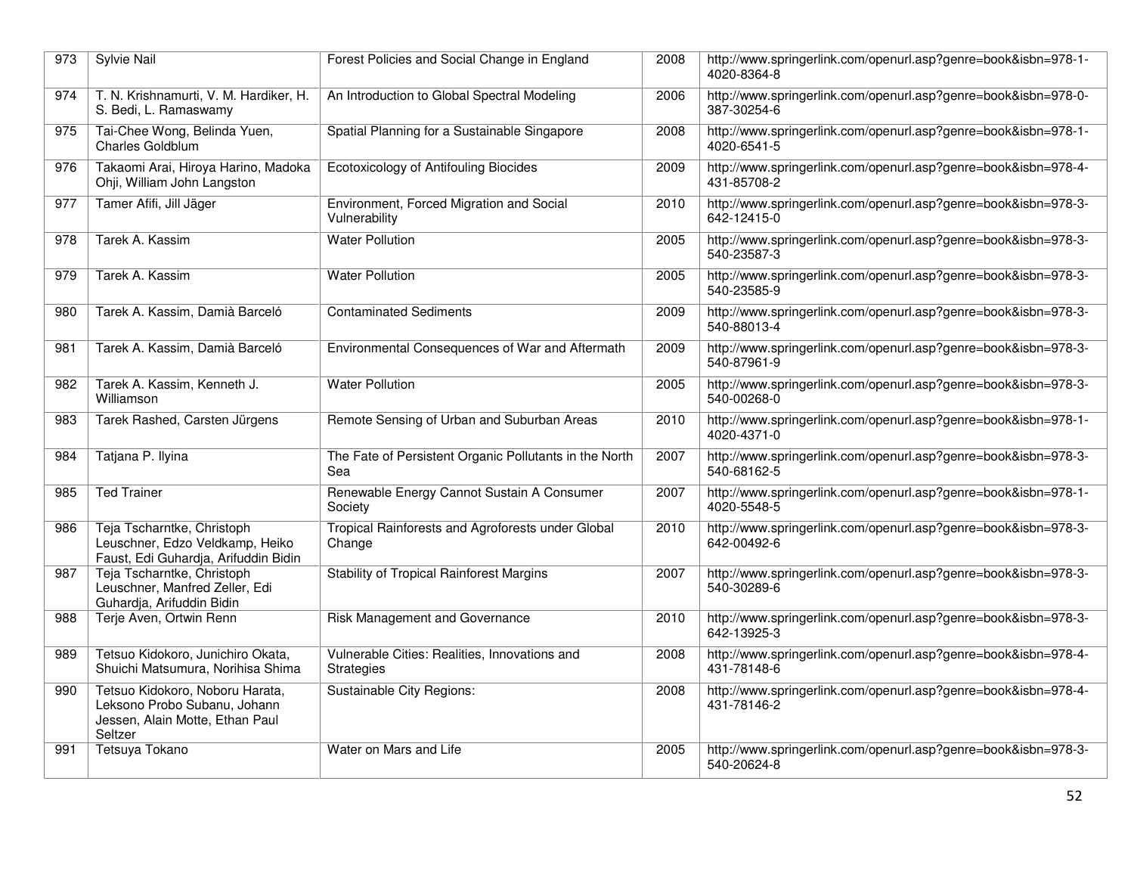| 973 | Sylvie Nail                                                                                                   | Forest Policies and Social Change in England                  | 2008 | http://www.springerlink.com/openurl.asp?genre=book&isbn=978-1-<br>4020-8364-8 |
|-----|---------------------------------------------------------------------------------------------------------------|---------------------------------------------------------------|------|-------------------------------------------------------------------------------|
| 974 | T. N. Krishnamurti, V. M. Hardiker, H.<br>S. Bedi, L. Ramaswamy                                               | An Introduction to Global Spectral Modeling                   | 2006 | http://www.springerlink.com/openurl.asp?genre=book&isbn=978-0-<br>387-30254-6 |
| 975 | Tai-Chee Wong, Belinda Yuen,<br>Charles Goldblum                                                              | Spatial Planning for a Sustainable Singapore                  | 2008 | http://www.springerlink.com/openurl.asp?genre=book&isbn=978-1-<br>4020-6541-5 |
| 976 | Takaomi Arai, Hiroya Harino, Madoka<br>Ohji, William John Langston                                            | Ecotoxicology of Antifouling Biocides                         | 2009 | http://www.springerlink.com/openurl.asp?genre=book&isbn=978-4-<br>431-85708-2 |
| 977 | Tamer Afifi, Jill Jäger                                                                                       | Environment, Forced Migration and Social<br>Vulnerability     | 2010 | http://www.springerlink.com/openurl.asp?genre=book&isbn=978-3-<br>642-12415-0 |
| 978 | Tarek A. Kassim                                                                                               | <b>Water Pollution</b>                                        | 2005 | http://www.springerlink.com/openurl.asp?genre=book&isbn=978-3-<br>540-23587-3 |
| 979 | Tarek A. Kassim                                                                                               | <b>Water Pollution</b>                                        | 2005 | http://www.springerlink.com/openurl.asp?genre=book&isbn=978-3-<br>540-23585-9 |
| 980 | Tarek A. Kassim, Damià Barceló                                                                                | <b>Contaminated Sediments</b>                                 | 2009 | http://www.springerlink.com/openurl.asp?genre=book&isbn=978-3-<br>540-88013-4 |
| 981 | Tarek A. Kassim, Damià Barceló                                                                                | Environmental Consequences of War and Aftermath               | 2009 | http://www.springerlink.com/openurl.asp?genre=book&isbn=978-3-<br>540-87961-9 |
| 982 | Tarek A. Kassim, Kenneth J.<br>Williamson                                                                     | <b>Water Pollution</b>                                        | 2005 | http://www.springerlink.com/openurl.asp?genre=book&isbn=978-3-<br>540-00268-0 |
| 983 | Tarek Rashed, Carsten Jürgens                                                                                 | Remote Sensing of Urban and Suburban Areas                    | 2010 | http://www.springerlink.com/openurl.asp?genre=book&isbn=978-1-<br>4020-4371-0 |
| 984 | Tatjana P. Ilyina                                                                                             | The Fate of Persistent Organic Pollutants in the North<br>Sea | 2007 | http://www.springerlink.com/openurl.asp?genre=book&isbn=978-3-<br>540-68162-5 |
| 985 | <b>Ted Trainer</b>                                                                                            | Renewable Energy Cannot Sustain A Consumer<br>Society         | 2007 | http://www.springerlink.com/openurl.asp?genre=book&isbn=978-1-<br>4020-5548-5 |
| 986 | Teja Tscharntke, Christoph<br>Leuschner, Edzo Veldkamp, Heiko<br>Faust, Edi Guhardja, Arifuddin Bidin         | Tropical Rainforests and Agroforests under Global<br>Change   | 2010 | http://www.springerlink.com/openurl.asp?genre=book&isbn=978-3-<br>642-00492-6 |
| 987 | Teja Tscharntke, Christoph<br>Leuschner, Manfred Zeller, Edi<br>Guhardja, Arifuddin Bidin                     | <b>Stability of Tropical Rainforest Margins</b>               | 2007 | http://www.springerlink.com/openurl.asp?genre=book&isbn=978-3-<br>540-30289-6 |
| 988 | Terje Aven, Ortwin Renn                                                                                       | Risk Management and Governance                                | 2010 | http://www.springerlink.com/openurl.asp?genre=book&isbn=978-3-<br>642-13925-3 |
| 989 | Tetsuo Kidokoro, Junichiro Okata,<br>Shuichi Matsumura, Norihisa Shima                                        | Vulnerable Cities: Realities, Innovations and<br>Strategies   | 2008 | http://www.springerlink.com/openurl.asp?genre=book&isbn=978-4-<br>431-78148-6 |
| 990 | Tetsuo Kidokoro, Noboru Harata,<br>Leksono Probo Subanu, Johann<br>Jessen, Alain Motte, Ethan Paul<br>Seltzer | Sustainable City Regions:                                     | 2008 | http://www.springerlink.com/openurl.asp?genre=book&isbn=978-4-<br>431-78146-2 |
| 991 | Tetsuya Tokano                                                                                                | Water on Mars and Life                                        | 2005 | http://www.springerlink.com/openurl.asp?genre=book&isbn=978-3-<br>540-20624-8 |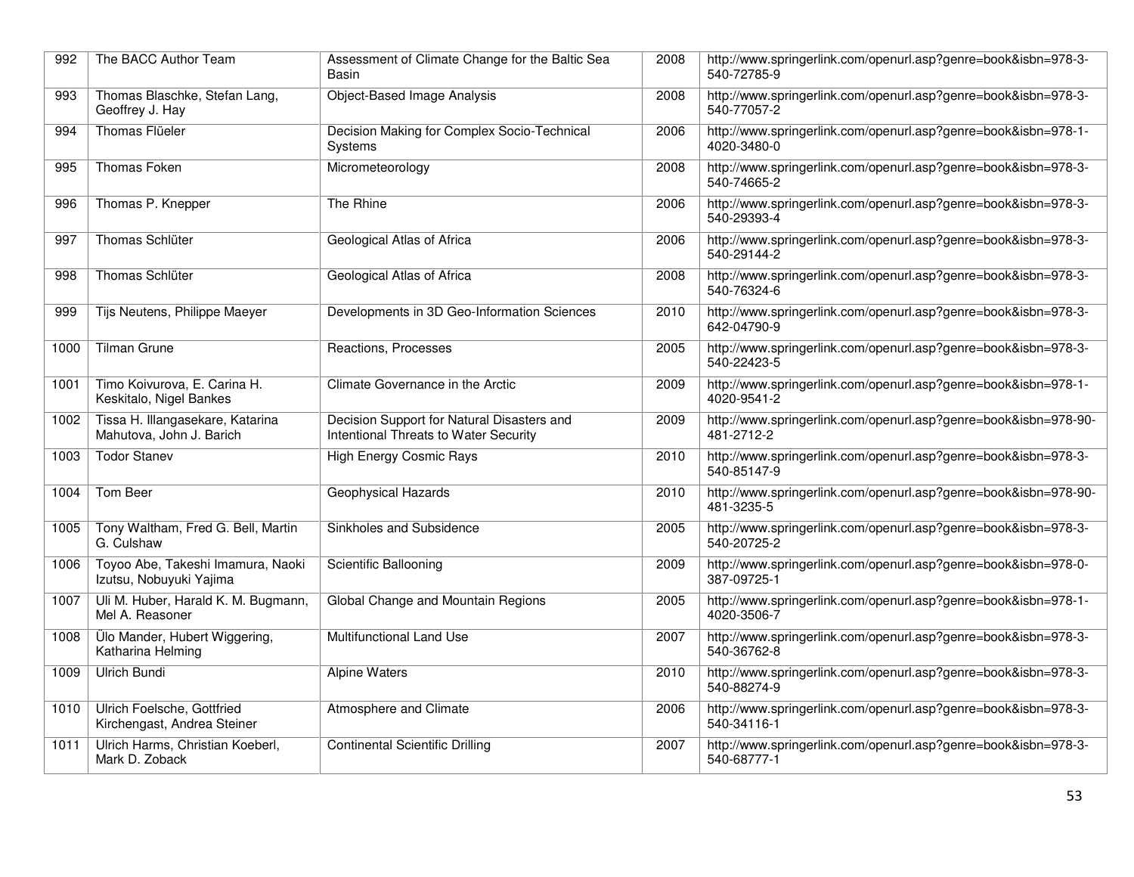| 992  | The BACC Author Team                                         | Assessment of Climate Change for the Baltic Sea<br>Basin                            | 2008 | http://www.springerlink.com/openurl.asp?genre=book&isbn=978-3-<br>540-72785-9 |
|------|--------------------------------------------------------------|-------------------------------------------------------------------------------------|------|-------------------------------------------------------------------------------|
| 993  | Thomas Blaschke, Stefan Lang,<br>Geoffrey J. Hay             | <b>Object-Based Image Analysis</b>                                                  | 2008 | http://www.springerlink.com/openurl.asp?genre=book&isbn=978-3-<br>540-77057-2 |
| 994  | Thomas Flüeler                                               | Decision Making for Complex Socio-Technical<br>Systems                              | 2006 | http://www.springerlink.com/openurl.asp?genre=book&isbn=978-1-<br>4020-3480-0 |
| 995  | Thomas Foken                                                 | Micrometeorology                                                                    | 2008 | http://www.springerlink.com/openurl.asp?genre=book&isbn=978-3-<br>540-74665-2 |
| 996  | Thomas P. Knepper                                            | The Rhine                                                                           | 2006 | http://www.springerlink.com/openurl.asp?genre=book&isbn=978-3-<br>540-29393-4 |
| 997  | Thomas Schlüter                                              | Geological Atlas of Africa                                                          | 2006 | http://www.springerlink.com/openurl.asp?genre=book&isbn=978-3-<br>540-29144-2 |
| 998  | Thomas Schlüter                                              | Geological Atlas of Africa                                                          | 2008 | http://www.springerlink.com/openurl.asp?genre=book&isbn=978-3-<br>540-76324-6 |
| 999  | Tijs Neutens, Philippe Maeyer                                | Developments in 3D Geo-Information Sciences                                         | 2010 | http://www.springerlink.com/openurl.asp?genre=book&isbn=978-3-<br>642-04790-9 |
| 1000 | <b>Tilman Grune</b>                                          | Reactions, Processes                                                                | 2005 | http://www.springerlink.com/openurl.asp?genre=book&isbn=978-3-<br>540-22423-5 |
| 1001 | Timo Koivurova, E. Carina H.<br>Keskitalo, Nigel Bankes      | Climate Governance in the Arctic                                                    | 2009 | http://www.springerlink.com/openurl.asp?genre=book&isbn=978-1-<br>4020-9541-2 |
| 1002 | Tissa H. Illangasekare, Katarina<br>Mahutova, John J. Barich | Decision Support for Natural Disasters and<br>Intentional Threats to Water Security | 2009 | http://www.springerlink.com/openurl.asp?genre=book&isbn=978-90-<br>481-2712-2 |
| 1003 | <b>Todor Stanev</b>                                          | <b>High Energy Cosmic Rays</b>                                                      | 2010 | http://www.springerlink.com/openurl.asp?genre=book&isbn=978-3-<br>540-85147-9 |
| 1004 | Tom Beer                                                     | <b>Geophysical Hazards</b>                                                          | 2010 | http://www.springerlink.com/openurl.asp?genre=book&isbn=978-90-<br>481-3235-5 |
| 1005 | Tony Waltham, Fred G. Bell, Martin<br>G. Culshaw             | Sinkholes and Subsidence                                                            | 2005 | http://www.springerlink.com/openurl.asp?genre=book&isbn=978-3-<br>540-20725-2 |
| 1006 | Toyoo Abe, Takeshi Imamura, Naoki<br>Izutsu, Nobuyuki Yajima | Scientific Ballooning                                                               | 2009 | http://www.springerlink.com/openurl.asp?genre=book&isbn=978-0-<br>387-09725-1 |
| 1007 | Uli M. Huber, Harald K. M. Bugmann,<br>Mel A. Reasoner       | Global Change and Mountain Regions                                                  | 2005 | http://www.springerlink.com/openurl.asp?genre=book&isbn=978-1-<br>4020-3506-7 |
| 1008 | Ülo Mander, Hubert Wiggering,<br>Katharina Helming           | Multifunctional Land Use                                                            | 2007 | http://www.springerlink.com/openurl.asp?genre=book&isbn=978-3-<br>540-36762-8 |
| 1009 | <b>Ulrich Bundi</b>                                          | <b>Alpine Waters</b>                                                                | 2010 | http://www.springerlink.com/openurl.asp?genre=book&isbn=978-3-<br>540-88274-9 |
| 1010 | Ulrich Foelsche, Gottfried<br>Kirchengast, Andrea Steiner    | Atmosphere and Climate                                                              | 2006 | http://www.springerlink.com/openurl.asp?genre=book&isbn=978-3-<br>540-34116-1 |
| 1011 | Ulrich Harms, Christian Koeberl,<br>Mark D. Zoback           | <b>Continental Scientific Drilling</b>                                              | 2007 | http://www.springerlink.com/openurl.asp?genre=book&isbn=978-3-<br>540-68777-1 |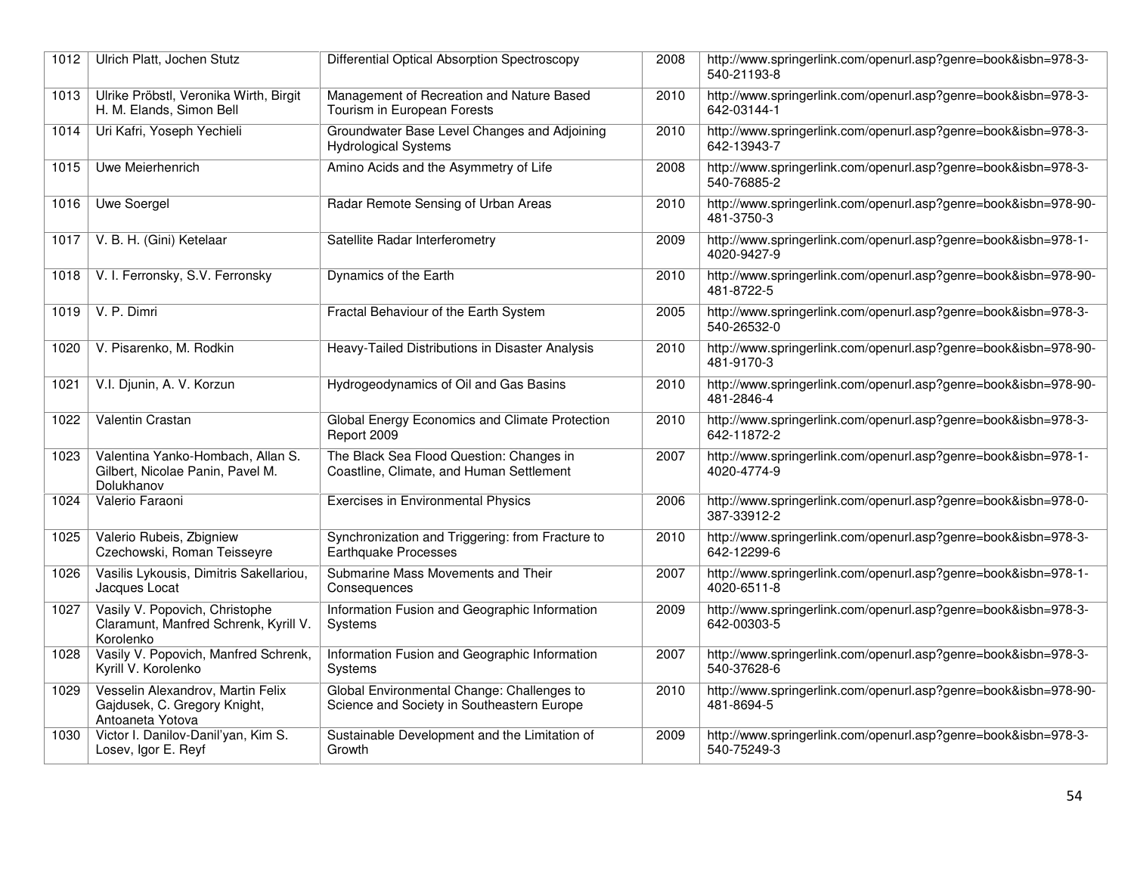| 1012 | Ulrich Platt, Jochen Stutz                                                            | Differential Optical Absorption Spectroscopy                                             | 2008 | http://www.springerlink.com/openurl.asp?genre=book&isbn=978-3-<br>540-21193-8 |
|------|---------------------------------------------------------------------------------------|------------------------------------------------------------------------------------------|------|-------------------------------------------------------------------------------|
| 1013 | Ulrike Pröbstl, Veronika Wirth, Birgit<br>H. M. Elands, Simon Bell                    | Management of Recreation and Nature Based<br>Tourism in European Forests                 | 2010 | http://www.springerlink.com/openurl.asp?genre=book&isbn=978-3-<br>642-03144-1 |
| 1014 | Uri Kafri, Yoseph Yechieli                                                            | Groundwater Base Level Changes and Adjoining<br><b>Hydrological Systems</b>              | 2010 | http://www.springerlink.com/openurl.asp?genre=book&isbn=978-3-<br>642-13943-7 |
| 1015 | Uwe Meierhenrich                                                                      | Amino Acids and the Asymmetry of Life                                                    | 2008 | http://www.springerlink.com/openurl.asp?genre=book&isbn=978-3-<br>540-76885-2 |
| 1016 | Uwe Soergel                                                                           | Radar Remote Sensing of Urban Areas                                                      | 2010 | http://www.springerlink.com/openurl.asp?genre=book&isbn=978-90-<br>481-3750-3 |
| 1017 | V. B. H. (Gini) Ketelaar                                                              | Satellite Radar Interferometry                                                           | 2009 | http://www.springerlink.com/openurl.asp?genre=book&isbn=978-1-<br>4020-9427-9 |
| 1018 | V. I. Ferronsky, S.V. Ferronsky                                                       | Dynamics of the Earth                                                                    | 2010 | http://www.springerlink.com/openurl.asp?genre=book&isbn=978-90-<br>481-8722-5 |
| 1019 | V. P. Dimri                                                                           | Fractal Behaviour of the Earth System                                                    | 2005 | http://www.springerlink.com/openurl.asp?genre=book&isbn=978-3-<br>540-26532-0 |
| 1020 | V. Pisarenko, M. Rodkin                                                               | Heavy-Tailed Distributions in Disaster Analysis                                          | 2010 | http://www.springerlink.com/openurl.asp?genre=book&isbn=978-90-<br>481-9170-3 |
| 1021 | V.I. Djunin, A. V. Korzun                                                             | Hydrogeodynamics of Oil and Gas Basins                                                   | 2010 | http://www.springerlink.com/openurl.asp?genre=book&isbn=978-90-<br>481-2846-4 |
| 1022 | Valentin Crastan                                                                      | Global Energy Economics and Climate Protection<br>Report 2009                            | 2010 | http://www.springerlink.com/openurl.asp?genre=book&isbn=978-3-<br>642-11872-2 |
| 1023 | Valentina Yanko-Hombach, Allan S.<br>Gilbert, Nicolae Panin, Pavel M.<br>Dolukhanov   | The Black Sea Flood Question: Changes in<br>Coastline, Climate, and Human Settlement     | 2007 | http://www.springerlink.com/openurl.asp?genre=book&isbn=978-1-<br>4020-4774-9 |
| 1024 | Valerio Faraoni                                                                       | <b>Exercises in Environmental Physics</b>                                                | 2006 | http://www.springerlink.com/openurl.asp?genre=book&isbn=978-0-<br>387-33912-2 |
| 1025 | Valerio Rubeis, Zbigniew<br>Czechowski, Roman Teisseyre                               | Synchronization and Triggering: from Fracture to<br>Earthquake Processes                 | 2010 | http://www.springerlink.com/openurl.asp?genre=book&isbn=978-3-<br>642-12299-6 |
| 1026 | Vasilis Lykousis, Dimitris Sakellariou,<br>Jacques Locat                              | Submarine Mass Movements and Their<br>Consequences                                       | 2007 | http://www.springerlink.com/openurl.asp?genre=book&isbn=978-1-<br>4020-6511-8 |
| 1027 | Vasily V. Popovich, Christophe<br>Claramunt, Manfred Schrenk, Kyrill V.<br>Korolenko  | Information Fusion and Geographic Information<br>Systems                                 | 2009 | http://www.springerlink.com/openurl.asp?genre=book&isbn=978-3-<br>642-00303-5 |
| 1028 | Vasily V. Popovich, Manfred Schrenk,<br>Kyrill V. Korolenko                           | Information Fusion and Geographic Information<br>Systems                                 | 2007 | http://www.springerlink.com/openurl.asp?genre=book&isbn=978-3-<br>540-37628-6 |
| 1029 | Vesselin Alexandrov, Martin Felix<br>Gajdusek, C. Gregory Knight,<br>Antoaneta Yotova | Global Environmental Change: Challenges to<br>Science and Society in Southeastern Europe | 2010 | http://www.springerlink.com/openurl.asp?genre=book&isbn=978-90-<br>481-8694-5 |
| 1030 | Victor I. Danilov-Danil'yan, Kim S.<br>Losev, Igor E. Reyf                            | Sustainable Development and the Limitation of<br>Growth                                  | 2009 | http://www.springerlink.com/openurl.asp?genre=book&isbn=978-3-<br>540-75249-3 |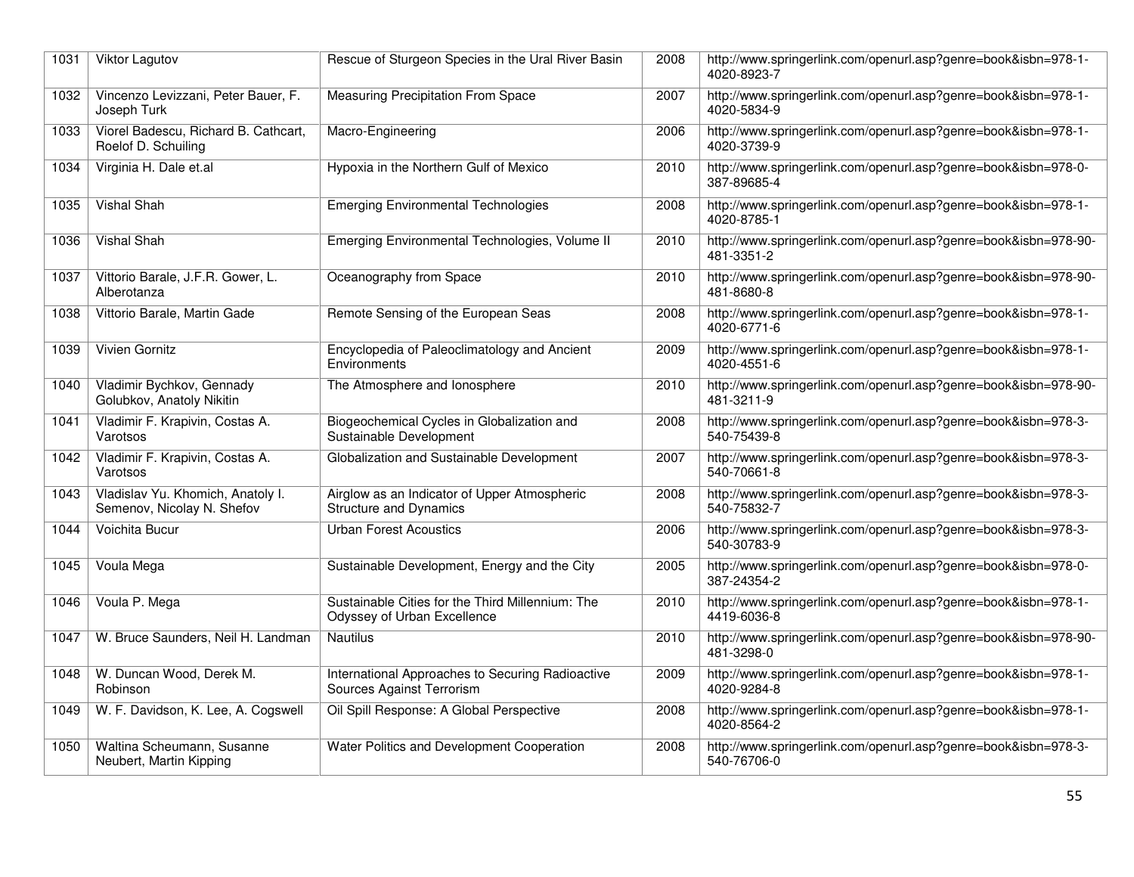| 1031 | Viktor Lagutov                                                  | Rescue of Sturgeon Species in the Ural River Basin                              | 2008 | http://www.springerlink.com/openurl.asp?genre=book&isbn=978-1-<br>4020-8923-7 |
|------|-----------------------------------------------------------------|---------------------------------------------------------------------------------|------|-------------------------------------------------------------------------------|
| 1032 | Vincenzo Levizzani, Peter Bauer, F.<br>Joseph Turk              | <b>Measuring Precipitation From Space</b>                                       | 2007 | http://www.springerlink.com/openurl.asp?genre=book&isbn=978-1-<br>4020-5834-9 |
| 1033 | Viorel Badescu, Richard B. Cathcart,<br>Roelof D. Schuiling     | Macro-Engineering                                                               | 2006 | http://www.springerlink.com/openurl.asp?genre=book&isbn=978-1-<br>4020-3739-9 |
| 1034 | Virginia H. Dale et.al                                          | Hypoxia in the Northern Gulf of Mexico                                          | 2010 | http://www.springerlink.com/openurl.asp?genre=book&isbn=978-0-<br>387-89685-4 |
| 1035 | Vishal Shah                                                     | <b>Emerging Environmental Technologies</b>                                      | 2008 | http://www.springerlink.com/openurl.asp?genre=book&isbn=978-1-<br>4020-8785-1 |
| 1036 | Vishal Shah                                                     | Emerging Environmental Technologies, Volume II                                  | 2010 | http://www.springerlink.com/openurl.asp?genre=book&isbn=978-90-<br>481-3351-2 |
| 1037 | Vittorio Barale, J.F.R. Gower, L.<br>Alberotanza                | Oceanography from Space                                                         | 2010 | http://www.springerlink.com/openurl.asp?genre=book&isbn=978-90-<br>481-8680-8 |
| 1038 | Vittorio Barale, Martin Gade                                    | Remote Sensing of the European Seas                                             | 2008 | http://www.springerlink.com/openurl.asp?genre=book&isbn=978-1-<br>4020-6771-6 |
| 1039 | <b>Vivien Gornitz</b>                                           | Encyclopedia of Paleoclimatology and Ancient<br>Environments                    | 2009 | http://www.springerlink.com/openurl.asp?genre=book&isbn=978-1-<br>4020-4551-6 |
| 1040 | Vladimir Bychkov, Gennady<br>Golubkov, Anatoly Nikitin          | The Atmosphere and lonosphere                                                   | 2010 | http://www.springerlink.com/openurl.asp?genre=book&isbn=978-90-<br>481-3211-9 |
| 1041 | Vladimir F. Krapivin, Costas A.<br>Varotsos                     | Biogeochemical Cycles in Globalization and<br>Sustainable Development           | 2008 | http://www.springerlink.com/openurl.asp?genre=book&isbn=978-3-<br>540-75439-8 |
| 1042 | Vladimir F. Krapivin, Costas A.<br>Varotsos                     | Globalization and Sustainable Development                                       | 2007 | http://www.springerlink.com/openurl.asp?genre=book&isbn=978-3-<br>540-70661-8 |
| 1043 | Vladislav Yu. Khomich, Anatoly I.<br>Semenov, Nicolay N. Shefov | Airglow as an Indicator of Upper Atmospheric<br><b>Structure and Dynamics</b>   | 2008 | http://www.springerlink.com/openurl.asp?genre=book&isbn=978-3-<br>540-75832-7 |
| 1044 | Voichita Bucur                                                  | <b>Urban Forest Acoustics</b>                                                   | 2006 | http://www.springerlink.com/openurl.asp?genre=book&isbn=978-3-<br>540-30783-9 |
| 1045 | Voula Mega                                                      | Sustainable Development, Energy and the City                                    | 2005 | http://www.springerlink.com/openurl.asp?genre=book&isbn=978-0-<br>387-24354-2 |
| 1046 | Voula P. Mega                                                   | Sustainable Cities for the Third Millennium: The<br>Odyssey of Urban Excellence | 2010 | http://www.springerlink.com/openurl.asp?genre=book&isbn=978-1-<br>4419-6036-8 |
| 1047 | W. Bruce Saunders, Neil H. Landman                              | <b>Nautilus</b>                                                                 | 2010 | http://www.springerlink.com/openurl.asp?genre=book&isbn=978-90-<br>481-3298-0 |
| 1048 | W. Duncan Wood, Derek M.<br>Robinson                            | International Approaches to Securing Radioactive<br>Sources Against Terrorism   | 2009 | http://www.springerlink.com/openurl.asp?genre=book&isbn=978-1-<br>4020-9284-8 |
| 1049 | W. F. Davidson, K. Lee, A. Cogswell                             | Oil Spill Response: A Global Perspective                                        | 2008 | http://www.springerlink.com/openurl.asp?genre=book&isbn=978-1-<br>4020-8564-2 |
| 1050 | Waltina Scheumann, Susanne<br>Neubert, Martin Kipping           | Water Politics and Development Cooperation                                      | 2008 | http://www.springerlink.com/openurl.asp?genre=book&isbn=978-3-<br>540-76706-0 |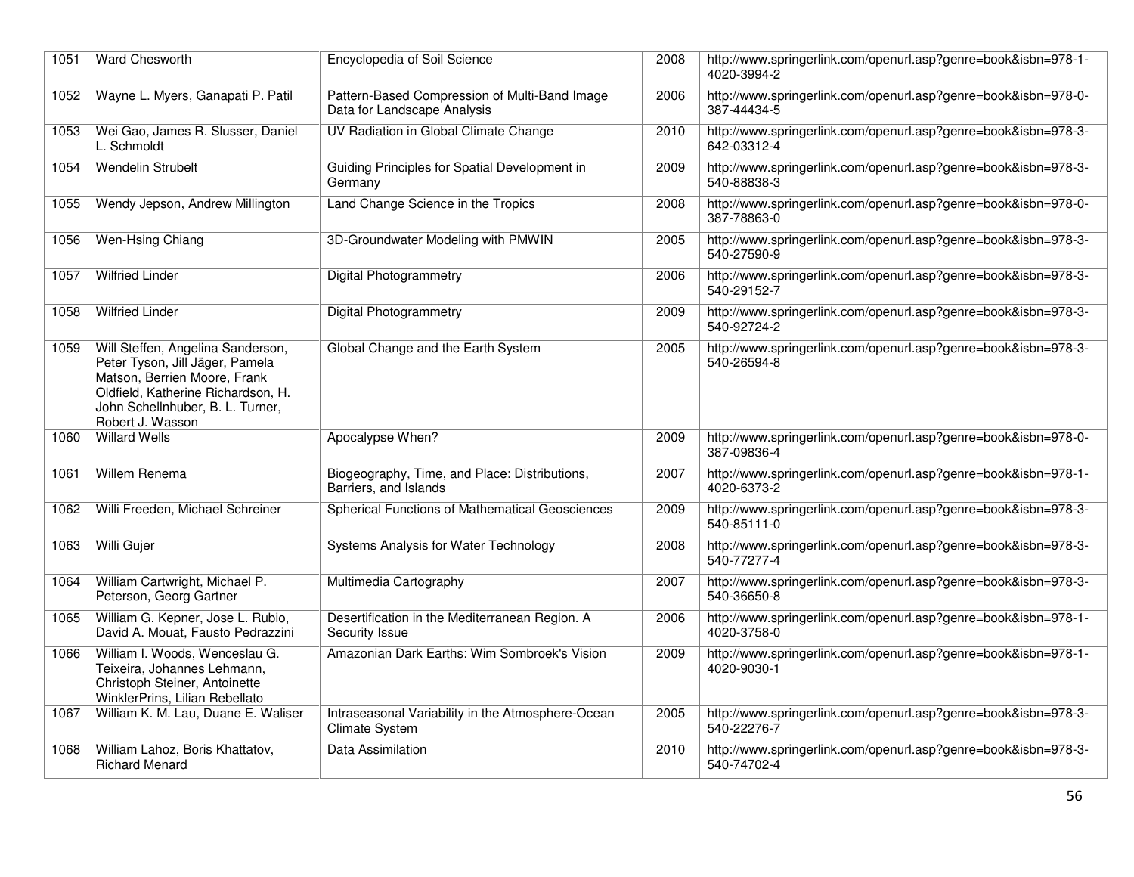| 1051 | <b>Ward Chesworth</b>                                                                                                                                                                              | Encyclopedia of Soil Science                                                 | 2008 | http://www.springerlink.com/openurl.asp?genre=book&isbn=978-1-<br>4020-3994-2 |
|------|----------------------------------------------------------------------------------------------------------------------------------------------------------------------------------------------------|------------------------------------------------------------------------------|------|-------------------------------------------------------------------------------|
| 1052 | Wayne L. Myers, Ganapati P. Patil                                                                                                                                                                  | Pattern-Based Compression of Multi-Band Image<br>Data for Landscape Analysis | 2006 | http://www.springerlink.com/openurl.asp?genre=book&isbn=978-0-<br>387-44434-5 |
| 1053 | Wei Gao, James R. Slusser, Daniel<br>L. Schmoldt                                                                                                                                                   | UV Radiation in Global Climate Change                                        | 2010 | http://www.springerlink.com/openurl.asp?genre=book&isbn=978-3-<br>642-03312-4 |
| 1054 | <b>Wendelin Strubelt</b>                                                                                                                                                                           | Guiding Principles for Spatial Development in<br>Germany                     | 2009 | http://www.springerlink.com/openurl.asp?genre=book&isbn=978-3-<br>540-88838-3 |
| 1055 | Wendy Jepson, Andrew Millington                                                                                                                                                                    | Land Change Science in the Tropics                                           | 2008 | http://www.springerlink.com/openurl.asp?genre=book&isbn=978-0-<br>387-78863-0 |
| 1056 | Wen-Hsing Chiang                                                                                                                                                                                   | 3D-Groundwater Modeling with PMWIN                                           | 2005 | http://www.springerlink.com/openurl.asp?genre=book&isbn=978-3-<br>540-27590-9 |
| 1057 | <b>Wilfried Linder</b>                                                                                                                                                                             | <b>Digital Photogrammetry</b>                                                | 2006 | http://www.springerlink.com/openurl.asp?genre=book&isbn=978-3-<br>540-29152-7 |
| 1058 | <b>Wilfried Linder</b>                                                                                                                                                                             | <b>Digital Photogrammetry</b>                                                | 2009 | http://www.springerlink.com/openurl.asp?genre=book&isbn=978-3-<br>540-92724-2 |
| 1059 | Will Steffen, Angelina Sanderson,<br>Peter Tyson, Jill Jäger, Pamela<br>Matson, Berrien Moore, Frank<br>Oldfield, Katherine Richardson, H.<br>John Schellnhuber, B. L. Turner,<br>Robert J. Wasson | Global Change and the Earth System                                           | 2005 | http://www.springerlink.com/openurl.asp?genre=book&isbn=978-3-<br>540-26594-8 |
| 1060 | <b>Willard Wells</b>                                                                                                                                                                               | Apocalypse When?                                                             | 2009 | http://www.springerlink.com/openurl.asp?genre=book&isbn=978-0-<br>387-09836-4 |
| 1061 | <b>Willem Renema</b>                                                                                                                                                                               | Biogeography, Time, and Place: Distributions,<br>Barriers, and Islands       | 2007 | http://www.springerlink.com/openurl.asp?genre=book&isbn=978-1-<br>4020-6373-2 |
| 1062 | Willi Freeden, Michael Schreiner                                                                                                                                                                   | Spherical Functions of Mathematical Geosciences                              | 2009 | http://www.springerlink.com/openurl.asp?genre=book&isbn=978-3-<br>540-85111-0 |
| 1063 | Willi Gujer                                                                                                                                                                                        | Systems Analysis for Water Technology                                        | 2008 | http://www.springerlink.com/openurl.asp?genre=book&isbn=978-3-<br>540-77277-4 |
| 1064 | William Cartwright, Michael P.<br>Peterson, Georg Gartner                                                                                                                                          | Multimedia Cartography                                                       | 2007 | http://www.springerlink.com/openurl.asp?genre=book&isbn=978-3-<br>540-36650-8 |
| 1065 | William G. Kepner, Jose L. Rubio,<br>David A. Mouat, Fausto Pedrazzini                                                                                                                             | Desertification in the Mediterranean Region. A<br>Security Issue             | 2006 | http://www.springerlink.com/openurl.asp?genre=book&isbn=978-1-<br>4020-3758-0 |
| 1066 | William I. Woods, Wenceslau G.<br>Teixeira, Johannes Lehmann,<br>Christoph Steiner, Antoinette<br>WinklerPrins, Lilian Rebellato                                                                   | Amazonian Dark Earths: Wim Sombroek's Vision                                 | 2009 | http://www.springerlink.com/openurl.asp?genre=book&isbn=978-1-<br>4020-9030-1 |
| 1067 | William K. M. Lau, Duane E. Waliser                                                                                                                                                                | Intraseasonal Variability in the Atmosphere-Ocean<br><b>Climate System</b>   | 2005 | http://www.springerlink.com/openurl.asp?genre=book&isbn=978-3-<br>540-22276-7 |
| 1068 | William Lahoz, Boris Khattatov,<br><b>Richard Menard</b>                                                                                                                                           | Data Assimilation                                                            | 2010 | http://www.springerlink.com/openurl.asp?genre=book&isbn=978-3-<br>540-74702-4 |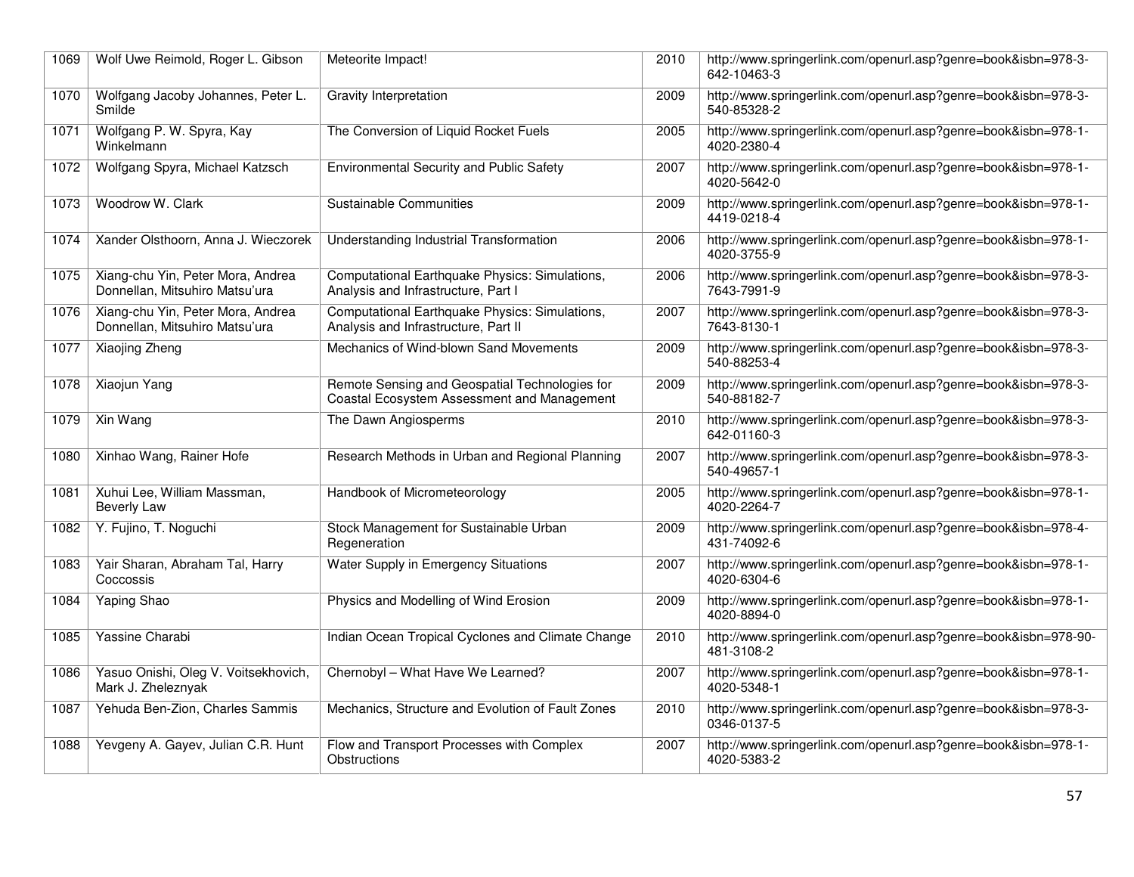| 1069 | Wolf Uwe Reimold, Roger L. Gibson                                   | Meteorite Impact!                                                                             | 2010 | http://www.springerlink.com/openurl.asp?genre=book&isbn=978-3-<br>642-10463-3 |
|------|---------------------------------------------------------------------|-----------------------------------------------------------------------------------------------|------|-------------------------------------------------------------------------------|
| 1070 | Wolfgang Jacoby Johannes, Peter L.<br>Smilde                        | <b>Gravity Interpretation</b>                                                                 | 2009 | http://www.springerlink.com/openurl.asp?genre=book&isbn=978-3-<br>540-85328-2 |
| 1071 | Wolfgang P. W. Spyra, Kay<br>Winkelmann                             | The Conversion of Liquid Rocket Fuels                                                         | 2005 | http://www.springerlink.com/openurl.asp?genre=book&isbn=978-1-<br>4020-2380-4 |
| 1072 | Wolfgang Spyra, Michael Katzsch                                     | <b>Environmental Security and Public Safety</b>                                               | 2007 | http://www.springerlink.com/openurl.asp?genre=book&isbn=978-1-<br>4020-5642-0 |
| 1073 | Woodrow W. Clark                                                    | <b>Sustainable Communities</b>                                                                | 2009 | http://www.springerlink.com/openurl.asp?genre=book&isbn=978-1-<br>4419-0218-4 |
| 1074 | Xander Olsthoorn, Anna J. Wieczorek                                 | Understanding Industrial Transformation                                                       | 2006 | http://www.springerlink.com/openurl.asp?genre=book&isbn=978-1-<br>4020-3755-9 |
| 1075 | Xiang-chu Yin, Peter Mora, Andrea<br>Donnellan, Mitsuhiro Matsu'ura | Computational Earthquake Physics: Simulations,<br>Analysis and Infrastructure, Part I         | 2006 | http://www.springerlink.com/openurl.asp?genre=book&isbn=978-3-<br>7643-7991-9 |
| 1076 | Xiang-chu Yin, Peter Mora, Andrea<br>Donnellan, Mitsuhiro Matsu'ura | Computational Earthquake Physics: Simulations,<br>Analysis and Infrastructure, Part II        | 2007 | http://www.springerlink.com/openurl.asp?genre=book&isbn=978-3-<br>7643-8130-1 |
| 1077 | Xiaojing Zheng                                                      | Mechanics of Wind-blown Sand Movements                                                        | 2009 | http://www.springerlink.com/openurl.asp?genre=book&isbn=978-3-<br>540-88253-4 |
| 1078 | Xiaojun Yang                                                        | Remote Sensing and Geospatial Technologies for<br>Coastal Ecosystem Assessment and Management | 2009 | http://www.springerlink.com/openurl.asp?genre=book&isbn=978-3-<br>540-88182-7 |
| 1079 | Xin Wang                                                            | The Dawn Angiosperms                                                                          | 2010 | http://www.springerlink.com/openurl.asp?genre=book&isbn=978-3-<br>642-01160-3 |
| 1080 | Xinhao Wang, Rainer Hofe                                            | Research Methods in Urban and Regional Planning                                               | 2007 | http://www.springerlink.com/openurl.asp?genre=book&isbn=978-3-<br>540-49657-1 |
| 1081 | Xuhui Lee, William Massman,<br><b>Beverly Law</b>                   | Handbook of Micrometeorology                                                                  | 2005 | http://www.springerlink.com/openurl.asp?genre=book&isbn=978-1-<br>4020-2264-7 |
| 1082 | Y. Fujino, T. Noguchi                                               | Stock Management for Sustainable Urban<br>Regeneration                                        | 2009 | http://www.springerlink.com/openurl.asp?genre=book&isbn=978-4-<br>431-74092-6 |
| 1083 | Yair Sharan, Abraham Tal, Harry<br>Coccossis                        | Water Supply in Emergency Situations                                                          | 2007 | http://www.springerlink.com/openurl.asp?genre=book&isbn=978-1-<br>4020-6304-6 |
| 1084 | Yaping Shao                                                         | Physics and Modelling of Wind Erosion                                                         | 2009 | http://www.springerlink.com/openurl.asp?genre=book&isbn=978-1-<br>4020-8894-0 |
| 1085 | Yassine Charabi                                                     | Indian Ocean Tropical Cyclones and Climate Change                                             | 2010 | http://www.springerlink.com/openurl.asp?genre=book&isbn=978-90-<br>481-3108-2 |
| 1086 | Yasuo Onishi, Oleg V. Voitsekhovich,<br>Mark J. Zheleznyak          | Chernobyl - What Have We Learned?                                                             | 2007 | http://www.springerlink.com/openurl.asp?genre=book&isbn=978-1-<br>4020-5348-1 |
| 1087 | Yehuda Ben-Zion, Charles Sammis                                     | Mechanics, Structure and Evolution of Fault Zones                                             | 2010 | http://www.springerlink.com/openurl.asp?genre=book&isbn=978-3-<br>0346-0137-5 |
| 1088 | Yevgeny A. Gayev, Julian C.R. Hunt                                  | Flow and Transport Processes with Complex<br>Obstructions                                     | 2007 | http://www.springerlink.com/openurl.asp?genre=book&isbn=978-1-<br>4020-5383-2 |